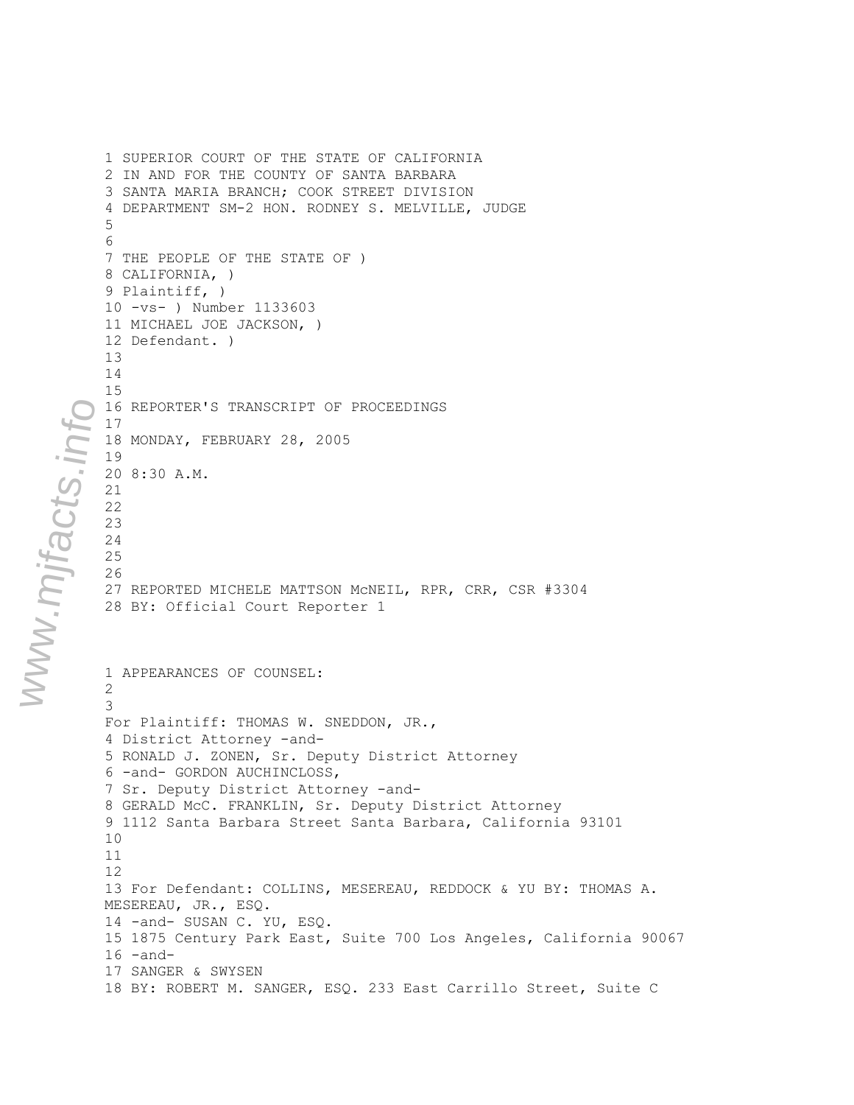1 SUPERIOR COURT OF THE STATE OF CALIFORNIA 2 IN AND FOR THE COUNTY OF SANTA BARBARA 3 SANTA MARIA BRANCH; COOK STREET DIVISION 4 DEPARTMENT SM-2 HON. RODNEY S. MELVILLE, JUDGE 5 6 7 THE PEOPLE OF THE STATE OF ) 8 CALIFORNIA, ) 9 Plaintiff, ) 10 -vs- ) Number 1133603 11 MICHAEL JOE JACKSON, ) 12 Defendant. ) 13 14 15 16 REPORTER'S TRANSCRIPT OF PROCEEDINGS 17 18 MONDAY, FEBRUARY 28, 2005 19 20 8:30 A.M. 21 22 23 24 25 26 27 REPORTED MICHELE MATTSON McNEIL, RPR, CRR, CSR #3304 28 BY: Official Court Reporter 1 1 APPEARANCES OF COUNSEL: 2 3 For Plaintiff: THOMAS W. SNEDDON, JR., 4 District Attorney -and-5 RONALD J. ZONEN, Sr. Deputy District Attorney 6 -and- GORDON AUCHINCLOSS, 7 Sr. Deputy District Attorney -and-8 GERALD McC. FRANKLIN, Sr. Deputy District Attorney 9 1112 Santa Barbara Street Santa Barbara, California 93101 10 11 12 13 For Defendant: COLLINS, MESEREAU, REDDOCK & YU BY: THOMAS A. MESEREAU, JR., ESQ. 14 -and- SUSAN C. YU, ESQ. 15 1875 Century Park East, Suite 700 Los Angeles, California 90067  $16$  -and-17 SANGER & SWYSEN 18 BY: ROBERT M. SANGER, ESQ. 233 East Carrillo Street, Suite C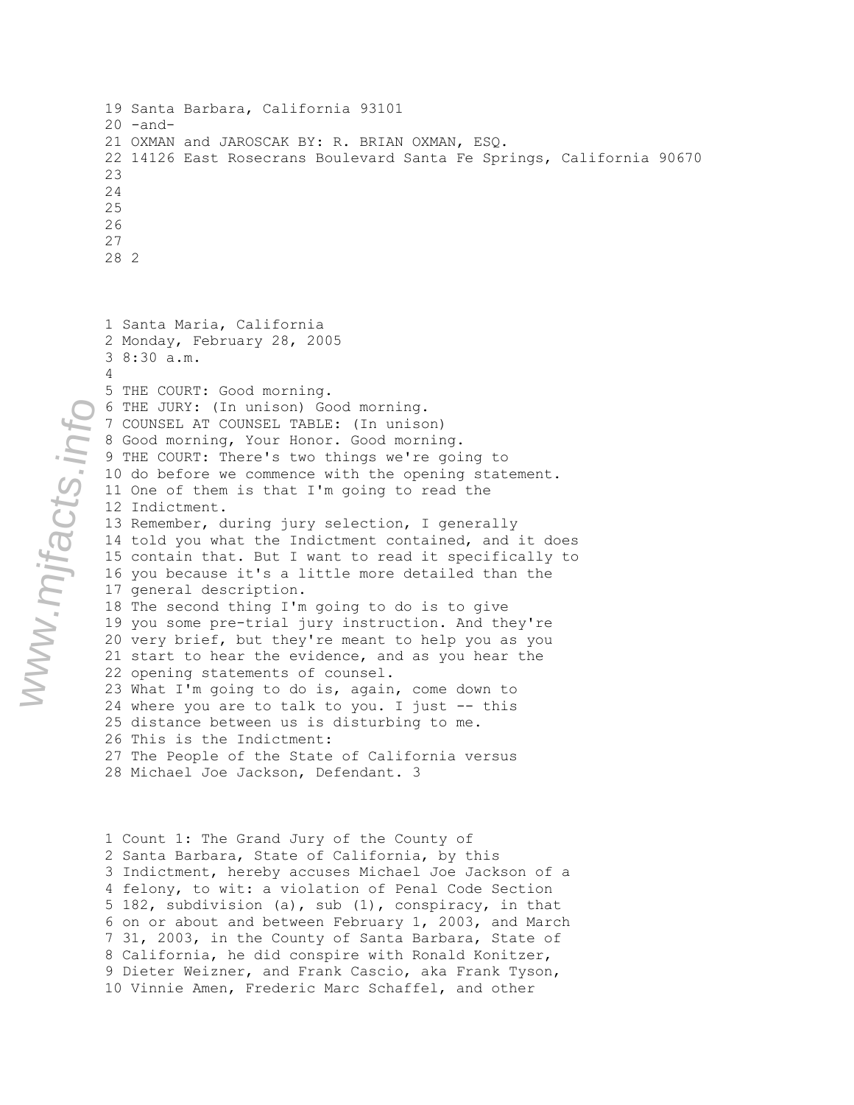```
19 Santa Barbara, California 93101 
20 -and-
21 OXMAN and JAROSCAK BY: R. BRIAN OXMAN, ESQ. 
22 14126 East Rosecrans Boulevard Santa Fe Springs, California 90670 
23
24
25
26
27
28 2
```

```
1 Santa Maria, California 
2 Monday, February 28, 2005 
3 8:30 a.m. 
4 
5 THE COURT: Good morning. 
6 THE JURY: (In unison) Good morning. 
7 COUNSEL AT COUNSEL TABLE: (In unison) 
8 Good morning, Your Honor. Good morning. 
9 THE COURT: There's two things we're going to 
10 do before we commence with the opening statement. 
11 One of them is that I'm going to read the 
12 Indictment. 
13 Remember, during jury selection, I generally 
14 told you what the Indictment contained, and it does 
15 contain that. But I want to read it specifically to 
16 you because it's a little more detailed than the
17 general description. 
18 The second thing I'm going to do is to give 
19 you some pre-trial jury instruction. And they're
20 very brief, but they're meant to help you as you
21 start to hear the evidence, and as you hear the 
22 opening statements of counsel. 
23 What I'm going to do is, again, come down to 
24 where you are to talk to you. I just -- this 
25 distance between us is disturbing to me. 
26 This is the Indictment: 
27 The People of the State of California versus 
28 Michael Joe Jackson, Defendant. 3
```
1 Count 1: The Grand Jury of the County of 2 Santa Barbara, State of California, by this 3 Indictment, hereby accuses Michael Joe Jackson of a 4 felony, to wit: a violation of Penal Code Section 5 182, subdivision (a), sub (1), conspiracy, in that 6 on or about and between February 1, 2003, and March 7 31, 2003, in the County of Santa Barbara, State of 8 California, he did conspire with Ronald Konitzer, 9 Dieter Weizner, and Frank Cascio, aka Frank Tyson, 10 Vinnie Amen, Frederic Marc Schaffel, and other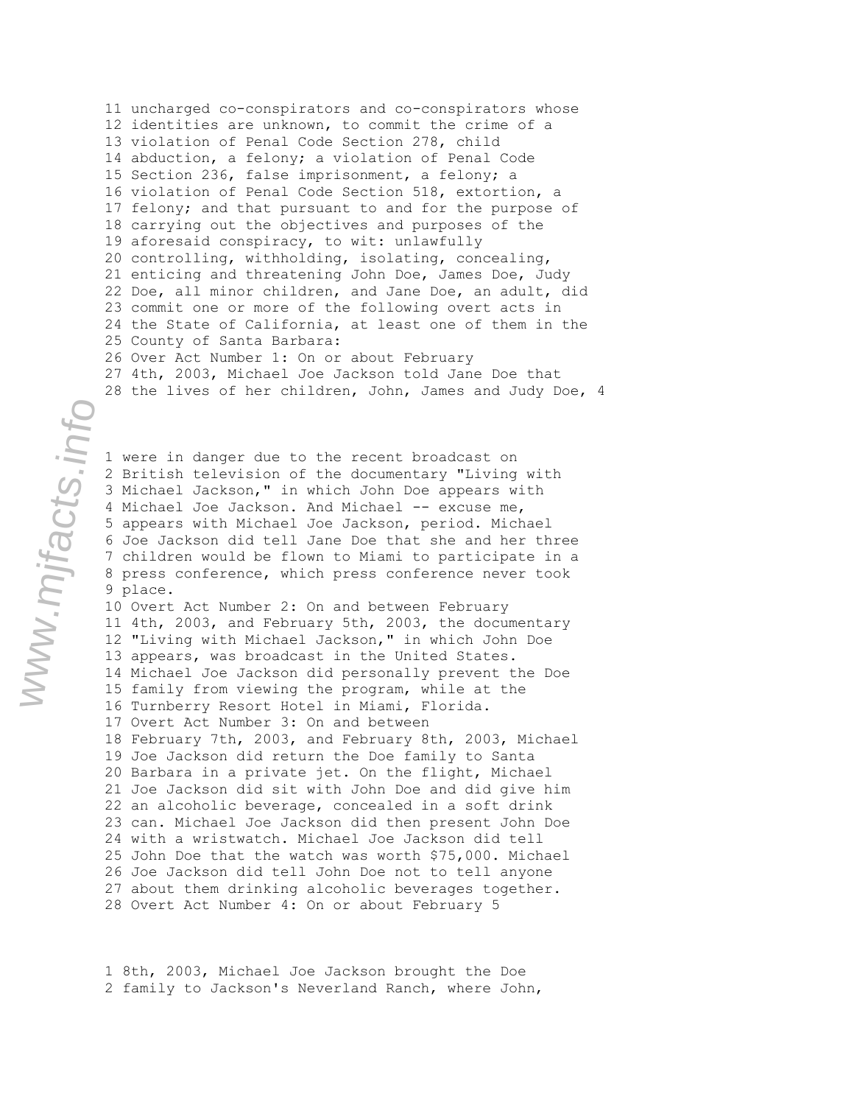11 uncharged co-conspirators and co-conspirators whose 12 identities are unknown, to commit the crime of a 13 violation of Penal Code Section 278, child 14 abduction, a felony; a violation of Penal Code 15 Section 236, false imprisonment, a felony; a 16 violation of Penal Code Section 518, extortion, a 17 felony; and that pursuant to and for the purpose of 18 carrying out the objectives and purposes of the 19 aforesaid conspiracy, to wit: unlawfully 20 controlling, withholding, isolating, concealing, 21 enticing and threatening John Doe, James Doe, Judy 22 Doe, all minor children, and Jane Doe, an adult, did 23 commit one or more of the following overt acts in 24 the State of California, at least one of them in the 25 County of Santa Barbara: 26 Over Act Number 1: On or about February 27 4th, 2003, Michael Joe Jackson told Jane Doe that 28 the lives of her children, John, James and Judy Doe, 4

1 were in danger due to the recent broadcast on 2 British television of the documentary "Living with 3 Michael Jackson," in which John Doe appears with 4 Michael Joe Jackson. And Michael -- excuse me, 5 appears with Michael Joe Jackson, period. Michael 6 Joe Jackson did tell Jane Doe that she and her three 7 children would be flown to Miami to participate in a 8 press conference, which press conference never took 9 place.

10 Overt Act Number 2: On and between February 11 4th, 2003, and February 5th, 2003, the documentary 12 "Living with Michael Jackson," in which John Doe 13 appears, was broadcast in the United States. 14 Michael Joe Jackson did personally prevent the Doe 15 family from viewing the program, while at the 16 Turnberry Resort Hotel in Miami, Florida. 17 Overt Act Number 3: On and between 18 February 7th, 2003, and February 8th, 2003, Michael 19 Joe Jackson did return the Doe family to Santa 20 Barbara in a private jet. On the flight, Michael 21 Joe Jackson did sit with John Doe and did give him 22 an alcoholic beverage, concealed in a soft drink 23 can. Michael Joe Jackson did then present John Doe 24 with a wristwatch. Michael Joe Jackson did tell 25 John Doe that the watch was worth \$75,000. Michael 26 Joe Jackson did tell John Doe not to tell anyone 27 about them drinking alcoholic beverages together. 28 Overt Act Number 4: On or about February 5

1 8th, 2003, Michael Joe Jackson brought the Doe 2 family to Jackson's Neverland Ranch, where John,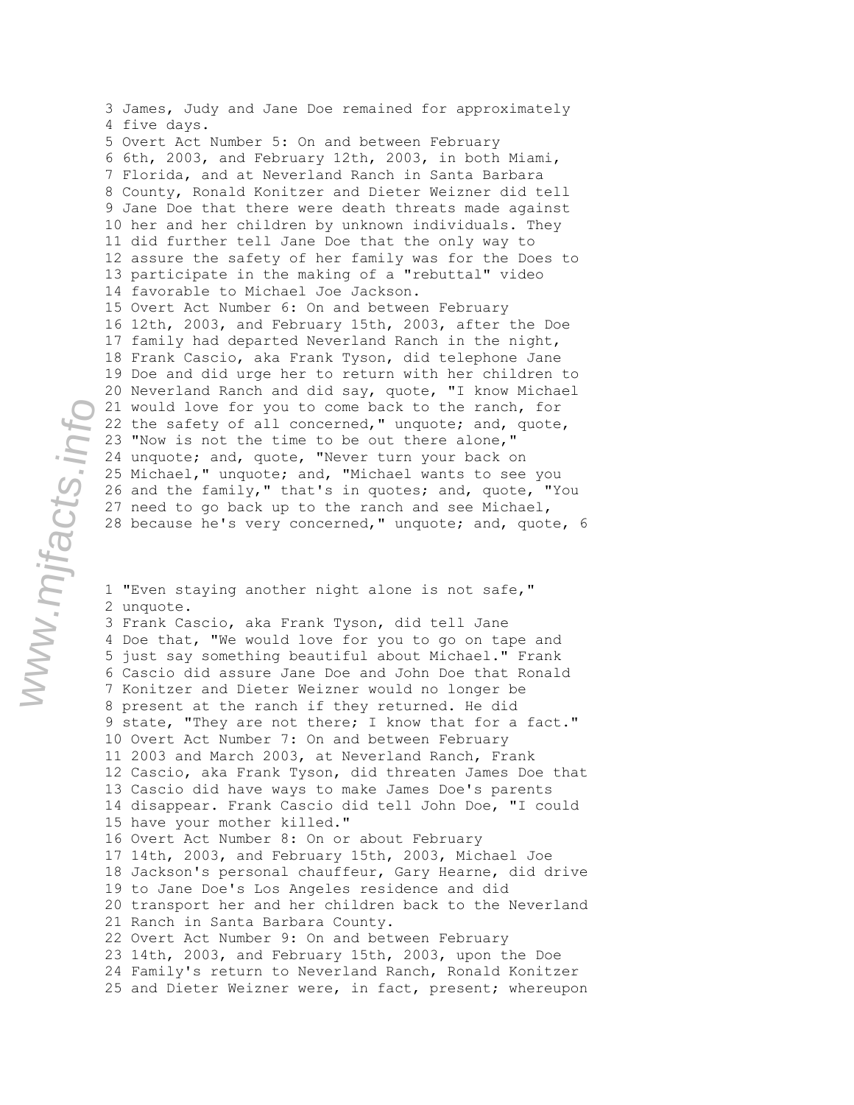3 James, Judy and Jane Doe remained for approximately 4 five days. 5 Overt Act Number 5: On and between February 6 6th, 2003, and February 12th, 2003, in both Miami, 7 Florida, and at Neverland Ranch in Santa Barbara 8 County, Ronald Konitzer and Dieter Weizner did tell 9 Jane Doe that there were death threats made against 10 her and her children by unknown individuals. They 11 did further tell Jane Doe that the only way to 12 assure the safety of her family was for the Does to 13 participate in the making of a "rebuttal" video 14 favorable to Michael Joe Jackson. 15 Overt Act Number 6: On and between February 16 12th, 2003, and February 15th, 2003, after the Doe 17 family had departed Neverland Ranch in the night, 18 Frank Cascio, aka Frank Tyson, did telephone Jane 19 Doe and did urge her to return with her children to 20 Neverland Ranch and did say, quote, "I know Michael 21 would love for you to come back to the ranch, for 22 the safety of all concerned," unquote; and, quote, 23 "Now is not the time to be out there alone," 24 unquote; and, quote, "Never turn your back on 25 Michael," unquote; and, "Michael wants to see you 26 and the family," that's in quotes; and, quote, "You 27 need to go back up to the ranch and see Michael, 28 because he's very concerned," unquote; and, quote, 6

1 "Even staying another night alone is not safe," 2 unquote. 3 Frank Cascio, aka Frank Tyson, did tell Jane 4 Doe that, "We would love for you to go on tape and 5 just say something beautiful about Michael." Frank 6 Cascio did assure Jane Doe and John Doe that Ronald 7 Konitzer and Dieter Weizner would no longer be 8 present at the ranch if they returned. He did 9 state, "They are not there; I know that for a fact." 10 Overt Act Number 7: On and between February 11 2003 and March 2003, at Neverland Ranch, Frank 12 Cascio, aka Frank Tyson, did threaten James Doe that 13 Cascio did have ways to make James Doe's parents 14 disappear. Frank Cascio did tell John Doe, "I could 15 have your mother killed." 16 Overt Act Number 8: On or about February 17 14th, 2003, and February 15th, 2003, Michael Joe 18 Jackson's personal chauffeur, Gary Hearne, did drive 19 to Jane Doe's Los Angeles residence and did 20 transport her and her children back to the Neverland 21 Ranch in Santa Barbara County. 22 Overt Act Number 9: On and between February 23 14th, 2003, and February 15th, 2003, upon the Doe 24 Family's return to Neverland Ranch, Ronald Konitzer 25 and Dieter Weizner were, in fact, present; whereupon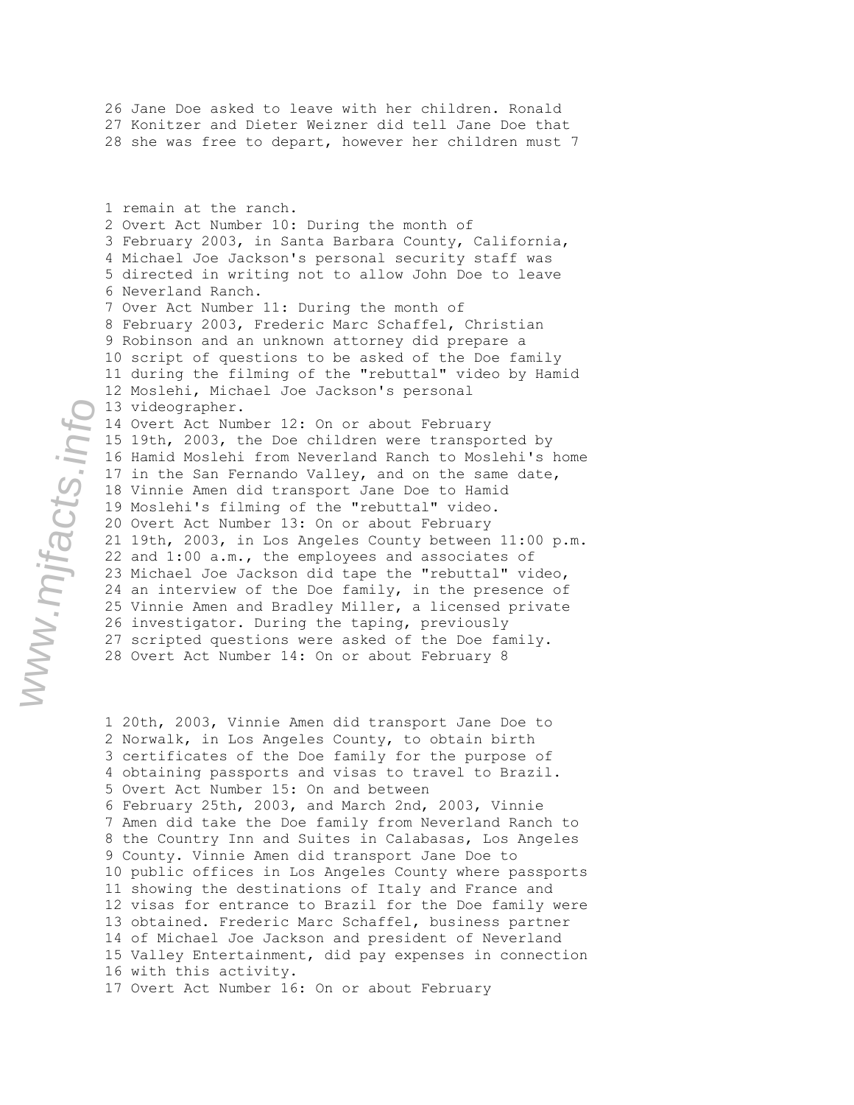26 Jane Doe asked to leave with her children. Ronald 27 Konitzer and Dieter Weizner did tell Jane Doe that 28 she was free to depart, however her children must 7

1 remain at the ranch. 2 Overt Act Number 10: During the month of 3 February 2003, in Santa Barbara County, California, 4 Michael Joe Jackson's personal security staff was 5 directed in writing not to allow John Doe to leave 6 Neverland Ranch. 7 Over Act Number 11: During the month of 8 February 2003, Frederic Marc Schaffel, Christian 9 Robinson and an unknown attorney did prepare a 10 script of questions to be asked of the Doe family 11 during the filming of the "rebuttal" video by Hamid 12 Moslehi, Michael Joe Jackson's personal 13 videographer. 14 Overt Act Number 12: On or about February 15 19th, 2003, the Doe children were transported by 16 Hamid Moslehi from Neverland Ranch to Moslehi's home 17 in the San Fernando Valley, and on the same date, 18 Vinnie Amen did transport Jane Doe to Hamid 19 Moslehi's filming of the "rebuttal" video. 20 Overt Act Number 13: On or about February 21 19th, 2003, in Los Angeles County between 11:00 p.m. 22 and 1:00 a.m., the employees and associates of 23 Michael Joe Jackson did tape the "rebuttal" video, 24 an interview of the Doe family, in the presence of 25 Vinnie Amen and Bradley Miller, a licensed private 26 investigator. During the taping, previously 27 scripted questions were asked of the Doe family. 28 Overt Act Number 14: On or about February 8

1 20th, 2003, Vinnie Amen did transport Jane Doe to 2 Norwalk, in Los Angeles County, to obtain birth 3 certificates of the Doe family for the purpose of 4 obtaining passports and visas to travel to Brazil. 5 Overt Act Number 15: On and between 6 February 25th, 2003, and March 2nd, 2003, Vinnie 7 Amen did take the Doe family from Neverland Ranch to 8 the Country Inn and Suites in Calabasas, Los Angeles 9 County. Vinnie Amen did transport Jane Doe to 10 public offices in Los Angeles County where passports 11 showing the destinations of Italy and France and 12 visas for entrance to Brazil for the Doe family were 13 obtained. Frederic Marc Schaffel, business partner 14 of Michael Joe Jackson and president of Neverland 15 Valley Entertainment, did pay expenses in connection 16 with this activity. 17 Overt Act Number 16: On or about February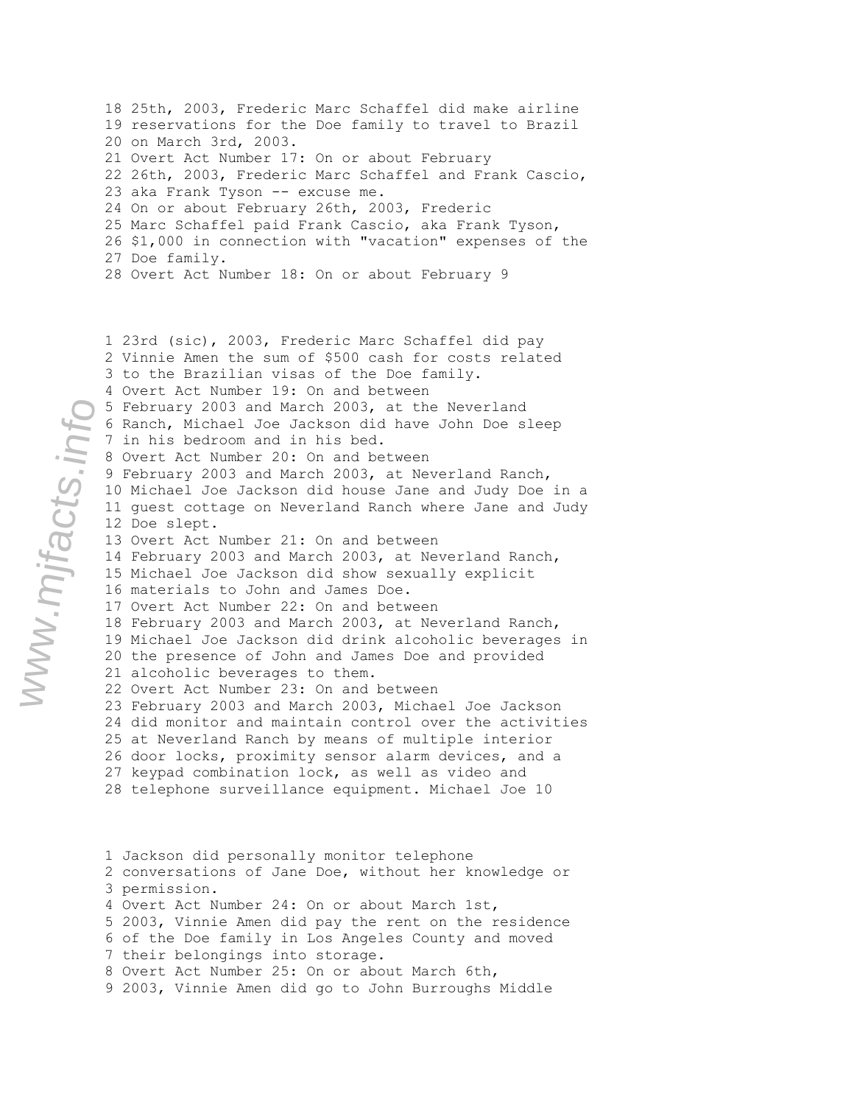18 25th, 2003, Frederic Marc Schaffel did make airline 19 reservations for the Doe family to travel to Brazil 20 on March 3rd, 2003. 21 Overt Act Number 17: On or about February 22 26th, 2003, Frederic Marc Schaffel and Frank Cascio, 23 aka Frank Tyson -- excuse me. 24 On or about February 26th, 2003, Frederic 25 Marc Schaffel paid Frank Cascio, aka Frank Tyson, 26 \$1,000 in connection with "vacation" expenses of the 27 Doe family. 28 Overt Act Number 18: On or about February 9

1 23rd (sic), 2003, Frederic Marc Schaffel did pay 2 Vinnie Amen the sum of \$500 cash for costs related 3 to the Brazilian visas of the Doe family. 4 Overt Act Number 19: On and between 5 February 2003 and March 2003, at the Neverland 6 Ranch, Michael Joe Jackson did have John Doe sleep 7 in his bedroom and in his bed. 8 Overt Act Number 20: On and between 9 February 2003 and March 2003, at Neverland Ranch, 10 Michael Joe Jackson did house Jane and Judy Doe in a 11 guest cottage on Neverland Ranch where Jane and Judy 12 Doe slept. 13 Overt Act Number 21: On and between 14 February 2003 and March 2003, at Neverland Ranch, 15 Michael Joe Jackson did show sexually explicit 16 materials to John and James Doe. 17 Overt Act Number 22: On and between 18 February 2003 and March 2003, at Neverland Ranch, 19 Michael Joe Jackson did drink alcoholic beverages in 20 the presence of John and James Doe and provided 21 alcoholic beverages to them. 22 Overt Act Number 23: On and between 23 February 2003 and March 2003, Michael Joe Jackson 24 did monitor and maintain control over the activities 25 at Neverland Ranch by means of multiple interior 26 door locks, proximity sensor alarm devices, and a 27 keypad combination lock, as well as video and 28 telephone surveillance equipment. Michael Joe 10

1 Jackson did personally monitor telephone 2 conversations of Jane Doe, without her knowledge or 3 permission. 4 Overt Act Number 24: On or about March 1st, 5 2003, Vinnie Amen did pay the rent on the residence 6 of the Doe family in Los Angeles County and moved 7 their belongings into storage. 8 Overt Act Number 25: On or about March 6th, 9 2003, Vinnie Amen did go to John Burroughs Middle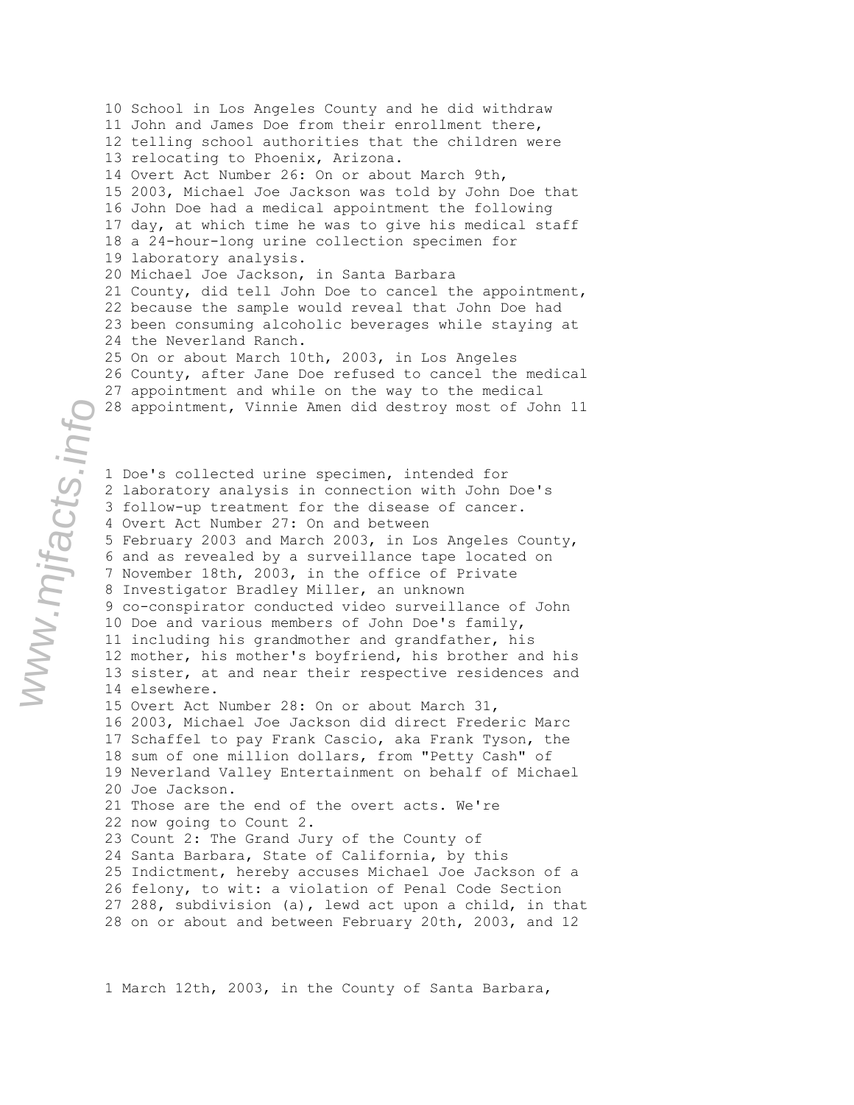10 School in Los Angeles County and he did withdraw 11 John and James Doe from their enrollment there, 12 telling school authorities that the children were 13 relocating to Phoenix, Arizona. 14 Overt Act Number 26: On or about March 9th, 15 2003, Michael Joe Jackson was told by John Doe that 16 John Doe had a medical appointment the following 17 day, at which time he was to give his medical staff 18 a 24-hour-long urine collection specimen for 19 laboratory analysis. 20 Michael Joe Jackson, in Santa Barbara 21 County, did tell John Doe to cancel the appointment, 22 because the sample would reveal that John Doe had 23 been consuming alcoholic beverages while staying at 24 the Neverland Ranch. 25 On or about March 10th, 2003, in Los Angeles 26 County, after Jane Doe refused to cancel the medical 27 appointment and while on the way to the medical 28 appointment, Vinnie Amen did destroy most of John 11 1 Doe's collected urine specimen, intended for 2 laboratory analysis in connection with John Doe's 3 follow-up treatment for the disease of cancer. 4 Overt Act Number 27: On and between 5 February 2003 and March 2003, in Los Angeles County, 6 and as revealed by a surveillance tape located on 7 November 18th, 2003, in the office of Private 8 Investigator Bradley Miller, an unknown 9 co-conspirator conducted video surveillance of John 10 Doe and various members of John Doe's family, 11 including his grandmother and grandfather, his 12 mother, his mother's boyfriend, his brother and his 13 sister, at and near their respective residences and 14 elsewhere. 15 Overt Act Number 28: On or about March 31, 16 2003, Michael Joe Jackson did direct Frederic Marc 17 Schaffel to pay Frank Cascio, aka Frank Tyson, the 18 sum of one million dollars, from "Petty Cash" of 19 Neverland Valley Entertainment on behalf of Michael 20 Joe Jackson. 21 Those are the end of the overt acts. We're 22 now going to Count 2. 23 Count 2: The Grand Jury of the County of 24 Santa Barbara, State of California, by this 25 Indictment, hereby accuses Michael Joe Jackson of a 26 felony, to wit: a violation of Penal Code Section 27 288, subdivision (a), lewd act upon a child, in that 28 on or about and between February 20th, 2003, and 12

1 March 12th, 2003, in the County of Santa Barbara,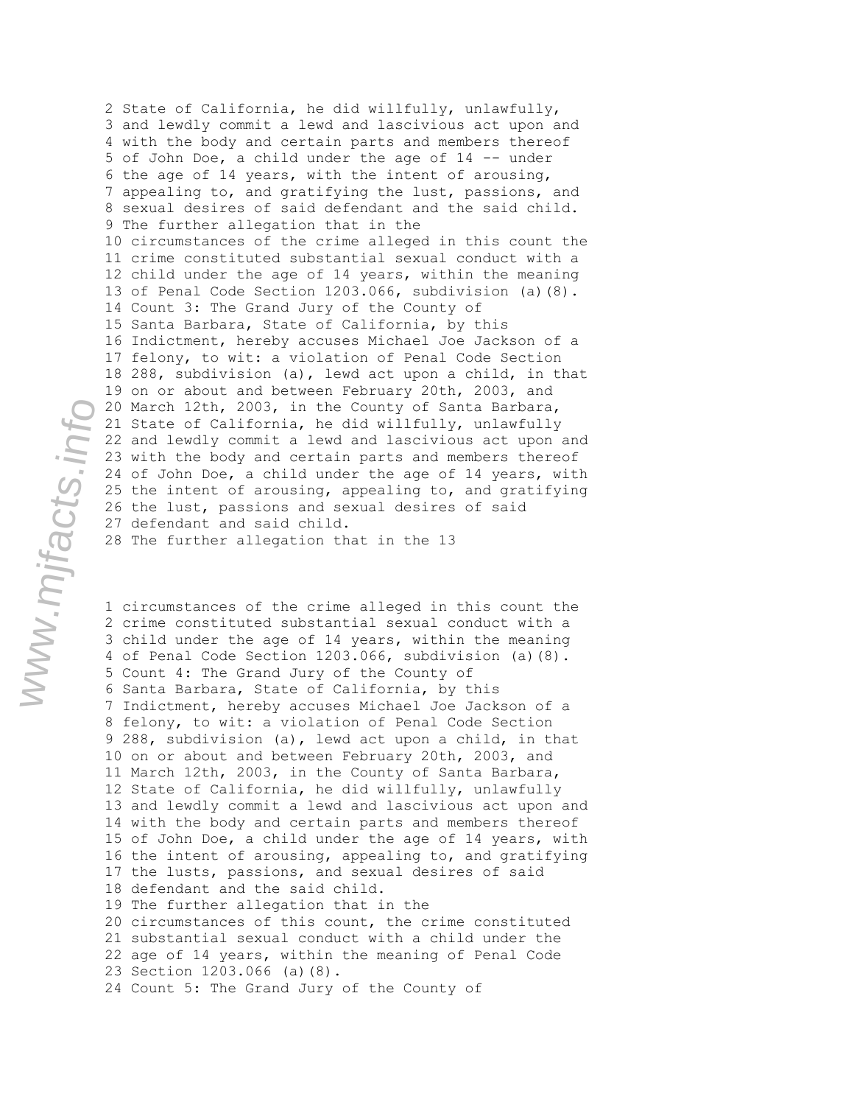2 State of California, he did willfully, unlawfully, 3 and lewdly commit a lewd and lascivious act upon and 4 with the body and certain parts and members thereof 5 of John Doe, a child under the age of 14 -- under 6 the age of 14 years, with the intent of arousing, 7 appealing to, and gratifying the lust, passions, and 8 sexual desires of said defendant and the said child. 9 The further allegation that in the 10 circumstances of the crime alleged in this count the 11 crime constituted substantial sexual conduct with a 12 child under the age of 14 years, within the meaning 13 of Penal Code Section 1203.066, subdivision (a)(8). 14 Count 3: The Grand Jury of the County of 15 Santa Barbara, State of California, by this 16 Indictment, hereby accuses Michael Joe Jackson of a 17 felony, to wit: a violation of Penal Code Section 18 288, subdivision (a), lewd act upon a child, in that 19 on or about and between February 20th, 2003, and 20 March 12th, 2003, in the County of Santa Barbara, 21 State of California, he did willfully, unlawfully 22 and lewdly commit a lewd and lascivious act upon and 23 with the body and certain parts and members thereof 24 of John Doe, a child under the age of 14 years, with 25 the intent of arousing, appealing to, and gratifying 26 the lust, passions and sexual desires of said 27 defendant and said child. 28 The further allegation that in the 13

1 circumstances of the crime alleged in this count the 2 crime constituted substantial sexual conduct with a 3 child under the age of 14 years, within the meaning 4 of Penal Code Section 1203.066, subdivision (a)(8). 5 Count 4: The Grand Jury of the County of 6 Santa Barbara, State of California, by this 7 Indictment, hereby accuses Michael Joe Jackson of a 8 felony, to wit: a violation of Penal Code Section 9 288, subdivision (a), lewd act upon a child, in that 10 on or about and between February 20th, 2003, and 11 March 12th, 2003, in the County of Santa Barbara, 12 State of California, he did willfully, unlawfully 13 and lewdly commit a lewd and lascivious act upon and 14 with the body and certain parts and members thereof 15 of John Doe, a child under the age of 14 years, with 16 the intent of arousing, appealing to, and gratifying 17 the lusts, passions, and sexual desires of said 18 defendant and the said child. 19 The further allegation that in the 20 circumstances of this count, the crime constituted 21 substantial sexual conduct with a child under the 22 age of 14 years, within the meaning of Penal Code 23 Section 1203.066 (a)(8). 24 Count 5: The Grand Jury of the County of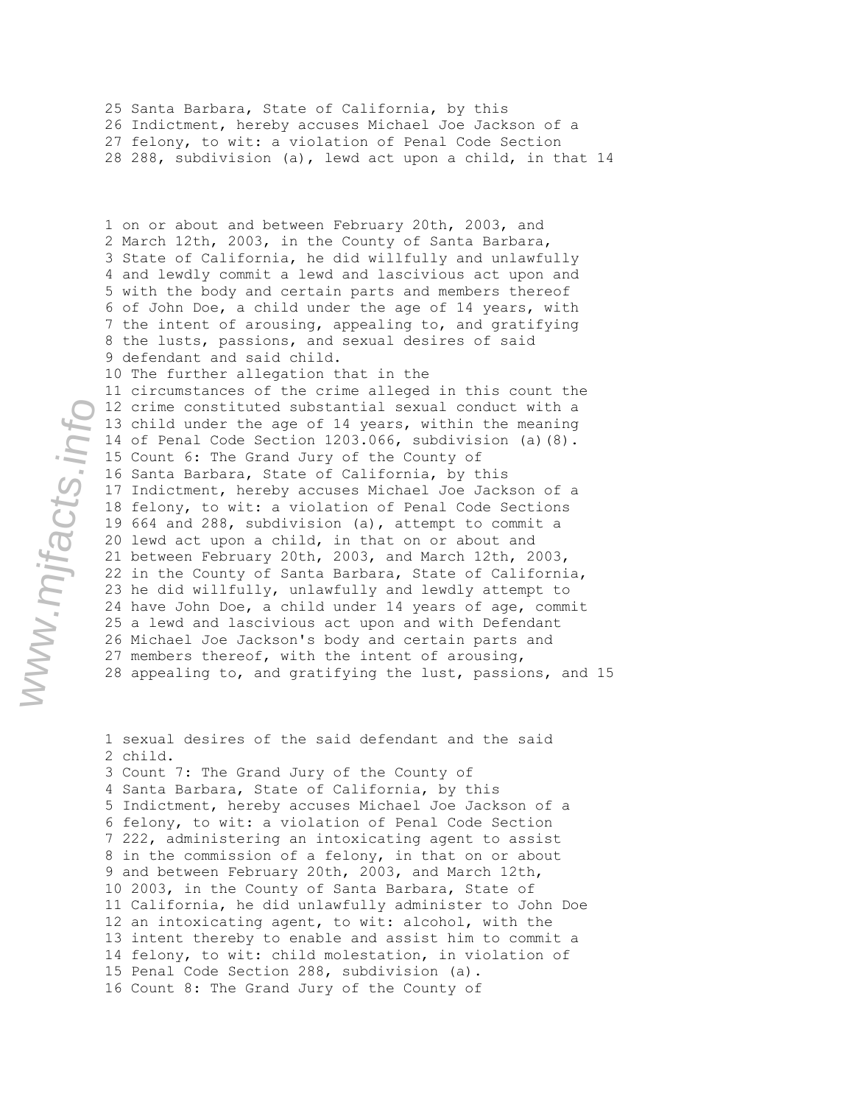25 Santa Barbara, State of California, by this 26 Indictment, hereby accuses Michael Joe Jackson of a 27 felony, to wit: a violation of Penal Code Section 28 288, subdivision (a), lewd act upon a child, in that 14

1 on or about and between February 20th, 2003, and 2 March 12th, 2003, in the County of Santa Barbara, 3 State of California, he did willfully and unlawfully 4 and lewdly commit a lewd and lascivious act upon and 5 with the body and certain parts and members thereof 6 of John Doe, a child under the age of 14 years, with 7 the intent of arousing, appealing to, and gratifying 8 the lusts, passions, and sexual desires of said 9 defendant and said child. 10 The further allegation that in the 11 circumstances of the crime alleged in this count the 12 crime constituted substantial sexual conduct with a 13 child under the age of 14 years, within the meaning 14 of Penal Code Section 1203.066, subdivision (a)(8). 15 Count 6: The Grand Jury of the County of 16 Santa Barbara, State of California, by this 17 Indictment, hereby accuses Michael Joe Jackson of a 18 felony, to wit: a violation of Penal Code Sections 19 664 and 288, subdivision (a), attempt to commit a 20 lewd act upon a child, in that on or about and 21 between February 20th, 2003, and March 12th, 2003, 22 in the County of Santa Barbara, State of California, 23 he did willfully, unlawfully and lewdly attempt to 24 have John Doe, a child under 14 years of age, commit 25 a lewd and lascivious act upon and with Defendant 26 Michael Joe Jackson's body and certain parts and 27 members thereof, with the intent of arousing, 28 appealing to, and gratifying the lust, passions, and 15

1 sexual desires of the said defendant and the said 2 child. 3 Count 7: The Grand Jury of the County of 4 Santa Barbara, State of California, by this 5 Indictment, hereby accuses Michael Joe Jackson of a 6 felony, to wit: a violation of Penal Code Section 7 222, administering an intoxicating agent to assist 8 in the commission of a felony, in that on or about 9 and between February 20th, 2003, and March 12th, 10 2003, in the County of Santa Barbara, State of 11 California, he did unlawfully administer to John Doe 12 an intoxicating agent, to wit: alcohol, with the 13 intent thereby to enable and assist him to commit a 14 felony, to wit: child molestation, in violation of 15 Penal Code Section 288, subdivision (a). 16 Count 8: The Grand Jury of the County of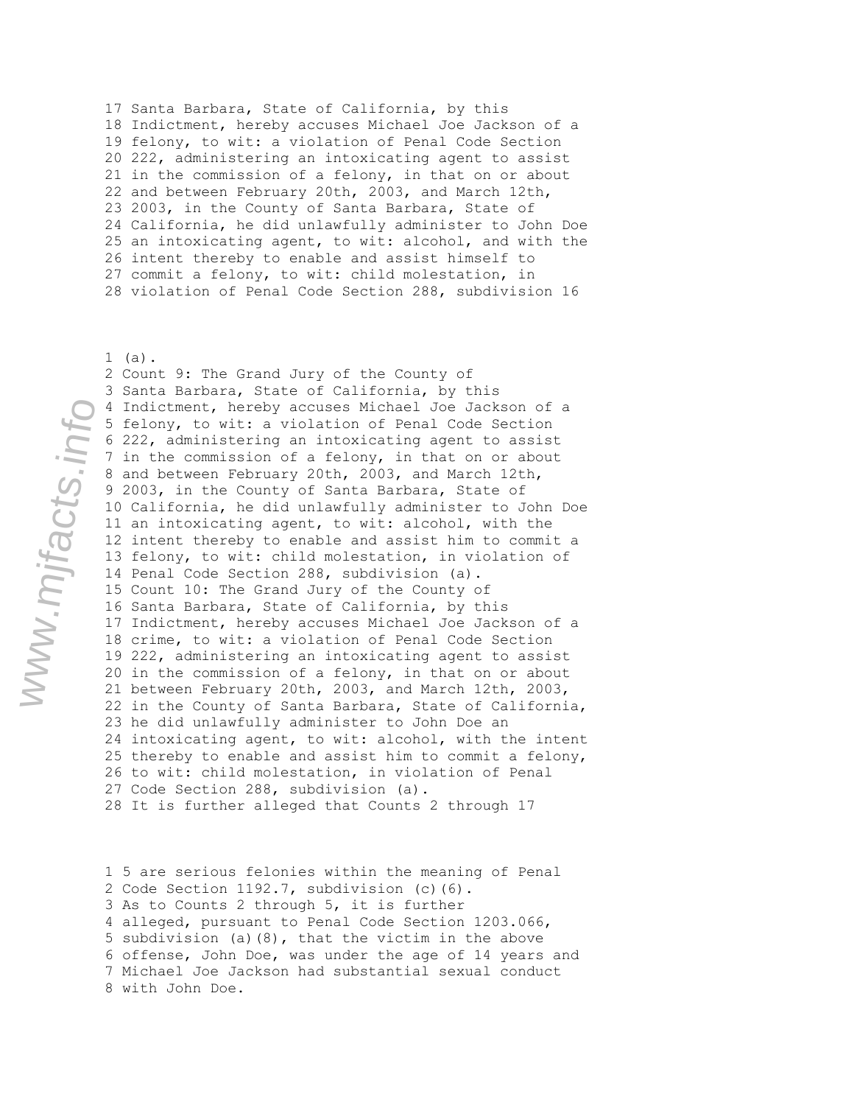17 Santa Barbara, State of California, by this 18 Indictment, hereby accuses Michael Joe Jackson of a 19 felony, to wit: a violation of Penal Code Section 20 222, administering an intoxicating agent to assist 21 in the commission of a felony, in that on or about 22 and between February 20th, 2003, and March 12th, 23 2003, in the County of Santa Barbara, State of 24 California, he did unlawfully administer to John Doe 25 an intoxicating agent, to wit: alcohol, and with the 26 intent thereby to enable and assist himself to 27 commit a felony, to wit: child molestation, in 28 violation of Penal Code Section 288, subdivision 16

1 (a).

2 Count 9: The Grand Jury of the County of 3 Santa Barbara, State of California, by this 4 Indictment, hereby accuses Michael Joe Jackson of a 5 felony, to wit: a violation of Penal Code Section 6 222, administering an intoxicating agent to assist 7 in the commission of a felony, in that on or about 8 and between February 20th, 2003, and March 12th, 9 2003, in the County of Santa Barbara, State of 10 California, he did unlawfully administer to John Doe 11 an intoxicating agent, to wit: alcohol, with the 12 intent thereby to enable and assist him to commit a 13 felony, to wit: child molestation, in violation of 14 Penal Code Section 288, subdivision (a). 15 Count 10: The Grand Jury of the County of 16 Santa Barbara, State of California, by this 17 Indictment, hereby accuses Michael Joe Jackson of a 18 crime, to wit: a violation of Penal Code Section 19 222, administering an intoxicating agent to assist 20 in the commission of a felony, in that on or about 21 between February 20th, 2003, and March 12th, 2003, 22 in the County of Santa Barbara, State of California, 23 he did unlawfully administer to John Doe an 24 intoxicating agent, to wit: alcohol, with the intent 25 thereby to enable and assist him to commit a felony, 26 to wit: child molestation, in violation of Penal 27 Code Section 288, subdivision (a). 28 It is further alleged that Counts 2 through 17

1 5 are serious felonies within the meaning of Penal 2 Code Section 1192.7, subdivision (c)(6). 3 As to Counts 2 through 5, it is further 4 alleged, pursuant to Penal Code Section 1203.066, 5 subdivision (a)(8), that the victim in the above 6 offense, John Doe, was under the age of 14 years and 7 Michael Joe Jackson had substantial sexual conduct 8 with John Doe.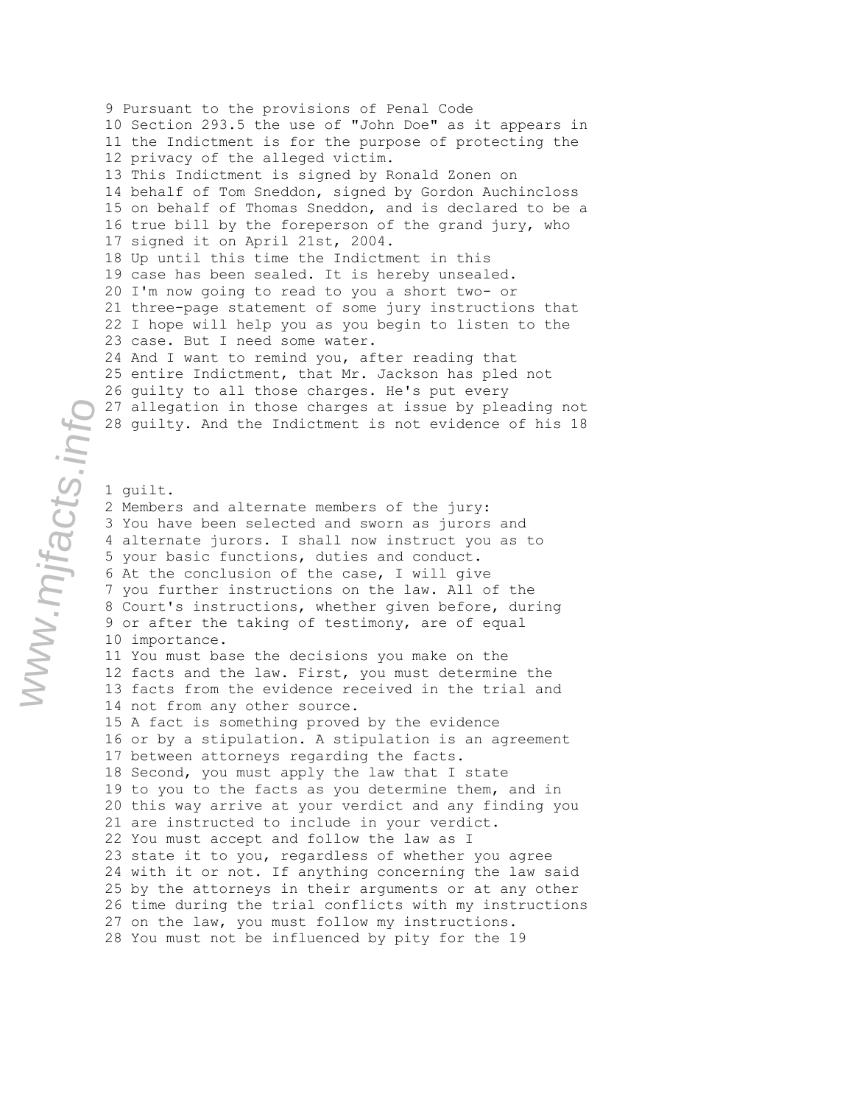9 Pursuant to the provisions of Penal Code 10 Section 293.5 the use of "John Doe" as it appears in 11 the Indictment is for the purpose of protecting the 12 privacy of the alleged victim. 13 This Indictment is signed by Ronald Zonen on 14 behalf of Tom Sneddon, signed by Gordon Auchincloss 15 on behalf of Thomas Sneddon, and is declared to be a 16 true bill by the foreperson of the grand jury, who 17 signed it on April 21st, 2004. 18 Up until this time the Indictment in this 19 case has been sealed. It is hereby unsealed. 20 I'm now going to read to you a short two- or 21 three-page statement of some jury instructions that 22 I hope will help you as you begin to listen to the 23 case. But I need some water. 24 And I want to remind you, after reading that 25 entire Indictment, that Mr. Jackson has pled not 26 guilty to all those charges. He's put every 27 allegation in those charges at issue by pleading not 28 guilty. And the Indictment is not evidence of his 18

1 guilt. 2 Members and alternate members of the jury: 3 You have been selected and sworn as jurors and 4 alternate jurors. I shall now instruct you as to 5 your basic functions, duties and conduct. 6 At the conclusion of the case, I will give 7 you further instructions on the law. All of the 8 Court's instructions, whether given before, during 9 or after the taking of testimony, are of equal 10 importance. 11 You must base the decisions you make on the 12 facts and the law. First, you must determine the 13 facts from the evidence received in the trial and 14 not from any other source. 15 A fact is something proved by the evidence 16 or by a stipulation. A stipulation is an agreement 17 between attorneys regarding the facts. 18 Second, you must apply the law that I state 19 to you to the facts as you determine them, and in 20 this way arrive at your verdict and any finding you 21 are instructed to include in your verdict. 22 You must accept and follow the law as I 23 state it to you, regardless of whether you agree 24 with it or not. If anything concerning the law said 25 by the attorneys in their arguments or at any other 26 time during the trial conflicts with my instructions 27 on the law, you must follow my instructions. 28 You must not be influenced by pity for the 19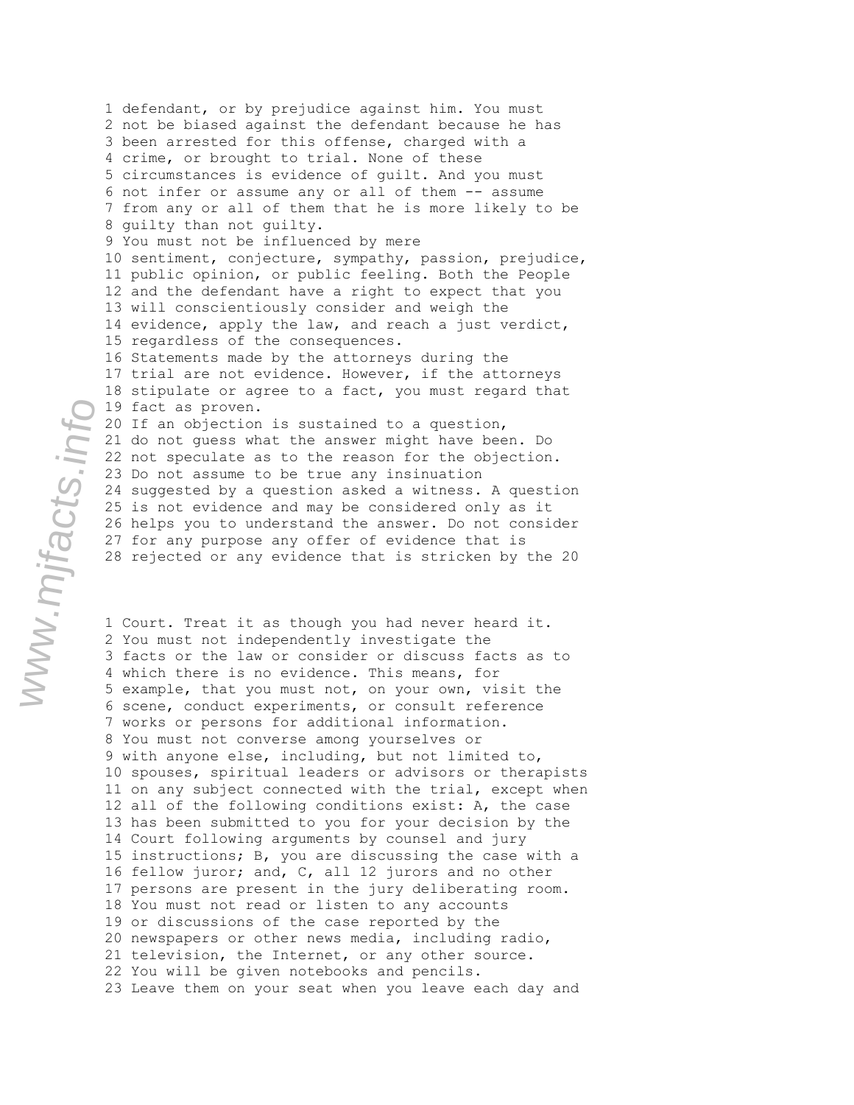1 defendant, or by prejudice against him. You must 2 not be biased against the defendant because he has 3 been arrested for this offense, charged with a 4 crime, or brought to trial. None of these 5 circumstances is evidence of guilt. And you must 6 not infer or assume any or all of them -- assume 7 from any or all of them that he is more likely to be 8 guilty than not guilty. 9 You must not be influenced by mere 10 sentiment, conjecture, sympathy, passion, prejudice, 11 public opinion, or public feeling. Both the People 12 and the defendant have a right to expect that you 13 will conscientiously consider and weigh the 14 evidence, apply the law, and reach a just verdict, 15 regardless of the consequences. 16 Statements made by the attorneys during the 17 trial are not evidence. However, if the attorneys 18 stipulate or agree to a fact, you must regard that 19 fact as proven. 20 If an objection is sustained to a question, 21 do not guess what the answer might have been. Do 22 not speculate as to the reason for the objection. 23 Do not assume to be true any insinuation 24 suggested by a question asked a witness. A question 25 is not evidence and may be considered only as it 26 helps you to understand the answer. Do not consider 27 for any purpose any offer of evidence that is 28 rejected or any evidence that is stricken by the 20

1 Court. Treat it as though you had never heard it. 2 You must not independently investigate the 3 facts or the law or consider or discuss facts as to 4 which there is no evidence. This means, for 5 example, that you must not, on your own, visit the 6 scene, conduct experiments, or consult reference 7 works or persons for additional information. 8 You must not converse among yourselves or 9 with anyone else, including, but not limited to, 10 spouses, spiritual leaders or advisors or therapists 11 on any subject connected with the trial, except when 12 all of the following conditions exist: A, the case 13 has been submitted to you for your decision by the 14 Court following arguments by counsel and jury 15 instructions; B, you are discussing the case with a 16 fellow juror; and, C, all 12 jurors and no other 17 persons are present in the jury deliberating room. 18 You must not read or listen to any accounts 19 or discussions of the case reported by the 20 newspapers or other news media, including radio, 21 television, the Internet, or any other source. 22 You will be given notebooks and pencils. 23 Leave them on your seat when you leave each day and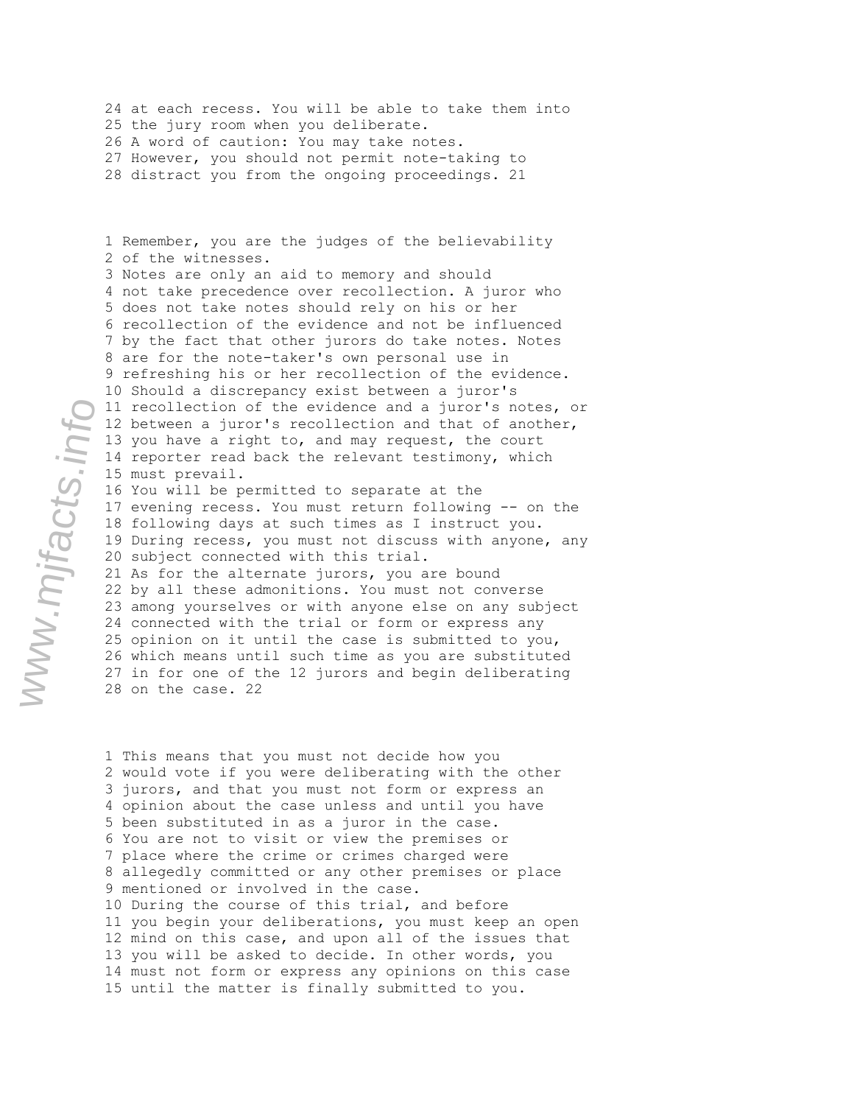24 at each recess. You will be able to take them into 25 the jury room when you deliberate. 26 A word of caution: You may take notes. 27 However, you should not permit note-taking to 28 distract you from the ongoing proceedings. 21

1 Remember, you are the judges of the believability 2 of the witnesses. 3 Notes are only an aid to memory and should 4 not take precedence over recollection. A juror who 5 does not take notes should rely on his or her 6 recollection of the evidence and not be influenced 7 by the fact that other jurors do take notes. Notes 8 are for the note-taker's own personal use in 9 refreshing his or her recollection of the evidence. 10 Should a discrepancy exist between a juror's 11 recollection of the evidence and a juror's notes, or 12 between a juror's recollection and that of another, 13 you have a right to, and may request, the court 14 reporter read back the relevant testimony, which 15 must prevail. 16 You will be permitted to separate at the 17 evening recess. You must return following -- on the 18 following days at such times as I instruct you. 19 During recess, you must not discuss with anyone, any 20 subject connected with this trial. 21 As for the alternate jurors, you are bound 22 by all these admonitions. You must not converse 23 among yourselves or with anyone else on any subject

24 connected with the trial or form or express any 25 opinion on it until the case is submitted to you, 26 which means until such time as you are substituted 27 in for one of the 12 jurors and begin deliberating 28 on the case. 22

1 This means that you must not decide how you 2 would vote if you were deliberating with the other 3 jurors, and that you must not form or express an 4 opinion about the case unless and until you have 5 been substituted in as a juror in the case. 6 You are not to visit or view the premises or 7 place where the crime or crimes charged were 8 allegedly committed or any other premises or place 9 mentioned or involved in the case. 10 During the course of this trial, and before 11 you begin your deliberations, you must keep an open 12 mind on this case, and upon all of the issues that 13 you will be asked to decide. In other words, you 14 must not form or express any opinions on this case 15 until the matter is finally submitted to you.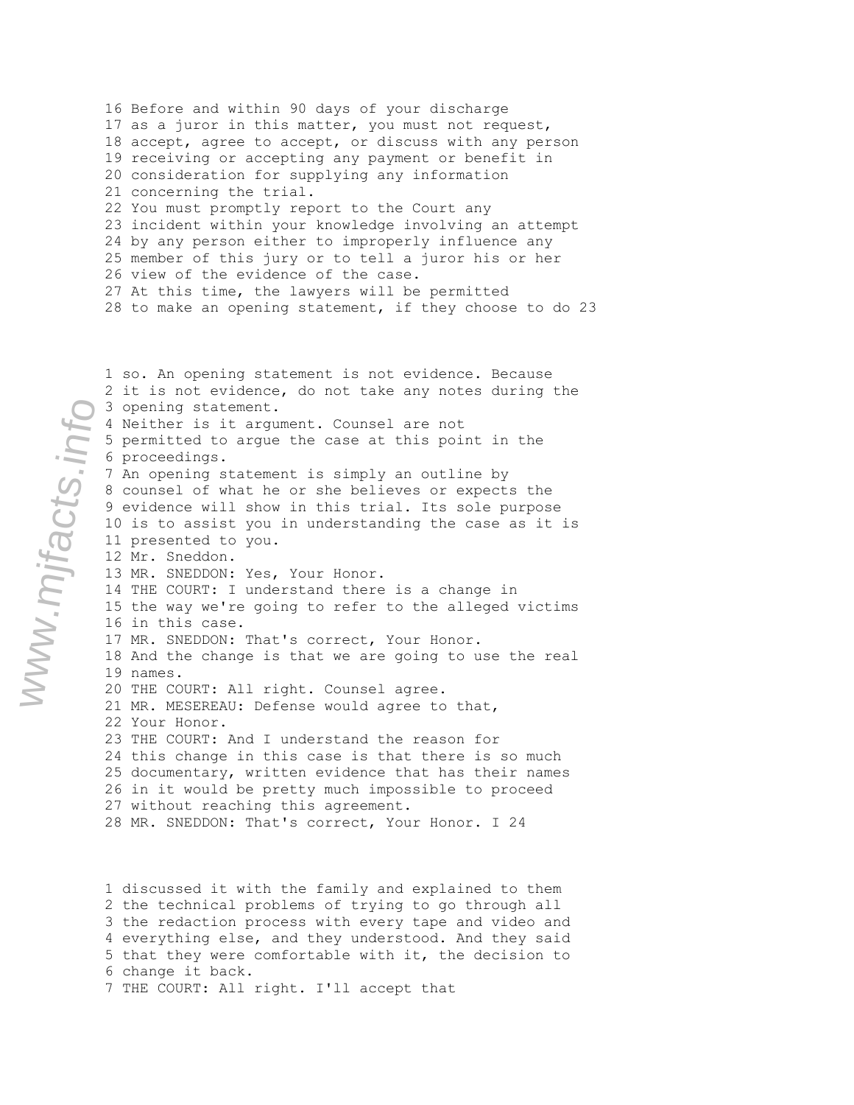16 Before and within 90 days of your discharge 17 as a juror in this matter, you must not request, 18 accept, agree to accept, or discuss with any person 19 receiving or accepting any payment or benefit in 20 consideration for supplying any information 21 concerning the trial. 22 You must promptly report to the Court any 23 incident within your knowledge involving an attempt 24 by any person either to improperly influence any 25 member of this jury or to tell a juror his or her 26 view of the evidence of the case. 27 At this time, the lawyers will be permitted 28 to make an opening statement, if they choose to do 23

1 so. An opening statement is not evidence. Because 2 it is not evidence, do not take any notes during the 3 opening statement. 4 Neither is it argument. Counsel are not 5 permitted to argue the case at this point in the 6 proceedings. 7 An opening statement is simply an outline by 8 counsel of what he or she believes or expects the 9 evidence will show in this trial. Its sole purpose 10 is to assist you in understanding the case as it is 11 presented to you. 12 Mr. Sneddon. 13 MR. SNEDDON: Yes, Your Honor. 14 THE COURT: I understand there is a change in 15 the way we're going to refer to the alleged victims 16 in this case. 17 MR. SNEDDON: That's correct, Your Honor. 18 And the change is that we are going to use the real 19 names. 20 THE COURT: All right. Counsel agree. 21 MR. MESEREAU: Defense would agree to that, 22 Your Honor. 23 THE COURT: And I understand the reason for 24 this change in this case is that there is so much 25 documentary, written evidence that has their names 26 in it would be pretty much impossible to proceed 27 without reaching this agreement. 28 MR. SNEDDON: That's correct, Your Honor. I 24

1 discussed it with the family and explained to them 2 the technical problems of trying to go through all 3 the redaction process with every tape and video and 4 everything else, and they understood. And they said 5 that they were comfortable with it, the decision to 6 change it back. 7 THE COURT: All right. I'll accept that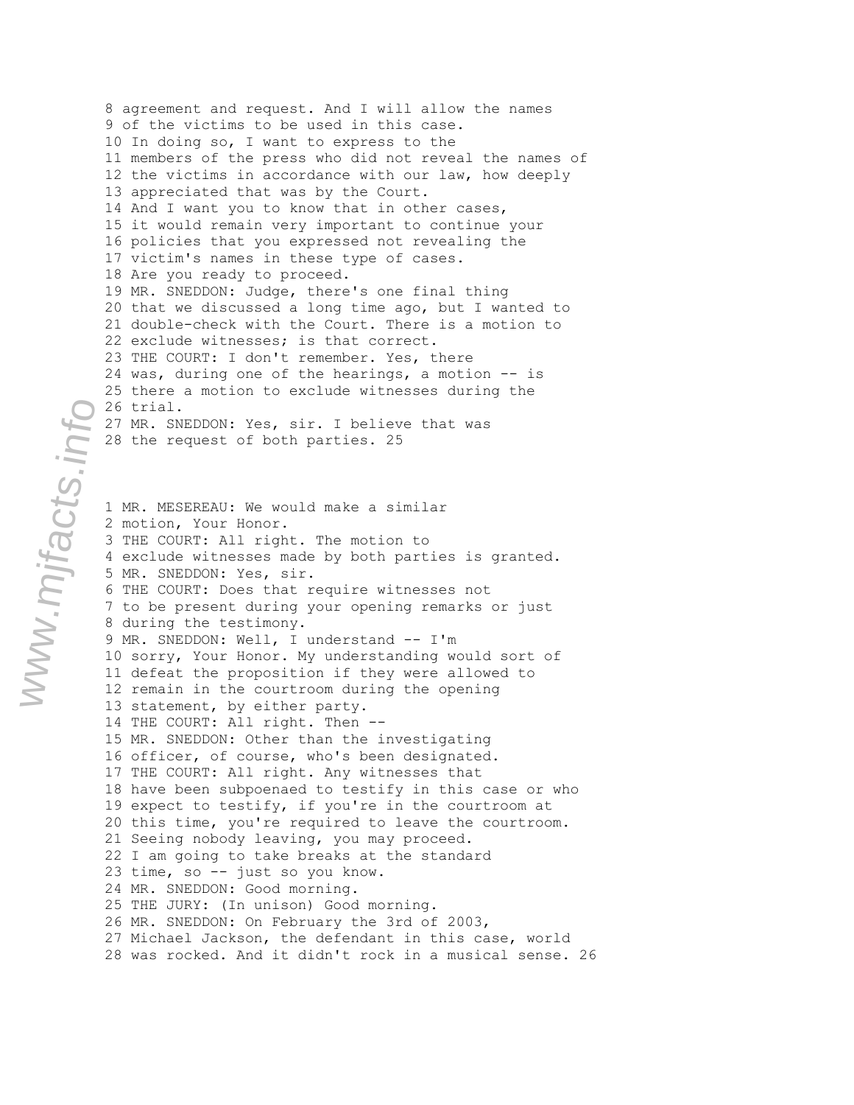8 agreement and request. And I will allow the names 9 of the victims to be used in this case. 10 In doing so, I want to express to the 11 members of the press who did not reveal the names of 12 the victims in accordance with our law, how deeply 13 appreciated that was by the Court. 14 And I want you to know that in other cases, 15 it would remain very important to continue your 16 policies that you expressed not revealing the 17 victim's names in these type of cases. 18 Are you ready to proceed. 19 MR. SNEDDON: Judge, there's one final thing 20 that we discussed a long time ago, but I wanted to 21 double-check with the Court. There is a motion to 22 exclude witnesses; is that correct. 23 THE COURT: I don't remember. Yes, there 24 was, during one of the hearings, a motion -- is 25 there a motion to exclude witnesses during the 26 trial. 27 MR. SNEDDON: Yes, sir. I believe that was 28 the request of both parties. 25

1 MR. MESEREAU: We would make a similar 2 motion, Your Honor. 3 THE COURT: All right. The motion to 4 exclude witnesses made by both parties is granted. 5 MR. SNEDDON: Yes, sir. 6 THE COURT: Does that require witnesses not 7 to be present during your opening remarks or just 8 during the testimony. 9 MR. SNEDDON: Well, I understand -- I'm 10 sorry, Your Honor. My understanding would sort of 11 defeat the proposition if they were allowed to 12 remain in the courtroom during the opening 13 statement, by either party. 14 THE COURT: All right. Then -- 15 MR. SNEDDON: Other than the investigating 16 officer, of course, who's been designated. 17 THE COURT: All right. Any witnesses that 18 have been subpoenaed to testify in this case or who 19 expect to testify, if you're in the courtroom at 20 this time, you're required to leave the courtroom. 21 Seeing nobody leaving, you may proceed. 22 I am going to take breaks at the standard 23 time, so -- just so you know. 24 MR. SNEDDON: Good morning. 25 THE JURY: (In unison) Good morning. 26 MR. SNEDDON: On February the 3rd of 2003, 27 Michael Jackson, the defendant in this case, world 28 was rocked. And it didn't rock in a musical sense. 26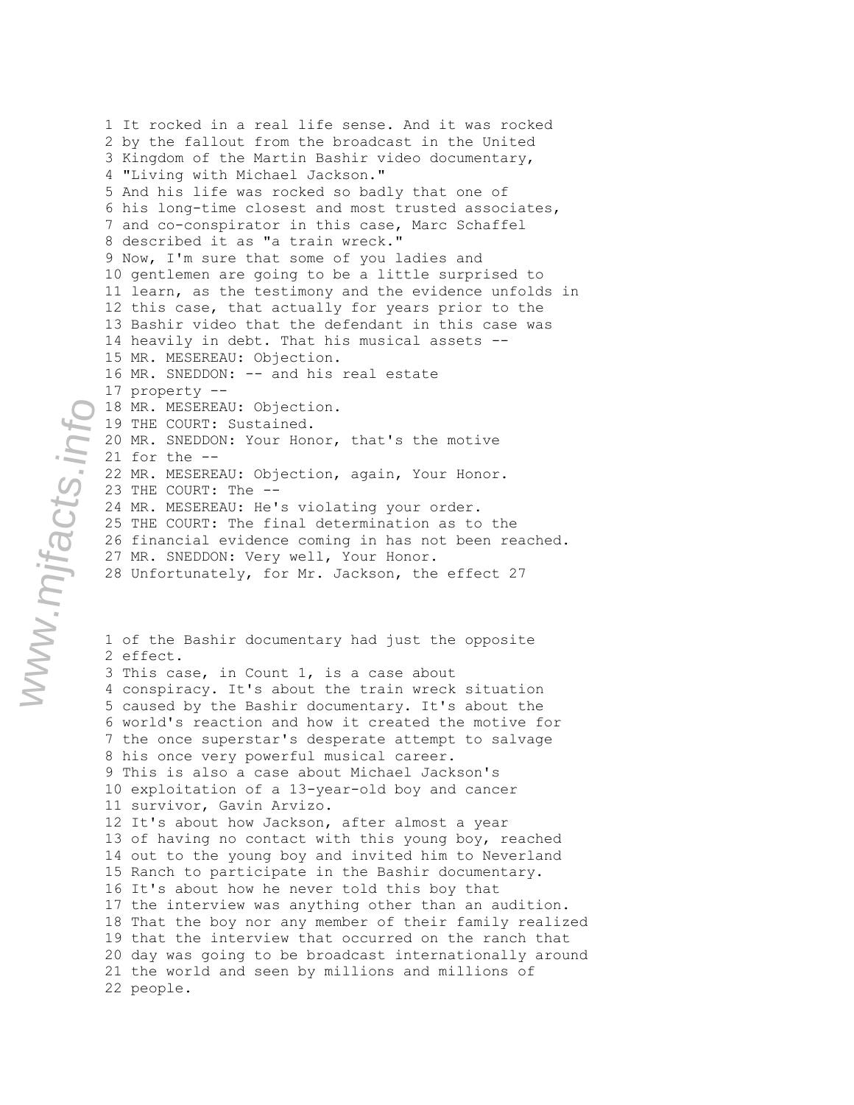2 by the fallout from the broadcast in the United 3 Kingdom of the Martin Bashir video documentary, 4 "Living with Michael Jackson." 5 And his life was rocked so badly that one of 6 his long-time closest and most trusted associates, 7 and co-conspirator in this case, Marc Schaffel 8 described it as "a train wreck." 9 Now, I'm sure that some of you ladies and 10 gentlemen are going to be a little surprised to 11 learn, as the testimony and the evidence unfolds in 12 this case, that actually for years prior to the 13 Bashir video that the defendant in this case was 14 heavily in debt. That his musical assets -- 15 MR. MESEREAU: Objection. 16 MR. SNEDDON: -- and his real estate 17 property -- 18 MR. MESEREAU: Objection. 19 THE COURT: Sustained. 20 MR. SNEDDON: Your Honor, that's the motive 21 for the -- 22 MR. MESEREAU: Objection, again, Your Honor. 23 THE COURT: The -- 24 MR. MESEREAU: He's violating your order. 25 THE COURT: The final determination as to the 26 financial evidence coming in has not been reached. 27 MR. SNEDDON: Very well, Your Honor. 28 Unfortunately, for Mr. Jackson, the effect 27 1 of the Bashir documentary had just the opposite 2 effect. 3 This case, in Count 1, is a case about 4 conspiracy. It's about the train wreck situation 5 caused by the Bashir documentary. It's about the 6 world's reaction and how it created the motive for 7 the once superstar's desperate attempt to salvage 8 his once very powerful musical career. 9 This is also a case about Michael Jackson's 10 exploitation of a 13-year-old boy and cancer 11 survivor, Gavin Arvizo. 12 It's about how Jackson, after almost a year 13 of having no contact with this young boy, reached 14 out to the young boy and invited him to Neverland 15 Ranch to participate in the Bashir documentary. 16 It's about how he never told this boy that 17 the interview was anything other than an audition. 18 That the boy nor any member of their family realized 19 that the interview that occurred on the ranch that 20 day was going to be broadcast internationally around 21 the world and seen by millions and millions of 22 people.

1 It rocked in a real life sense. And it was rocked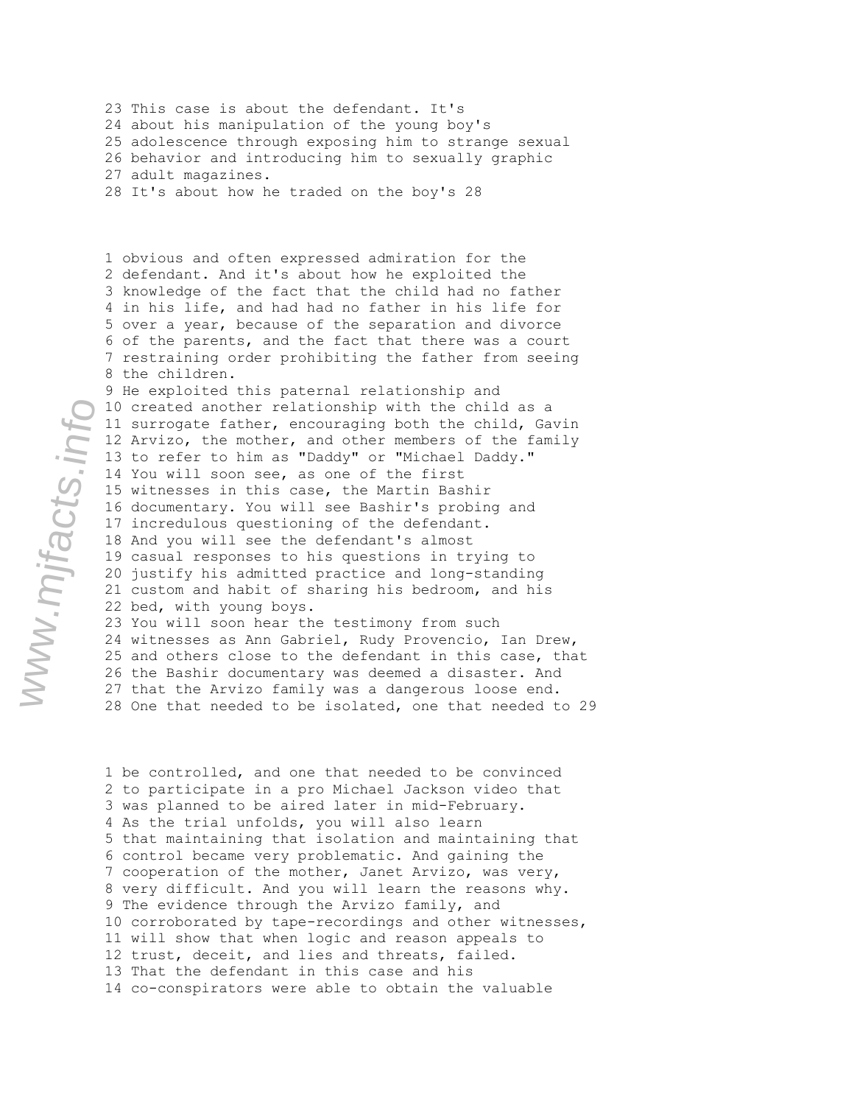23 This case is about the defendant. It's 24 about his manipulation of the young boy's 25 adolescence through exposing him to strange sexual 26 behavior and introducing him to sexually graphic 27 adult magazines.

28 It's about how he traded on the boy's 28

1 obvious and often expressed admiration for the 2 defendant. And it's about how he exploited the 3 knowledge of the fact that the child had no father 4 in his life, and had had no father in his life for 5 over a year, because of the separation and divorce 6 of the parents, and the fact that there was a court 7 restraining order prohibiting the father from seeing 8 the children.

9 He exploited this paternal relationship and 10 created another relationship with the child as a 11 surrogate father, encouraging both the child, Gavin 12 Arvizo, the mother, and other members of the family 13 to refer to him as "Daddy" or "Michael Daddy." 14 You will soon see, as one of the first 15 witnesses in this case, the Martin Bashir 16 documentary. You will see Bashir's probing and 17 incredulous questioning of the defendant. 18 And you will see the defendant's almost 19 casual responses to his questions in trying to 20 justify his admitted practice and long-standing 21 custom and habit of sharing his bedroom, and his 22 bed, with young boys. 23 You will soon hear the testimony from such

24 witnesses as Ann Gabriel, Rudy Provencio, Ian Drew, 25 and others close to the defendant in this case, that 26 the Bashir documentary was deemed a disaster. And 27 that the Arvizo family was a dangerous loose end. 28 One that needed to be isolated, one that needed to 29

1 be controlled, and one that needed to be convinced 2 to participate in a pro Michael Jackson video that 3 was planned to be aired later in mid-February. 4 As the trial unfolds, you will also learn 5 that maintaining that isolation and maintaining that 6 control became very problematic. And gaining the 7 cooperation of the mother, Janet Arvizo, was very, 8 very difficult. And you will learn the reasons why. 9 The evidence through the Arvizo family, and 10 corroborated by tape-recordings and other witnesses, 11 will show that when logic and reason appeals to 12 trust, deceit, and lies and threats, failed. 13 That the defendant in this case and his 14 co-conspirators were able to obtain the valuable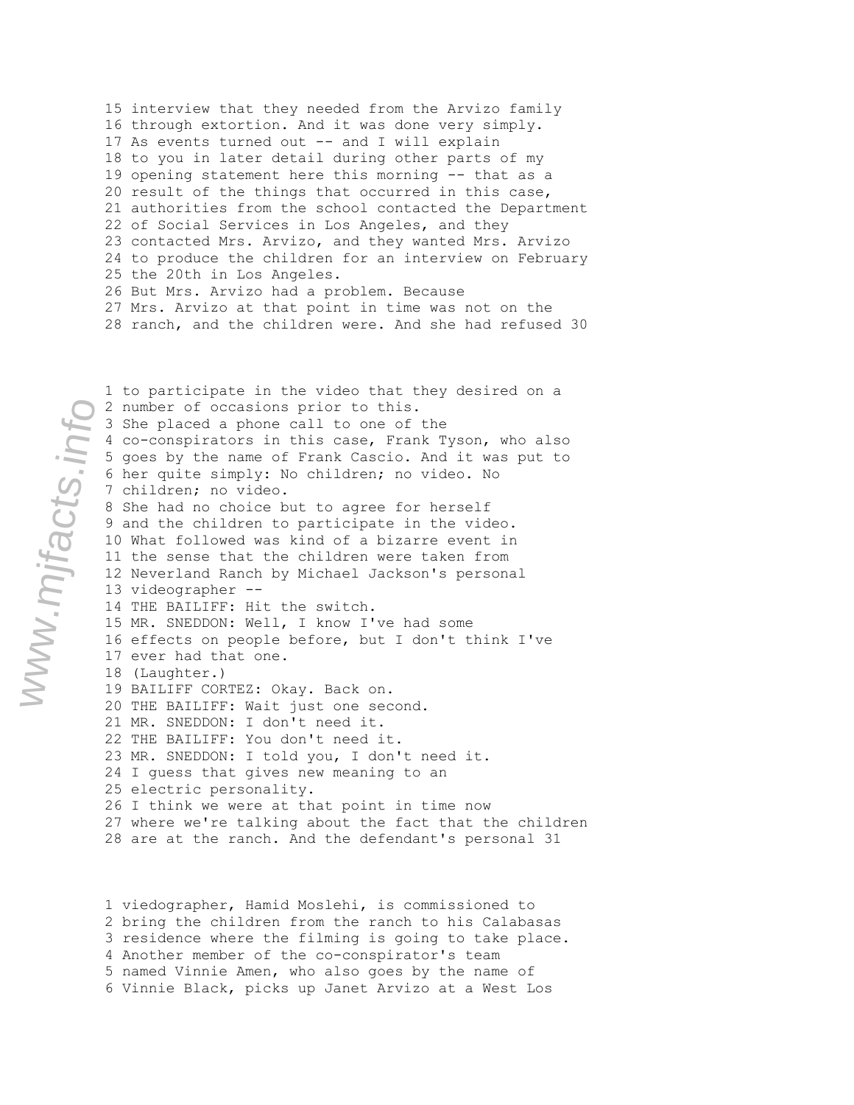15 interview that they needed from the Arvizo family 16 through extortion. And it was done very simply. 17 As events turned out -- and I will explain 18 to you in later detail during other parts of my 19 opening statement here this morning -- that as a 20 result of the things that occurred in this case, 21 authorities from the school contacted the Department 22 of Social Services in Los Angeles, and they 23 contacted Mrs. Arvizo, and they wanted Mrs. Arvizo 24 to produce the children for an interview on February 25 the 20th in Los Angeles. 26 But Mrs. Arvizo had a problem. Because 27 Mrs. Arvizo at that point in time was not on the 28 ranch, and the children were. And she had refused 30

www.mjfacts.info

1 to participate in the video that they desired on a 2 number of occasions prior to this. 3 She placed a phone call to one of the 4 co-conspirators in this case, Frank Tyson, who also 5 goes by the name of Frank Cascio. And it was put to 6 her quite simply: No children; no video. No 7 children; no video. 8 She had no choice but to agree for herself 9 and the children to participate in the video. 10 What followed was kind of a bizarre event in 11 the sense that the children were taken from 12 Neverland Ranch by Michael Jackson's personal 13 videographer -- 14 THE BAILIFF: Hit the switch. 15 MR. SNEDDON: Well, I know I've had some 16 effects on people before, but I don't think I've 17 ever had that one. 18 (Laughter.) 19 BAILIFF CORTEZ: Okay. Back on. 20 THE BAILIFF: Wait just one second. 21 MR. SNEDDON: I don't need it. 22 THE BAILIFF: You don't need it. 23 MR. SNEDDON: I told you, I don't need it. 24 I guess that gives new meaning to an 25 electric personality. 26 I think we were at that point in time now 27 where we're talking about the fact that the children 28 are at the ranch. And the defendant's personal 31

1 viedographer, Hamid Moslehi, is commissioned to 2 bring the children from the ranch to his Calabasas 3 residence where the filming is going to take place. 4 Another member of the co-conspirator's team 5 named Vinnie Amen, who also goes by the name of 6 Vinnie Black, picks up Janet Arvizo at a West Los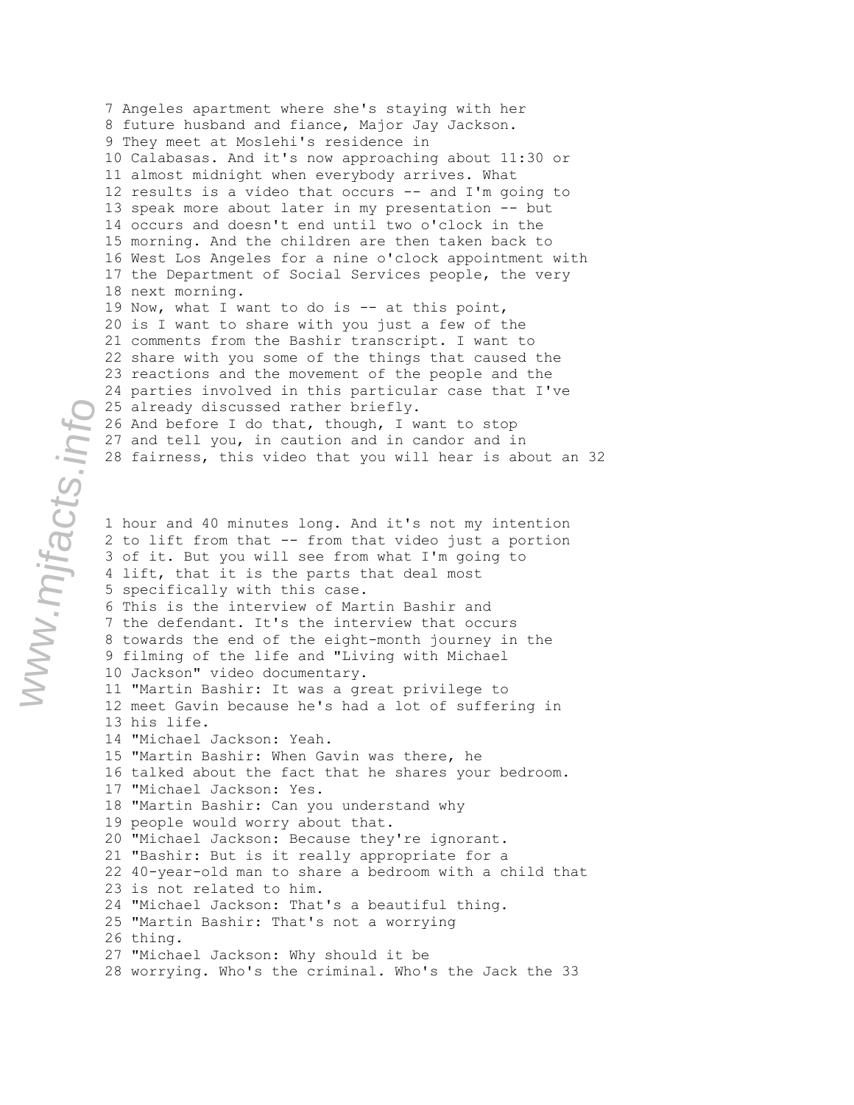7 Angeles apartment where she's staying with her 8 future husband and fiance, Major Jay Jackson. 9 They meet at Moslehi's residence in 10 Calabasas. And it's now approaching about 11:30 or 11 almost midnight when everybody arrives. What 12 results is a video that occurs -- and I'm going to 13 speak more about later in my presentation -- but 14 occurs and doesn't end until two o'clock in the 15 morning. And the children are then taken back to 16 West Los Angeles for a nine o'clock appointment with 17 the Department of Social Services people, the very 18 next morning. 19 Now, what I want to do is -- at this point, 20 is I want to share with you just a few of the 21 comments from the Bashir transcript. I want to 22 share with you some of the things that caused the 23 reactions and the movement of the people and the 24 parties involved in this particular case that I've 25 already discussed rather briefly. 26 And before I do that, though, I want to stop 27 and tell you, in caution and in candor and in 28 fairness, this video that you will hear is about an 32 1 hour and 40 minutes long. And it's not my intention 2 to lift from that -- from that video just a portion 3 of it. But you will see from what I'm going to 4 lift, that it is the parts that deal most 5 specifically with this case. 6 This is the interview of Martin Bashir and 7 the defendant. It's the interview that occurs 8 towards the end of the eight-month journey in the 9 filming of the life and "Living with Michael 10 Jackson" video documentary. 11 "Martin Bashir: It was a great privilege to 12 meet Gavin because he's had a lot of suffering in 13 his life. 14 "Michael Jackson: Yeah. 15 "Martin Bashir: When Gavin was there, he 16 talked about the fact that he shares your bedroom. 17 "Michael Jackson: Yes. 18 "Martin Bashir: Can you understand why 19 people would worry about that. 20 "Michael Jackson: Because they're ignorant. 21 "Bashir: But is it really appropriate for a 22 40-year-old man to share a bedroom with a child that 23 is not related to him. 24 "Michael Jackson: That's a beautiful thing. 25 "Martin Bashir: That's not a worrying

26 thing.

27 "Michael Jackson: Why should it be

28 worrying. Who's the criminal. Who's the Jack the 33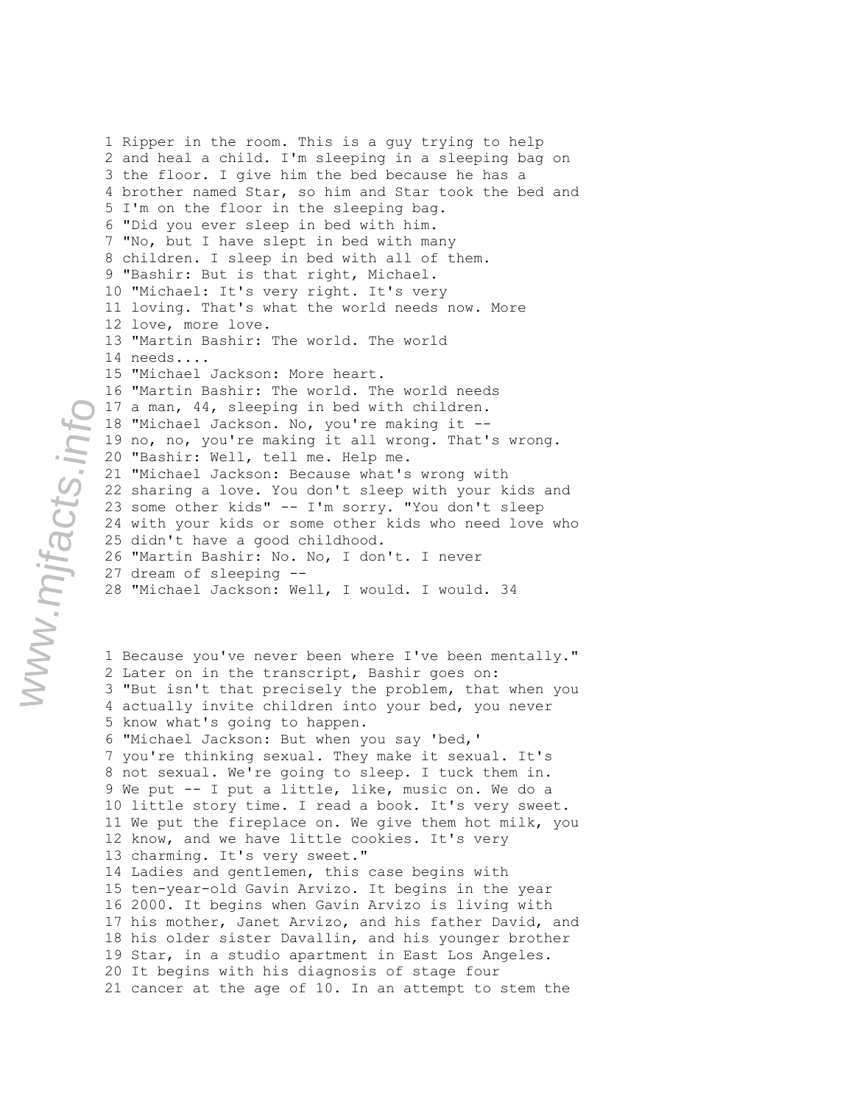2 and heal a child. I'm sleeping in a sleeping bag on 3 the floor. I give him the bed because he has a 4 brother named Star, so him and Star took the bed and 5 I'm on the floor in the sleeping bag. 6 "Did you ever sleep in bed with him. 7 "No, but I have slept in bed with many 8 children. I sleep in bed with all of them. 9 "Bashir: But is that right, Michael. 10 "Michael: It's very right. It's very 11 loving. That's what the world needs now. More 12 love, more love. 13 "Martin Bashir: The world. The world 14 needs.... 15 "Michael Jackson: More heart. 16 "Martin Bashir: The world. The world needs 17 a man, 44, sleeping in bed with children. 18 "Michael Jackson. No, you're making it -- 19 no, no, you're making it all wrong. That's wrong. 20 "Bashir: Well, tell me. Help me. 21 "Michael Jackson: Because what's wrong with 22 sharing a love. You don't sleep with your kids and 23 some other kids" -- I'm sorry. "You don't sleep 24 with your kids or some other kids who need love who 25 didn't have a good childhood. 26 "Martin Bashir: No. No, I don't. I never 27 dream of sleeping -- 28 "Michael Jackson: Well, I would. I would. 34 1 Because you've never been where I've been mentally." 2 Later on in the transcript, Bashir goes on: 3 "But isn't that precisely the problem, that when you 4 actually invite children into your bed, you never 5 know what's going to happen. 6 "Michael Jackson: But when you say 'bed,' 7 you're thinking sexual. They make it sexual. It's 8 not sexual. We're going to sleep. I tuck them in. 9 We put -- I put a little, like, music on. We do a 10 little story time. I read a book. It's very sweet. 11 We put the fireplace on. We give them hot milk, you 12 know, and we have little cookies. It's very 13 charming. It's very sweet." 14 Ladies and gentlemen, this case begins with 15 ten-year-old Gavin Arvizo. It begins in the year 16 2000. It begins when Gavin Arvizo is living with 17 his mother, Janet Arvizo, and his father David, and 18 his older sister Davallin, and his younger brother 19 Star, in a studio apartment in East Los Angeles. 20 It begins with his diagnosis of stage four 21 cancer at the age of 10. In an attempt to stem the

1 Ripper in the room. This is a guy trying to help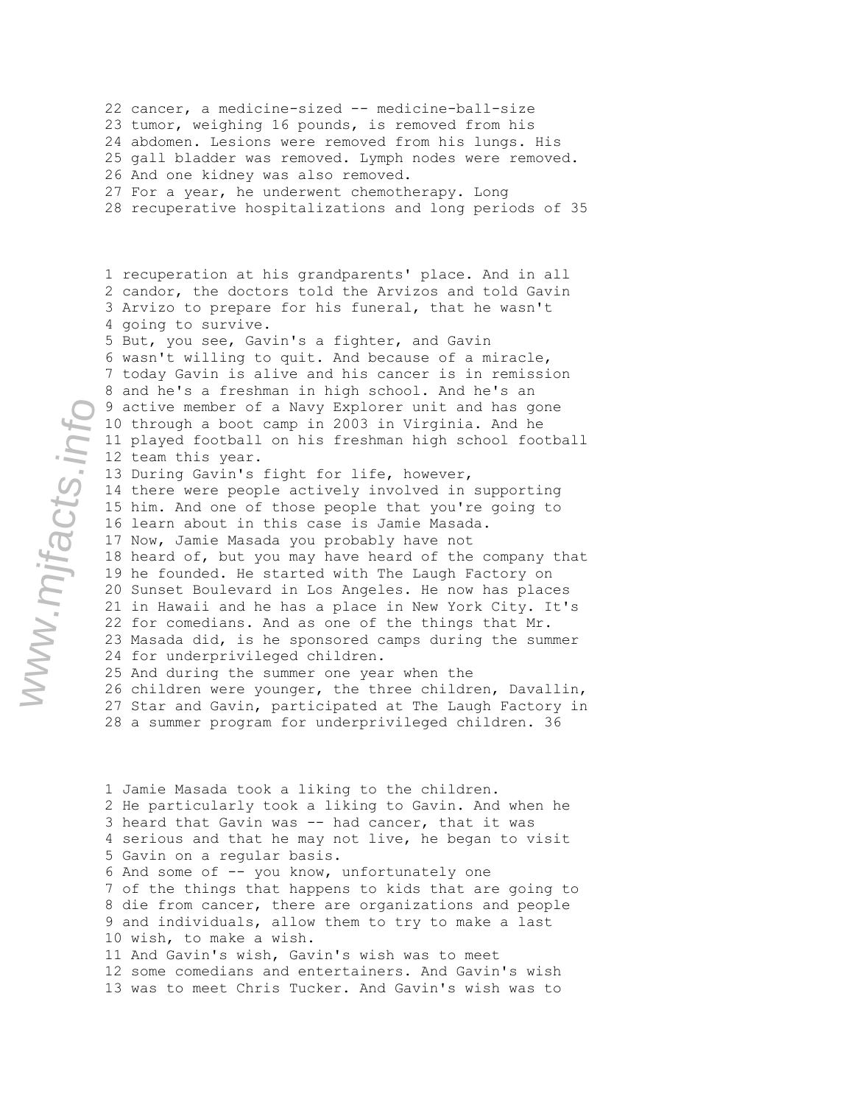22 cancer, a medicine-sized -- medicine-ball-size 23 tumor, weighing 16 pounds, is removed from his 24 abdomen. Lesions were removed from his lungs. His 25 gall bladder was removed. Lymph nodes were removed. 26 And one kidney was also removed. 27 For a year, he underwent chemotherapy. Long 28 recuperative hospitalizations and long periods of 35

1 recuperation at his grandparents' place. And in all 2 candor, the doctors told the Arvizos and told Gavin 3 Arvizo to prepare for his funeral, that he wasn't 4 going to survive. 5 But, you see, Gavin's a fighter, and Gavin 6 wasn't willing to quit. And because of a miracle, 7 today Gavin is alive and his cancer is in remission 8 and he's a freshman in high school. And he's an 9 active member of a Navy Explorer unit and has gone 10 through a boot camp in 2003 in Virginia. And he 11 played football on his freshman high school football 12 team this year. 13 During Gavin's fight for life, however, 14 there were people actively involved in supporting 15 him. And one of those people that you're going to 16 learn about in this case is Jamie Masada. 17 Now, Jamie Masada you probably have not 18 heard of, but you may have heard of the company that 19 he founded. He started with The Laugh Factory on 20 Sunset Boulevard in Los Angeles. He now has places 21 in Hawaii and he has a place in New York City. It's 22 for comedians. And as one of the things that Mr. 23 Masada did, is he sponsored camps during the summer 24 for underprivileged children. 25 And during the summer one year when the 26 children were younger, the three children, Davallin, 27 Star and Gavin, participated at The Laugh Factory in 28 a summer program for underprivileged children. 36

1 Jamie Masada took a liking to the children. 2 He particularly took a liking to Gavin. And when he 3 heard that Gavin was -- had cancer, that it was 4 serious and that he may not live, he began to visit 5 Gavin on a regular basis. 6 And some of -- you know, unfortunately one 7 of the things that happens to kids that are going to 8 die from cancer, there are organizations and people 9 and individuals, allow them to try to make a last 10 wish, to make a wish. 11 And Gavin's wish, Gavin's wish was to meet 12 some comedians and entertainers. And Gavin's wish 13 was to meet Chris Tucker. And Gavin's wish was to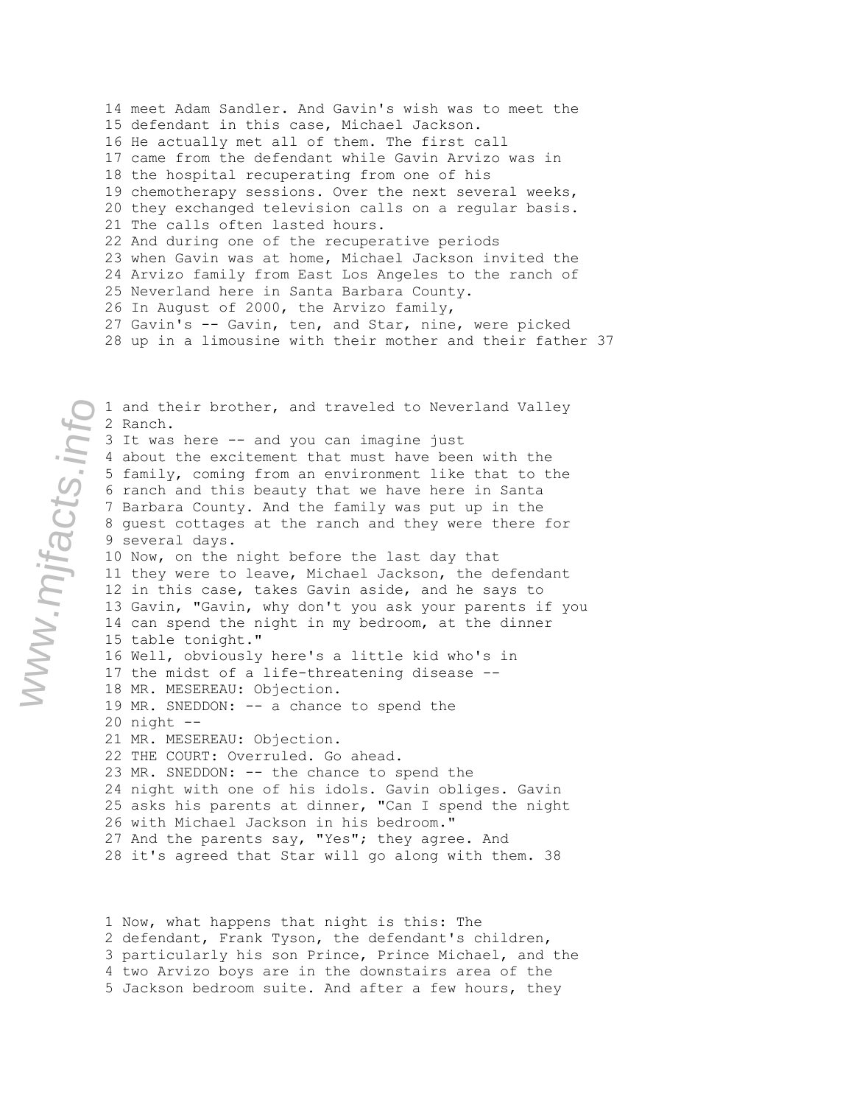14 meet Adam Sandler. And Gavin's wish was to meet the 15 defendant in this case, Michael Jackson. 16 He actually met all of them. The first call 17 came from the defendant while Gavin Arvizo was in 18 the hospital recuperating from one of his 19 chemotherapy sessions. Over the next several weeks, 20 they exchanged television calls on a regular basis. 21 The calls often lasted hours. 22 And during one of the recuperative periods 23 when Gavin was at home, Michael Jackson invited the 24 Arvizo family from East Los Angeles to the ranch of 25 Neverland here in Santa Barbara County. 26 In August of 2000, the Arvizo family, 27 Gavin's -- Gavin, ten, and Star, nine, were picked 28 up in a limousine with their mother and their father 37

1 and their brother, and traveled to Neverland Valley 2 Ranch. 3 It was here -- and you can imagine just 4 about the excitement that must have been with the 5 family, coming from an environment like that to the 6 ranch and this beauty that we have here in Santa 7 Barbara County. And the family was put up in the 8 guest cottages at the ranch and they were there for 9 several days. 10 Now, on the night before the last day that 11 they were to leave, Michael Jackson, the defendant 12 in this case, takes Gavin aside, and he says to 13 Gavin, "Gavin, why don't you ask your parents if you 14 can spend the night in my bedroom, at the dinner 15 table tonight." 16 Well, obviously here's a little kid who's in 17 the midst of a life-threatening disease -- 18 MR. MESEREAU: Objection. 19 MR. SNEDDON: -- a chance to spend the 20 night -- 21 MR. MESEREAU: Objection. 22 THE COURT: Overruled. Go ahead. 23 MR. SNEDDON: -- the chance to spend the 24 night with one of his idols. Gavin obliges. Gavin 25 asks his parents at dinner, "Can I spend the night 26 with Michael Jackson in his bedroom." 27 And the parents say, "Yes"; they agree. And 28 it's agreed that Star will go along with them. 38

1 Now, what happens that night is this: The 2 defendant, Frank Tyson, the defendant's children, 3 particularly his son Prince, Prince Michael, and the 4 two Arvizo boys are in the downstairs area of the 5 Jackson bedroom suite. And after a few hours, they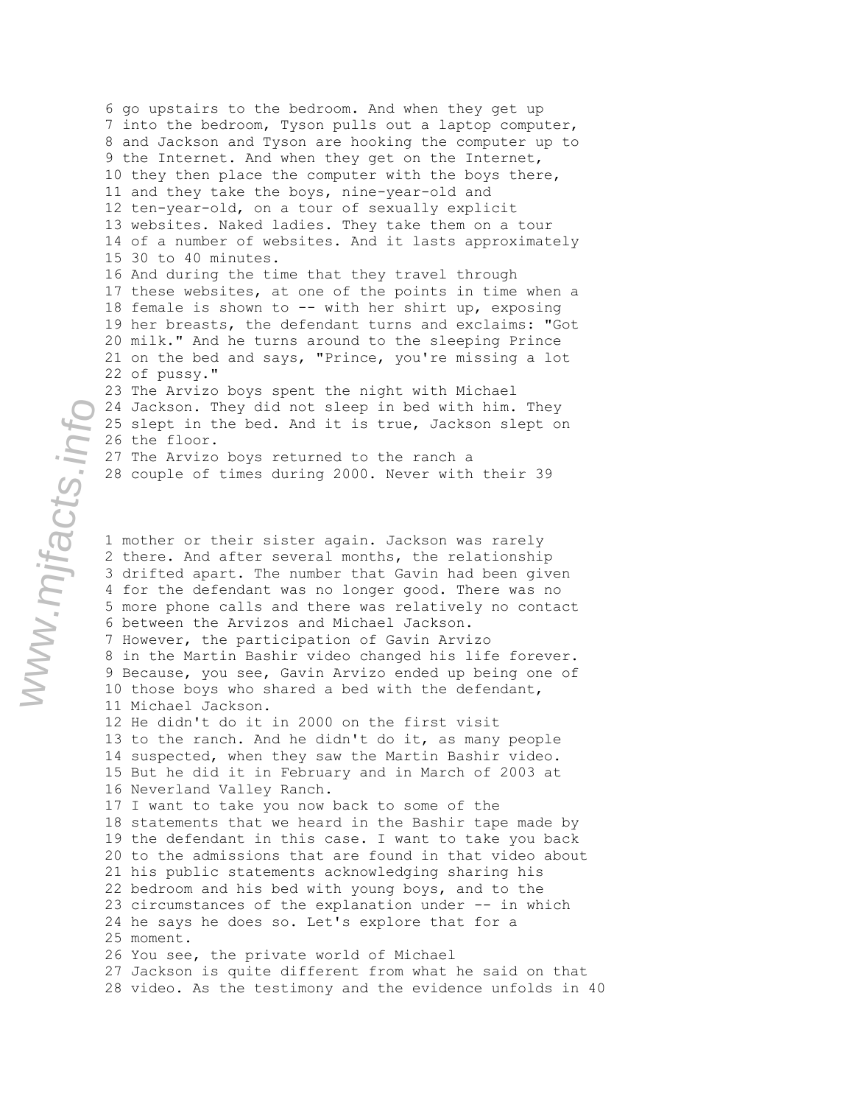6 go upstairs to the bedroom. And when they get up 7 into the bedroom, Tyson pulls out a laptop computer, 8 and Jackson and Tyson are hooking the computer up to 9 the Internet. And when they get on the Internet, 10 they then place the computer with the boys there, 11 and they take the boys, nine-year-old and 12 ten-year-old, on a tour of sexually explicit 13 websites. Naked ladies. They take them on a tour 14 of a number of websites. And it lasts approximately 15 30 to 40 minutes. 16 And during the time that they travel through 17 these websites, at one of the points in time when a 18 female is shown to -- with her shirt up, exposing 19 her breasts, the defendant turns and exclaims: "Got 20 milk." And he turns around to the sleeping Prince 21 on the bed and says, "Prince, you're missing a lot 22 of pussy." 23 The Arvizo boys spent the night with Michael 24 Jackson. They did not sleep in bed with him. They

25 slept in the bed. And it is true, Jackson slept on 26 the floor. 27 The Arvizo boys returned to the ranch a

28 couple of times during 2000. Never with their 39

1 mother or their sister again. Jackson was rarely 2 there. And after several months, the relationship 3 drifted apart. The number that Gavin had been given 4 for the defendant was no longer good. There was no 5 more phone calls and there was relatively no contact 6 between the Arvizos and Michael Jackson. 7 However, the participation of Gavin Arvizo 8 in the Martin Bashir video changed his life forever. 9 Because, you see, Gavin Arvizo ended up being one of 10 those boys who shared a bed with the defendant, 11 Michael Jackson. 12 He didn't do it in 2000 on the first visit 13 to the ranch. And he didn't do it, as many people 14 suspected, when they saw the Martin Bashir video. 15 But he did it in February and in March of 2003 at 16 Neverland Valley Ranch. 17 I want to take you now back to some of the 18 statements that we heard in the Bashir tape made by 19 the defendant in this case. I want to take you back 20 to the admissions that are found in that video about 21 his public statements acknowledging sharing his 22 bedroom and his bed with young boys, and to the 23 circumstances of the explanation under -- in which 24 he says he does so. Let's explore that for a 25 moment. 26 You see, the private world of Michael 27 Jackson is quite different from what he said on that 28 video. As the testimony and the evidence unfolds in 40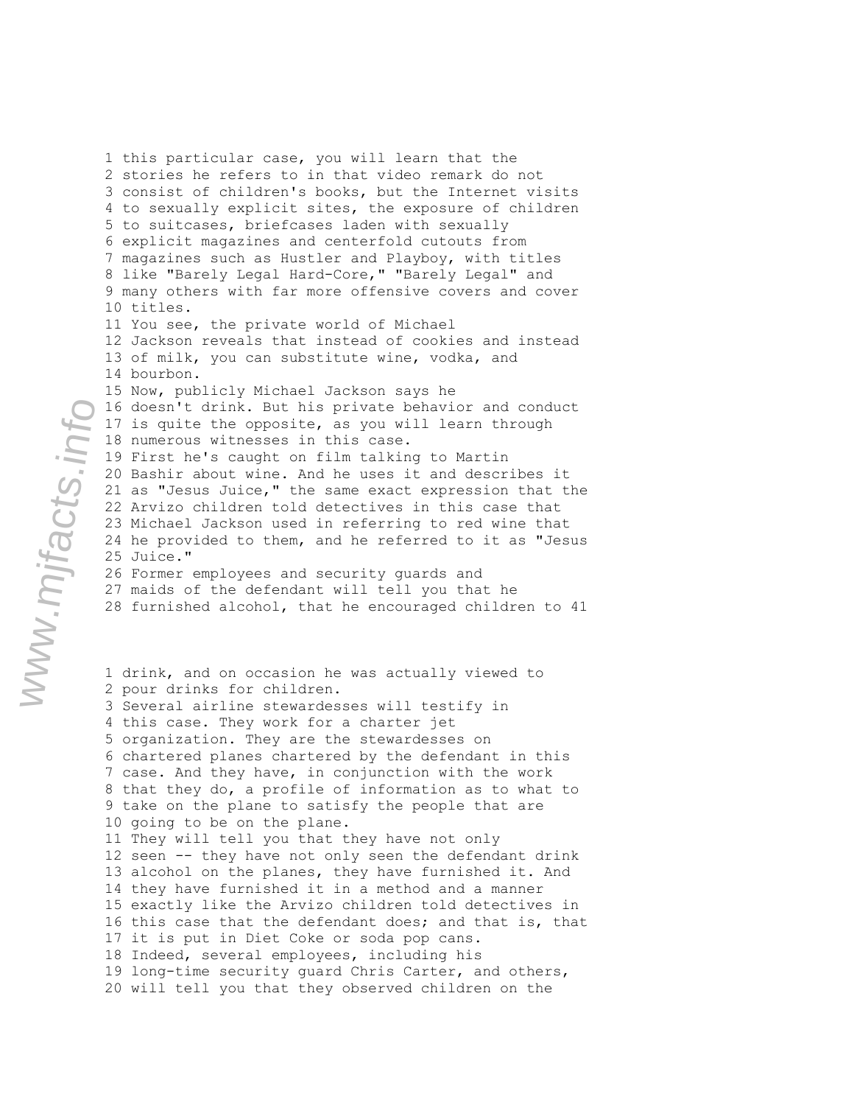3 consist of children's books, but the Internet visits 4 to sexually explicit sites, the exposure of children 5 to suitcases, briefcases laden with sexually 6 explicit magazines and centerfold cutouts from 7 magazines such as Hustler and Playboy, with titles 8 like "Barely Legal Hard-Core," "Barely Legal" and 9 many others with far more offensive covers and cover 10 titles. 11 You see, the private world of Michael 12 Jackson reveals that instead of cookies and instead 13 of milk, you can substitute wine, vodka, and 14 bourbon. 15 Now, publicly Michael Jackson says he 16 doesn't drink. But his private behavior and conduct 17 is quite the opposite, as you will learn through 18 numerous witnesses in this case. 19 First he's caught on film talking to Martin 20 Bashir about wine. And he uses it and describes it 21 as "Jesus Juice," the same exact expression that the 22 Arvizo children told detectives in this case that 23 Michael Jackson used in referring to red wine that 24 he provided to them, and he referred to it as "Jesus 25 Juice." 26 Former employees and security guards and 27 maids of the defendant will tell you that he 28 furnished alcohol, that he encouraged children to 41 1 drink, and on occasion he was actually viewed to 2 pour drinks for children. 3 Several airline stewardesses will testify in 4 this case. They work for a charter jet 5 organization. They are the stewardesses on 6 chartered planes chartered by the defendant in this 7 case. And they have, in conjunction with the work 8 that they do, a profile of information as to what to 9 take on the plane to satisfy the people that are 10 going to be on the plane. 11 They will tell you that they have not only 12 seen -- they have not only seen the defendant drink 13 alcohol on the planes, they have furnished it. And 14 they have furnished it in a method and a manner 15 exactly like the Arvizo children told detectives in 16 this case that the defendant does; and that is, that 17 it is put in Diet Coke or soda pop cans. 18 Indeed, several employees, including his 19 long-time security guard Chris Carter, and others, 20 will tell you that they observed children on the

www.mjfacts.info

1 this particular case, you will learn that the 2 stories he refers to in that video remark do not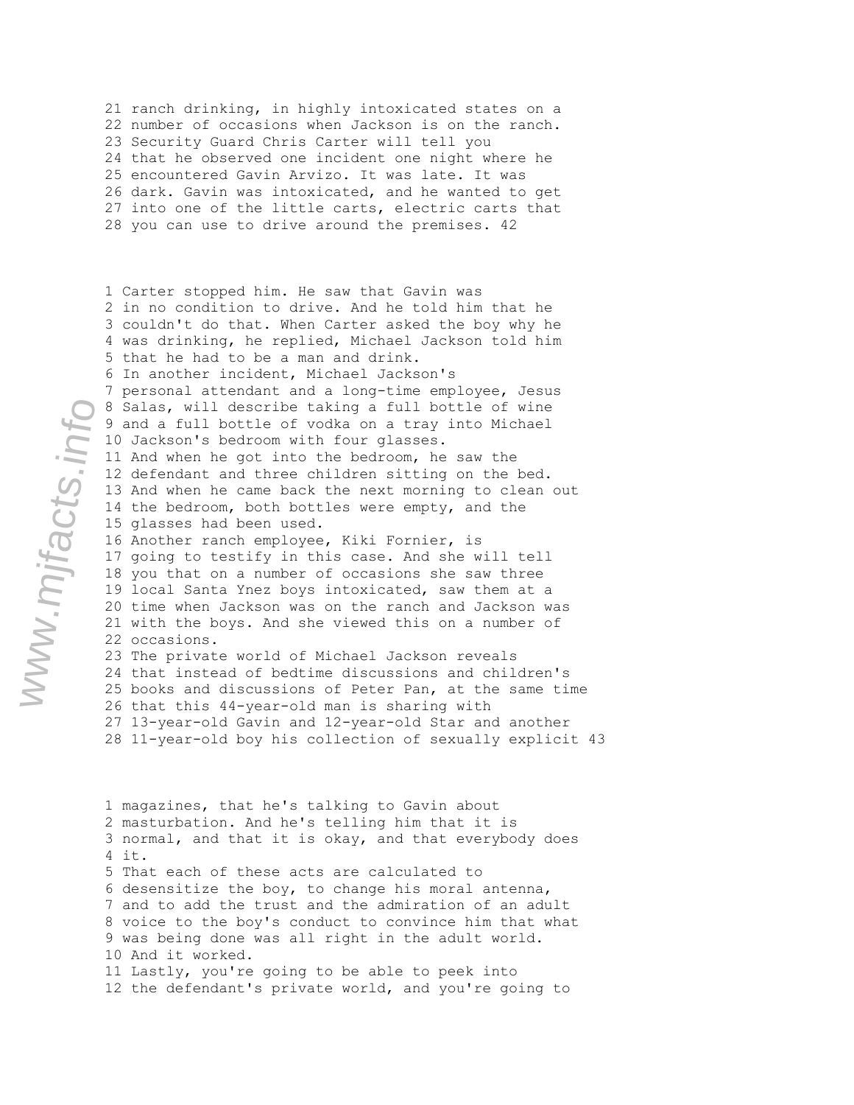21 ranch drinking, in highly intoxicated states on a 22 number of occasions when Jackson is on the ranch. 23 Security Guard Chris Carter will tell you 24 that he observed one incident one night where he 25 encountered Gavin Arvizo. It was late. It was 26 dark. Gavin was intoxicated, and he wanted to get 27 into one of the little carts, electric carts that 28 you can use to drive around the premises. 42

1 Carter stopped him. He saw that Gavin was 2 in no condition to drive. And he told him that he 3 couldn't do that. When Carter asked the boy why he 4 was drinking, he replied, Michael Jackson told him 5 that he had to be a man and drink. 6 In another incident, Michael Jackson's 7 personal attendant and a long-time employee, Jesus 8 Salas, will describe taking a full bottle of wine 9 and a full bottle of vodka on a tray into Michael 10 Jackson's bedroom with four glasses. 11 And when he got into the bedroom, he saw the 12 defendant and three children sitting on the bed. 13 And when he came back the next morning to clean out 14 the bedroom, both bottles were empty, and the 15 glasses had been used. 16 Another ranch employee, Kiki Fornier, is 17 going to testify in this case. And she will tell 18 you that on a number of occasions she saw three 19 local Santa Ynez boys intoxicated, saw them at a 20 time when Jackson was on the ranch and Jackson was 21 with the boys. And she viewed this on a number of 22 occasions. 23 The private world of Michael Jackson reveals 24 that instead of bedtime discussions and children's 25 books and discussions of Peter Pan, at the same time 26 that this 44-year-old man is sharing with 27 13-year-old Gavin and 12-year-old Star and another 28 11-year-old boy his collection of sexually explicit 43

1 magazines, that he's talking to Gavin about 2 masturbation. And he's telling him that it is 3 normal, and that it is okay, and that everybody does 4 it. 5 That each of these acts are calculated to 6 desensitize the boy, to change his moral antenna, 7 and to add the trust and the admiration of an adult 8 voice to the boy's conduct to convince him that what 9 was being done was all right in the adult world. 10 And it worked. 11 Lastly, you're going to be able to peek into 12 the defendant's private world, and you're going to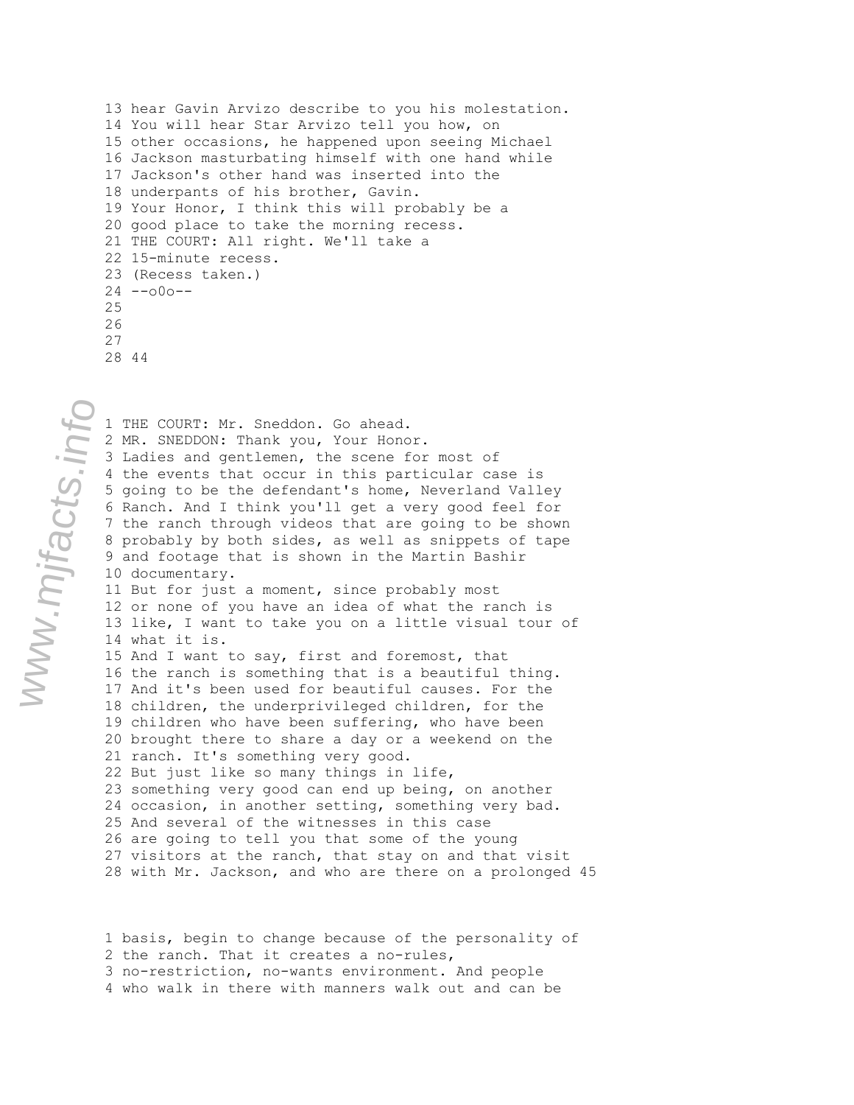13 hear Gavin Arvizo describe to you his molestation. 14 You will hear Star Arvizo tell you how, on 15 other occasions, he happened upon seeing Michael 16 Jackson masturbating himself with one hand while 17 Jackson's other hand was inserted into the 18 underpants of his brother, Gavin. 19 Your Honor, I think this will probably be a 20 good place to take the morning recess. 21 THE COURT: All right. We'll take a 22 15-minute recess. 23 (Recess taken.)  $24 - -000 - -$ 25 26 27

28 44

1 THE COURT: Mr. Sneddon. Go ahead. 2 MR. SNEDDON: Thank you, Your Honor. 3 Ladies and gentlemen, the scene for most of 4 the events that occur in this particular case is 5 going to be the defendant's home, Neverland Valley 6 Ranch. And I think you'll get a very good feel for 7 the ranch through videos that are going to be shown 8 probably by both sides, as well as snippets of tape 9 and footage that is shown in the Martin Bashir 10 documentary. 11 But for just a moment, since probably most 12 or none of you have an idea of what the ranch is 13 like, I want to take you on a little visual tour of 14 what it is. 15 And I want to say, first and foremost, that 16 the ranch is something that is a beautiful thing. 17 And it's been used for beautiful causes. For the 18 children, the underprivileged children, for the 19 children who have been suffering, who have been 20 brought there to share a day or a weekend on the 21 ranch. It's something very good. 22 But just like so many things in life, 23 something very good can end up being, on another 24 occasion, in another setting, something very bad. 25 And several of the witnesses in this case 26 are going to tell you that some of the young 27 visitors at the ranch, that stay on and that visit 28 with Mr. Jackson, and who are there on a prolonged 45

1 basis, begin to change because of the personality of 2 the ranch. That it creates a no-rules, 3 no-restriction, no-wants environment. And people 4 who walk in there with manners walk out and can be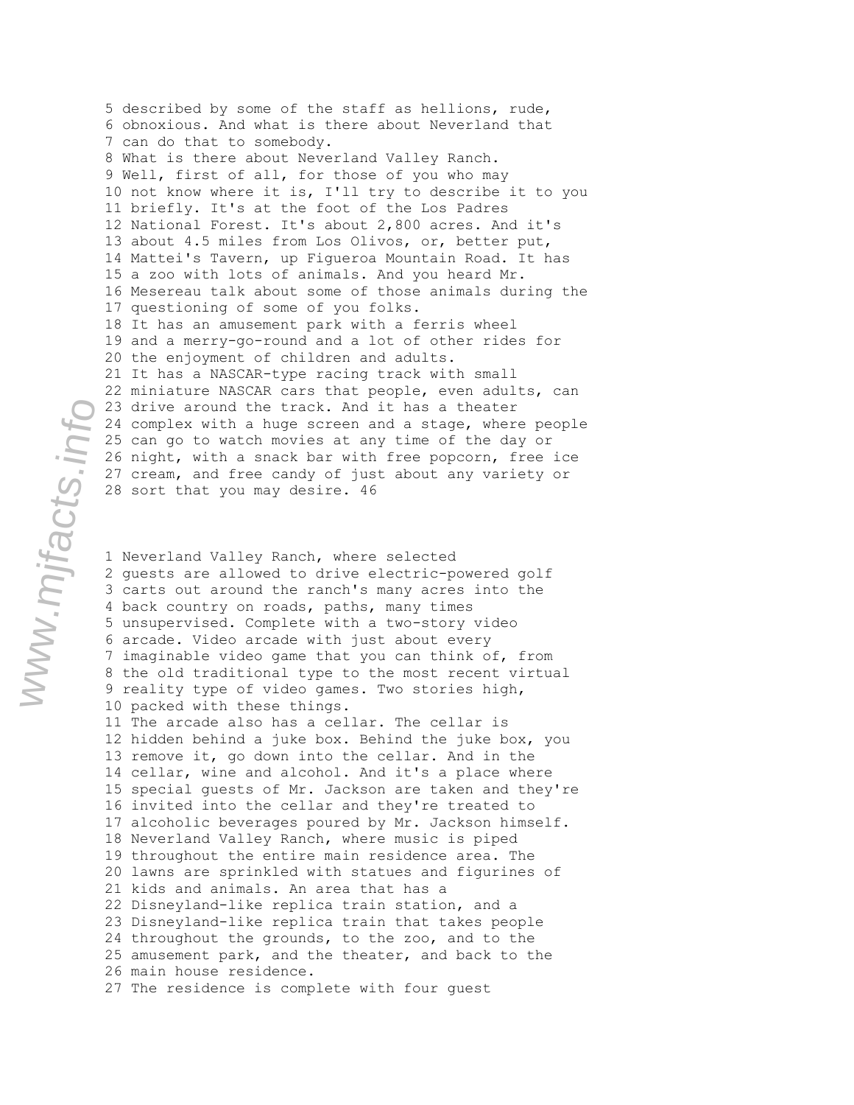5 described by some of the staff as hellions, rude, 6 obnoxious. And what is there about Neverland that 7 can do that to somebody. 8 What is there about Neverland Valley Ranch. 9 Well, first of all, for those of you who may 10 not know where it is, I'll try to describe it to you 11 briefly. It's at the foot of the Los Padres 12 National Forest. It's about 2,800 acres. And it's 13 about 4.5 miles from Los Olivos, or, better put, 14 Mattei's Tavern, up Figueroa Mountain Road. It has 15 a zoo with lots of animals. And you heard Mr. 16 Mesereau talk about some of those animals during the 17 questioning of some of you folks. 18 It has an amusement park with a ferris wheel 19 and a merry-go-round and a lot of other rides for 20 the enjoyment of children and adults. 21 It has a NASCAR-type racing track with small 22 miniature NASCAR cars that people, even adults, can 23 drive around the track. And it has a theater 24 complex with a huge screen and a stage, where people 25 can go to watch movies at any time of the day or 26 night, with a snack bar with free popcorn, free ice 27 cream, and free candy of just about any variety or 28 sort that you may desire. 46

1 Neverland Valley Ranch, where selected 2 guests are allowed to drive electric-powered golf 3 carts out around the ranch's many acres into the 4 back country on roads, paths, many times 5 unsupervised. Complete with a two-story video 6 arcade. Video arcade with just about every 7 imaginable video game that you can think of, from 8 the old traditional type to the most recent virtual 9 reality type of video games. Two stories high, 10 packed with these things. 11 The arcade also has a cellar. The cellar is 12 hidden behind a juke box. Behind the juke box, you 13 remove it, go down into the cellar. And in the 14 cellar, wine and alcohol. And it's a place where 15 special guests of Mr. Jackson are taken and they're 16 invited into the cellar and they're treated to 17 alcoholic beverages poured by Mr. Jackson himself. 18 Neverland Valley Ranch, where music is piped 19 throughout the entire main residence area. The 20 lawns are sprinkled with statues and figurines of 21 kids and animals. An area that has a 22 Disneyland-like replica train station, and a 23 Disneyland-like replica train that takes people 24 throughout the grounds, to the zoo, and to the 25 amusement park, and the theater, and back to the 26 main house residence. 27 The residence is complete with four guest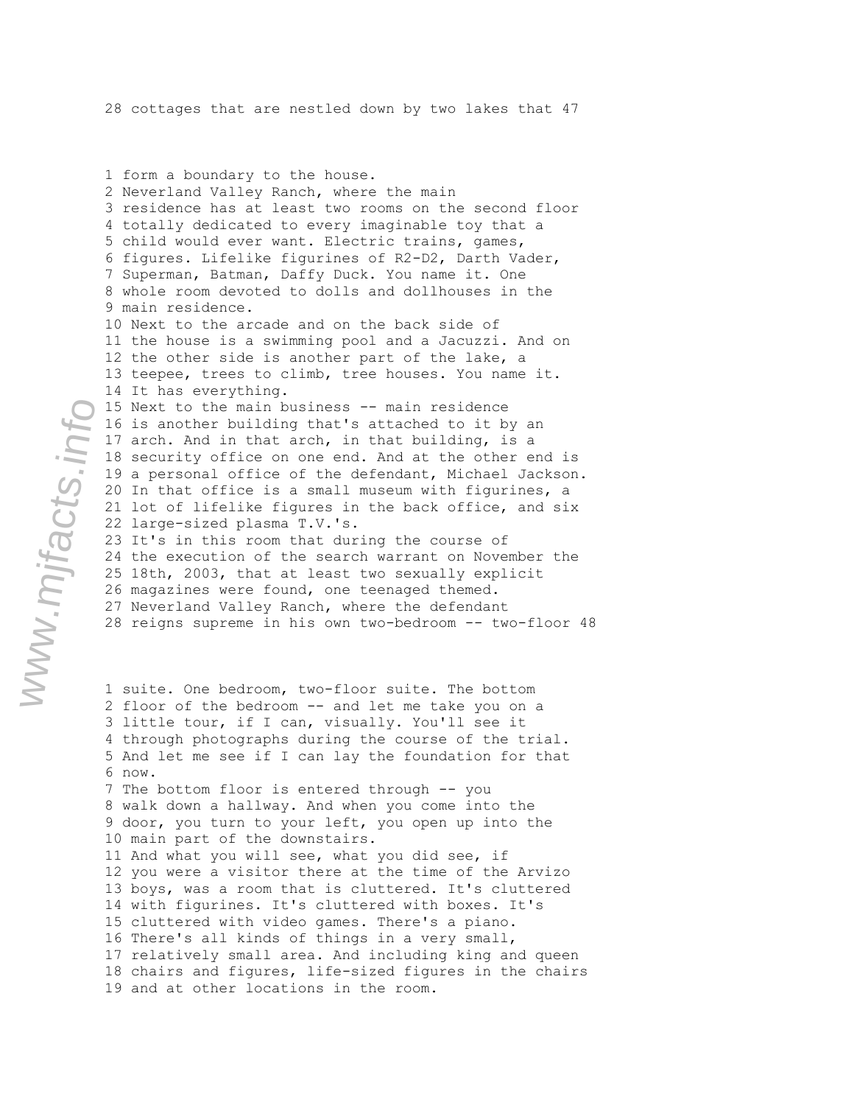1 form a boundary to the house. 2 Neverland Valley Ranch, where the main 3 residence has at least two rooms on the second floor 4 totally dedicated to every imaginable toy that a 5 child would ever want. Electric trains, games, 6 figures. Lifelike figurines of R2-D2, Darth Vader, 7 Superman, Batman, Daffy Duck. You name it. One 8 whole room devoted to dolls and dollhouses in the 9 main residence. 10 Next to the arcade and on the back side of 11 the house is a swimming pool and a Jacuzzi. And on 12 the other side is another part of the lake, a 13 teepee, trees to climb, tree houses. You name it. 14 It has everything. 15 Next to the main business -- main residence 16 is another building that's attached to it by an 17 arch. And in that arch, in that building, is a 18 security office on one end. And at the other end is 19 a personal office of the defendant, Michael Jackson. 20 In that office is a small museum with figurines, a 21 lot of lifelike figures in the back office, and six 22 large-sized plasma T.V.'s. 23 It's in this room that during the course of 24 the execution of the search warrant on November the 25 18th, 2003, that at least two sexually explicit

26 magazines were found, one teenaged themed. 27 Neverland Valley Ranch, where the defendant 28 reigns supreme in his own two-bedroom -- two-floor 48

1 suite. One bedroom, two-floor suite. The bottom 2 floor of the bedroom -- and let me take you on a 3 little tour, if I can, visually. You'll see it 4 through photographs during the course of the trial. 5 And let me see if I can lay the foundation for that 6 now. 7 The bottom floor is entered through -- you 8 walk down a hallway. And when you come into the 9 door, you turn to your left, you open up into the 10 main part of the downstairs. 11 And what you will see, what you did see, if 12 you were a visitor there at the time of the Arvizo 13 boys, was a room that is cluttered. It's cluttered 14 with figurines. It's cluttered with boxes. It's 15 cluttered with video games. There's a piano. 16 There's all kinds of things in a very small, 17 relatively small area. And including king and queen 18 chairs and figures, life-sized figures in the chairs 19 and at other locations in the room.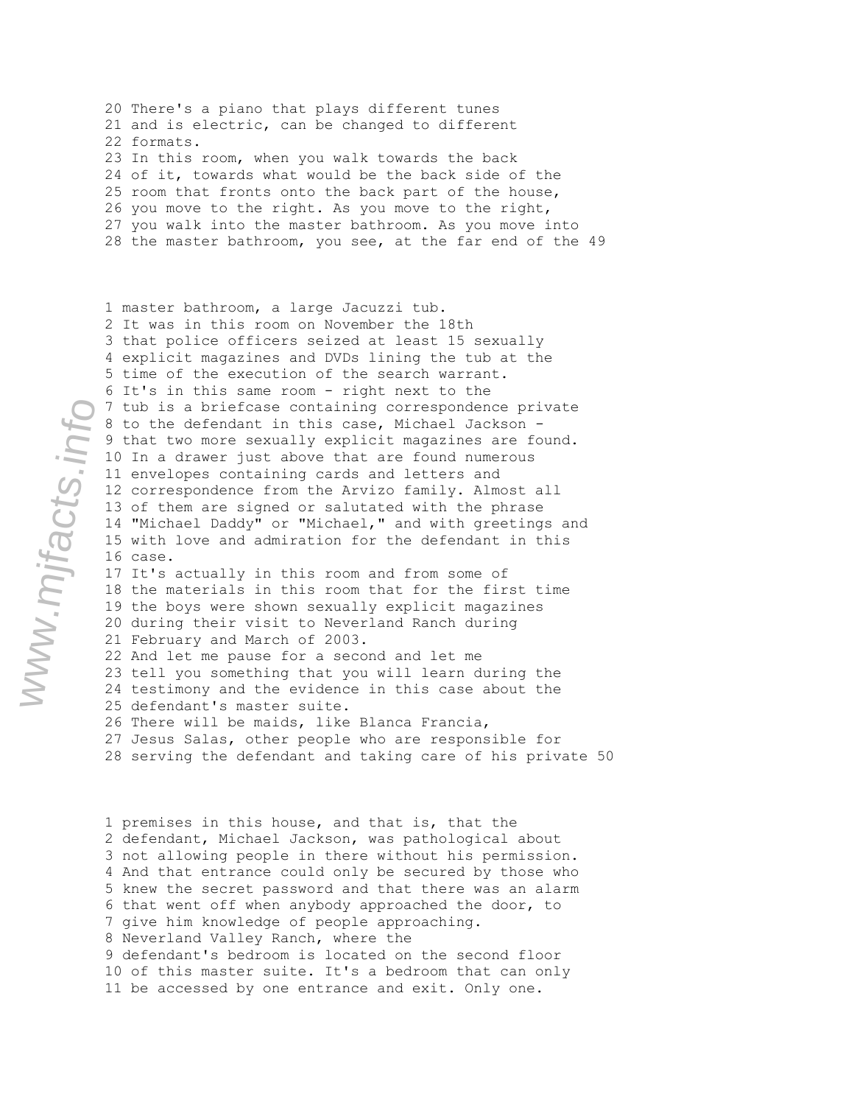20 There's a piano that plays different tunes 21 and is electric, can be changed to different 22 formats. 23 In this room, when you walk towards the back 24 of it, towards what would be the back side of the 25 room that fronts onto the back part of the house, 26 you move to the right. As you move to the right, 27 you walk into the master bathroom. As you move into 28 the master bathroom, you see, at the far end of the 49

1 master bathroom, a large Jacuzzi tub. 2 It was in this room on November the 18th 3 that police officers seized at least 15 sexually 4 explicit magazines and DVDs lining the tub at the 5 time of the execution of the search warrant. 6 It's in this same room - right next to the 7 tub is a briefcase containing correspondence private 8 to the defendant in this case, Michael Jackson - 9 that two more sexually explicit magazines are found. 10 In a drawer just above that are found numerous 11 envelopes containing cards and letters and 12 correspondence from the Arvizo family. Almost all 13 of them are signed or salutated with the phrase 14 "Michael Daddy" or "Michael," and with greetings and 15 with love and admiration for the defendant in this 16 case. 17 It's actually in this room and from some of 18 the materials in this room that for the first time 19 the boys were shown sexually explicit magazines 20 during their visit to Neverland Ranch during 21 February and March of 2003. 22 And let me pause for a second and let me 23 tell you something that you will learn during the 24 testimony and the evidence in this case about the 25 defendant's master suite. 26 There will be maids, like Blanca Francia,

27 Jesus Salas, other people who are responsible for 28 serving the defendant and taking care of his private 50

1 premises in this house, and that is, that the 2 defendant, Michael Jackson, was pathological about 3 not allowing people in there without his permission. 4 And that entrance could only be secured by those who 5 knew the secret password and that there was an alarm 6 that went off when anybody approached the door, to 7 give him knowledge of people approaching. 8 Neverland Valley Ranch, where the 9 defendant's bedroom is located on the second floor 10 of this master suite. It's a bedroom that can only 11 be accessed by one entrance and exit. Only one.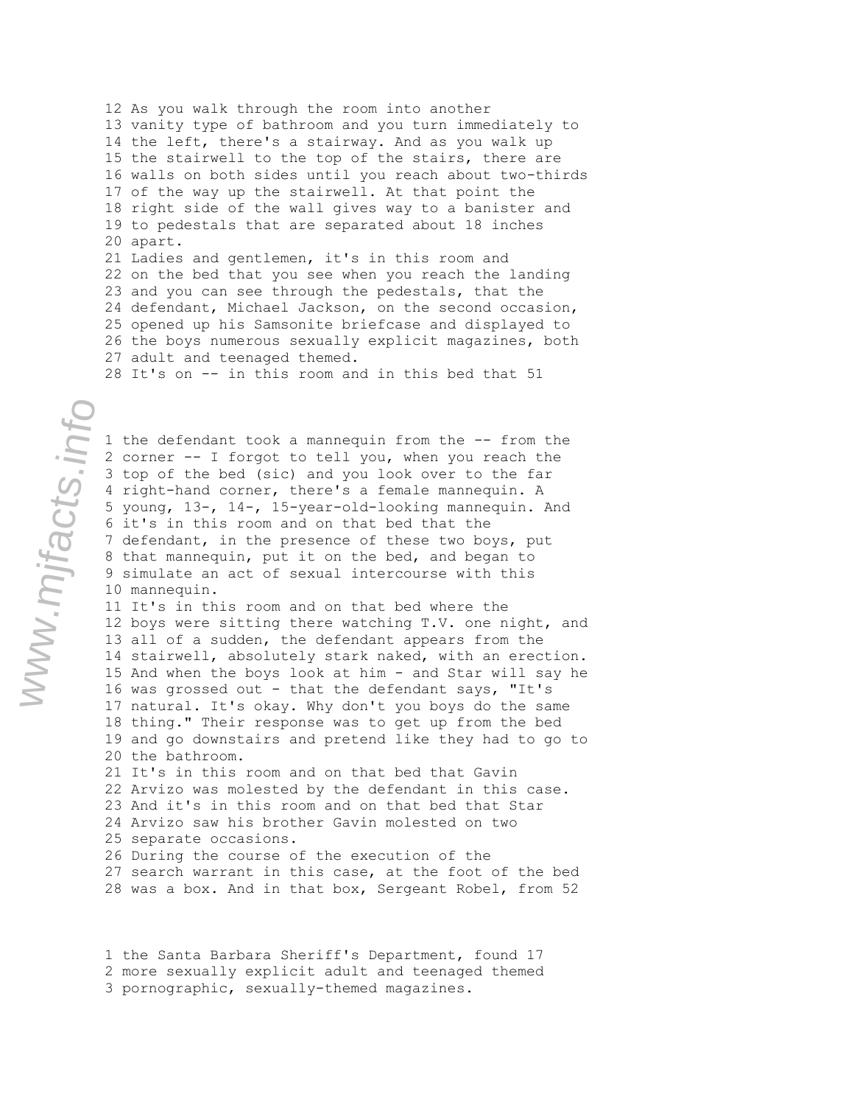12 As you walk through the room into another 13 vanity type of bathroom and you turn immediately to 14 the left, there's a stairway. And as you walk up 15 the stairwell to the top of the stairs, there are 16 walls on both sides until you reach about two-thirds 17 of the way up the stairwell. At that point the 18 right side of the wall gives way to a banister and 19 to pedestals that are separated about 18 inches 20 apart. 21 Ladies and gentlemen, it's in this room and 22 on the bed that you see when you reach the landing 23 and you can see through the pedestals, that the 24 defendant, Michael Jackson, on the second occasion, 25 opened up his Samsonite briefcase and displayed to

26 the boys numerous sexually explicit magazines, both 27 adult and teenaged themed.

28 It's on -- in this room and in this bed that 51

1 the defendant took a mannequin from the -- from the 2 corner -- I forgot to tell you, when you reach the 3 top of the bed (sic) and you look over to the far 4 right-hand corner, there's a female mannequin. A 5 young, 13-, 14-, 15-year-old-looking mannequin. And 6 it's in this room and on that bed that the 7 defendant, in the presence of these two boys, put 8 that mannequin, put it on the bed, and began to 9 simulate an act of sexual intercourse with this 10 mannequin.

11 It's in this room and on that bed where the 12 boys were sitting there watching T.V. one night, and 13 all of a sudden, the defendant appears from the 14 stairwell, absolutely stark naked, with an erection. 15 And when the boys look at him - and Star will say he 16 was grossed out - that the defendant says, "It's 17 natural. It's okay. Why don't you boys do the same 18 thing." Their response was to get up from the bed 19 and go downstairs and pretend like they had to go to 20 the bathroom. 21 It's in this room and on that bed that Gavin

22 Arvizo was molested by the defendant in this case. 23 And it's in this room and on that bed that Star 24 Arvizo saw his brother Gavin molested on two 25 separate occasions. 26 During the course of the execution of the

27 search warrant in this case, at the foot of the bed 28 was a box. And in that box, Sergeant Robel, from 52

1 the Santa Barbara Sheriff's Department, found 17 2 more sexually explicit adult and teenaged themed 3 pornographic, sexually-themed magazines.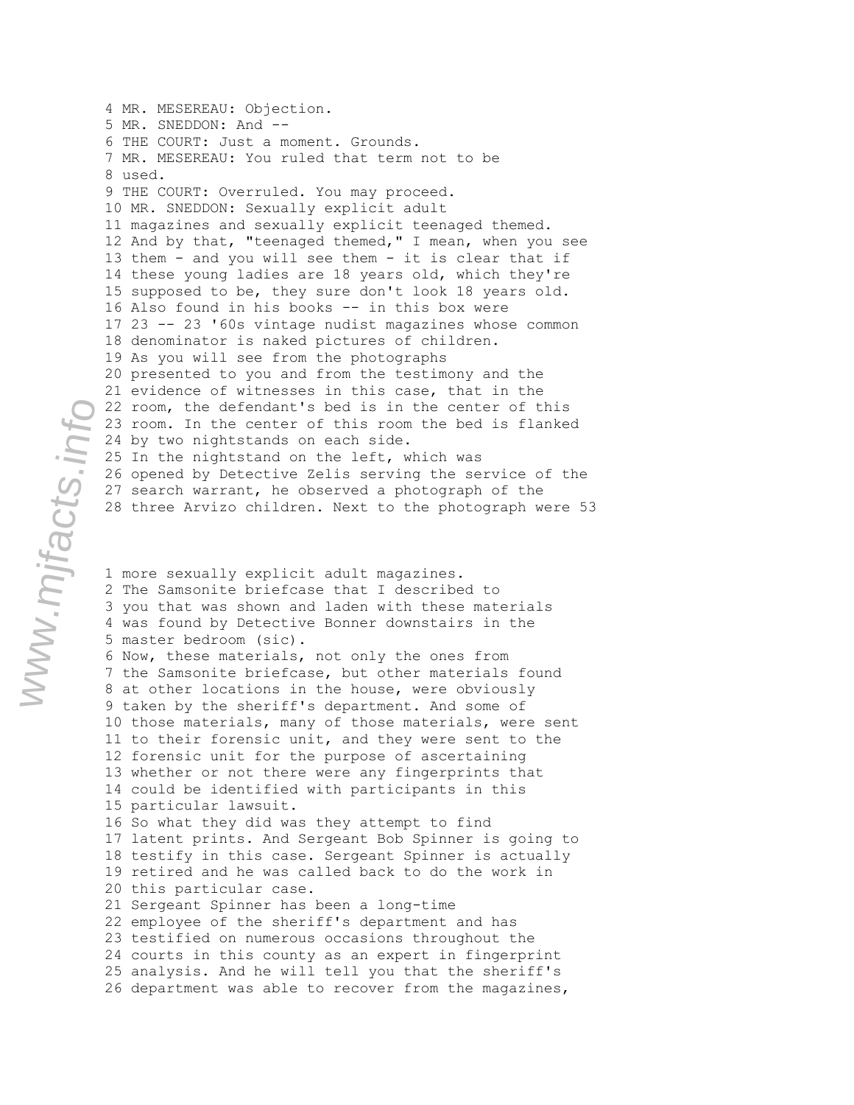4 MR. MESEREAU: Objection. 5 MR. SNEDDON: And -- 6 THE COURT: Just a moment. Grounds. 7 MR. MESEREAU: You ruled that term not to be 8 used. 9 THE COURT: Overruled. You may proceed. 10 MR. SNEDDON: Sexually explicit adult 11 magazines and sexually explicit teenaged themed. 12 And by that, "teenaged themed," I mean, when you see 13 them - and you will see them - it is clear that if 14 these young ladies are 18 years old, which they're 15 supposed to be, they sure don't look 18 years old. 16 Also found in his books -- in this box were 17 23 -- 23 '60s vintage nudist magazines whose common 18 denominator is naked pictures of children. 19 As you will see from the photographs 20 presented to you and from the testimony and the 21 evidence of witnesses in this case, that in the 22 room, the defendant's bed is in the center of this 23 room. In the center of this room the bed is flanked 24 by two nightstands on each side. 25 In the nightstand on the left, which was 26 opened by Detective Zelis serving the service of the 27 search warrant, he observed a photograph of the 28 three Arvizo children. Next to the photograph were 53

1 more sexually explicit adult magazines. 2 The Samsonite briefcase that I described to 3 you that was shown and laden with these materials 4 was found by Detective Bonner downstairs in the 5 master bedroom (sic). 6 Now, these materials, not only the ones from 7 the Samsonite briefcase, but other materials found 8 at other locations in the house, were obviously 9 taken by the sheriff's department. And some of 10 those materials, many of those materials, were sent 11 to their forensic unit, and they were sent to the 12 forensic unit for the purpose of ascertaining 13 whether or not there were any fingerprints that 14 could be identified with participants in this 15 particular lawsuit. 16 So what they did was they attempt to find 17 latent prints. And Sergeant Bob Spinner is going to 18 testify in this case. Sergeant Spinner is actually 19 retired and he was called back to do the work in 20 this particular case. 21 Sergeant Spinner has been a long-time 22 employee of the sheriff's department and has 23 testified on numerous occasions throughout the 24 courts in this county as an expert in fingerprint 25 analysis. And he will tell you that the sheriff's 26 department was able to recover from the magazines,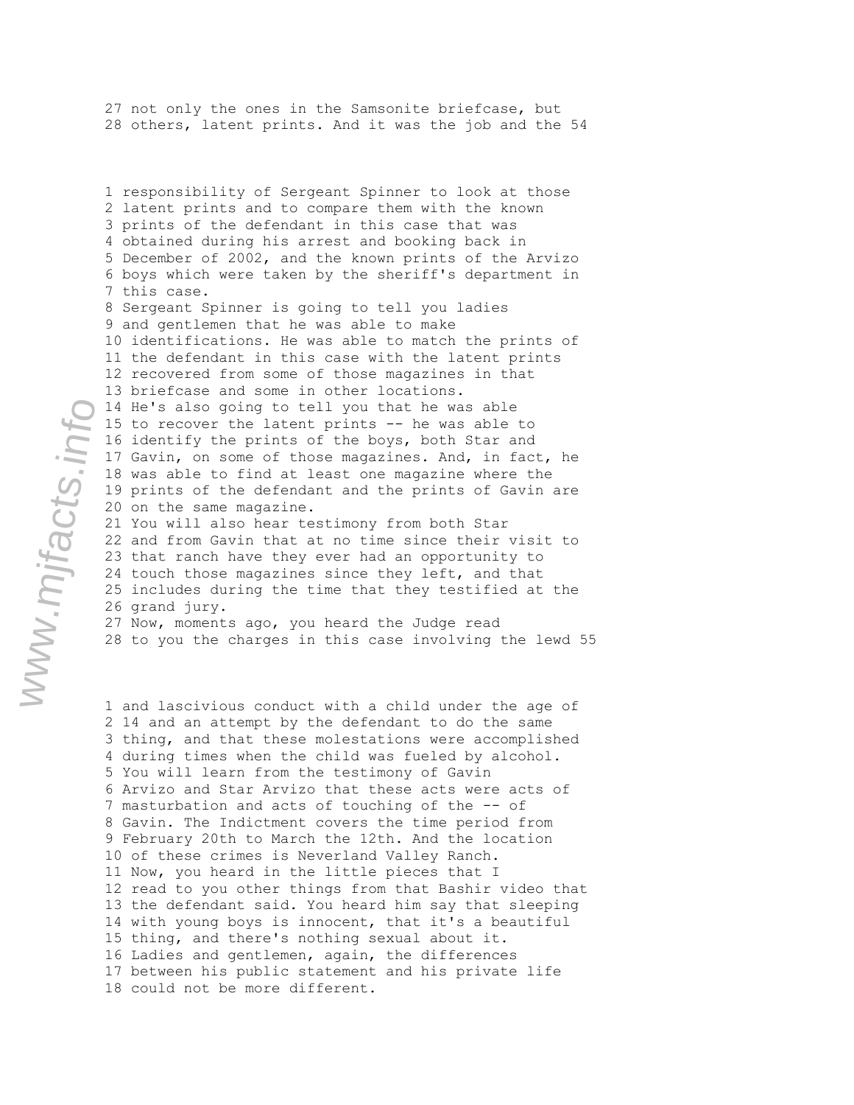27 not only the ones in the Samsonite briefcase, but 28 others, latent prints. And it was the job and the 54

1 responsibility of Sergeant Spinner to look at those 2 latent prints and to compare them with the known 3 prints of the defendant in this case that was 4 obtained during his arrest and booking back in 5 December of 2002, and the known prints of the Arvizo 6 boys which were taken by the sheriff's department in 7 this case. 8 Sergeant Spinner is going to tell you ladies 9 and gentlemen that he was able to make 10 identifications. He was able to match the prints of 11 the defendant in this case with the latent prints 12 recovered from some of those magazines in that 13 briefcase and some in other locations. 14 He's also going to tell you that he was able 15 to recover the latent prints -- he was able to 16 identify the prints of the boys, both Star and 17 Gavin, on some of those magazines. And, in fact, he 18 was able to find at least one magazine where the 19 prints of the defendant and the prints of Gavin are 20 on the same magazine. 21 You will also hear testimony from both Star 22 and from Gavin that at no time since their visit to 23 that ranch have they ever had an opportunity to 24 touch those magazines since they left, and that 25 includes during the time that they testified at the 26 grand jury.

27 Now, moments ago, you heard the Judge read 28 to you the charges in this case involving the lewd 55

1 and lascivious conduct with a child under the age of 2 14 and an attempt by the defendant to do the same 3 thing, and that these molestations were accomplished 4 during times when the child was fueled by alcohol. 5 You will learn from the testimony of Gavin 6 Arvizo and Star Arvizo that these acts were acts of 7 masturbation and acts of touching of the -- of 8 Gavin. The Indictment covers the time period from 9 February 20th to March the 12th. And the location 10 of these crimes is Neverland Valley Ranch. 11 Now, you heard in the little pieces that I 12 read to you other things from that Bashir video that 13 the defendant said. You heard him say that sleeping 14 with young boys is innocent, that it's a beautiful 15 thing, and there's nothing sexual about it. 16 Ladies and gentlemen, again, the differences 17 between his public statement and his private life 18 could not be more different.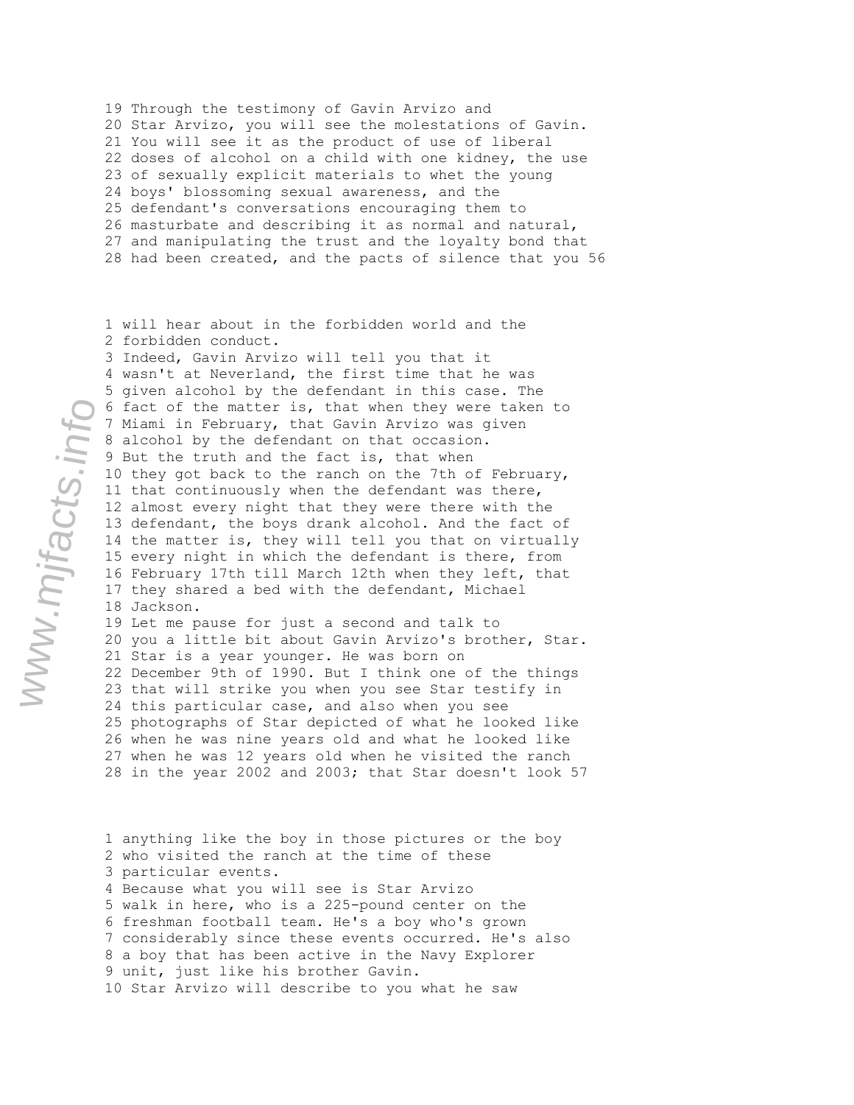19 Through the testimony of Gavin Arvizo and 20 Star Arvizo, you will see the molestations of Gavin. 21 You will see it as the product of use of liberal 22 doses of alcohol on a child with one kidney, the use 23 of sexually explicit materials to whet the young 24 boys' blossoming sexual awareness, and the 25 defendant's conversations encouraging them to 26 masturbate and describing it as normal and natural, 27 and manipulating the trust and the loyalty bond that 28 had been created, and the pacts of silence that you 56

1 will hear about in the forbidden world and the 2 forbidden conduct. 3 Indeed, Gavin Arvizo will tell you that it 4 wasn't at Neverland, the first time that he was 5 given alcohol by the defendant in this case. The 6 fact of the matter is, that when they were taken to 7 Miami in February, that Gavin Arvizo was given 8 alcohol by the defendant on that occasion. 9 But the truth and the fact is, that when 10 they got back to the ranch on the 7th of February, 11 that continuously when the defendant was there, 12 almost every night that they were there with the 13 defendant, the boys drank alcohol. And the fact of 14 the matter is, they will tell you that on virtually 15 every night in which the defendant is there, from 16 February 17th till March 12th when they left, that 17 they shared a bed with the defendant, Michael 18 Jackson. 19 Let me pause for just a second and talk to 20 you a little bit about Gavin Arvizo's brother, Star.

21 Star is a year younger. He was born on 22 December 9th of 1990. But I think one of the things 23 that will strike you when you see Star testify in 24 this particular case, and also when you see 25 photographs of Star depicted of what he looked like 26 when he was nine years old and what he looked like 27 when he was 12 years old when he visited the ranch 28 in the year 2002 and 2003; that Star doesn't look 57

1 anything like the boy in those pictures or the boy 2 who visited the ranch at the time of these 3 particular events. 4 Because what you will see is Star Arvizo 5 walk in here, who is a 225-pound center on the 6 freshman football team. He's a boy who's grown 7 considerably since these events occurred. He's also 8 a boy that has been active in the Navy Explorer 9 unit, just like his brother Gavin. 10 Star Arvizo will describe to you what he saw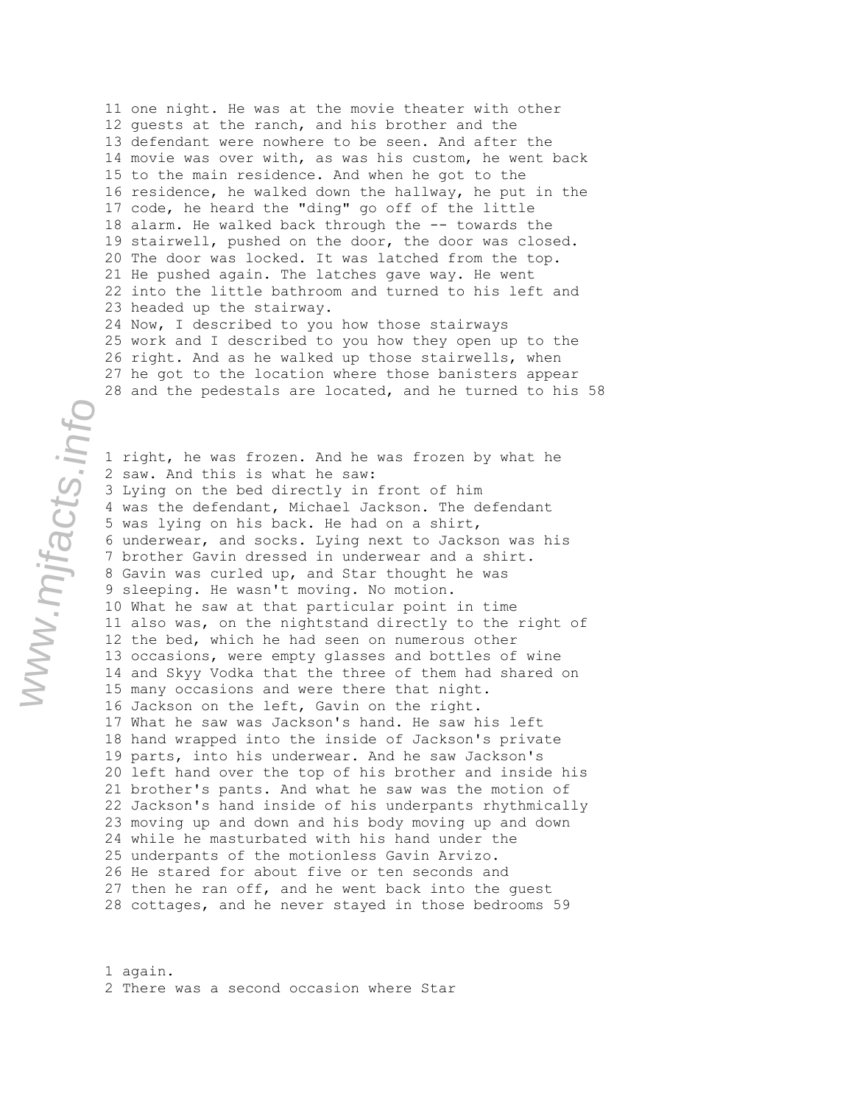11 one night. He was at the movie theater with other 12 guests at the ranch, and his brother and the 13 defendant were nowhere to be seen. And after the 14 movie was over with, as was his custom, he went back 15 to the main residence. And when he got to the 16 residence, he walked down the hallway, he put in the 17 code, he heard the "ding" go off of the little 18 alarm. He walked back through the -- towards the 19 stairwell, pushed on the door, the door was closed. 20 The door was locked. It was latched from the top. 21 He pushed again. The latches gave way. He went 22 into the little bathroom and turned to his left and 23 headed up the stairway. 24 Now, I described to you how those stairways

25 work and I described to you how they open up to the 26 right. And as he walked up those stairwells, when 27 he got to the location where those banisters appear 28 and the pedestals are located, and he turned to his 58

1 right, he was frozen. And he was frozen by what he 2 saw. And this is what he saw: 3 Lying on the bed directly in front of him 4 was the defendant, Michael Jackson. The defendant 5 was lying on his back. He had on a shirt, 6 underwear, and socks. Lying next to Jackson was his 7 brother Gavin dressed in underwear and a shirt. 8 Gavin was curled up, and Star thought he was 9 sleeping. He wasn't moving. No motion. 10 What he saw at that particular point in time 11 also was, on the nightstand directly to the right of 12 the bed, which he had seen on numerous other 13 occasions, were empty glasses and bottles of wine 14 and Skyy Vodka that the three of them had shared on 15 many occasions and were there that night. 16 Jackson on the left, Gavin on the right. 17 What he saw was Jackson's hand. He saw his left 18 hand wrapped into the inside of Jackson's private 19 parts, into his underwear. And he saw Jackson's 20 left hand over the top of his brother and inside his 21 brother's pants. And what he saw was the motion of 22 Jackson's hand inside of his underpants rhythmically 23 moving up and down and his body moving up and down 24 while he masturbated with his hand under the 25 underpants of the motionless Gavin Arvizo. 26 He stared for about five or ten seconds and 27 then he ran off, and he went back into the guest 28 cottages, and he never stayed in those bedrooms 59

1 again. 2 There was a second occasion where Star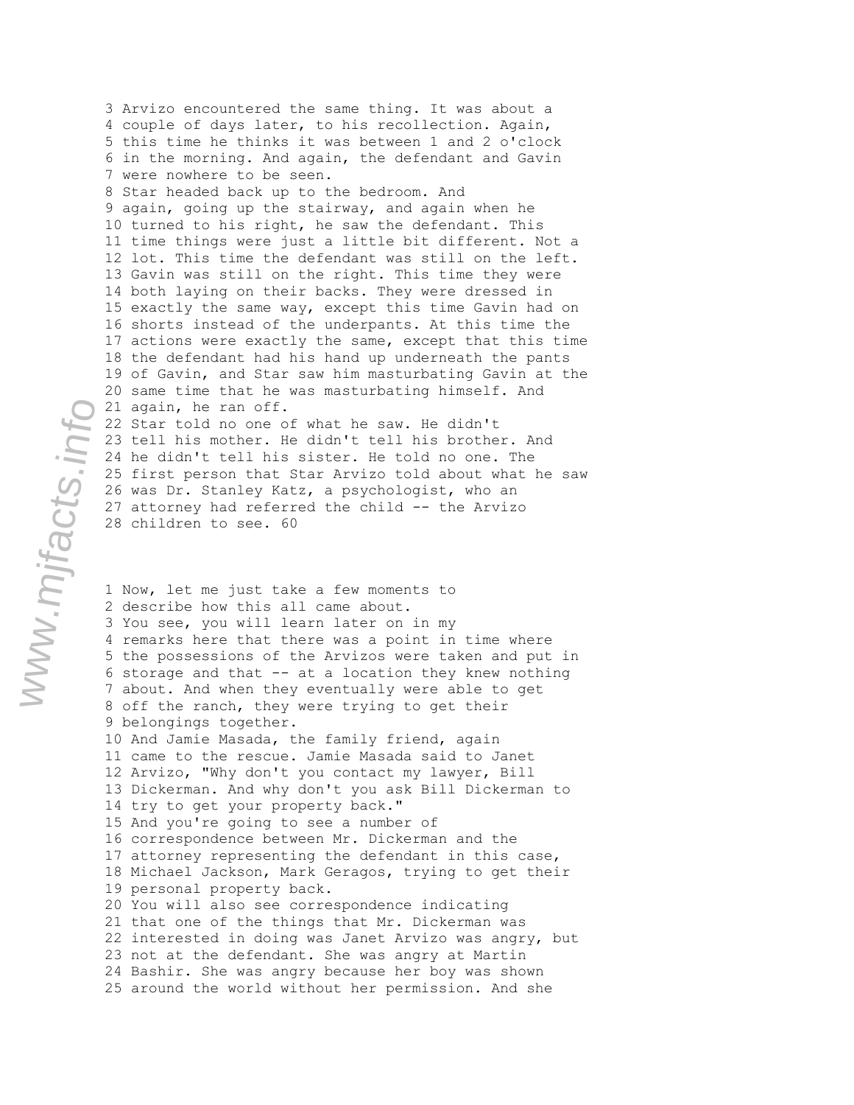3 Arvizo encountered the same thing. It was about a 4 couple of days later, to his recollection. Again, 5 this time he thinks it was between 1 and 2 o'clock 6 in the morning. And again, the defendant and Gavin 7 were nowhere to be seen. 8 Star headed back up to the bedroom. And 9 again, going up the stairway, and again when he 10 turned to his right, he saw the defendant. This 11 time things were just a little bit different. Not a 12 lot. This time the defendant was still on the left. 13 Gavin was still on the right. This time they were 14 both laying on their backs. They were dressed in 15 exactly the same way, except this time Gavin had on 16 shorts instead of the underpants. At this time the 17 actions were exactly the same, except that this time 18 the defendant had his hand up underneath the pants 19 of Gavin, and Star saw him masturbating Gavin at the 20 same time that he was masturbating himself. And 21 again, he ran off. 22 Star told no one of what he saw. He didn't 23 tell his mother. He didn't tell his brother. And 24 he didn't tell his sister. He told no one. The 25 first person that Star Arvizo told about what he saw 26 was Dr. Stanley Katz, a psychologist, who an 27 attorney had referred the child -- the Arvizo 28 children to see. 60 1 Now, let me just take a few moments to 2 describe how this all came about. 3 You see, you will learn later on in my 4 remarks here that there was a point in time where 5 the possessions of the Arvizos were taken and put in 6 storage and that -- at a location they knew nothing 7 about. And when they eventually were able to get 8 off the ranch, they were trying to get their 9 belongings together. 10 And Jamie Masada, the family friend, again 11 came to the rescue. Jamie Masada said to Janet 12 Arvizo, "Why don't you contact my lawyer, Bill 13 Dickerman. And why don't you ask Bill Dickerman to 14 try to get your property back." 15 And you're going to see a number of 16 correspondence between Mr. Dickerman and the 17 attorney representing the defendant in this case,

18 Michael Jackson, Mark Geragos, trying to get their

22 interested in doing was Janet Arvizo was angry, but

20 You will also see correspondence indicating 21 that one of the things that Mr. Dickerman was

23 not at the defendant. She was angry at Martin 24 Bashir. She was angry because her boy was shown 25 around the world without her permission. And she

19 personal property back.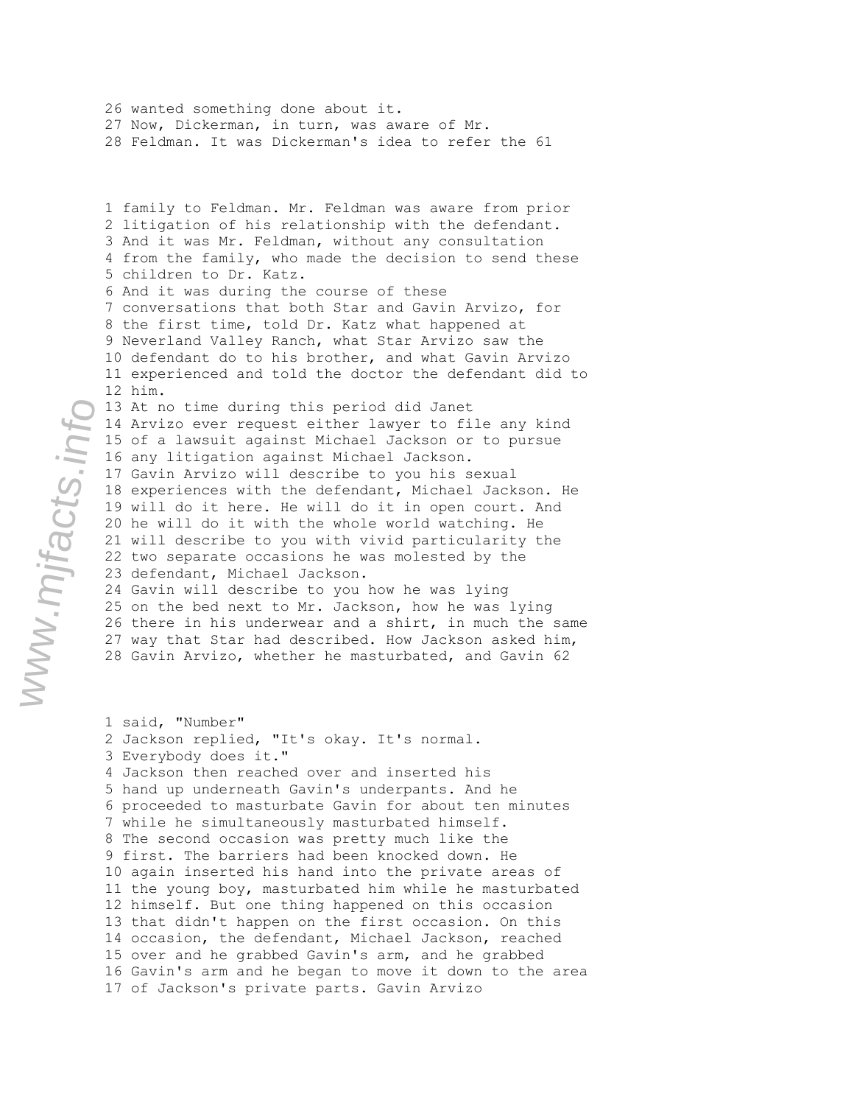26 wanted something done about it. 27 Now, Dickerman, in turn, was aware of Mr. 28 Feldman. It was Dickerman's idea to refer the 61

1 family to Feldman. Mr. Feldman was aware from prior 2 litigation of his relationship with the defendant. 3 And it was Mr. Feldman, without any consultation 4 from the family, who made the decision to send these 5 children to Dr. Katz. 6 And it was during the course of these 7 conversations that both Star and Gavin Arvizo, for 8 the first time, told Dr. Katz what happened at 9 Neverland Valley Ranch, what Star Arvizo saw the 10 defendant do to his brother, and what Gavin Arvizo 11 experienced and told the doctor the defendant did to 12 him. 13 At no time during this period did Janet 14 Arvizo ever request either lawyer to file any kind 15 of a lawsuit against Michael Jackson or to pursue 16 any litigation against Michael Jackson. 17 Gavin Arvizo will describe to you his sexual 18 experiences with the defendant, Michael Jackson. He 19 will do it here. He will do it in open court. And 20 he will do it with the whole world watching. He 21 will describe to you with vivid particularity the 22 two separate occasions he was molested by the 23 defendant, Michael Jackson. 24 Gavin will describe to you how he was lying 25 on the bed next to Mr. Jackson, how he was lying 26 there in his underwear and a shirt, in much the same 27 way that Star had described. How Jackson asked him,

28 Gavin Arvizo, whether he masturbated, and Gavin 62

1 said, "Number" 2 Jackson replied, "It's okay. It's normal. 3 Everybody does it." 4 Jackson then reached over and inserted his 5 hand up underneath Gavin's underpants. And he 6 proceeded to masturbate Gavin for about ten minutes 7 while he simultaneously masturbated himself. 8 The second occasion was pretty much like the 9 first. The barriers had been knocked down. He 10 again inserted his hand into the private areas of 11 the young boy, masturbated him while he masturbated 12 himself. But one thing happened on this occasion 13 that didn't happen on the first occasion. On this 14 occasion, the defendant, Michael Jackson, reached 15 over and he grabbed Gavin's arm, and he grabbed 16 Gavin's arm and he began to move it down to the area 17 of Jackson's private parts. Gavin Arvizo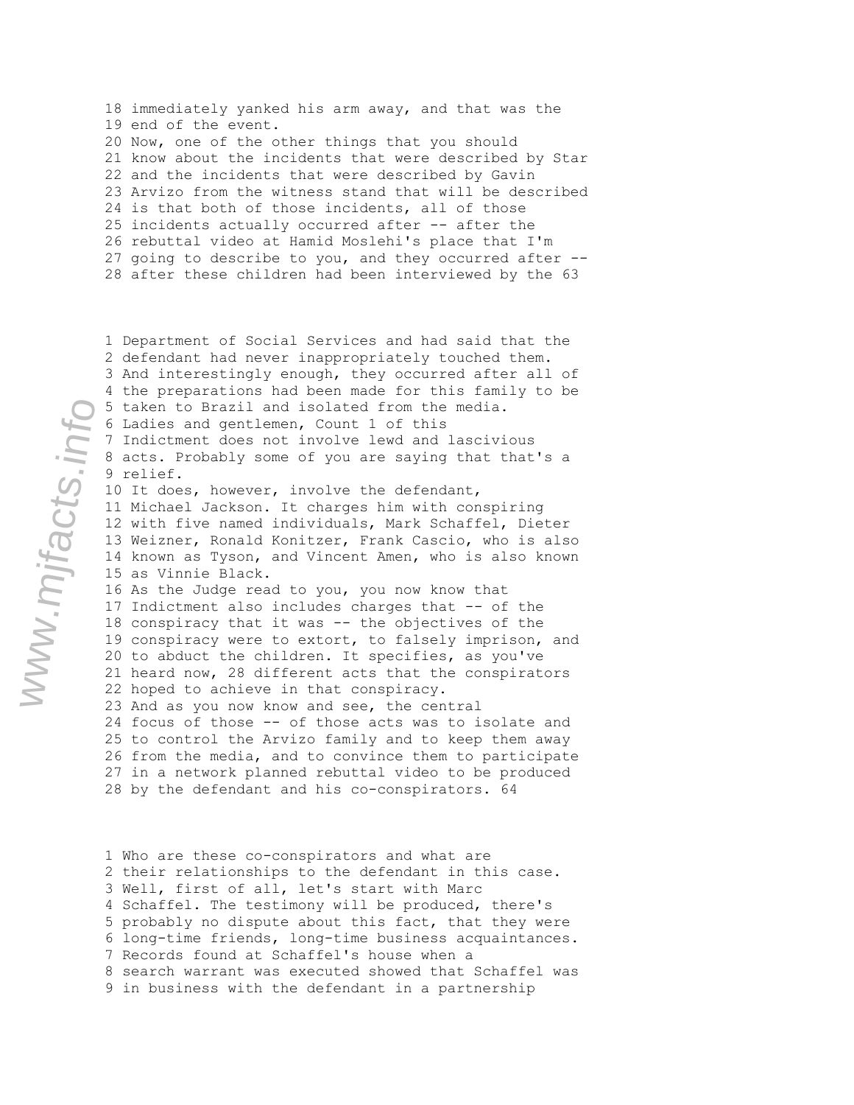18 immediately yanked his arm away, and that was the 19 end of the event. 20 Now, one of the other things that you should 21 know about the incidents that were described by Star 22 and the incidents that were described by Gavin 23 Arvizo from the witness stand that will be described 24 is that both of those incidents, all of those 25 incidents actually occurred after -- after the 26 rebuttal video at Hamid Moslehi's place that I'm 27 going to describe to you, and they occurred after -- 28 after these children had been interviewed by the 63

1 Department of Social Services and had said that the 2 defendant had never inappropriately touched them. 3 And interestingly enough, they occurred after all of 4 the preparations had been made for this family to be 5 taken to Brazil and isolated from the media. 6 Ladies and gentlemen, Count 1 of this 7 Indictment does not involve lewd and lascivious 8 acts. Probably some of you are saying that that's a 9 relief. 10 It does, however, involve the defendant, 11 Michael Jackson. It charges him with conspiring 12 with five named individuals, Mark Schaffel, Dieter 13 Weizner, Ronald Konitzer, Frank Cascio, who is also 14 known as Tyson, and Vincent Amen, who is also known 15 as Vinnie Black. 16 As the Judge read to you, you now know that 17 Indictment also includes charges that -- of the 18 conspiracy that it was -- the objectives of the 19 conspiracy were to extort, to falsely imprison, and 20 to abduct the children. It specifies, as you've 21 heard now, 28 different acts that the conspirators 22 hoped to achieve in that conspiracy. 23 And as you now know and see, the central 24 focus of those -- of those acts was to isolate and 25 to control the Arvizo family and to keep them away 26 from the media, and to convince them to participate 27 in a network planned rebuttal video to be produced 28 by the defendant and his co-conspirators. 64

1 Who are these co-conspirators and what are 2 their relationships to the defendant in this case. 3 Well, first of all, let's start with Marc 4 Schaffel. The testimony will be produced, there's 5 probably no dispute about this fact, that they were 6 long-time friends, long-time business acquaintances. 7 Records found at Schaffel's house when a 8 search warrant was executed showed that Schaffel was 9 in business with the defendant in a partnership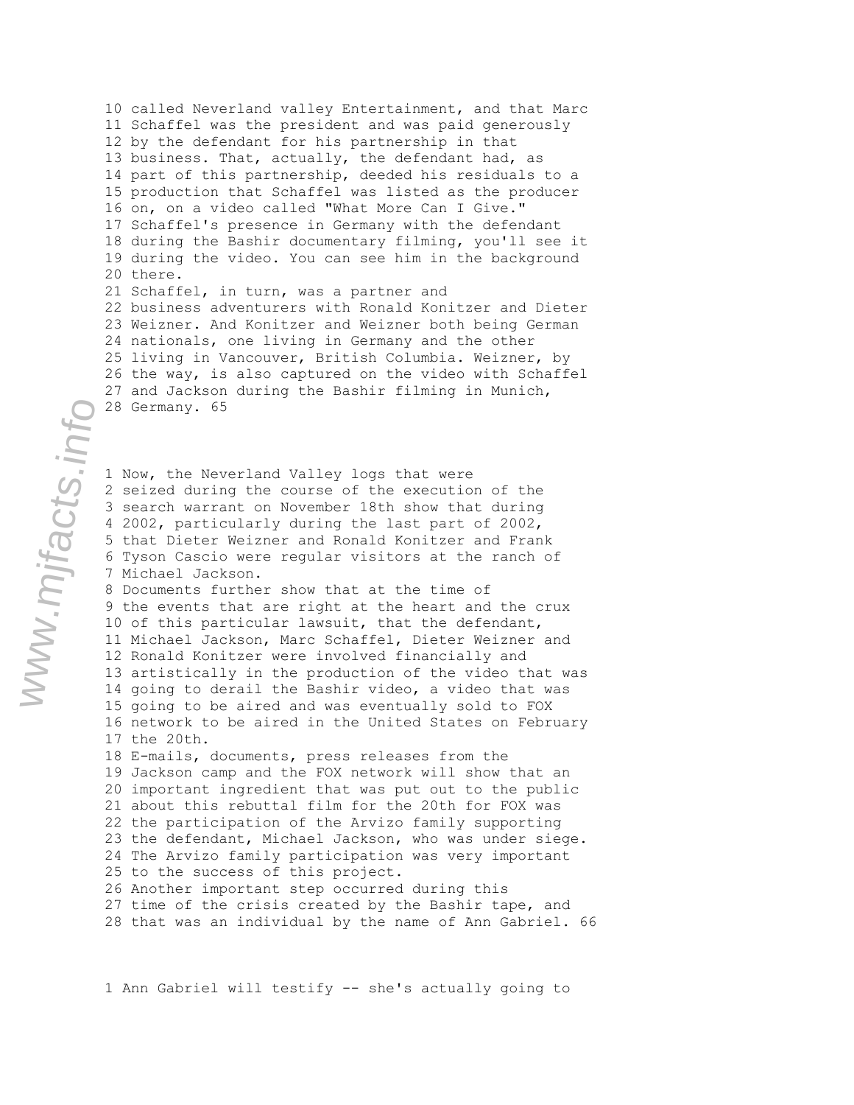10 called Neverland valley Entertainment, and that Marc 11 Schaffel was the president and was paid generously 12 by the defendant for his partnership in that 13 business. That, actually, the defendant had, as 14 part of this partnership, deeded his residuals to a 15 production that Schaffel was listed as the producer 16 on, on a video called "What More Can I Give." 17 Schaffel's presence in Germany with the defendant 18 during the Bashir documentary filming, you'll see it 19 during the video. You can see him in the background 20 there. 21 Schaffel, in turn, was a partner and 22 business adventurers with Ronald Konitzer and Dieter 23 Weizner. And Konitzer and Weizner both being German 24 nationals, one living in Germany and the other 25 living in Vancouver, British Columbia. Weizner, by 26 the way, is also captured on the video with Schaffel 27 and Jackson during the Bashir filming in Munich, 28 Germany. 65

1 Now, the Neverland Valley logs that were 2 seized during the course of the execution of the 3 search warrant on November 18th show that during 4 2002, particularly during the last part of 2002, 5 that Dieter Weizner and Ronald Konitzer and Frank 6 Tyson Cascio were regular visitors at the ranch of 7 Michael Jackson.

8 Documents further show that at the time of 9 the events that are right at the heart and the crux 10 of this particular lawsuit, that the defendant, 11 Michael Jackson, Marc Schaffel, Dieter Weizner and 12 Ronald Konitzer were involved financially and 13 artistically in the production of the video that was 14 going to derail the Bashir video, a video that was 15 going to be aired and was eventually sold to FOX 16 network to be aired in the United States on February 17 the 20th.

18 E-mails, documents, press releases from the 19 Jackson camp and the FOX network will show that an 20 important ingredient that was put out to the public 21 about this rebuttal film for the 20th for FOX was 22 the participation of the Arvizo family supporting 23 the defendant, Michael Jackson, who was under siege. 24 The Arvizo family participation was very important 25 to the success of this project. 26 Another important step occurred during this 27 time of the crisis created by the Bashir tape, and

28 that was an individual by the name of Ann Gabriel. 66

1 Ann Gabriel will testify -- she's actually going to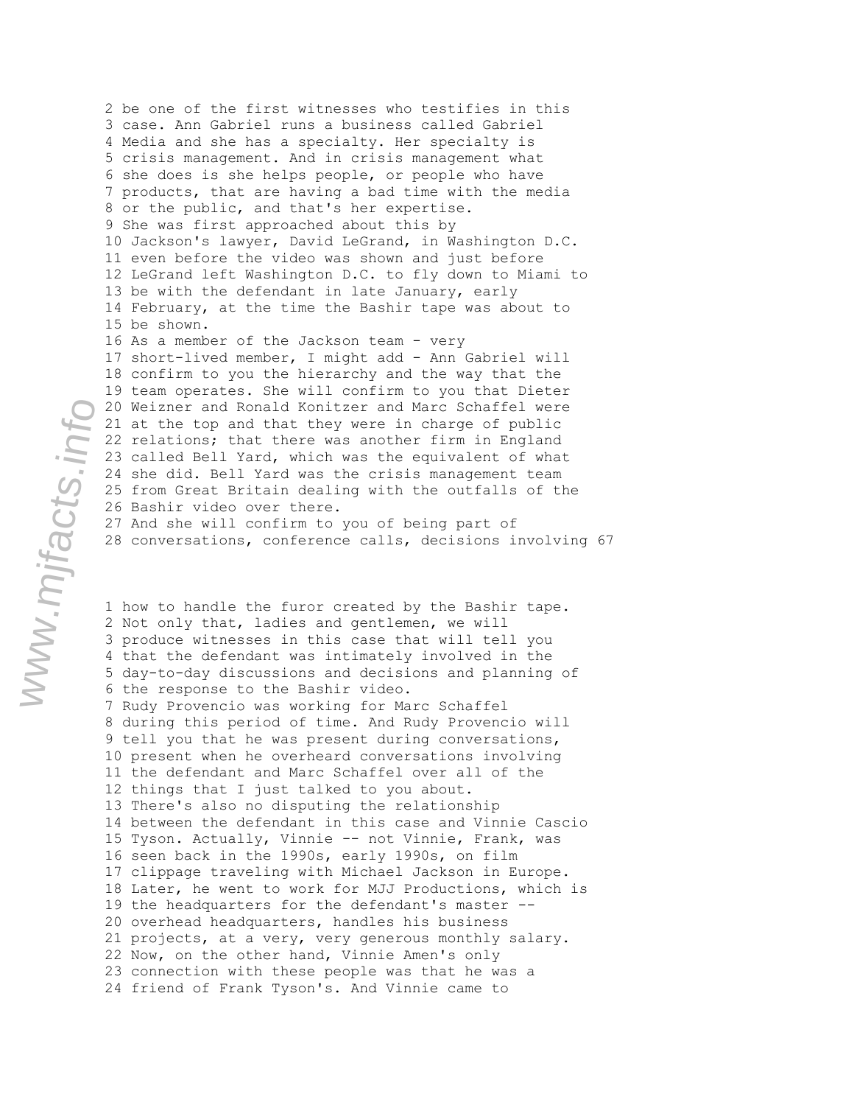2 be one of the first witnesses who testifies in this 3 case. Ann Gabriel runs a business called Gabriel 4 Media and she has a specialty. Her specialty is 5 crisis management. And in crisis management what 6 she does is she helps people, or people who have 7 products, that are having a bad time with the media 8 or the public, and that's her expertise. 9 She was first approached about this by 10 Jackson's lawyer, David LeGrand, in Washington D.C. 11 even before the video was shown and just before 12 LeGrand left Washington D.C. to fly down to Miami to 13 be with the defendant in late January, early 14 February, at the time the Bashir tape was about to 15 be shown. 16 As a member of the Jackson team - very 17 short-lived member, I might add - Ann Gabriel will 18 confirm to you the hierarchy and the way that the 19 team operates. She will confirm to you that Dieter 20 Weizner and Ronald Konitzer and Marc Schaffel were 21 at the top and that they were in charge of public 22 relations; that there was another firm in England 23 called Bell Yard, which was the equivalent of what 24 she did. Bell Yard was the crisis management team 25 from Great Britain dealing with the outfalls of the 26 Bashir video over there. 27 And she will confirm to you of being part of 28 conversations, conference calls, decisions involving 67

1 how to handle the furor created by the Bashir tape. 2 Not only that, ladies and gentlemen, we will 3 produce witnesses in this case that will tell you 4 that the defendant was intimately involved in the 5 day-to-day discussions and decisions and planning of 6 the response to the Bashir video. 7 Rudy Provencio was working for Marc Schaffel 8 during this period of time. And Rudy Provencio will 9 tell you that he was present during conversations, 10 present when he overheard conversations involving 11 the defendant and Marc Schaffel over all of the 12 things that I just talked to you about. 13 There's also no disputing the relationship 14 between the defendant in this case and Vinnie Cascio 15 Tyson. Actually, Vinnie -- not Vinnie, Frank, was 16 seen back in the 1990s, early 1990s, on film 17 clippage traveling with Michael Jackson in Europe. 18 Later, he went to work for MJJ Productions, which is 19 the headquarters for the defendant's master -- 20 overhead headquarters, handles his business 21 projects, at a very, very generous monthly salary. 22 Now, on the other hand, Vinnie Amen's only 23 connection with these people was that he was a 24 friend of Frank Tyson's. And Vinnie came to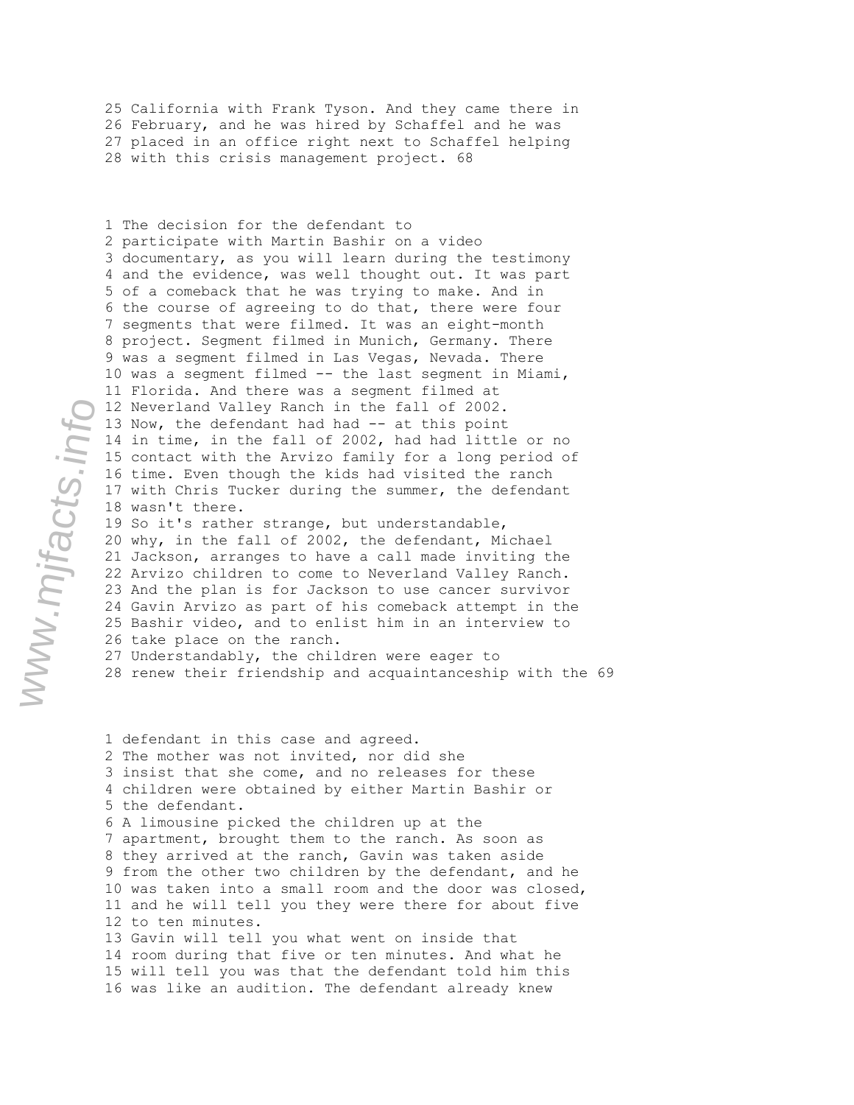25 California with Frank Tyson. And they came there in 26 February, and he was hired by Schaffel and he was 27 placed in an office right next to Schaffel helping 28 with this crisis management project. 68

1 The decision for the defendant to 2 participate with Martin Bashir on a video 3 documentary, as you will learn during the testimony 4 and the evidence, was well thought out. It was part 5 of a comeback that he was trying to make. And in 6 the course of agreeing to do that, there were four 7 segments that were filmed. It was an eight-month 8 project. Segment filmed in Munich, Germany. There 9 was a segment filmed in Las Vegas, Nevada. There 10 was a segment filmed -- the last segment in Miami, 11 Florida. And there was a segment filmed at 12 Neverland Valley Ranch in the fall of 2002. 13 Now, the defendant had had -- at this point 14 in time, in the fall of 2002, had had little or no 15 contact with the Arvizo family for a long period of 16 time. Even though the kids had visited the ranch 17 with Chris Tucker during the summer, the defendant 18 wasn't there. 19 So it's rather strange, but understandable, 20 why, in the fall of 2002, the defendant, Michael

21 Jackson, arranges to have a call made inviting the 22 Arvizo children to come to Neverland Valley Ranch. 23 And the plan is for Jackson to use cancer survivor 24 Gavin Arvizo as part of his comeback attempt in the 25 Bashir video, and to enlist him in an interview to 26 take place on the ranch. 27 Understandably, the children were eager to

28 renew their friendship and acquaintanceship with the 69

1 defendant in this case and agreed. 2 The mother was not invited, nor did she 3 insist that she come, and no releases for these 4 children were obtained by either Martin Bashir or 5 the defendant. 6 A limousine picked the children up at the 7 apartment, brought them to the ranch. As soon as 8 they arrived at the ranch, Gavin was taken aside 9 from the other two children by the defendant, and he 10 was taken into a small room and the door was closed, 11 and he will tell you they were there for about five 12 to ten minutes. 13 Gavin will tell you what went on inside that 14 room during that five or ten minutes. And what he 15 will tell you was that the defendant told him this 16 was like an audition. The defendant already knew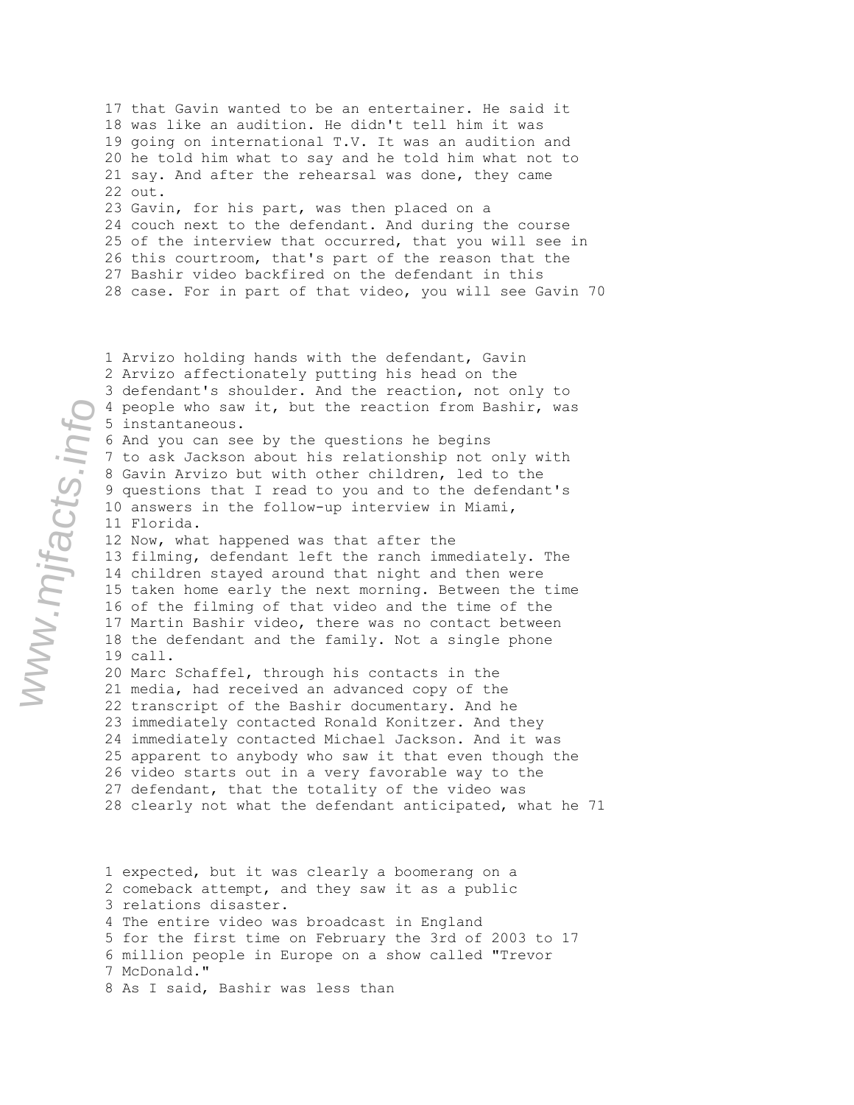17 that Gavin wanted to be an entertainer. He said it 18 was like an audition. He didn't tell him it was 19 going on international T.V. It was an audition and 20 he told him what to say and he told him what not to 21 say. And after the rehearsal was done, they came 22 out. 23 Gavin, for his part, was then placed on a 24 couch next to the defendant. And during the course 25 of the interview that occurred, that you will see in 26 this courtroom, that's part of the reason that the 27 Bashir video backfired on the defendant in this 28 case. For in part of that video, you will see Gavin 70

1 Arvizo holding hands with the defendant, Gavin 2 Arvizo affectionately putting his head on the 3 defendant's shoulder. And the reaction, not only to 4 people who saw it, but the reaction from Bashir, was 5 instantaneous. 6 And you can see by the questions he begins 7 to ask Jackson about his relationship not only with 8 Gavin Arvizo but with other children, led to the 9 questions that I read to you and to the defendant's 10 answers in the follow-up interview in Miami, 11 Florida. 12 Now, what happened was that after the 13 filming, defendant left the ranch immediately. The 14 children stayed around that night and then were 15 taken home early the next morning. Between the time 16 of the filming of that video and the time of the 17 Martin Bashir video, there was no contact between 18 the defendant and the family. Not a single phone 19 call. 20 Marc Schaffel, through his contacts in the 21 media, had received an advanced copy of the 22 transcript of the Bashir documentary. And he 23 immediately contacted Ronald Konitzer. And they 24 immediately contacted Michael Jackson. And it was 25 apparent to anybody who saw it that even though the 26 video starts out in a very favorable way to the 27 defendant, that the totality of the video was 28 clearly not what the defendant anticipated, what he 71

1 expected, but it was clearly a boomerang on a 2 comeback attempt, and they saw it as a public 3 relations disaster. 4 The entire video was broadcast in England 5 for the first time on February the 3rd of 2003 to 17 6 million people in Europe on a show called "Trevor 7 McDonald." 8 As I said, Bashir was less than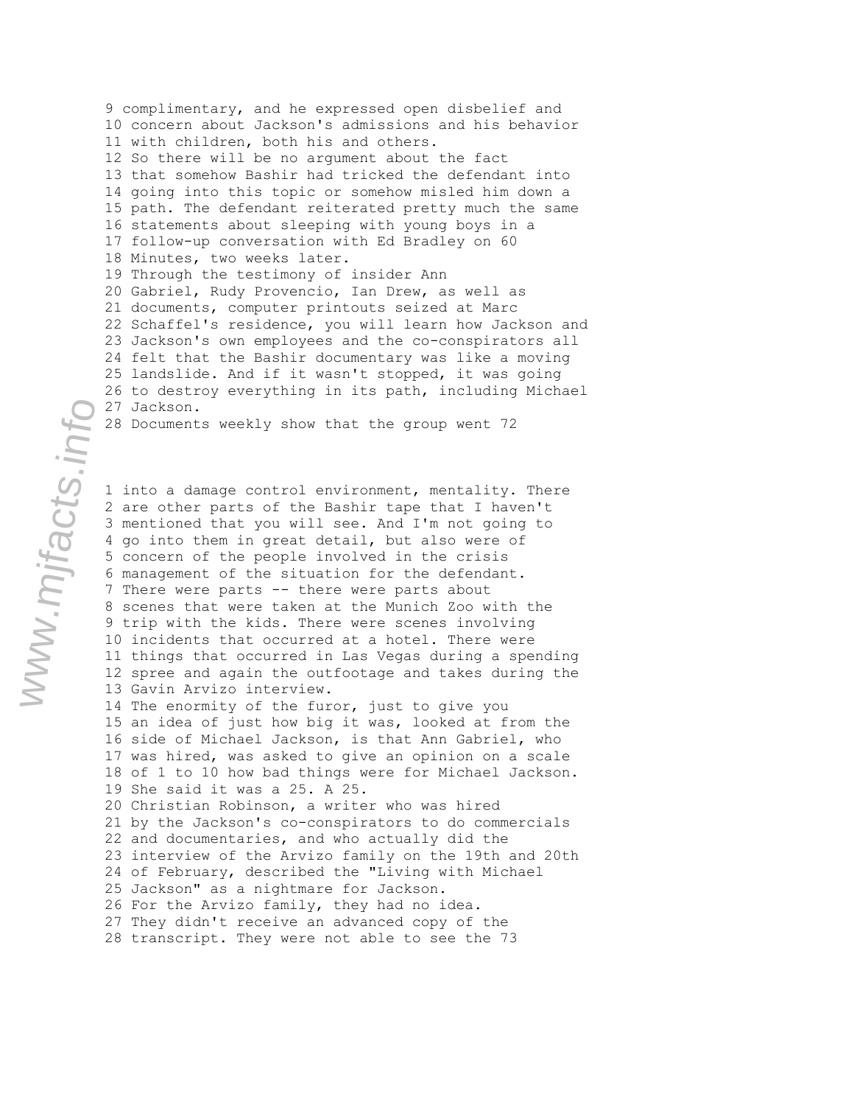9 complimentary, and he expressed open disbelief and 10 concern about Jackson's admissions and his behavior 11 with children, both his and others. 12 So there will be no argument about the fact 13 that somehow Bashir had tricked the defendant into 14 going into this topic or somehow misled him down a 15 path. The defendant reiterated pretty much the same 16 statements about sleeping with young boys in a 17 follow-up conversation with Ed Bradley on 60 18 Minutes, two weeks later. 19 Through the testimony of insider Ann 20 Gabriel, Rudy Provencio, Ian Drew, as well as 21 documents, computer printouts seized at Marc 22 Schaffel's residence, you will learn how Jackson and 23 Jackson's own employees and the co-conspirators all 24 felt that the Bashir documentary was like a moving 25 landslide. And if it wasn't stopped, it was going 26 to destroy everything in its path, including Michael 27 Jackson.

28 Documents weekly show that the group went 72

1 into a damage control environment, mentality. There 2 are other parts of the Bashir tape that I haven't 3 mentioned that you will see. And I'm not going to 4 go into them in great detail, but also were of 5 concern of the people involved in the crisis 6 management of the situation for the defendant. 7 There were parts -- there were parts about 8 scenes that were taken at the Munich Zoo with the 9 trip with the kids. There were scenes involving 10 incidents that occurred at a hotel. There were 11 things that occurred in Las Vegas during a spending 12 spree and again the outfootage and takes during the 13 Gavin Arvizo interview. 14 The enormity of the furor, just to give you 15 an idea of just how big it was, looked at from the 16 side of Michael Jackson, is that Ann Gabriel, who 17 was hired, was asked to give an opinion on a scale 18 of 1 to 10 how bad things were for Michael Jackson. 19 She said it was a 25. A 25. 20 Christian Robinson, a writer who was hired 21 by the Jackson's co-conspirators to do commercials 22 and documentaries, and who actually did the 23 interview of the Arvizo family on the 19th and 20th 24 of February, described the "Living with Michael 25 Jackson" as a nightmare for Jackson. 26 For the Arvizo family, they had no idea. 27 They didn't receive an advanced copy of the 28 transcript. They were not able to see the 73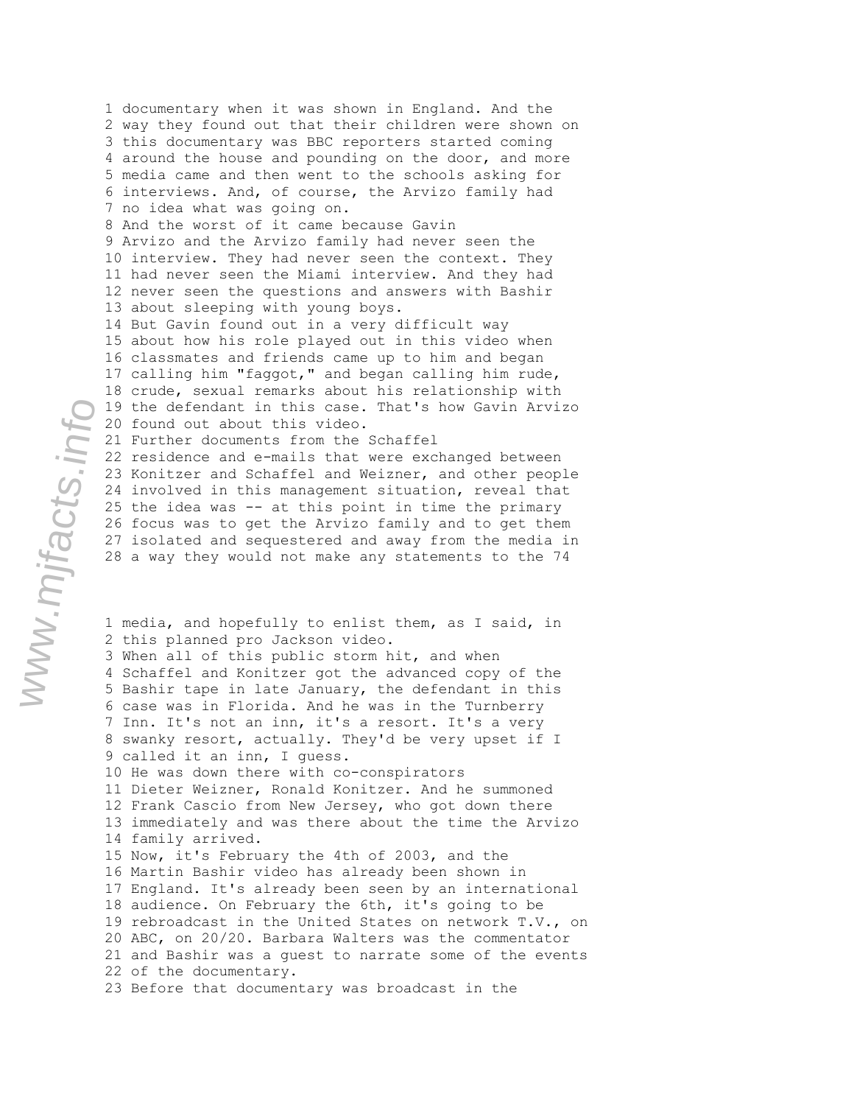2 way they found out that their children were shown on 3 this documentary was BBC reporters started coming 4 around the house and pounding on the door, and more 5 media came and then went to the schools asking for 6 interviews. And, of course, the Arvizo family had 7 no idea what was going on. 8 And the worst of it came because Gavin 9 Arvizo and the Arvizo family had never seen the 10 interview. They had never seen the context. They 11 had never seen the Miami interview. And they had 12 never seen the questions and answers with Bashir 13 about sleeping with young boys. 14 But Gavin found out in a very difficult way 15 about how his role played out in this video when 16 classmates and friends came up to him and began 17 calling him "faggot," and began calling him rude, 18 crude, sexual remarks about his relationship with 19 the defendant in this case. That's how Gavin Arvizo 20 found out about this video. 21 Further documents from the Schaffel 22 residence and e-mails that were exchanged between 23 Konitzer and Schaffel and Weizner, and other people 24 involved in this management situation, reveal that 25 the idea was -- at this point in time the primary 26 focus was to get the Arvizo family and to get them 27 isolated and sequestered and away from the media in 28 a way they would not make any statements to the 74 1 media, and hopefully to enlist them, as I said, in 2 this planned pro Jackson video. 3 When all of this public storm hit, and when 4 Schaffel and Konitzer got the advanced copy of the 5 Bashir tape in late January, the defendant in this 6 case was in Florida. And he was in the Turnberry 7 Inn. It's not an inn, it's a resort. It's a very 8 swanky resort, actually. They'd be very upset if I 9 called it an inn, I guess. 10 He was down there with co-conspirators 11 Dieter Weizner, Ronald Konitzer. And he summoned 12 Frank Cascio from New Jersey, who got down there 13 immediately and was there about the time the Arvizo 14 family arrived. 15 Now, it's February the 4th of 2003, and the 16 Martin Bashir video has already been shown in 17 England. It's already been seen by an international 18 audience. On February the 6th, it's going to be 19 rebroadcast in the United States on network T.V., on 20 ABC, on 20/20. Barbara Walters was the commentator 21 and Bashir was a guest to narrate some of the events 22 of the documentary. 23 Before that documentary was broadcast in the

1 documentary when it was shown in England. And the

```
www.mjfacts.info
```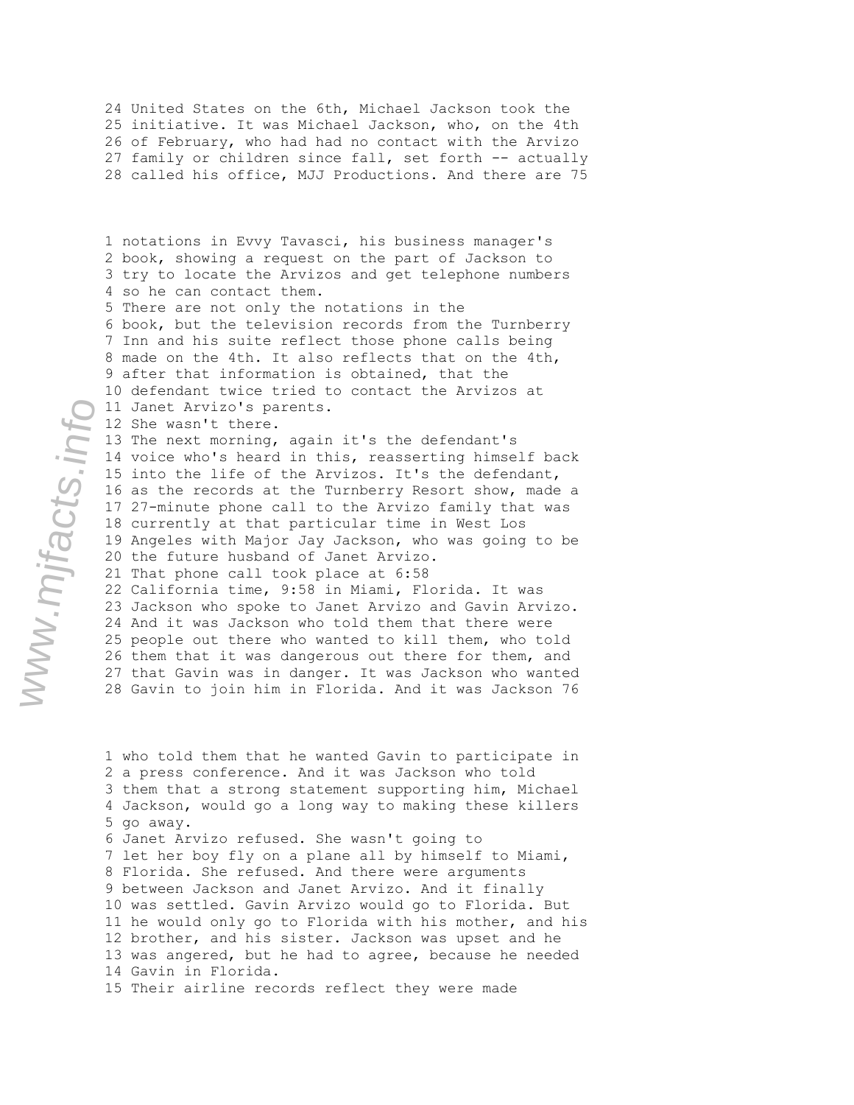24 United States on the 6th, Michael Jackson took the 25 initiative. It was Michael Jackson, who, on the 4th 26 of February, who had had no contact with the Arvizo 27 family or children since fall, set forth -- actually 28 called his office, MJJ Productions. And there are 75

1 notations in Evvy Tavasci, his business manager's 2 book, showing a request on the part of Jackson to 3 try to locate the Arvizos and get telephone numbers 4 so he can contact them. 5 There are not only the notations in the 6 book, but the television records from the Turnberry 7 Inn and his suite reflect those phone calls being 8 made on the 4th. It also reflects that on the 4th, 9 after that information is obtained, that the 10 defendant twice tried to contact the Arvizos at 11 Janet Arvizo's parents. 12 She wasn't there. 13 The next morning, again it's the defendant's 14 voice who's heard in this, reasserting himself back 15 into the life of the Arvizos. It's the defendant, 16 as the records at the Turnberry Resort show, made a 17 27-minute phone call to the Arvizo family that was 18 currently at that particular time in West Los 19 Angeles with Major Jay Jackson, who was going to be 20 the future husband of Janet Arvizo. 21 That phone call took place at 6:58 22 California time, 9:58 in Miami, Florida. It was 23 Jackson who spoke to Janet Arvizo and Gavin Arvizo. 24 And it was Jackson who told them that there were 25 people out there who wanted to kill them, who told 26 them that it was dangerous out there for them, and 27 that Gavin was in danger. It was Jackson who wanted 28 Gavin to join him in Florida. And it was Jackson 76

1 who told them that he wanted Gavin to participate in 2 a press conference. And it was Jackson who told 3 them that a strong statement supporting him, Michael 4 Jackson, would go a long way to making these killers 5 go away. 6 Janet Arvizo refused. She wasn't going to 7 let her boy fly on a plane all by himself to Miami, 8 Florida. She refused. And there were arguments 9 between Jackson and Janet Arvizo. And it finally 10 was settled. Gavin Arvizo would go to Florida. But 11 he would only go to Florida with his mother, and his 12 brother, and his sister. Jackson was upset and he 13 was angered, but he had to agree, because he needed 14 Gavin in Florida.

www.mjfacts.info

15 Their airline records reflect they were made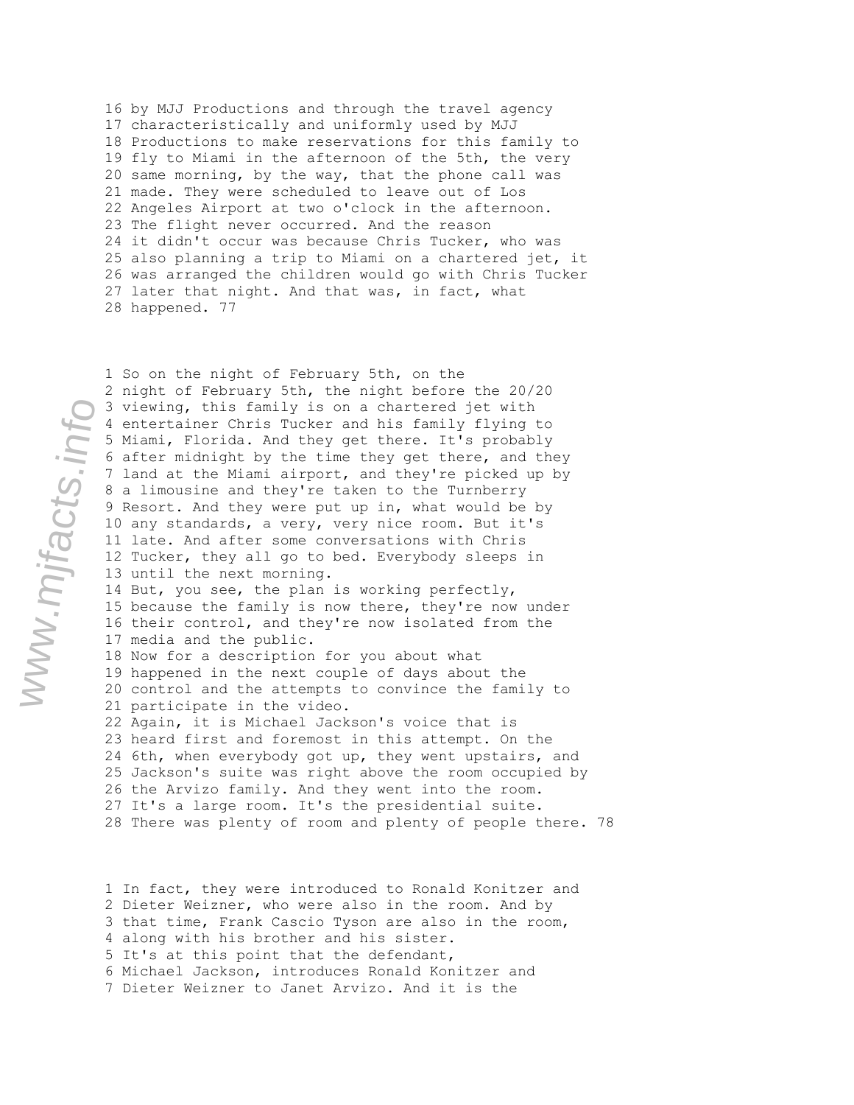16 by MJJ Productions and through the travel agency 17 characteristically and uniformly used by MJJ 18 Productions to make reservations for this family to 19 fly to Miami in the afternoon of the 5th, the very 20 same morning, by the way, that the phone call was 21 made. They were scheduled to leave out of Los 22 Angeles Airport at two o'clock in the afternoon. 23 The flight never occurred. And the reason 24 it didn't occur was because Chris Tucker, who was 25 also planning a trip to Miami on a chartered jet, it 26 was arranged the children would go with Chris Tucker 27 later that night. And that was, in fact, what 28 happened. 77

1 So on the night of February 5th, on the 2 night of February 5th, the night before the 20/20 3 viewing, this family is on a chartered jet with 4 entertainer Chris Tucker and his family flying to 5 Miami, Florida. And they get there. It's probably 6 after midnight by the time they get there, and they 7 land at the Miami airport, and they're picked up by 8 a limousine and they're taken to the Turnberry 9 Resort. And they were put up in, what would be by 10 any standards, a very, very nice room. But it's 11 late. And after some conversations with Chris 12 Tucker, they all go to bed. Everybody sleeps in 13 until the next morning. 14 But, you see, the plan is working perfectly, 15 because the family is now there, they're now under 16 their control, and they're now isolated from the 17 media and the public.

18 Now for a description for you about what 19 happened in the next couple of days about the 20 control and the attempts to convince the family to 21 participate in the video.

22 Again, it is Michael Jackson's voice that is 23 heard first and foremost in this attempt. On the 24 6th, when everybody got up, they went upstairs, and 25 Jackson's suite was right above the room occupied by 26 the Arvizo family. And they went into the room. 27 It's a large room. It's the presidential suite. 28 There was plenty of room and plenty of people there. 78

1 In fact, they were introduced to Ronald Konitzer and 2 Dieter Weizner, who were also in the room. And by 3 that time, Frank Cascio Tyson are also in the room, 4 along with his brother and his sister. 5 It's at this point that the defendant, 6 Michael Jackson, introduces Ronald Konitzer and 7 Dieter Weizner to Janet Arvizo. And it is the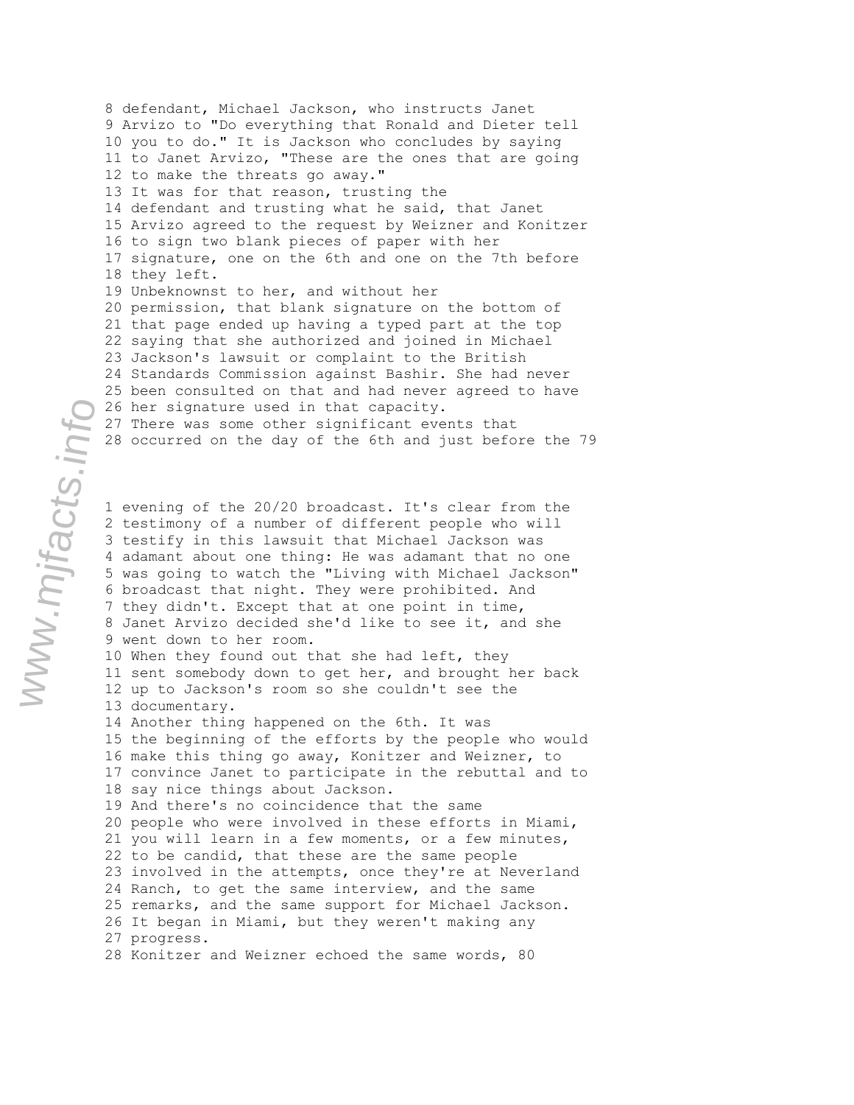9 Arvizo to "Do everything that Ronald and Dieter tell 10 you to do." It is Jackson who concludes by saying 11 to Janet Arvizo, "These are the ones that are going 12 to make the threats go away." 13 It was for that reason, trusting the 14 defendant and trusting what he said, that Janet 15 Arvizo agreed to the request by Weizner and Konitzer 16 to sign two blank pieces of paper with her 17 signature, one on the 6th and one on the 7th before 18 they left. 19 Unbeknownst to her, and without her 20 permission, that blank signature on the bottom of 21 that page ended up having a typed part at the top 22 saying that she authorized and joined in Michael 23 Jackson's lawsuit or complaint to the British 24 Standards Commission against Bashir. She had never 25 been consulted on that and had never agreed to have 26 her signature used in that capacity. 27 There was some other significant events that 28 occurred on the day of the 6th and just before the 79 1 evening of the 20/20 broadcast. It's clear from the 2 testimony of a number of different people who will 3 testify in this lawsuit that Michael Jackson was 4 adamant about one thing: He was adamant that no one 5 was going to watch the "Living with Michael Jackson" 6 broadcast that night. They were prohibited. And 7 they didn't. Except that at one point in time, 8 Janet Arvizo decided she'd like to see it, and she 9 went down to her room. 10 When they found out that she had left, they 11 sent somebody down to get her, and brought her back 12 up to Jackson's room so she couldn't see the 13 documentary. 14 Another thing happened on the 6th. It was 15 the beginning of the efforts by the people who would 16 make this thing go away, Konitzer and Weizner, to 17 convince Janet to participate in the rebuttal and to 18 say nice things about Jackson. 19 And there's no coincidence that the same 20 people who were involved in these efforts in Miami, 21 you will learn in a few moments, or a few minutes, 22 to be candid, that these are the same people 23 involved in the attempts, once they're at Neverland 24 Ranch, to get the same interview, and the same 25 remarks, and the same support for Michael Jackson.

8 defendant, Michael Jackson, who instructs Janet

26 It began in Miami, but they weren't making any 27 progress.

28 Konitzer and Weizner echoed the same words, 80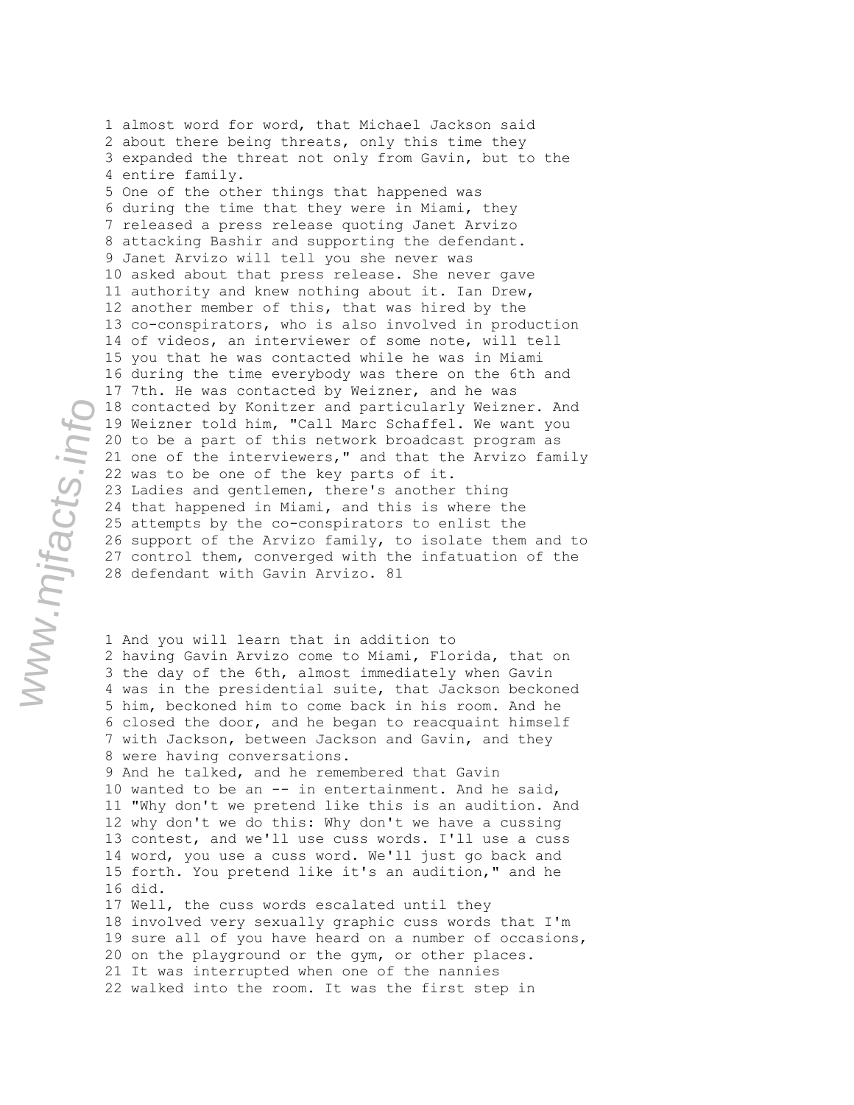1 almost word for word, that Michael Jackson said 2 about there being threats, only this time they 3 expanded the threat not only from Gavin, but to the 4 entire family. 5 One of the other things that happened was 6 during the time that they were in Miami, they 7 released a press release quoting Janet Arvizo 8 attacking Bashir and supporting the defendant. 9 Janet Arvizo will tell you she never was 10 asked about that press release. She never gave 11 authority and knew nothing about it. Ian Drew, 12 another member of this, that was hired by the 13 co-conspirators, who is also involved in production 14 of videos, an interviewer of some note, will tell 15 you that he was contacted while he was in Miami 16 during the time everybody was there on the 6th and 17 7th. He was contacted by Weizner, and he was 18 contacted by Konitzer and particularly Weizner. And 19 Weizner told him, "Call Marc Schaffel. We want you 20 to be a part of this network broadcast program as 21 one of the interviewers," and that the Arvizo family 22 was to be one of the key parts of it. 23 Ladies and gentlemen, there's another thing 24 that happened in Miami, and this is where the 25 attempts by the co-conspirators to enlist the 26 support of the Arvizo family, to isolate them and to 27 control them, converged with the infatuation of the 28 defendant with Gavin Arvizo. 81

1 And you will learn that in addition to 2 having Gavin Arvizo come to Miami, Florida, that on 3 the day of the 6th, almost immediately when Gavin 4 was in the presidential suite, that Jackson beckoned 5 him, beckoned him to come back in his room. And he 6 closed the door, and he began to reacquaint himself 7 with Jackson, between Jackson and Gavin, and they 8 were having conversations. 9 And he talked, and he remembered that Gavin 10 wanted to be an -- in entertainment. And he said, 11 "Why don't we pretend like this is an audition. And 12 why don't we do this: Why don't we have a cussing 13 contest, and we'll use cuss words. I'll use a cuss 14 word, you use a cuss word. We'll just go back and 15 forth. You pretend like it's an audition," and he 16 did. 17 Well, the cuss words escalated until they 18 involved very sexually graphic cuss words that I'm 19 sure all of you have heard on a number of occasions, 20 on the playground or the gym, or other places. 21 It was interrupted when one of the nannies 22 walked into the room. It was the first step in

www.mjfacts.info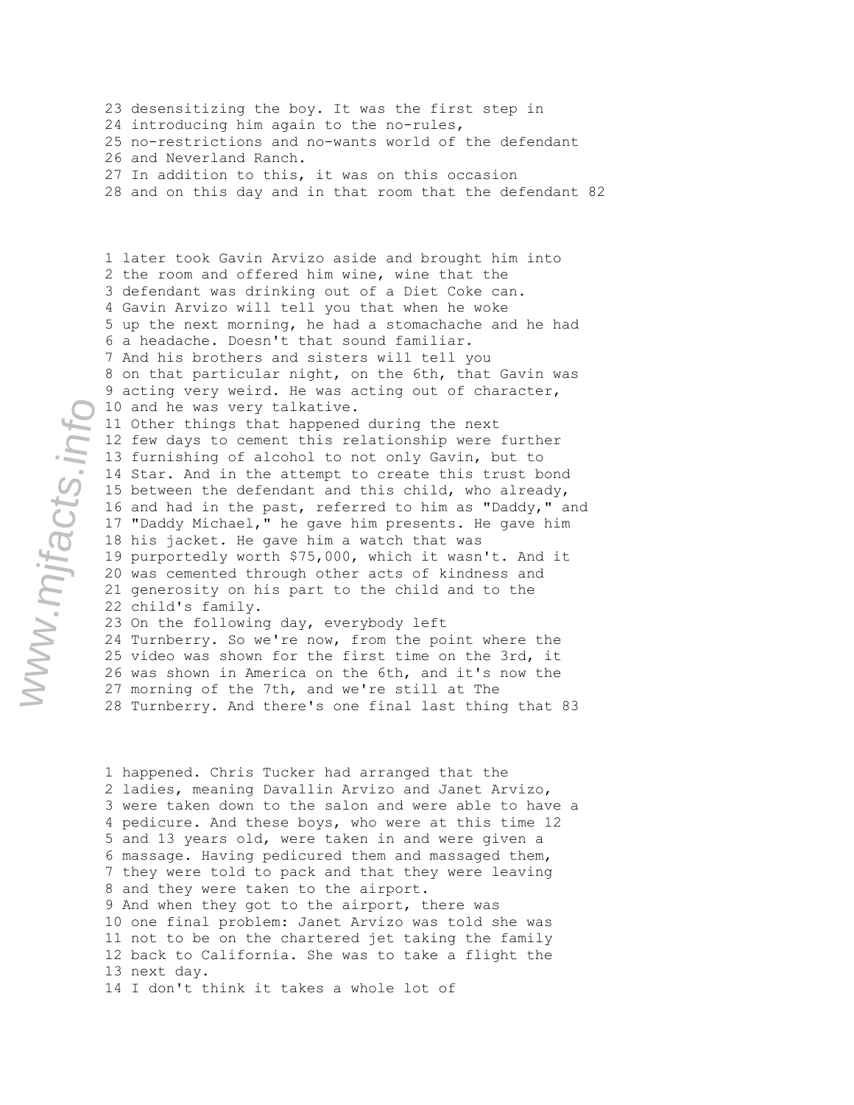23 desensitizing the boy. It was the first step in 24 introducing him again to the no-rules, 25 no-restrictions and no-wants world of the defendant 26 and Neverland Ranch. 27 In addition to this, it was on this occasion 28 and on this day and in that room that the defendant 82

1 later took Gavin Arvizo aside and brought him into 2 the room and offered him wine, wine that the 3 defendant was drinking out of a Diet Coke can. 4 Gavin Arvizo will tell you that when he woke 5 up the next morning, he had a stomachache and he had 6 a headache. Doesn't that sound familiar. 7 And his brothers and sisters will tell you 8 on that particular night, on the 6th, that Gavin was 9 acting very weird. He was acting out of character, 10 and he was very talkative. 11 Other things that happened during the next 12 few days to cement this relationship were further 13 furnishing of alcohol to not only Gavin, but to 14 Star. And in the attempt to create this trust bond 15 between the defendant and this child, who already, 16 and had in the past, referred to him as "Daddy," and 17 "Daddy Michael," he gave him presents. He gave him 18 his jacket. He gave him a watch that was 19 purportedly worth \$75,000, which it wasn't. And it 20 was cemented through other acts of kindness and 21 generosity on his part to the child and to the 22 child's family. 23 On the following day, everybody left

24 Turnberry. So we're now, from the point where the 25 video was shown for the first time on the 3rd, it 26 was shown in America on the 6th, and it's now the 27 morning of the 7th, and we're still at The 28 Turnberry. And there's one final last thing that 83

1 happened. Chris Tucker had arranged that the 2 ladies, meaning Davallin Arvizo and Janet Arvizo, 3 were taken down to the salon and were able to have a 4 pedicure. And these boys, who were at this time 12 5 and 13 years old, were taken in and were given a 6 massage. Having pedicured them and massaged them, 7 they were told to pack and that they were leaving 8 and they were taken to the airport. 9 And when they got to the airport, there was 10 one final problem: Janet Arvizo was told she was 11 not to be on the chartered jet taking the family 12 back to California. She was to take a flight the 13 next day.

14 I don't think it takes a whole lot of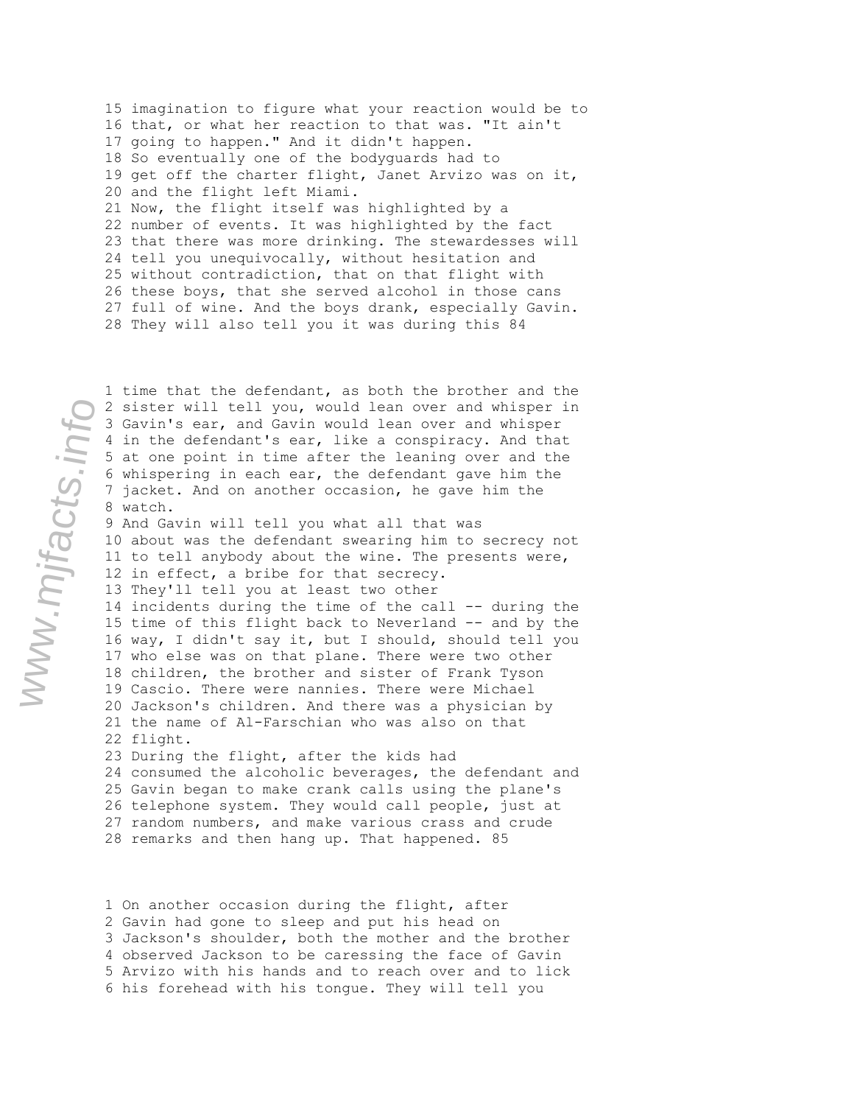15 imagination to figure what your reaction would be to 16 that, or what her reaction to that was. "It ain't 17 going to happen." And it didn't happen. 18 So eventually one of the bodyguards had to 19 get off the charter flight, Janet Arvizo was on it, 20 and the flight left Miami. 21 Now, the flight itself was highlighted by a 22 number of events. It was highlighted by the fact 23 that there was more drinking. The stewardesses will 24 tell you unequivocally, without hesitation and 25 without contradiction, that on that flight with 26 these boys, that she served alcohol in those cans 27 full of wine. And the boys drank, especially Gavin. 28 They will also tell you it was during this 84

1 time that the defendant, as both the brother and the

2 sister will tell you, would lean over and whisper in 3 Gavin's ear, and Gavin would lean over and whisper 4 in the defendant's ear, like a conspiracy. And that 5 at one point in time after the leaning over and the 6 whispering in each ear, the defendant gave him the 7 jacket. And on another occasion, he gave him the 8 watch. 9 And Gavin will tell you what all that was 10 about was the defendant swearing him to secrecy not 11 to tell anybody about the wine. The presents were, 12 in effect, a bribe for that secrecy. 13 They'll tell you at least two other 14 incidents during the time of the call -- during the 15 time of this flight back to Neverland -- and by the 16 way, I didn't say it, but I should, should tell you 17 who else was on that plane. There were two other 18 children, the brother and sister of Frank Tyson 19 Cascio. There were nannies. There were Michael 20 Jackson's children. And there was a physician by 21 the name of Al-Farschian who was also on that 22 flight. 23 During the flight, after the kids had 24 consumed the alcoholic beverages, the defendant and 25 Gavin began to make crank calls using the plane's 26 telephone system. They would call people, just at 27 random numbers, and make various crass and crude 28 remarks and then hang up. That happened. 85

1 On another occasion during the flight, after 2 Gavin had gone to sleep and put his head on 3 Jackson's shoulder, both the mother and the brother 4 observed Jackson to be caressing the face of Gavin 5 Arvizo with his hands and to reach over and to lick 6 his forehead with his tongue. They will tell you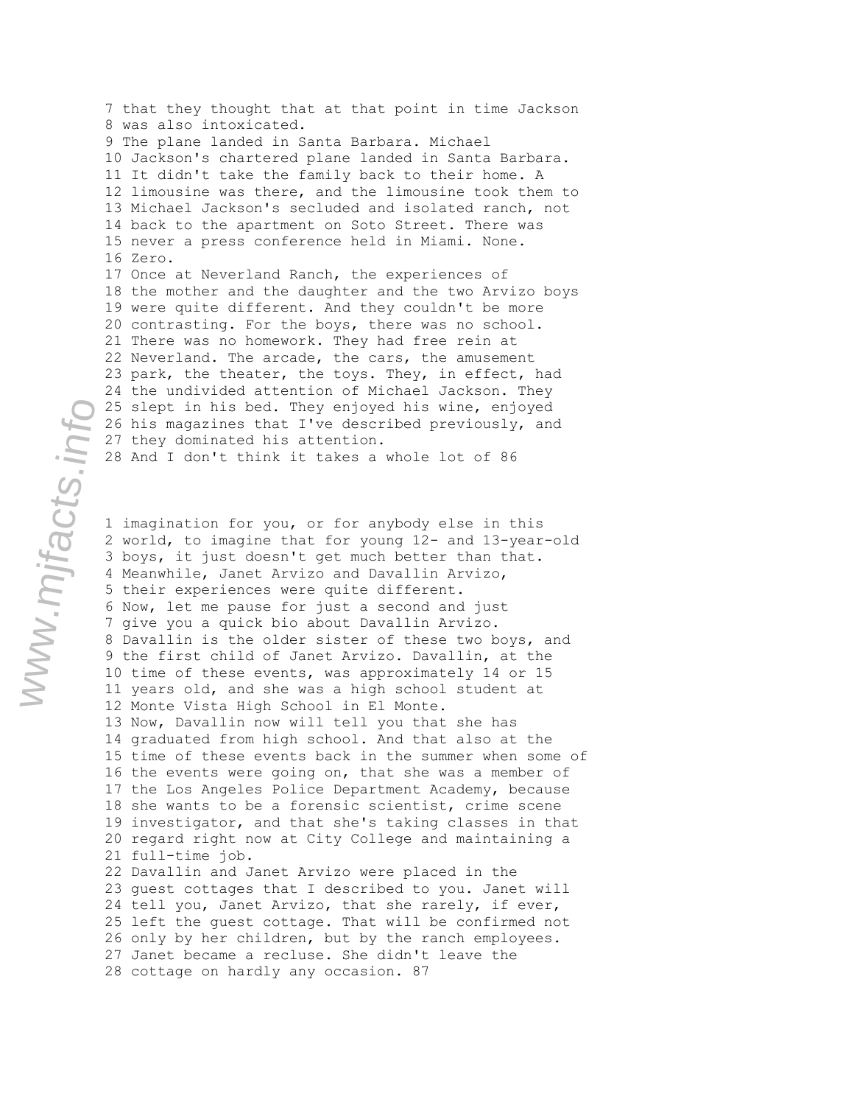7 that they thought that at that point in time Jackson 8 was also intoxicated. 9 The plane landed in Santa Barbara. Michael 10 Jackson's chartered plane landed in Santa Barbara. 11 It didn't take the family back to their home. A 12 limousine was there, and the limousine took them to 13 Michael Jackson's secluded and isolated ranch, not 14 back to the apartment on Soto Street. There was 15 never a press conference held in Miami. None. 16 Zero. 17 Once at Neverland Ranch, the experiences of 18 the mother and the daughter and the two Arvizo boys 19 were quite different. And they couldn't be more 20 contrasting. For the boys, there was no school. 21 There was no homework. They had free rein at 22 Neverland. The arcade, the cars, the amusement 23 park, the theater, the toys. They, in effect, had 24 the undivided attention of Michael Jackson. They 25 slept in his bed. They enjoyed his wine, enjoyed 26 his magazines that I've described previously, and 27 they dominated his attention. 28 And I don't think it takes a whole lot of 86

1 imagination for you, or for anybody else in this 2 world, to imagine that for young 12- and 13-year-old 3 boys, it just doesn't get much better than that. 4 Meanwhile, Janet Arvizo and Davallin Arvizo, 5 their experiences were quite different. 6 Now, let me pause for just a second and just 7 give you a quick bio about Davallin Arvizo. 8 Davallin is the older sister of these two boys, and 9 the first child of Janet Arvizo. Davallin, at the 10 time of these events, was approximately 14 or 15 11 years old, and she was a high school student at 12 Monte Vista High School in El Monte. 13 Now, Davallin now will tell you that she has 14 graduated from high school. And that also at the 15 time of these events back in the summer when some of 16 the events were going on, that she was a member of 17 the Los Angeles Police Department Academy, because 18 she wants to be a forensic scientist, crime scene 19 investigator, and that she's taking classes in that 20 regard right now at City College and maintaining a 21 full-time job. 22 Davallin and Janet Arvizo were placed in the 23 guest cottages that I described to you. Janet will 24 tell you, Janet Arvizo, that she rarely, if ever, 25 left the guest cottage. That will be confirmed not 26 only by her children, but by the ranch employees. 27 Janet became a recluse. She didn't leave the

www.mjfacts.info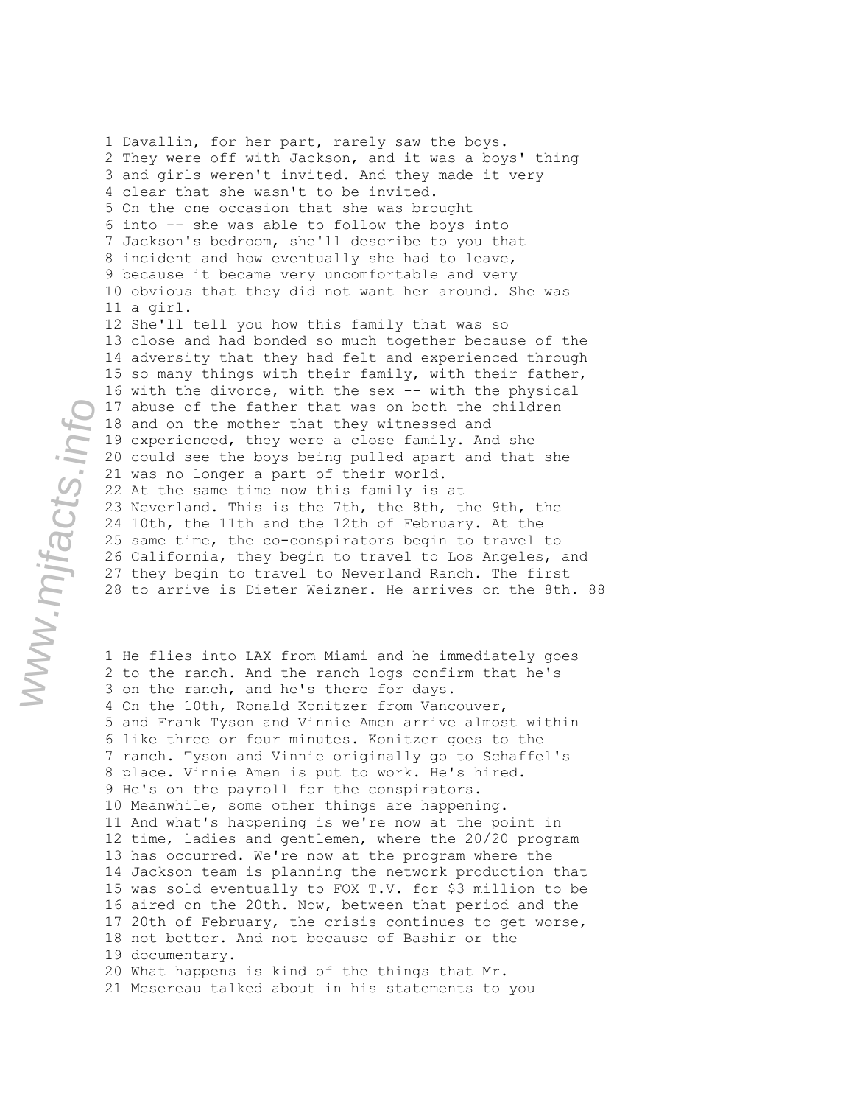1 Davallin, for her part, rarely saw the boys. 2 They were off with Jackson, and it was a boys' thing 3 and girls weren't invited. And they made it very 4 clear that she wasn't to be invited. 5 On the one occasion that she was brought 6 into -- she was able to follow the boys into 7 Jackson's bedroom, she'll describe to you that 8 incident and how eventually she had to leave, 9 because it became very uncomfortable and very 10 obvious that they did not want her around. She was 11 a girl. 12 She'll tell you how this family that was so 13 close and had bonded so much together because of the 14 adversity that they had felt and experienced through 15 so many things with their family, with their father, 16 with the divorce, with the sex -- with the physical 17 abuse of the father that was on both the children 18 and on the mother that they witnessed and 19 experienced, they were a close family. And she 20 could see the boys being pulled apart and that she 21 was no longer a part of their world. 22 At the same time now this family is at 23 Neverland. This is the 7th, the 8th, the 9th, the 24 10th, the 11th and the 12th of February. At the 25 same time, the co-conspirators begin to travel to 26 California, they begin to travel to Los Angeles, and 27 they begin to travel to Neverland Ranch. The first 28 to arrive is Dieter Weizner. He arrives on the 8th. 88

1 He flies into LAX from Miami and he immediately goes 2 to the ranch. And the ranch logs confirm that he's 3 on the ranch, and he's there for days. 4 On the 10th, Ronald Konitzer from Vancouver, 5 and Frank Tyson and Vinnie Amen arrive almost within 6 like three or four minutes. Konitzer goes to the 7 ranch. Tyson and Vinnie originally go to Schaffel's 8 place. Vinnie Amen is put to work. He's hired. 9 He's on the payroll for the conspirators. 10 Meanwhile, some other things are happening. 11 And what's happening is we're now at the point in 12 time, ladies and gentlemen, where the 20/20 program 13 has occurred. We're now at the program where the 14 Jackson team is planning the network production that 15 was sold eventually to FOX T.V. for \$3 million to be 16 aired on the 20th. Now, between that period and the 17 20th of February, the crisis continues to get worse, 18 not better. And not because of Bashir or the 19 documentary. 20 What happens is kind of the things that Mr. 21 Mesereau talked about in his statements to you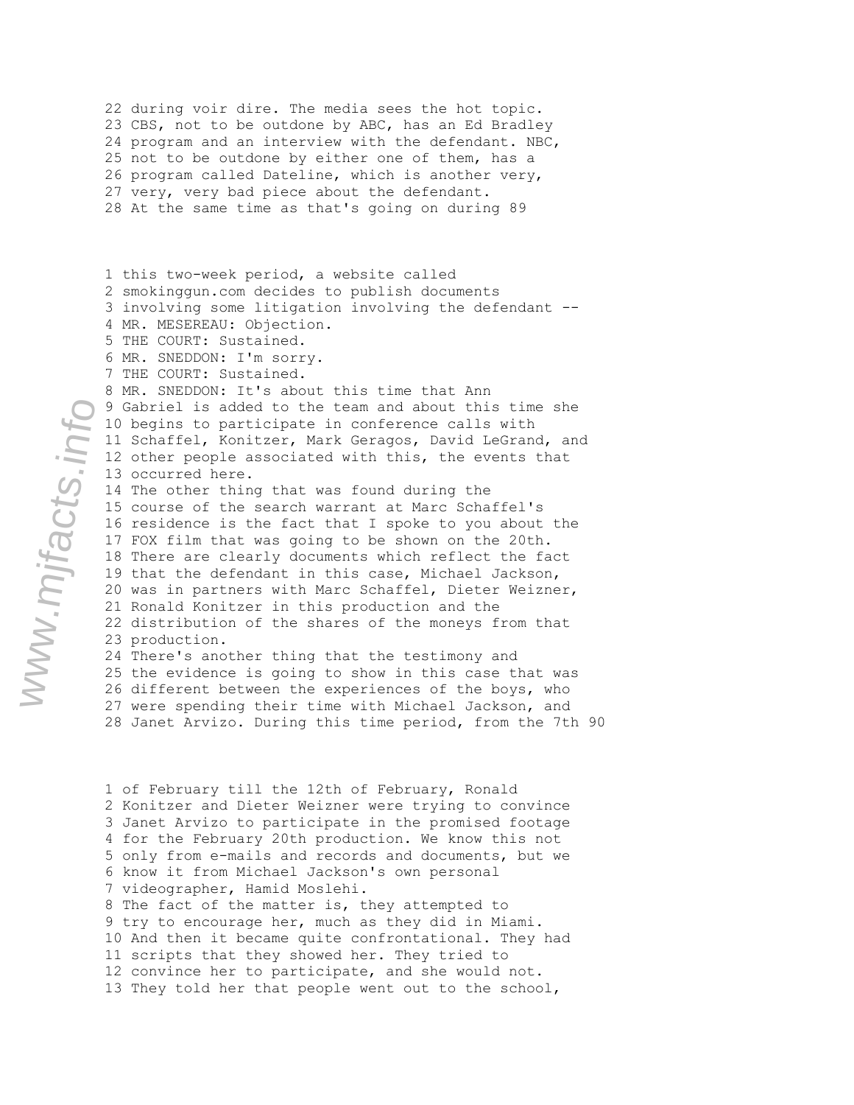22 during voir dire. The media sees the hot topic. 23 CBS, not to be outdone by ABC, has an Ed Bradley 24 program and an interview with the defendant. NBC, 25 not to be outdone by either one of them, has a 26 program called Dateline, which is another very, 27 very, very bad piece about the defendant. 28 At the same time as that's going on during 89

1 this two-week period, a website called 2 smokinggun.com decides to publish documents 3 involving some litigation involving the defendant -- 4 MR. MESEREAU: Objection. 5 THE COURT: Sustained. 6 MR. SNEDDON: I'm sorry.

7 THE COURT: Sustained.

8 MR. SNEDDON: It's about this time that Ann 9 Gabriel is added to the team and about this time she 10 begins to participate in conference calls with 11 Schaffel, Konitzer, Mark Geragos, David LeGrand, and 12 other people associated with this, the events that 13 occurred here.

14 The other thing that was found during the 15 course of the search warrant at Marc Schaffel's 16 residence is the fact that I spoke to you about the 17 FOX film that was going to be shown on the 20th. 18 There are clearly documents which reflect the fact 19 that the defendant in this case, Michael Jackson, 20 was in partners with Marc Schaffel, Dieter Weizner, 21 Ronald Konitzer in this production and the 22 distribution of the shares of the moneys from that 23 production. 24 There's another thing that the testimony and 25 the evidence is going to show in this case that was

26 different between the experiences of the boys, who 27 were spending their time with Michael Jackson, and 28 Janet Arvizo. During this time period, from the 7th 90

1 of February till the 12th of February, Ronald 2 Konitzer and Dieter Weizner were trying to convince 3 Janet Arvizo to participate in the promised footage 4 for the February 20th production. We know this not 5 only from e-mails and records and documents, but we 6 know it from Michael Jackson's own personal 7 videographer, Hamid Moslehi. 8 The fact of the matter is, they attempted to 9 try to encourage her, much as they did in Miami. 10 And then it became quite confrontational. They had 11 scripts that they showed her. They tried to 12 convince her to participate, and she would not. 13 They told her that people went out to the school,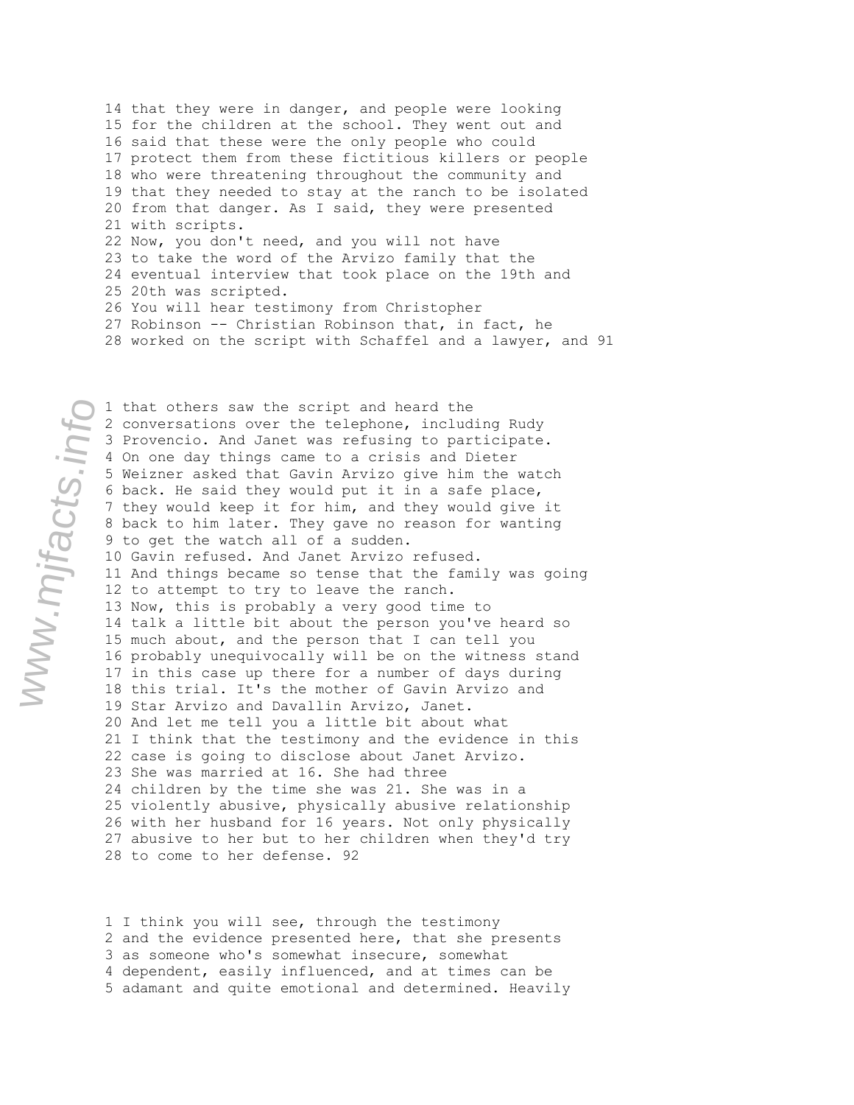14 that they were in danger, and people were looking 15 for the children at the school. They went out and 16 said that these were the only people who could 17 protect them from these fictitious killers or people 18 who were threatening throughout the community and 19 that they needed to stay at the ranch to be isolated 20 from that danger. As I said, they were presented 21 with scripts. 22 Now, you don't need, and you will not have 23 to take the word of the Arvizo family that the 24 eventual interview that took place on the 19th and 25 20th was scripted. 26 You will hear testimony from Christopher 27 Robinson -- Christian Robinson that, in fact, he 28 worked on the script with Schaffel and a lawyer, and 91

www.mjfacts.info

1 that others saw the script and heard the 2 conversations over the telephone, including Rudy 3 Provencio. And Janet was refusing to participate. 4 On one day things came to a crisis and Dieter 5 Weizner asked that Gavin Arvizo give him the watch 6 back. He said they would put it in a safe place, 7 they would keep it for him, and they would give it 8 back to him later. They gave no reason for wanting 9 to get the watch all of a sudden. 10 Gavin refused. And Janet Arvizo refused. 11 And things became so tense that the family was going 12 to attempt to try to leave the ranch. 13 Now, this is probably a very good time to 14 talk a little bit about the person you've heard so 15 much about, and the person that I can tell you 16 probably unequivocally will be on the witness stand 17 in this case up there for a number of days during 18 this trial. It's the mother of Gavin Arvizo and 19 Star Arvizo and Davallin Arvizo, Janet. 20 And let me tell you a little bit about what 21 I think that the testimony and the evidence in this 22 case is going to disclose about Janet Arvizo. 23 She was married at 16. She had three 24 children by the time she was 21. She was in a 25 violently abusive, physically abusive relationship 26 with her husband for 16 years. Not only physically 27 abusive to her but to her children when they'd try 28 to come to her defense. 92

1 I think you will see, through the testimony 2 and the evidence presented here, that she presents 3 as someone who's somewhat insecure, somewhat 4 dependent, easily influenced, and at times can be 5 adamant and quite emotional and determined. Heavily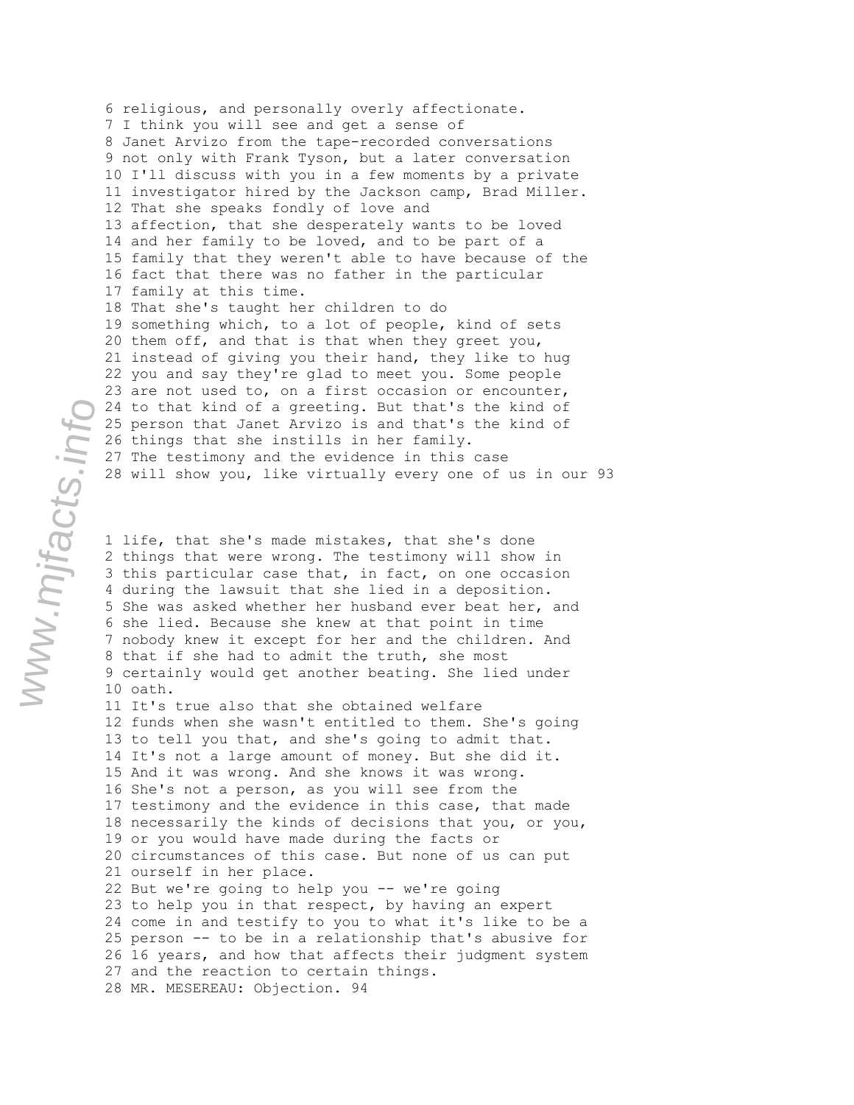6 religious, and personally overly affectionate. 7 I think you will see and get a sense of 8 Janet Arvizo from the tape-recorded conversations 9 not only with Frank Tyson, but a later conversation 10 I'll discuss with you in a few moments by a private 11 investigator hired by the Jackson camp, Brad Miller. 12 That she speaks fondly of love and 13 affection, that she desperately wants to be loved 14 and her family to be loved, and to be part of a 15 family that they weren't able to have because of the 16 fact that there was no father in the particular 17 family at this time. 18 That she's taught her children to do 19 something which, to a lot of people, kind of sets 20 them off, and that is that when they greet you, 21 instead of giving you their hand, they like to hug 22 you and say they're glad to meet you. Some people 23 are not used to, on a first occasion or encounter, 24 to that kind of a greeting. But that's the kind of 25 person that Janet Arvizo is and that's the kind of 26 things that she instills in her family. 27 The testimony and the evidence in this case 28 will show you, like virtually every one of us in our 93

1 life, that she's made mistakes, that she's done 2 things that were wrong. The testimony will show in 3 this particular case that, in fact, on one occasion 4 during the lawsuit that she lied in a deposition. 5 She was asked whether her husband ever beat her, and 6 she lied. Because she knew at that point in time 7 nobody knew it except for her and the children. And 8 that if she had to admit the truth, she most 9 certainly would get another beating. She lied under 10 oath.

11 It's true also that she obtained welfare 12 funds when she wasn't entitled to them. She's going 13 to tell you that, and she's going to admit that. 14 It's not a large amount of money. But she did it. 15 And it was wrong. And she knows it was wrong. 16 She's not a person, as you will see from the 17 testimony and the evidence in this case, that made 18 necessarily the kinds of decisions that you, or you, 19 or you would have made during the facts or 20 circumstances of this case. But none of us can put 21 ourself in her place. 22 But we're going to help you -- we're going 23 to help you in that respect, by having an expert 24 come in and testify to you to what it's like to be a 25 person -- to be in a relationship that's abusive for 26 16 years, and how that affects their judgment system 27 and the reaction to certain things.

28 MR. MESEREAU: Objection. 94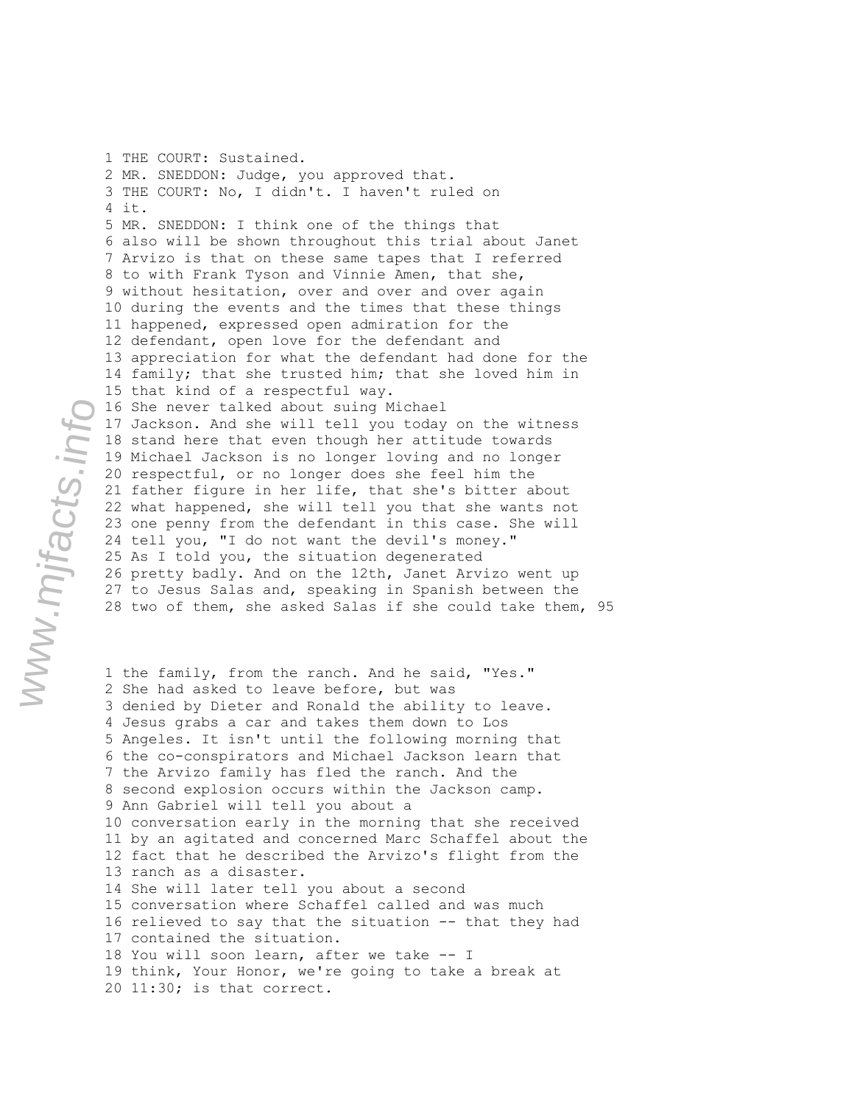1 THE COURT: Sustained. 2 MR. SNEDDON: Judge, you approved that. 3 THE COURT: No, I didn't. I haven't ruled on 4 it. 5 MR. SNEDDON: I think one of the things that 6 also will be shown throughout this trial about Janet 7 Arvizo is that on these same tapes that I referred 8 to with Frank Tyson and Vinnie Amen, that she, 9 without hesitation, over and over and over again 10 during the events and the times that these things 11 happened, expressed open admiration for the 12 defendant, open love for the defendant and 13 appreciation for what the defendant had done for the 14 family; that she trusted him; that she loved him in 15 that kind of a respectful way. 16 She never talked about suing Michael 17 Jackson. And she will tell you today on the witness 18 stand here that even though her attitude towards 19 Michael Jackson is no longer loving and no longer 20 respectful, or no longer does she feel him the 21 father figure in her life, that she's bitter about 22 what happened, she will tell you that she wants not 23 one penny from the defendant in this case. She will 24 tell you, "I do not want the devil's money." 25 As I told you, the situation degenerated 26 pretty badly. And on the 12th, Janet Arvizo went up 27 to Jesus Salas and, speaking in Spanish between the 28 two of them, she asked Salas if she could take them, 95

1 the family, from the ranch. And he said, "Yes." 2 She had asked to leave before, but was 3 denied by Dieter and Ronald the ability to leave. 4 Jesus grabs a car and takes them down to Los 5 Angeles. It isn't until the following morning that 6 the co-conspirators and Michael Jackson learn that 7 the Arvizo family has fled the ranch. And the 8 second explosion occurs within the Jackson camp. 9 Ann Gabriel will tell you about a 10 conversation early in the morning that she received 11 by an agitated and concerned Marc Schaffel about the 12 fact that he described the Arvizo's flight from the 13 ranch as a disaster. 14 She will later tell you about a second 15 conversation where Schaffel called and was much 16 relieved to say that the situation -- that they had 17 contained the situation. 18 You will soon learn, after we take -- I 19 think, Your Honor, we're going to take a break at 20 11:30; is that correct.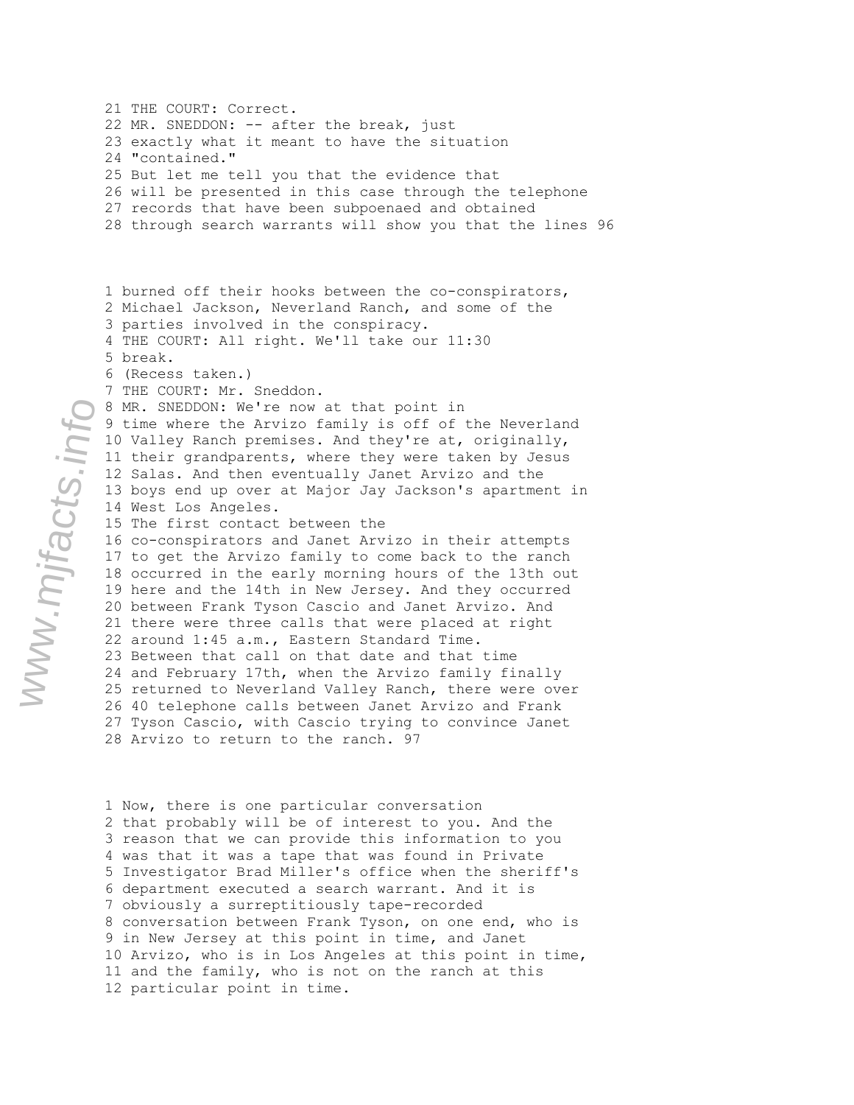21 THE COURT: Correct. 22 MR. SNEDDON: -- after the break, just 23 exactly what it meant to have the situation 24 "contained." 25 But let me tell you that the evidence that 26 will be presented in this case through the telephone 27 records that have been subpoenaed and obtained 28 through search warrants will show you that the lines 96 1 burned off their hooks between the co-conspirators, 2 Michael Jackson, Neverland Ranch, and some of the 3 parties involved in the conspiracy. 4 THE COURT: All right. We'll take our 11:30 5 break. 6 (Recess taken.) 7 THE COURT: Mr. Sneddon. 8 MR. SNEDDON: We're now at that point in 9 time where the Arvizo family is off of the Neverland 10 Valley Ranch premises. And they're at, originally, 11 their grandparents, where they were taken by Jesus 12 Salas. And then eventually Janet Arvizo and the 13 boys end up over at Major Jay Jackson's apartment in 14 West Los Angeles. 15 The first contact between the 16 co-conspirators and Janet Arvizo in their attempts 17 to get the Arvizo family to come back to the ranch 18 occurred in the early morning hours of the 13th out 19 here and the 14th in New Jersey. And they occurred 20 between Frank Tyson Cascio and Janet Arvizo. And 21 there were three calls that were placed at right 22 around 1:45 a.m., Eastern Standard Time. 23 Between that call on that date and that time 24 and February 17th, when the Arvizo family finally 25 returned to Neverland Valley Ranch, there were over 26 40 telephone calls between Janet Arvizo and Frank 27 Tyson Cascio, with Cascio trying to convince Janet 28 Arvizo to return to the ranch. 97

1 Now, there is one particular conversation 2 that probably will be of interest to you. And the 3 reason that we can provide this information to you 4 was that it was a tape that was found in Private 5 Investigator Brad Miller's office when the sheriff's 6 department executed a search warrant. And it is 7 obviously a surreptitiously tape-recorded 8 conversation between Frank Tyson, on one end, who is 9 in New Jersey at this point in time, and Janet 10 Arvizo, who is in Los Angeles at this point in time, 11 and the family, who is not on the ranch at this 12 particular point in time.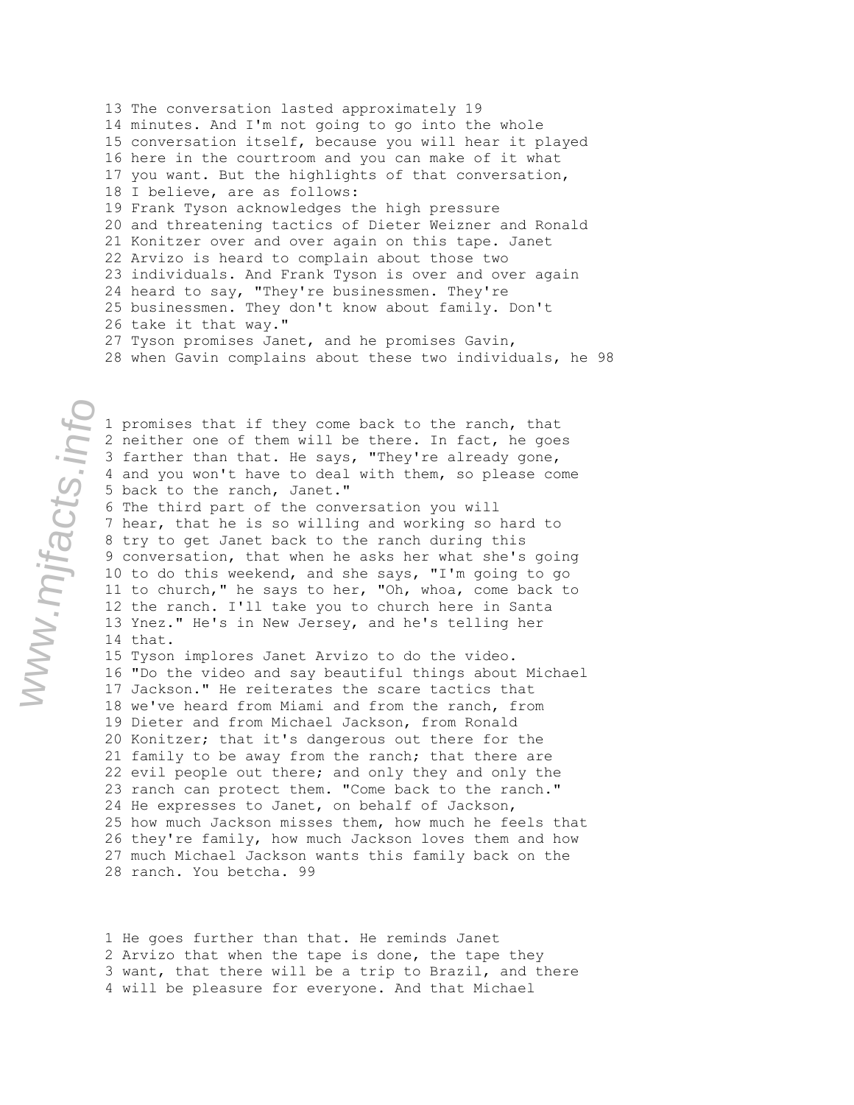13 The conversation lasted approximately 19 14 minutes. And I'm not going to go into the whole 15 conversation itself, because you will hear it played 16 here in the courtroom and you can make of it what 17 you want. But the highlights of that conversation, 18 I believe, are as follows: 19 Frank Tyson acknowledges the high pressure 20 and threatening tactics of Dieter Weizner and Ronald 21 Konitzer over and over again on this tape. Janet 22 Arvizo is heard to complain about those two 23 individuals. And Frank Tyson is over and over again 24 heard to say, "They're businessmen. They're 25 businessmen. They don't know about family. Don't 26 take it that way." 27 Tyson promises Janet, and he promises Gavin, 28 when Gavin complains about these two individuals, he 98

1 promises that if they come back to the ranch, that www.mjfacts.info

2 neither one of them will be there. In fact, he goes 3 farther than that. He says, "They're already gone, 4 and you won't have to deal with them, so please come 5 back to the ranch, Janet." 6 The third part of the conversation you will 7 hear, that he is so willing and working so hard to 8 try to get Janet back to the ranch during this 9 conversation, that when he asks her what she's going 10 to do this weekend, and she says, "I'm going to go 11 to church," he says to her, "Oh, whoa, come back to 12 the ranch. I'll take you to church here in Santa 13 Ynez." He's in New Jersey, and he's telling her 14 that. 15 Tyson implores Janet Arvizo to do the video. 16 "Do the video and say beautiful things about Michael 17 Jackson." He reiterates the scare tactics that 18 we've heard from Miami and from the ranch, from 19 Dieter and from Michael Jackson, from Ronald 20 Konitzer; that it's dangerous out there for the 21 family to be away from the ranch; that there are 22 evil people out there; and only they and only the 23 ranch can protect them. "Come back to the ranch." 24 He expresses to Janet, on behalf of Jackson, 25 how much Jackson misses them, how much he feels that 26 they're family, how much Jackson loves them and how 27 much Michael Jackson wants this family back on the 28 ranch. You betcha. 99

1 He goes further than that. He reminds Janet 2 Arvizo that when the tape is done, the tape they 3 want, that there will be a trip to Brazil, and there 4 will be pleasure for everyone. And that Michael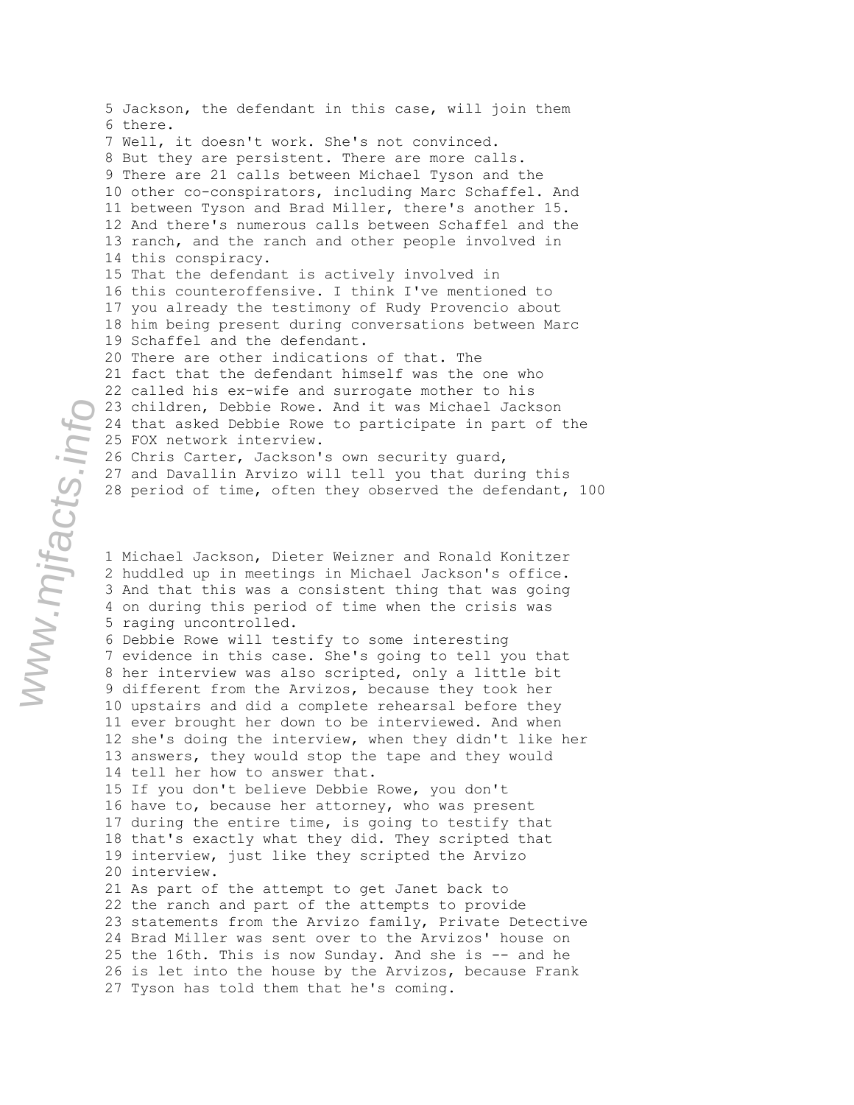5 Jackson, the defendant in this case, will join them 6 there. 7 Well, it doesn't work. She's not convinced. 8 But they are persistent. There are more calls. 9 There are 21 calls between Michael Tyson and the 10 other co-conspirators, including Marc Schaffel. And 11 between Tyson and Brad Miller, there's another 15. 12 And there's numerous calls between Schaffel and the 13 ranch, and the ranch and other people involved in 14 this conspiracy. 15 That the defendant is actively involved in 16 this counteroffensive. I think I've mentioned to 17 you already the testimony of Rudy Provencio about 18 him being present during conversations between Marc 19 Schaffel and the defendant. 20 There are other indications of that. The 21 fact that the defendant himself was the one who 22 called his ex-wife and surrogate mother to his 23 children, Debbie Rowe. And it was Michael Jackson 24 that asked Debbie Rowe to participate in part of the 25 FOX network interview. 26 Chris Carter, Jackson's own security guard, 27 and Davallin Arvizo will tell you that during this 28 period of time, often they observed the defendant, 100

1 Michael Jackson, Dieter Weizner and Ronald Konitzer 2 huddled up in meetings in Michael Jackson's office. 3 And that this was a consistent thing that was going 4 on during this period of time when the crisis was 5 raging uncontrolled.

6 Debbie Rowe will testify to some interesting 7 evidence in this case. She's going to tell you that 8 her interview was also scripted, only a little bit 9 different from the Arvizos, because they took her 10 upstairs and did a complete rehearsal before they 11 ever brought her down to be interviewed. And when 12 she's doing the interview, when they didn't like her 13 answers, they would stop the tape and they would 14 tell her how to answer that.

15 If you don't believe Debbie Rowe, you don't 16 have to, because her attorney, who was present 17 during the entire time, is going to testify that 18 that's exactly what they did. They scripted that 19 interview, just like they scripted the Arvizo 20 interview.

21 As part of the attempt to get Janet back to 22 the ranch and part of the attempts to provide 23 statements from the Arvizo family, Private Detective 24 Brad Miller was sent over to the Arvizos' house on 25 the 16th. This is now Sunday. And she is -- and he 26 is let into the house by the Arvizos, because Frank 27 Tyson has told them that he's coming.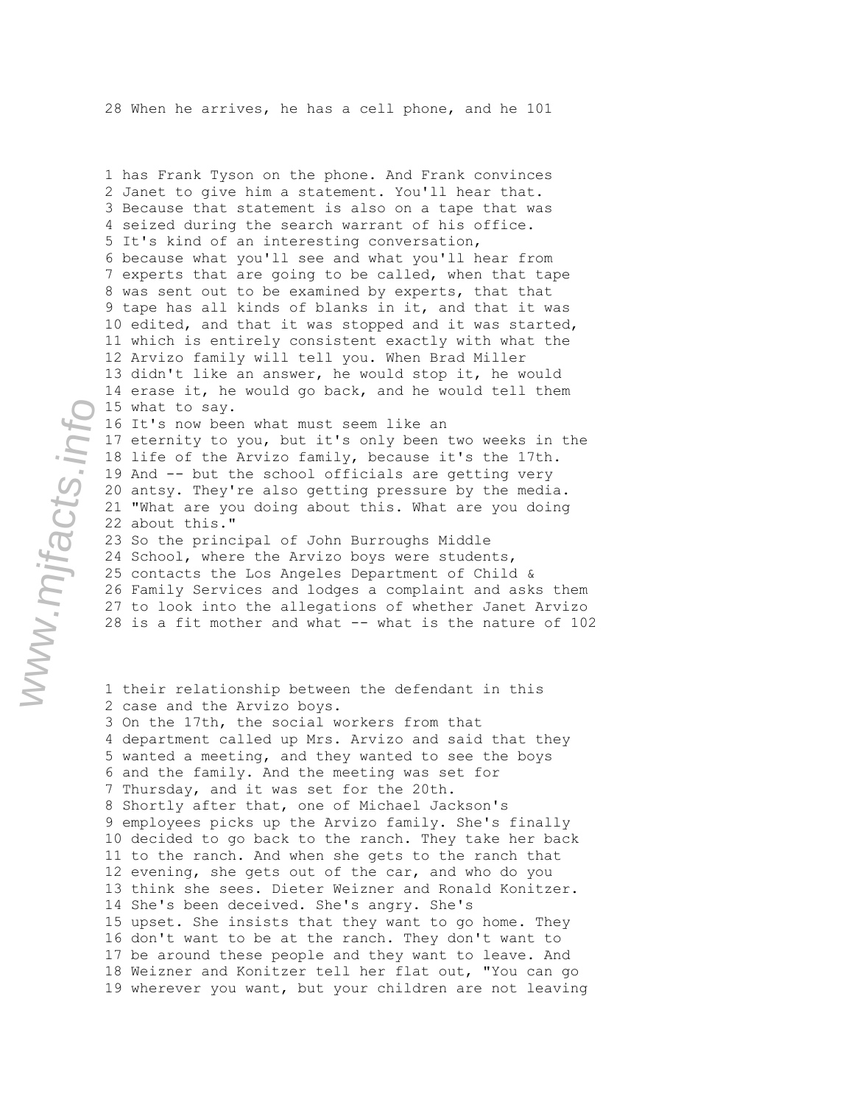1 has Frank Tyson on the phone. And Frank convinces 2 Janet to give him a statement. You'll hear that. 3 Because that statement is also on a tape that was 4 seized during the search warrant of his office. 5 It's kind of an interesting conversation, 6 because what you'll see and what you'll hear from 7 experts that are going to be called, when that tape 8 was sent out to be examined by experts, that that 9 tape has all kinds of blanks in it, and that it was 10 edited, and that it was stopped and it was started, 11 which is entirely consistent exactly with what the 12 Arvizo family will tell you. When Brad Miller 13 didn't like an answer, he would stop it, he would 14 erase it, he would go back, and he would tell them 15 what to say. 16 It's now been what must seem like an 17 eternity to you, but it's only been two weeks in the 18 life of the Arvizo family, because it's the 17th. 19 And -- but the school officials are getting very 20 antsy. They're also getting pressure by the media. 21 "What are you doing about this. What are you doing 22 about this." 23 So the principal of John Burroughs Middle 24 School, where the Arvizo boys were students, 25 contacts the Los Angeles Department of Child & 26 Family Services and lodges a complaint and asks them 27 to look into the allegations of whether Janet Arvizo 28 is a fit mother and what -- what is the nature of 102

```
1 their relationship between the defendant in this 
2 case and the Arvizo boys. 
3 On the 17th, the social workers from that 
4 department called up Mrs. Arvizo and said that they 
5 wanted a meeting, and they wanted to see the boys
6 and the family. And the meeting was set for 
7 Thursday, and it was set for the 20th. 
8 Shortly after that, one of Michael Jackson's 
9 employees picks up the Arvizo family. She's finally 
10 decided to go back to the ranch. They take her back 
11 to the ranch. And when she gets to the ranch that 
12 evening, she gets out of the car, and who do you
13 think she sees. Dieter Weizner and Ronald Konitzer. 
14 She's been deceived. She's angry. She's 
15 upset. She insists that they want to go home. They 
16 don't want to be at the ranch. They don't want to 
17 be around these people and they want to leave. And 
18 Weizner and Konitzer tell her flat out, "You can go 
19 wherever you want, but your children are not leaving
```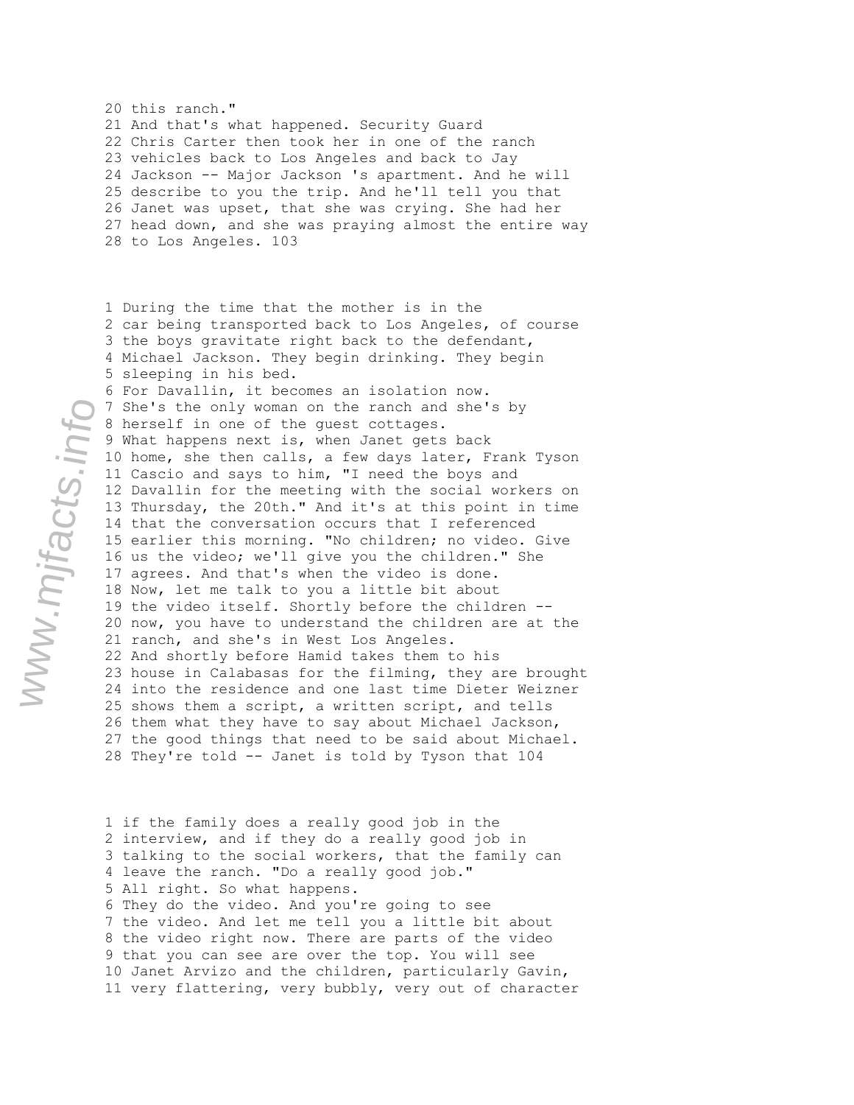20 this ranch." 21 And that's what happened. Security Guard 22 Chris Carter then took her in one of the ranch 23 vehicles back to Los Angeles and back to Jay 24 Jackson -- Major Jackson 's apartment. And he will 25 describe to you the trip. And he'll tell you that 26 Janet was upset, that she was crying. She had her 27 head down, and she was praying almost the entire way 28 to Los Angeles. 103

1 During the time that the mother is in the 2 car being transported back to Los Angeles, of course 3 the boys gravitate right back to the defendant, 4 Michael Jackson. They begin drinking. They begin 5 sleeping in his bed. 6 For Davallin, it becomes an isolation now. 7 She's the only woman on the ranch and she's by 8 herself in one of the guest cottages. 9 What happens next is, when Janet gets back 10 home, she then calls, a few days later, Frank Tyson 11 Cascio and says to him, "I need the boys and 12 Davallin for the meeting with the social workers on 13 Thursday, the 20th." And it's at this point in time 14 that the conversation occurs that I referenced 15 earlier this morning. "No children; no video. Give 16 us the video; we'll give you the children." She 17 agrees. And that's when the video is done. 18 Now, let me talk to you a little bit about 19 the video itself. Shortly before the children -- 20 now, you have to understand the children are at the 21 ranch, and she's in West Los Angeles. 22 And shortly before Hamid takes them to his 23 house in Calabasas for the filming, they are brought 24 into the residence and one last time Dieter Weizner 25 shows them a script, a written script, and tells 26 them what they have to say about Michael Jackson, 27 the good things that need to be said about Michael. 28 They're told -- Janet is told by Tyson that 104

1 if the family does a really good job in the 2 interview, and if they do a really good job in 3 talking to the social workers, that the family can 4 leave the ranch. "Do a really good job." 5 All right. So what happens. 6 They do the video. And you're going to see 7 the video. And let me tell you a little bit about 8 the video right now. There are parts of the video 9 that you can see are over the top. You will see 10 Janet Arvizo and the children, particularly Gavin, 11 very flattering, very bubbly, very out of character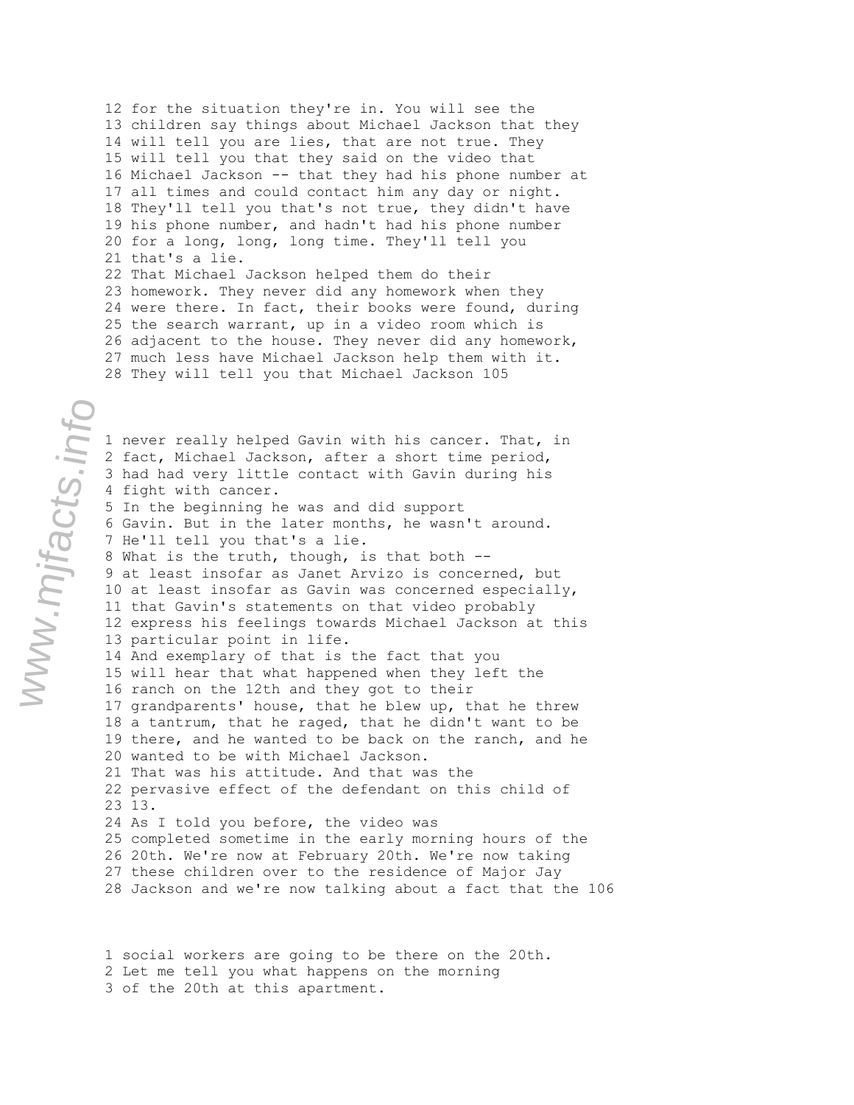12 for the situation they're in. You will see the 13 children say things about Michael Jackson that they 14 will tell you are lies, that are not true. They 15 will tell you that they said on the video that 16 Michael Jackson -- that they had his phone number at 17 all times and could contact him any day or night. 18 They'll tell you that's not true, they didn't have 19 his phone number, and hadn't had his phone number 20 for a long, long, long time. They'll tell you 21 that's a lie. 22 That Michael Jackson helped them do their 23 homework. They never did any homework when they 24 were there. In fact, their books were found, during 25 the search warrant, up in a video room which is 26 adjacent to the house. They never did any homework, 27 much less have Michael Jackson help them with it. 28 They will tell you that Michael Jackson 105

1 never really helped Gavin with his cancer. That, in 2 fact, Michael Jackson, after a short time period, 3 had had very little contact with Gavin during his 4 fight with cancer. 5 In the beginning he was and did support 6 Gavin. But in the later months, he wasn't around. 7 He'll tell you that's a lie. 8 What is the truth, though, is that both -- 9 at least insofar as Janet Arvizo is concerned, but 10 at least insofar as Gavin was concerned especially, 11 that Gavin's statements on that video probably 12 express his feelings towards Michael Jackson at this 13 particular point in life. 14 And exemplary of that is the fact that you 15 will hear that what happened when they left the 16 ranch on the 12th and they got to their 17 grandparents' house, that he blew up, that he threw 18 a tantrum, that he raged, that he didn't want to be 19 there, and he wanted to be back on the ranch, and he 20 wanted to be with Michael Jackson. 21 That was his attitude. And that was the 22 pervasive effect of the defendant on this child of 23 13. 24 As I told you before, the video was 25 completed sometime in the early morning hours of the 26 20th. We're now at February 20th. We're now taking 27 these children over to the residence of Major Jay 28 Jackson and we're now talking about a fact that the 106

1 social workers are going to be there on the 20th. 2 Let me tell you what happens on the morning 3 of the 20th at this apartment.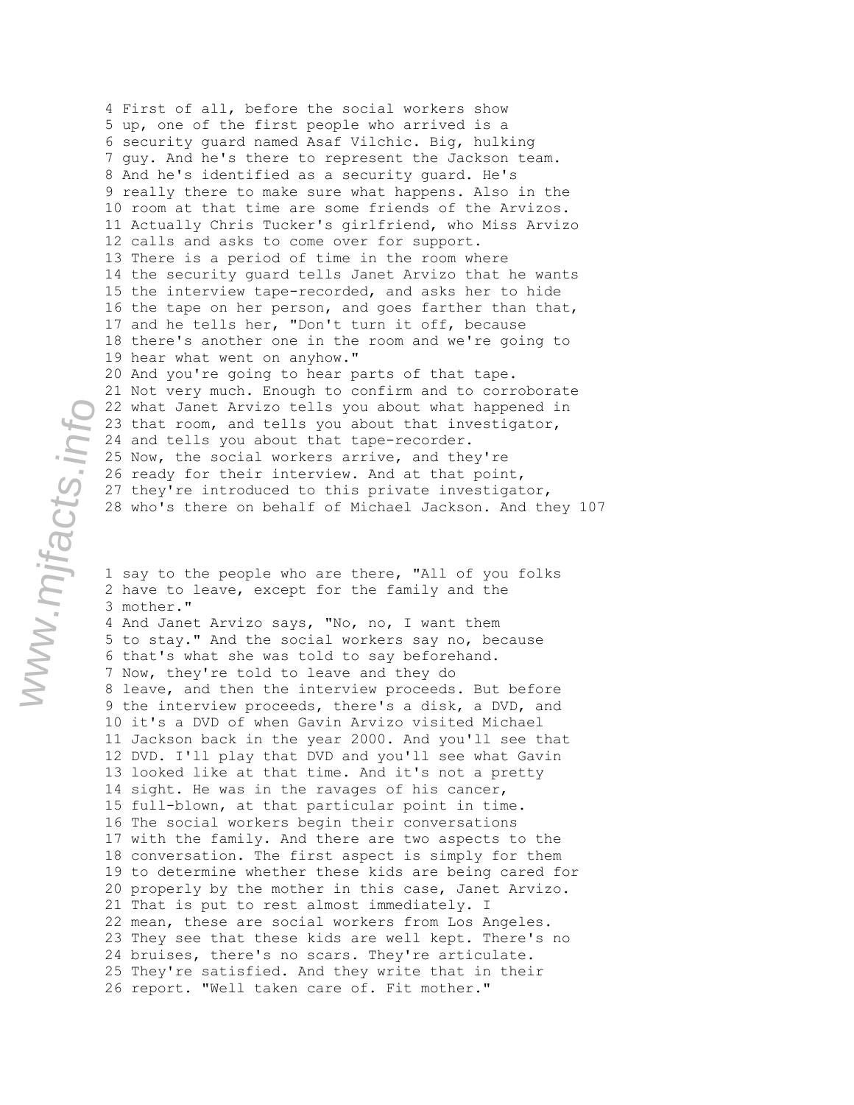4 First of all, before the social workers show 5 up, one of the first people who arrived is a 6 security guard named Asaf Vilchic. Big, hulking 7 guy. And he's there to represent the Jackson team. 8 And he's identified as a security guard. He's 9 really there to make sure what happens. Also in the 10 room at that time are some friends of the Arvizos. 11 Actually Chris Tucker's girlfriend, who Miss Arvizo 12 calls and asks to come over for support. 13 There is a period of time in the room where 14 the security guard tells Janet Arvizo that he wants 15 the interview tape-recorded, and asks her to hide 16 the tape on her person, and goes farther than that, 17 and he tells her, "Don't turn it off, because 18 there's another one in the room and we're going to 19 hear what went on anyhow." 20 And you're going to hear parts of that tape. 21 Not very much. Enough to confirm and to corroborate 22 what Janet Arvizo tells you about what happened in 23 that room, and tells you about that investigator, 24 and tells you about that tape-recorder. 25 Now, the social workers arrive, and they're 26 ready for their interview. And at that point, 27 they're introduced to this private investigator, 28 who's there on behalf of Michael Jackson. And they 107

1 say to the people who are there, "All of you folks 2 have to leave, except for the family and the 3 mother." 4 And Janet Arvizo says, "No, no, I want them 5 to stay." And the social workers say no, because 6 that's what she was told to say beforehand. 7 Now, they're told to leave and they do 8 leave, and then the interview proceeds. But before 9 the interview proceeds, there's a disk, a DVD, and 10 it's a DVD of when Gavin Arvizo visited Michael 11 Jackson back in the year 2000. And you'll see that 12 DVD. I'll play that DVD and you'll see what Gavin 13 looked like at that time. And it's not a pretty 14 sight. He was in the ravages of his cancer, 15 full-blown, at that particular point in time. 16 The social workers begin their conversations 17 with the family. And there are two aspects to the 18 conversation. The first aspect is simply for them 19 to determine whether these kids are being cared for 20 properly by the mother in this case, Janet Arvizo. 21 That is put to rest almost immediately. I 22 mean, these are social workers from Los Angeles. 23 They see that these kids are well kept. There's no 24 bruises, there's no scars. They're articulate. 25 They're satisfied. And they write that in their 26 report. "Well taken care of. Fit mother."

www.mjfacts.info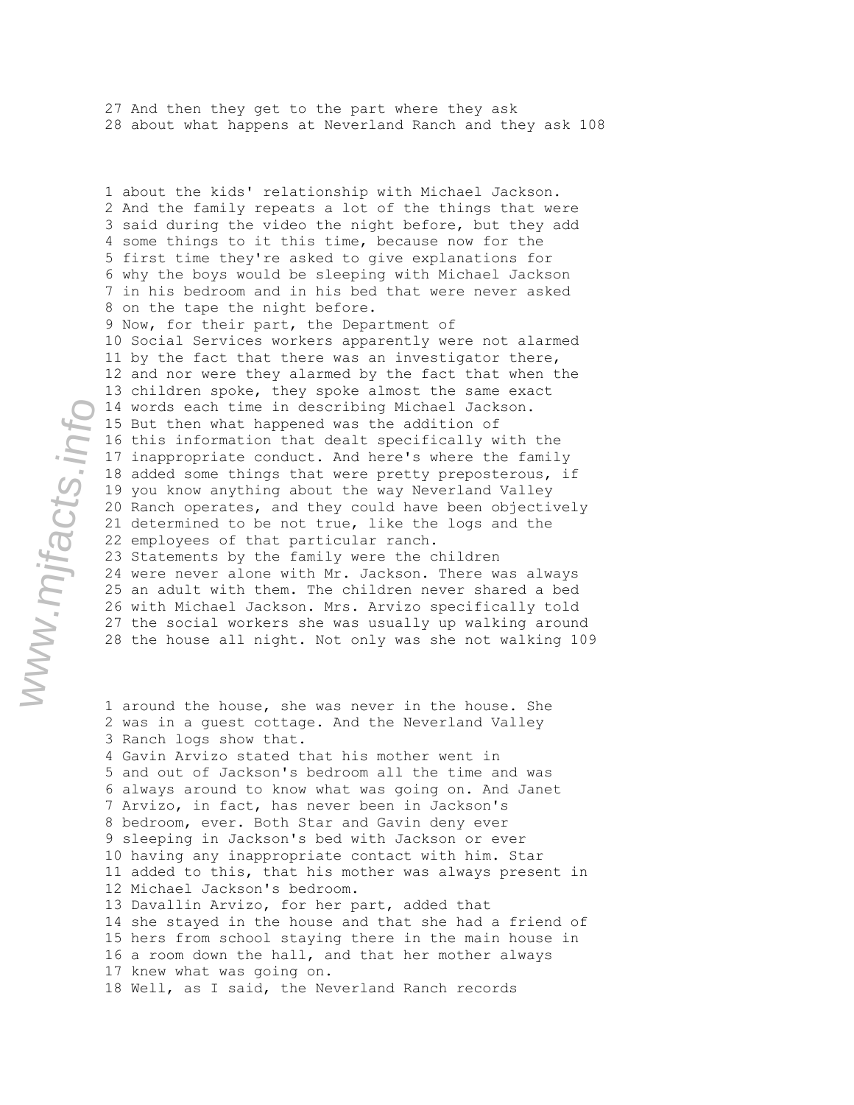27 And then they get to the part where they ask 28 about what happens at Neverland Ranch and they ask 108

1 about the kids' relationship with Michael Jackson. 2 And the family repeats a lot of the things that were 3 said during the video the night before, but they add 4 some things to it this time, because now for the 5 first time they're asked to give explanations for 6 why the boys would be sleeping with Michael Jackson 7 in his bedroom and in his bed that were never asked 8 on the tape the night before. 9 Now, for their part, the Department of 10 Social Services workers apparently were not alarmed 11 by the fact that there was an investigator there, 12 and nor were they alarmed by the fact that when the 13 children spoke, they spoke almost the same exact 14 words each time in describing Michael Jackson. 15 But then what happened was the addition of 16 this information that dealt specifically with the 17 inappropriate conduct. And here's where the family 18 added some things that were pretty preposterous, if 19 you know anything about the way Neverland Valley 20 Ranch operates, and they could have been objectively 21 determined to be not true, like the logs and the 22 employees of that particular ranch. 23 Statements by the family were the children 24 were never alone with Mr. Jackson. There was always 25 an adult with them. The children never shared a bed 26 with Michael Jackson. Mrs. Arvizo specifically told 27 the social workers she was usually up walking around 28 the house all night. Not only was she not walking 109

1 around the house, she was never in the house. She 2 was in a guest cottage. And the Neverland Valley 3 Ranch logs show that. 4 Gavin Arvizo stated that his mother went in 5 and out of Jackson's bedroom all the time and was 6 always around to know what was going on. And Janet 7 Arvizo, in fact, has never been in Jackson's 8 bedroom, ever. Both Star and Gavin deny ever 9 sleeping in Jackson's bed with Jackson or ever 10 having any inappropriate contact with him. Star 11 added to this, that his mother was always present in 12 Michael Jackson's bedroom. 13 Davallin Arvizo, for her part, added that 14 she stayed in the house and that she had a friend of 15 hers from school staying there in the main house in 16 a room down the hall, and that her mother always 17 knew what was going on. 18 Well, as I said, the Neverland Ranch records

www.mjfacts.info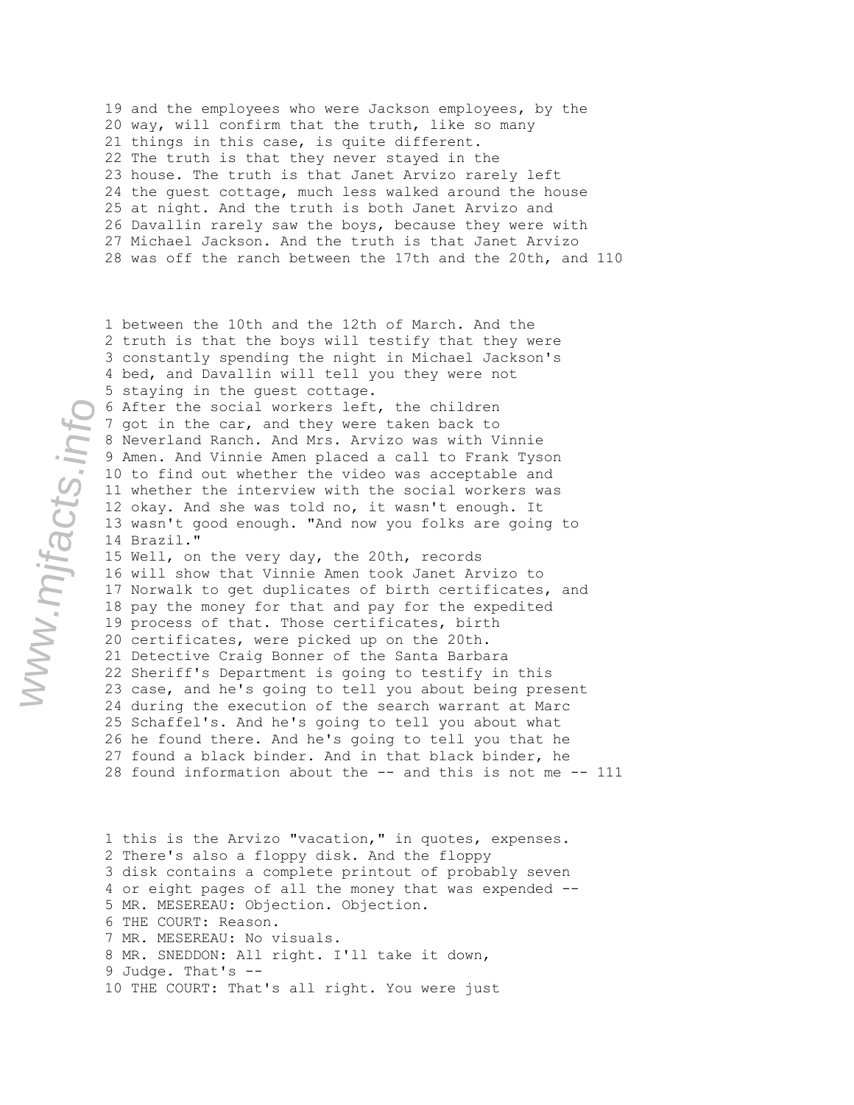19 and the employees who were Jackson employees, by the 20 way, will confirm that the truth, like so many 21 things in this case, is quite different. 22 The truth is that they never stayed in the 23 house. The truth is that Janet Arvizo rarely left 24 the guest cottage, much less walked around the house 25 at night. And the truth is both Janet Arvizo and 26 Davallin rarely saw the boys, because they were with 27 Michael Jackson. And the truth is that Janet Arvizo 28 was off the ranch between the 17th and the 20th, and 110

1 between the 10th and the 12th of March. And the 2 truth is that the boys will testify that they were 3 constantly spending the night in Michael Jackson's 4 bed, and Davallin will tell you they were not 5 staying in the guest cottage. 6 After the social workers left, the children 7 got in the car, and they were taken back to 8 Neverland Ranch. And Mrs. Arvizo was with Vinnie 9 Amen. And Vinnie Amen placed a call to Frank Tyson 10 to find out whether the video was acceptable and 11 whether the interview with the social workers was 12 okay. And she was told no, it wasn't enough. It 13 wasn't good enough. "And now you folks are going to 14 Brazil." 15 Well, on the very day, the 20th, records 16 will show that Vinnie Amen took Janet Arvizo to 17 Norwalk to get duplicates of birth certificates, and 18 pay the money for that and pay for the expedited 19 process of that. Those certificates, birth 20 certificates, were picked up on the 20th. 21 Detective Craig Bonner of the Santa Barbara 22 Sheriff's Department is going to testify in this 23 case, and he's going to tell you about being present 24 during the execution of the search warrant at Marc 25 Schaffel's. And he's going to tell you about what 26 he found there. And he's going to tell you that he 27 found a black binder. And in that black binder, he 28 found information about the -- and this is not me -- 111

1 this is the Arvizo "vacation," in quotes, expenses. 2 There's also a floppy disk. And the floppy 3 disk contains a complete printout of probably seven 4 or eight pages of all the money that was expended -- 5 MR. MESEREAU: Objection. Objection. 6 THE COURT: Reason. 7 MR. MESEREAU: No visuals. 8 MR. SNEDDON: All right. I'll take it down, 9 Judge. That's -- 10 THE COURT: That's all right. You were just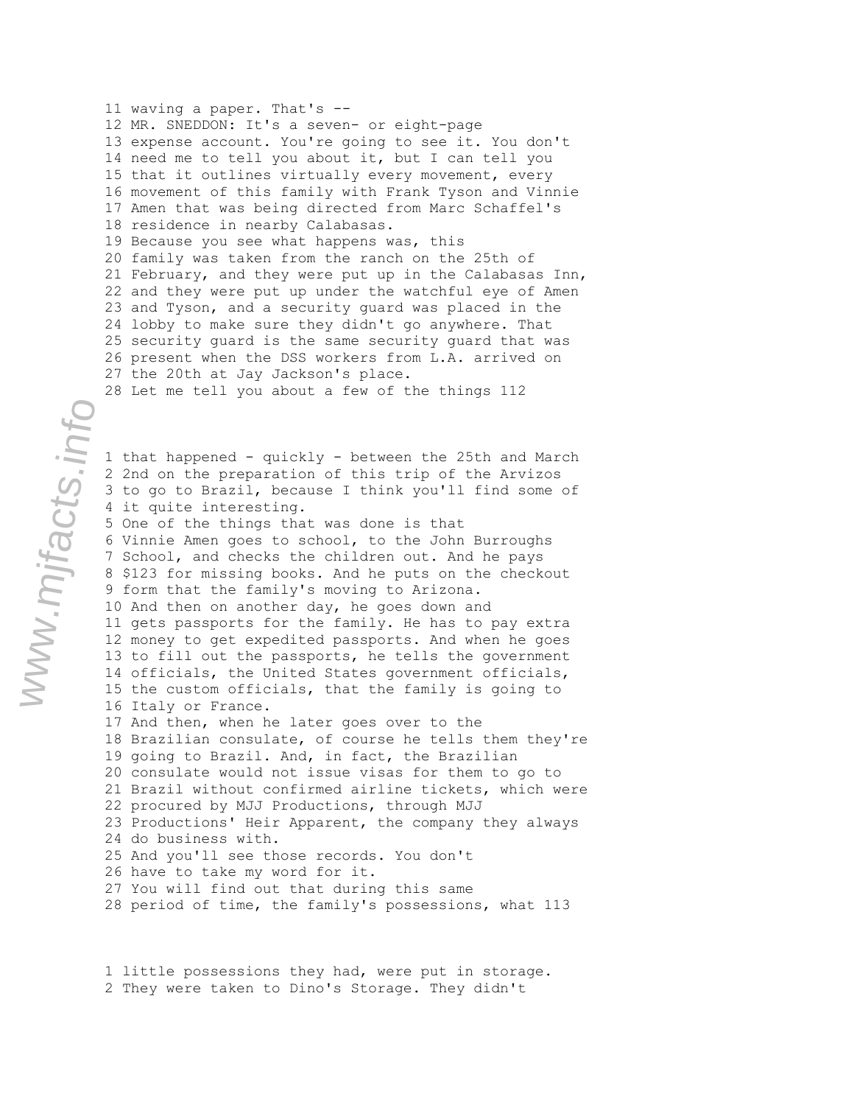11 waving a paper. That's -- 12 MR. SNEDDON: It's a seven- or eight-page 13 expense account. You're going to see it. You don't 14 need me to tell you about it, but I can tell you 15 that it outlines virtually every movement, every 16 movement of this family with Frank Tyson and Vinnie 17 Amen that was being directed from Marc Schaffel's 18 residence in nearby Calabasas. 19 Because you see what happens was, this 20 family was taken from the ranch on the 25th of 21 February, and they were put up in the Calabasas Inn, 22 and they were put up under the watchful eye of Amen 23 and Tyson, and a security guard was placed in the 24 lobby to make sure they didn't go anywhere. That 25 security guard is the same security guard that was 26 present when the DSS workers from L.A. arrived on 27 the 20th at Jay Jackson's place. 28 Let me tell you about a few of the things 112

1 that happened - quickly - between the 25th and March 2 2nd on the preparation of this trip of the Arvizos 3 to go to Brazil, because I think you'll find some of 4 it quite interesting. 5 One of the things that was done is that 6 Vinnie Amen goes to school, to the John Burroughs 7 School, and checks the children out. And he pays 8 \$123 for missing books. And he puts on the checkout 9 form that the family's moving to Arizona. 10 And then on another day, he goes down and 11 gets passports for the family. He has to pay extra 12 money to get expedited passports. And when he goes 13 to fill out the passports, he tells the government 14 officials, the United States government officials, 15 the custom officials, that the family is going to 16 Italy or France. 17 And then, when he later goes over to the 18 Brazilian consulate, of course he tells them they're 19 going to Brazil. And, in fact, the Brazilian 20 consulate would not issue visas for them to go to 21 Brazil without confirmed airline tickets, which were 22 procured by MJJ Productions, through MJJ 23 Productions' Heir Apparent, the company they always 24 do business with. 25 And you'll see those records. You don't 26 have to take my word for it. 27 You will find out that during this same 28 period of time, the family's possessions, what 113

1 little possessions they had, were put in storage. 2 They were taken to Dino's Storage. They didn't

www.mjfacts.info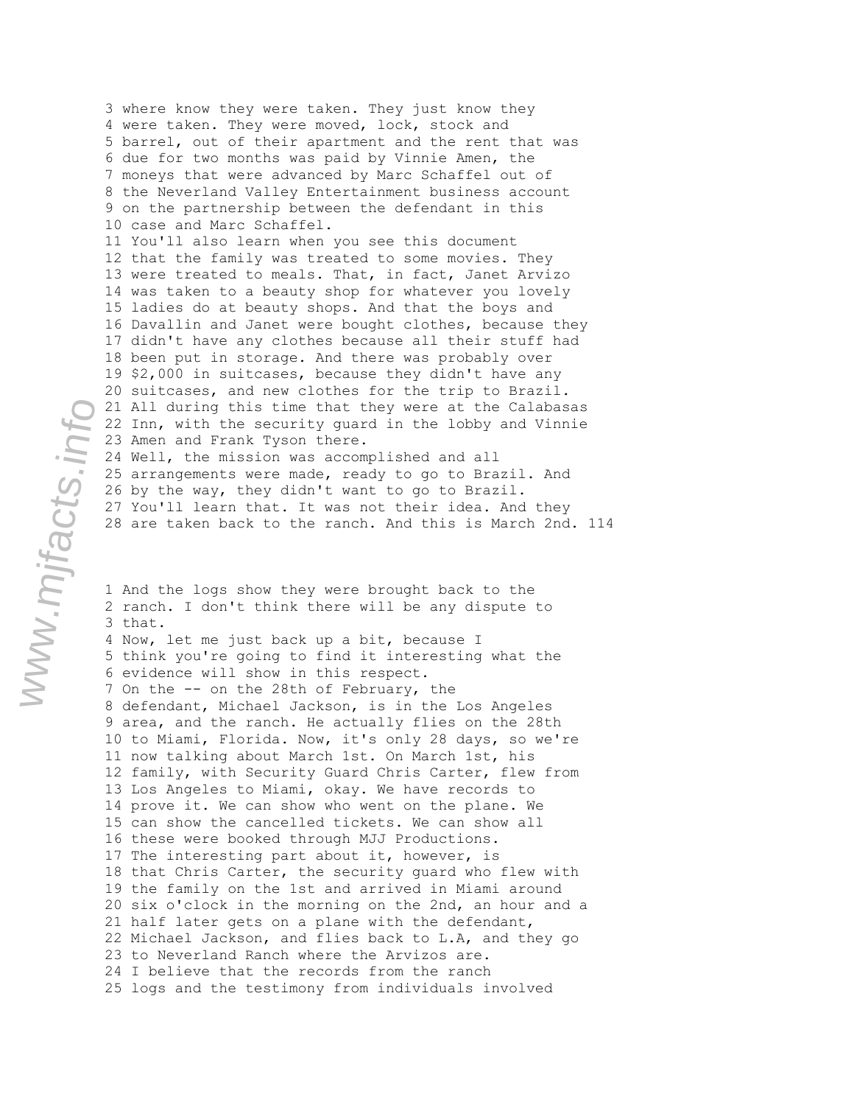3 where know they were taken. They just know they 4 were taken. They were moved, lock, stock and 5 barrel, out of their apartment and the rent that was 6 due for two months was paid by Vinnie Amen, the 7 moneys that were advanced by Marc Schaffel out of 8 the Neverland Valley Entertainment business account 9 on the partnership between the defendant in this 10 case and Marc Schaffel. 11 You'll also learn when you see this document 12 that the family was treated to some movies. They 13 were treated to meals. That, in fact, Janet Arvizo 14 was taken to a beauty shop for whatever you lovely 15 ladies do at beauty shops. And that the boys and 16 Davallin and Janet were bought clothes, because they 17 didn't have any clothes because all their stuff had 18 been put in storage. And there was probably over 19 \$2,000 in suitcases, because they didn't have any 20 suitcases, and new clothes for the trip to Brazil. 21 All during this time that they were at the Calabasas 22 Inn, with the security guard in the lobby and Vinnie 23 Amen and Frank Tyson there. 24 Well, the mission was accomplished and all 25 arrangements were made, ready to go to Brazil. And 26 by the way, they didn't want to go to Brazil. 27 You'll learn that. It was not their idea. And they 28 are taken back to the ranch. And this is March 2nd. 114

1 And the logs show they were brought back to the 2 ranch. I don't think there will be any dispute to 3 that.

4 Now, let me just back up a bit, because I 5 think you're going to find it interesting what the 6 evidence will show in this respect. 7 On the -- on the 28th of February, the 8 defendant, Michael Jackson, is in the Los Angeles 9 area, and the ranch. He actually flies on the 28th 10 to Miami, Florida. Now, it's only 28 days, so we're 11 now talking about March 1st. On March 1st, his 12 family, with Security Guard Chris Carter, flew from 13 Los Angeles to Miami, okay. We have records to 14 prove it. We can show who went on the plane. We 15 can show the cancelled tickets. We can show all 16 these were booked through MJJ Productions. 17 The interesting part about it, however, is 18 that Chris Carter, the security guard who flew with 19 the family on the 1st and arrived in Miami around 20 six o'clock in the morning on the 2nd, an hour and a 21 half later gets on a plane with the defendant, 22 Michael Jackson, and flies back to L.A, and they go 23 to Neverland Ranch where the Arvizos are. 24 I believe that the records from the ranch 25 logs and the testimony from individuals involved

www.mjfacts.info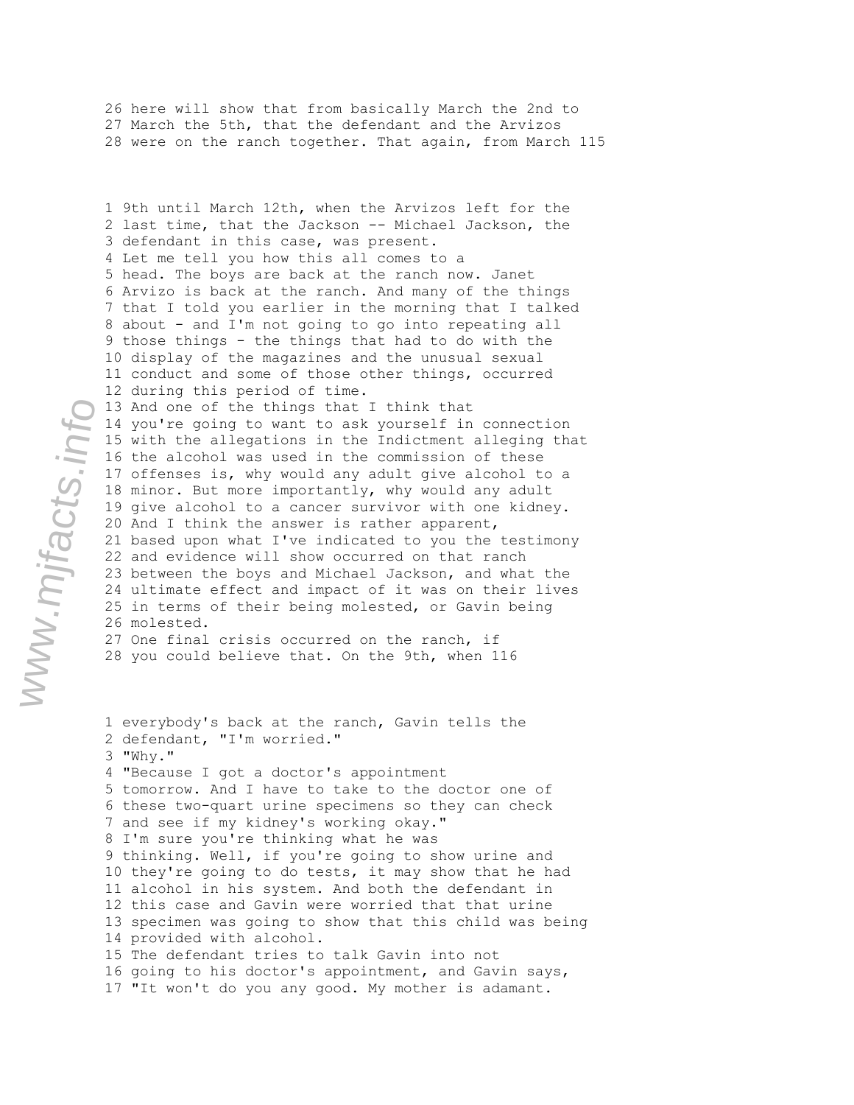26 here will show that from basically March the 2nd to 27 March the 5th, that the defendant and the Arvizos 28 were on the ranch together. That again, from March 115

1 9th until March 12th, when the Arvizos left for the 2 last time, that the Jackson -- Michael Jackson, the 3 defendant in this case, was present. 4 Let me tell you how this all comes to a 5 head. The boys are back at the ranch now. Janet 6 Arvizo is back at the ranch. And many of the things 7 that I told you earlier in the morning that I talked 8 about - and I'm not going to go into repeating all 9 those things - the things that had to do with the 10 display of the magazines and the unusual sexual 11 conduct and some of those other things, occurred 12 during this period of time. 13 And one of the things that I think that 14 you're going to want to ask yourself in connection 15 with the allegations in the Indictment alleging that 16 the alcohol was used in the commission of these 17 offenses is, why would any adult give alcohol to a 18 minor. But more importantly, why would any adult 19 give alcohol to a cancer survivor with one kidney. 20 And I think the answer is rather apparent, 21 based upon what I've indicated to you the testimony 22 and evidence will show occurred on that ranch 23 between the boys and Michael Jackson, and what the 24 ultimate effect and impact of it was on their lives

25 in terms of their being molested, or Gavin being 26 molested. 27 One final crisis occurred on the ranch, if

28 you could believe that. On the 9th, when 116

1 everybody's back at the ranch, Gavin tells the 2 defendant, "I'm worried." 3 "Why." 4 "Because I got a doctor's appointment 5 tomorrow. And I have to take to the doctor one of 6 these two-quart urine specimens so they can check 7 and see if my kidney's working okay." 8 I'm sure you're thinking what he was 9 thinking. Well, if you're going to show urine and 10 they're going to do tests, it may show that he had 11 alcohol in his system. And both the defendant in 12 this case and Gavin were worried that that urine 13 specimen was going to show that this child was being 14 provided with alcohol. 15 The defendant tries to talk Gavin into not 16 going to his doctor's appointment, and Gavin says, 17 "It won't do you any good. My mother is adamant.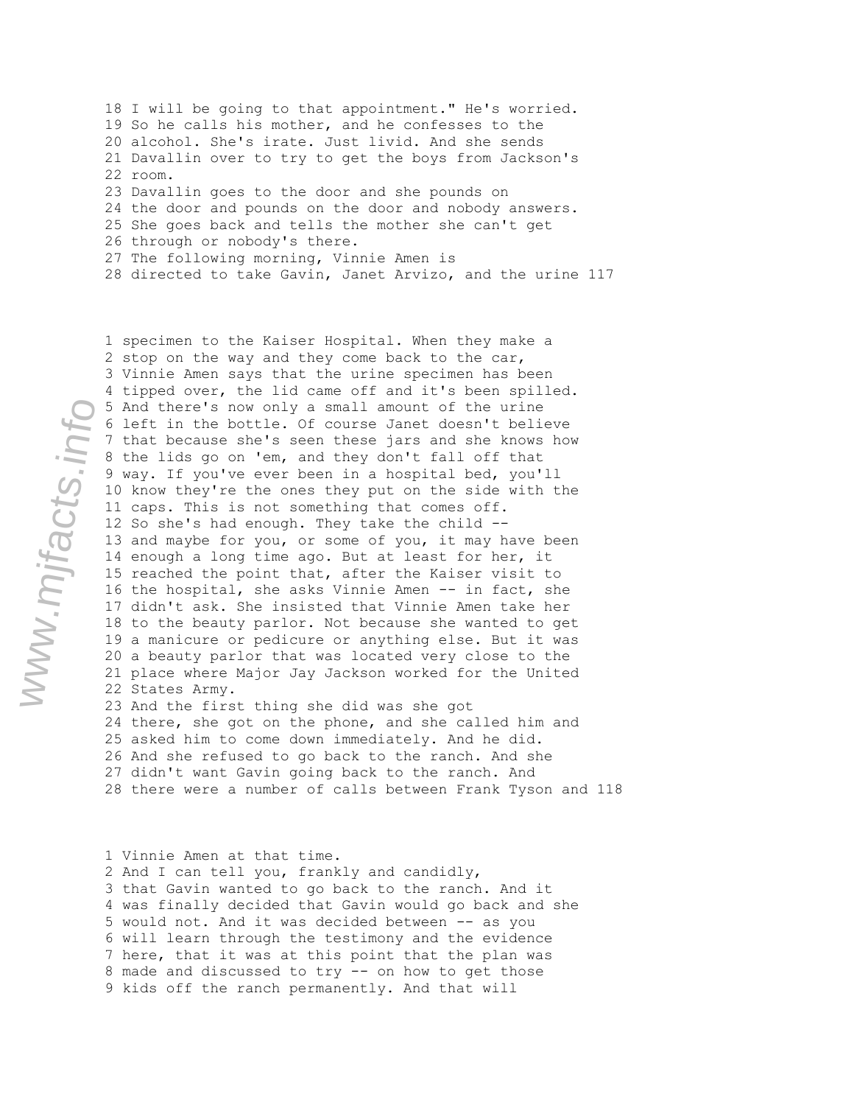18 I will be going to that appointment." He's worried. 19 So he calls his mother, and he confesses to the 20 alcohol. She's irate. Just livid. And she sends 21 Davallin over to try to get the boys from Jackson's 22 room. 23 Davallin goes to the door and she pounds on 24 the door and pounds on the door and nobody answers. 25 She goes back and tells the mother she can't get 26 through or nobody's there. 27 The following morning, Vinnie Amen is 28 directed to take Gavin, Janet Arvizo, and the urine 117

1 specimen to the Kaiser Hospital. When they make a 2 stop on the way and they come back to the car, 3 Vinnie Amen says that the urine specimen has been 4 tipped over, the lid came off and it's been spilled. 5 And there's now only a small amount of the urine 6 left in the bottle. Of course Janet doesn't believe 7 that because she's seen these jars and she knows how 8 the lids go on 'em, and they don't fall off that 9 way. If you've ever been in a hospital bed, you'll 10 know they're the ones they put on the side with the 11 caps. This is not something that comes off. 12 So she's had enough. They take the child -- 13 and maybe for you, or some of you, it may have been 14 enough a long time ago. But at least for her, it 15 reached the point that, after the Kaiser visit to 16 the hospital, she asks Vinnie Amen -- in fact, she 17 didn't ask. She insisted that Vinnie Amen take her 18 to the beauty parlor. Not because she wanted to get 19 a manicure or pedicure or anything else. But it was 20 a beauty parlor that was located very close to the 21 place where Major Jay Jackson worked for the United 22 States Army. 23 And the first thing she did was she got

24 there, she got on the phone, and she called him and 25 asked him to come down immediately. And he did. 26 And she refused to go back to the ranch. And she 27 didn't want Gavin going back to the ranch. And 28 there were a number of calls between Frank Tyson and 118

1 Vinnie Amen at that time.

2 And I can tell you, frankly and candidly, 3 that Gavin wanted to go back to the ranch. And it 4 was finally decided that Gavin would go back and she 5 would not. And it was decided between -- as you 6 will learn through the testimony and the evidence 7 here, that it was at this point that the plan was 8 made and discussed to try -- on how to get those 9 kids off the ranch permanently. And that will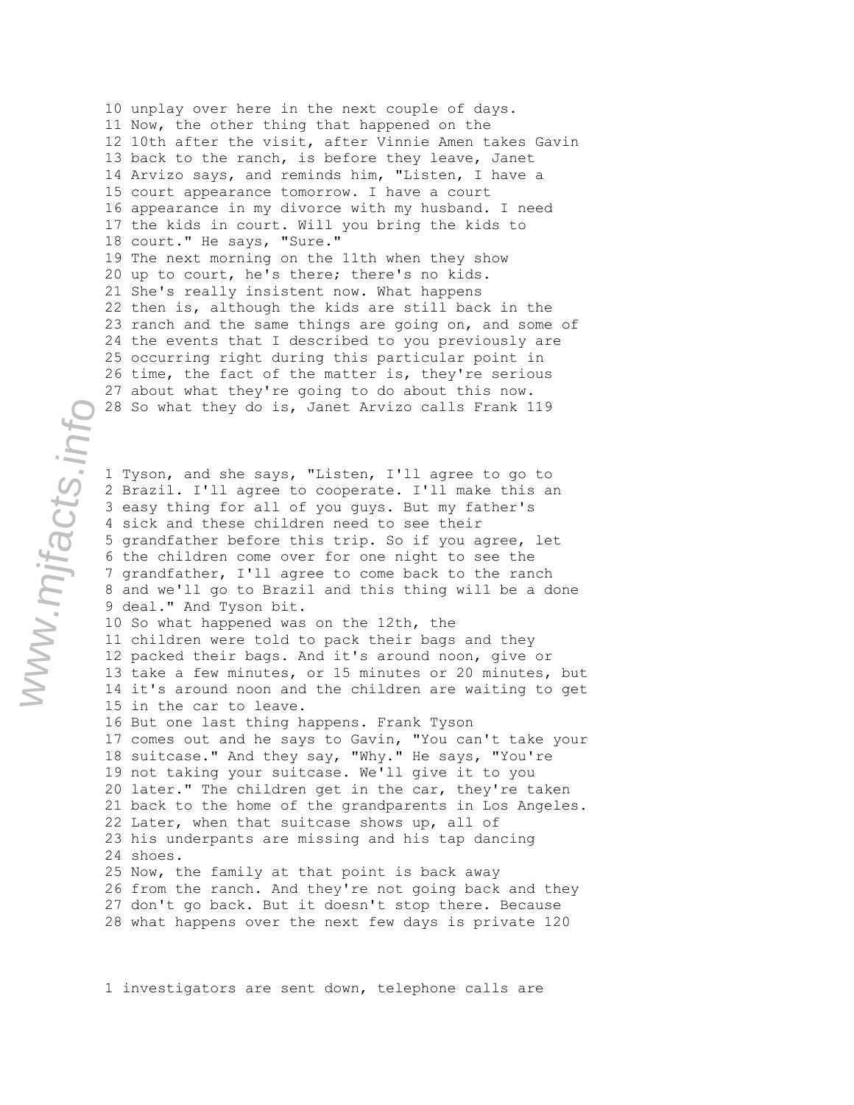10 unplay over here in the next couple of days. 11 Now, the other thing that happened on the 12 10th after the visit, after Vinnie Amen takes Gavin 13 back to the ranch, is before they leave, Janet 14 Arvizo says, and reminds him, "Listen, I have a 15 court appearance tomorrow. I have a court 16 appearance in my divorce with my husband. I need 17 the kids in court. Will you bring the kids to 18 court." He says, "Sure." 19 The next morning on the 11th when they show 20 up to court, he's there; there's no kids. 21 She's really insistent now. What happens 22 then is, although the kids are still back in the 23 ranch and the same things are going on, and some of 24 the events that I described to you previously are 25 occurring right during this particular point in 26 time, the fact of the matter is, they're serious 27 about what they're going to do about this now. 28 So what they do is, Janet Arvizo calls Frank 119

1 Tyson, and she says, "Listen, I'll agree to go to 2 Brazil. I'll agree to cooperate. I'll make this an 3 easy thing for all of you guys. But my father's 4 sick and these children need to see their 5 grandfather before this trip. So if you agree, let 6 the children come over for one night to see the 7 grandfather, I'll agree to come back to the ranch 8 and we'll go to Brazil and this thing will be a done 9 deal." And Tyson bit.

10 So what happened was on the 12th, the 11 children were told to pack their bags and they 12 packed their bags. And it's around noon, give or 13 take a few minutes, or 15 minutes or 20 minutes, but 14 it's around noon and the children are waiting to get 15 in the car to leave.

16 But one last thing happens. Frank Tyson 17 comes out and he says to Gavin, "You can't take your 18 suitcase." And they say, "Why." He says, "You're 19 not taking your suitcase. We'll give it to you 20 later." The children get in the car, they're taken 21 back to the home of the grandparents in Los Angeles. 22 Later, when that suitcase shows up, all of 23 his underpants are missing and his tap dancing 24 shoes. 25 Now, the family at that point is back away

26 from the ranch. And they're not going back and they 27 don't go back. But it doesn't stop there. Because 28 what happens over the next few days is private 120

1 investigators are sent down, telephone calls are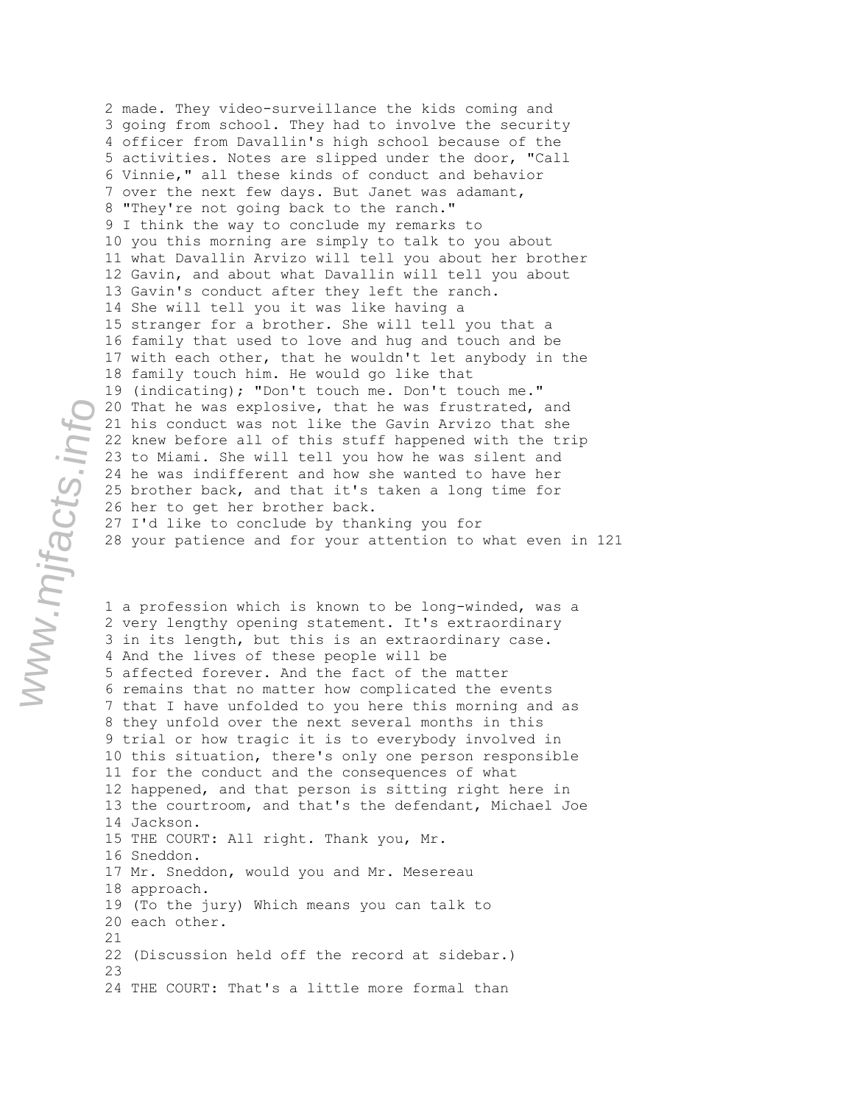2 made. They video-surveillance the kids coming and 3 going from school. They had to involve the security 4 officer from Davallin's high school because of the 5 activities. Notes are slipped under the door, "Call 6 Vinnie," all these kinds of conduct and behavior 7 over the next few days. But Janet was adamant, 8 "They're not going back to the ranch." 9 I think the way to conclude my remarks to 10 you this morning are simply to talk to you about 11 what Davallin Arvizo will tell you about her brother 12 Gavin, and about what Davallin will tell you about 13 Gavin's conduct after they left the ranch. 14 She will tell you it was like having a 15 stranger for a brother. She will tell you that a 16 family that used to love and hug and touch and be 17 with each other, that he wouldn't let anybody in the 18 family touch him. He would go like that 19 (indicating); "Don't touch me. Don't touch me." 20 That he was explosive, that he was frustrated, and 21 his conduct was not like the Gavin Arvizo that she 22 knew before all of this stuff happened with the trip 23 to Miami. She will tell you how he was silent and 24 he was indifferent and how she wanted to have her 25 brother back, and that it's taken a long time for 26 her to get her brother back. 27 I'd like to conclude by thanking you for 28 your patience and for your attention to what even in 121

1 a profession which is known to be long-winded, was a 2 very lengthy opening statement. It's extraordinary 3 in its length, but this is an extraordinary case. 4 And the lives of these people will be 5 affected forever. And the fact of the matter 6 remains that no matter how complicated the events 7 that I have unfolded to you here this morning and as 8 they unfold over the next several months in this 9 trial or how tragic it is to everybody involved in 10 this situation, there's only one person responsible 11 for the conduct and the consequences of what 12 happened, and that person is sitting right here in 13 the courtroom, and that's the defendant, Michael Joe 14 Jackson. 15 THE COURT: All right. Thank you, Mr. 16 Sneddon. 17 Mr. Sneddon, would you and Mr. Mesereau 18 approach. 19 (To the jury) Which means you can talk to 20 each other. 21 22 (Discussion held off the record at sidebar.) 23 24 THE COURT: That's a little more formal than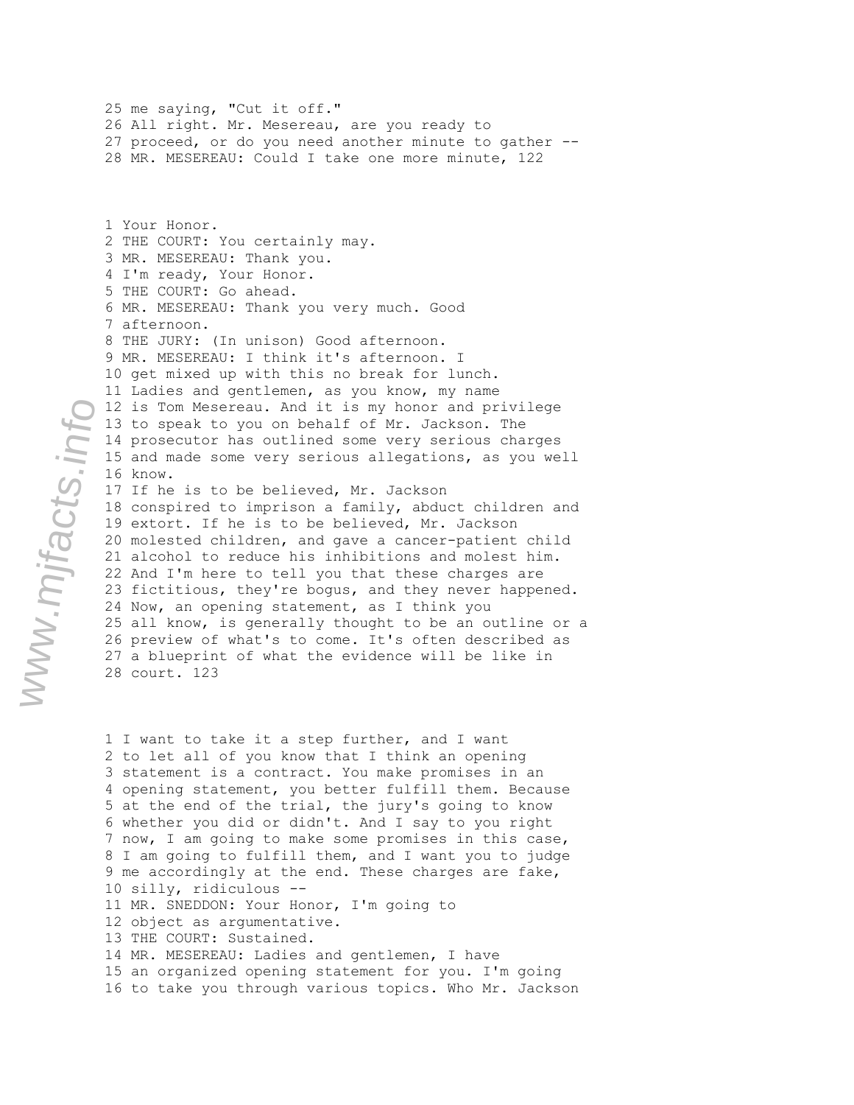27 proceed, or do you need another minute to gather -- 28 MR. MESEREAU: Could I take one more minute, 122 1 Your Honor. 2 THE COURT: You certainly may. 3 MR. MESEREAU: Thank you. 4 I'm ready, Your Honor. 5 THE COURT: Go ahead. 6 MR. MESEREAU: Thank you very much. Good 7 afternoon. 8 THE JURY: (In unison) Good afternoon. 9 MR. MESEREAU: I think it's afternoon. I 10 get mixed up with this no break for lunch. 11 Ladies and gentlemen, as you know, my name 12 is Tom Mesereau. And it is my honor and privilege 13 to speak to you on behalf of Mr. Jackson. The 14 prosecutor has outlined some very serious charges 15 and made some very serious allegations, as you well 16 know. 17 If he is to be believed, Mr. Jackson 18 conspired to imprison a family, abduct children and 19 extort. If he is to be believed, Mr. Jackson 20 molested children, and gave a cancer-patient child 21 alcohol to reduce his inhibitions and molest him. 22 And I'm here to tell you that these charges are 23 fictitious, they're bogus, and they never happened. 24 Now, an opening statement, as I think you 25 all know, is generally thought to be an outline or a 26 preview of what's to come. It's often described as 27 a blueprint of what the evidence will be like in 28 court. 123

25 me saying, "Cut it off."

26 All right. Mr. Mesereau, are you ready to

1 I want to take it a step further, and I want 2 to let all of you know that I think an opening 3 statement is a contract. You make promises in an 4 opening statement, you better fulfill them. Because 5 at the end of the trial, the jury's going to know 6 whether you did or didn't. And I say to you right 7 now, I am going to make some promises in this case, 8 I am going to fulfill them, and I want you to judge 9 me accordingly at the end. These charges are fake, 10 silly, ridiculous -- 11 MR. SNEDDON: Your Honor, I'm going to 12 object as argumentative. 13 THE COURT: Sustained. 14 MR. MESEREAU: Ladies and gentlemen, I have 15 an organized opening statement for you. I'm going 16 to take you through various topics. Who Mr. Jackson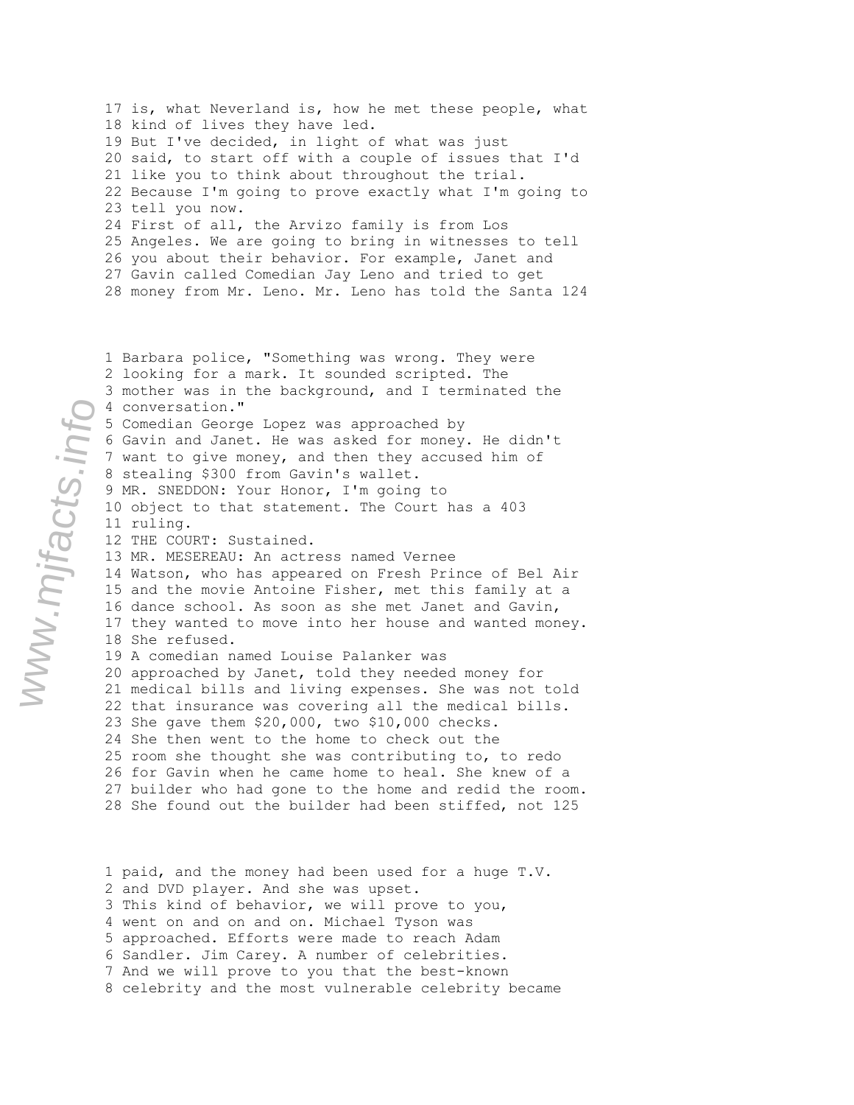17 is, what Neverland is, how he met these people, what 18 kind of lives they have led. 19 But I've decided, in light of what was just 20 said, to start off with a couple of issues that I'd 21 like you to think about throughout the trial. 22 Because I'm going to prove exactly what I'm going to 23 tell you now. 24 First of all, the Arvizo family is from Los 25 Angeles. We are going to bring in witnesses to tell 26 you about their behavior. For example, Janet and 27 Gavin called Comedian Jay Leno and tried to get 28 money from Mr. Leno. Mr. Leno has told the Santa 124

1 Barbara police, "Something was wrong. They were 2 looking for a mark. It sounded scripted. The 3 mother was in the background, and I terminated the 4 conversation." 5 Comedian George Lopez was approached by 6 Gavin and Janet. He was asked for money. He didn't 7 want to give money, and then they accused him of 8 stealing \$300 from Gavin's wallet. 9 MR. SNEDDON: Your Honor, I'm going to 10 object to that statement. The Court has a 403 11 ruling. 12 THE COURT: Sustained. 13 MR. MESEREAU: An actress named Vernee 14 Watson, who has appeared on Fresh Prince of Bel Air 15 and the movie Antoine Fisher, met this family at a 16 dance school. As soon as she met Janet and Gavin, 17 they wanted to move into her house and wanted money. 18 She refused. 19 A comedian named Louise Palanker was 20 approached by Janet, told they needed money for 21 medical bills and living expenses. She was not told 22 that insurance was covering all the medical bills. 23 She gave them \$20,000, two \$10,000 checks. 24 She then went to the home to check out the 25 room she thought she was contributing to, to redo 26 for Gavin when he came home to heal. She knew of a 27 builder who had gone to the home and redid the room. 28 She found out the builder had been stiffed, not 125

1 paid, and the money had been used for a huge T.V. 2 and DVD player. And she was upset. 3 This kind of behavior, we will prove to you, 4 went on and on and on. Michael Tyson was 5 approached. Efforts were made to reach Adam 6 Sandler. Jim Carey. A number of celebrities. 7 And we will prove to you that the best-known 8 celebrity and the most vulnerable celebrity became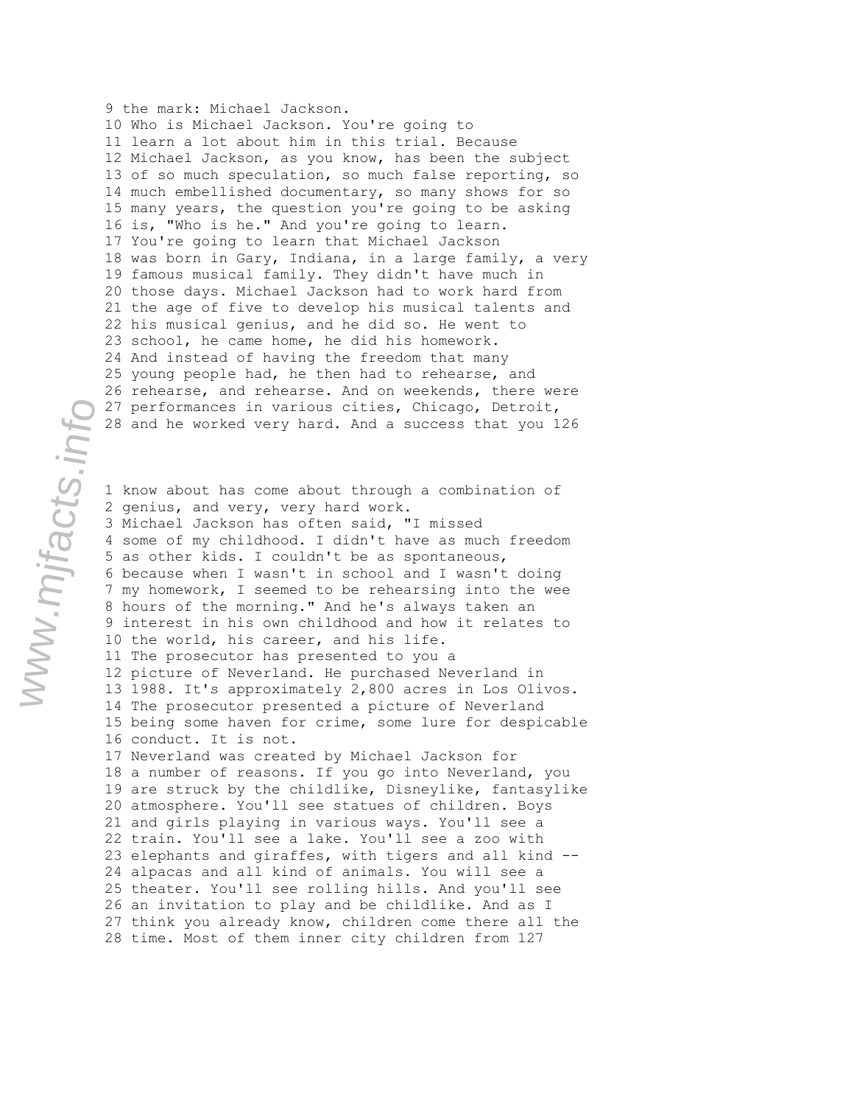9 the mark: Michael Jackson. 10 Who is Michael Jackson. You're going to 11 learn a lot about him in this trial. Because 12 Michael Jackson, as you know, has been the subject 13 of so much speculation, so much false reporting, so 14 much embellished documentary, so many shows for so 15 many years, the question you're going to be asking 16 is, "Who is he." And you're going to learn. 17 You're going to learn that Michael Jackson 18 was born in Gary, Indiana, in a large family, a very 19 famous musical family. They didn't have much in 20 those days. Michael Jackson had to work hard from 21 the age of five to develop his musical talents and 22 his musical genius, and he did so. He went to 23 school, he came home, he did his homework. 24 And instead of having the freedom that many 25 young people had, he then had to rehearse, and 26 rehearse, and rehearse. And on weekends, there were 27 performances in various cities, Chicago, Detroit, 28 and he worked very hard. And a success that you 126

1 know about has come about through a combination of 2 genius, and very, very hard work. 3 Michael Jackson has often said, "I missed 4 some of my childhood. I didn't have as much freedom 5 as other kids. I couldn't be as spontaneous, 6 because when I wasn't in school and I wasn't doing 7 my homework, I seemed to be rehearsing into the wee 8 hours of the morning." And he's always taken an 9 interest in his own childhood and how it relates to 10 the world, his career, and his life. 11 The prosecutor has presented to you a 12 picture of Neverland. He purchased Neverland in 13 1988. It's approximately 2,800 acres in Los Olivos. 14 The prosecutor presented a picture of Neverland 15 being some haven for crime, some lure for despicable 16 conduct. It is not. 17 Neverland was created by Michael Jackson for 18 a number of reasons. If you go into Neverland, you 19 are struck by the childlike, Disneylike, fantasylike 20 atmosphere. You'll see statues of children. Boys 21 and girls playing in various ways. You'll see a 22 train. You'll see a lake. You'll see a zoo with 23 elephants and giraffes, with tigers and all kind -- 24 alpacas and all kind of animals. You will see a 25 theater. You'll see rolling hills. And you'll see 26 an invitation to play and be childlike. And as I 27 think you already know, children come there all the 28 time. Most of them inner city children from 127

www.mjfacts.info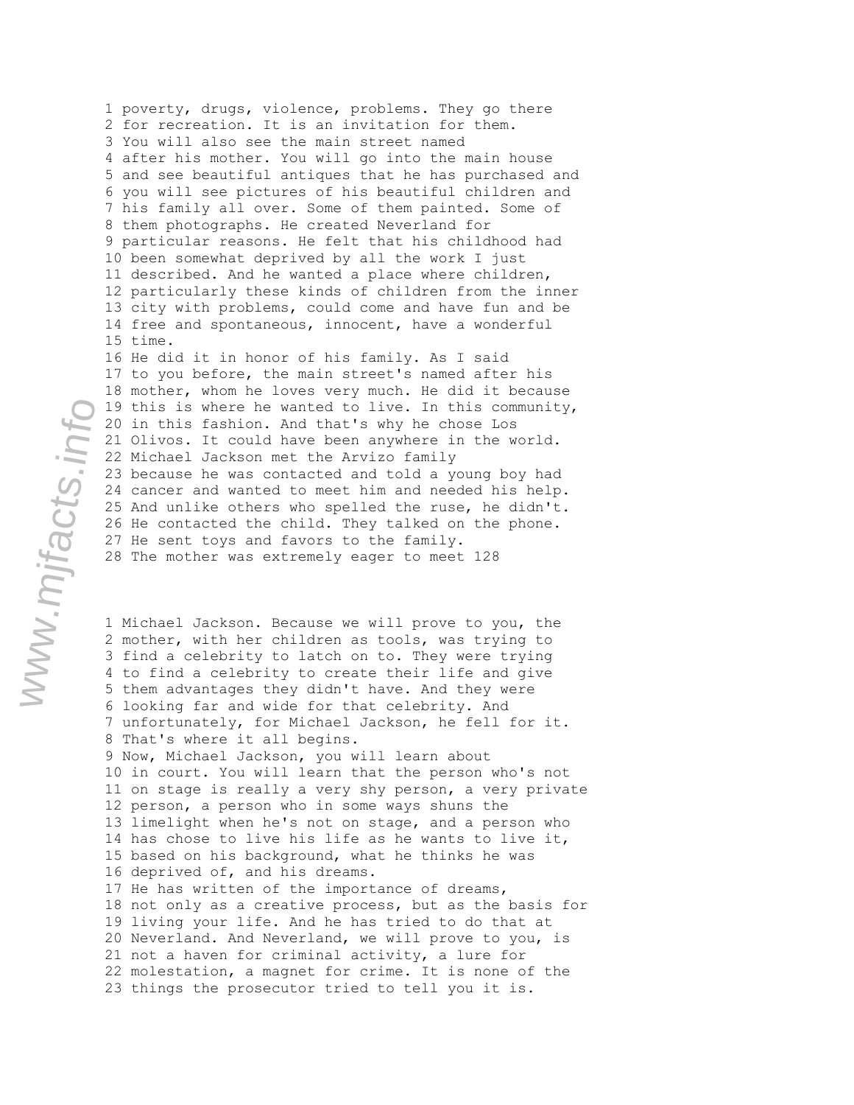1 poverty, drugs, violence, problems. They go there 2 for recreation. It is an invitation for them. 3 You will also see the main street named 4 after his mother. You will go into the main house 5 and see beautiful antiques that he has purchased and 6 you will see pictures of his beautiful children and 7 his family all over. Some of them painted. Some of 8 them photographs. He created Neverland for 9 particular reasons. He felt that his childhood had 10 been somewhat deprived by all the work I just 11 described. And he wanted a place where children, 12 particularly these kinds of children from the inner 13 city with problems, could come and have fun and be 14 free and spontaneous, innocent, have a wonderful 15 time. 16 He did it in honor of his family. As I said 17 to you before, the main street's named after his 18 mother, whom he loves very much. He did it because 19 this is where he wanted to live. In this community, 20 in this fashion. And that's why he chose Los 21 Olivos. It could have been anywhere in the world. 22 Michael Jackson met the Arvizo family 23 because he was contacted and told a young boy had 24 cancer and wanted to meet him and needed his help. 25 And unlike others who spelled the ruse, he didn't. 26 He contacted the child. They talked on the phone. 27 He sent toys and favors to the family. 28 The mother was extremely eager to meet 128

1 Michael Jackson. Because we will prove to you, the 2 mother, with her children as tools, was trying to 3 find a celebrity to latch on to. They were trying 4 to find a celebrity to create their life and give 5 them advantages they didn't have. And they were 6 looking far and wide for that celebrity. And 7 unfortunately, for Michael Jackson, he fell for it. 8 That's where it all begins. 9 Now, Michael Jackson, you will learn about 10 in court. You will learn that the person who's not 11 on stage is really a very shy person, a very private 12 person, a person who in some ways shuns the 13 limelight when he's not on stage, and a person who 14 has chose to live his life as he wants to live it, 15 based on his background, what he thinks he was 16 deprived of, and his dreams. 17 He has written of the importance of dreams, 18 not only as a creative process, but as the basis for 19 living your life. And he has tried to do that at 20 Neverland. And Neverland, we will prove to you, is 21 not a haven for criminal activity, a lure for 22 molestation, a magnet for crime. It is none of the 23 things the prosecutor tried to tell you it is.

www.mjfacts.info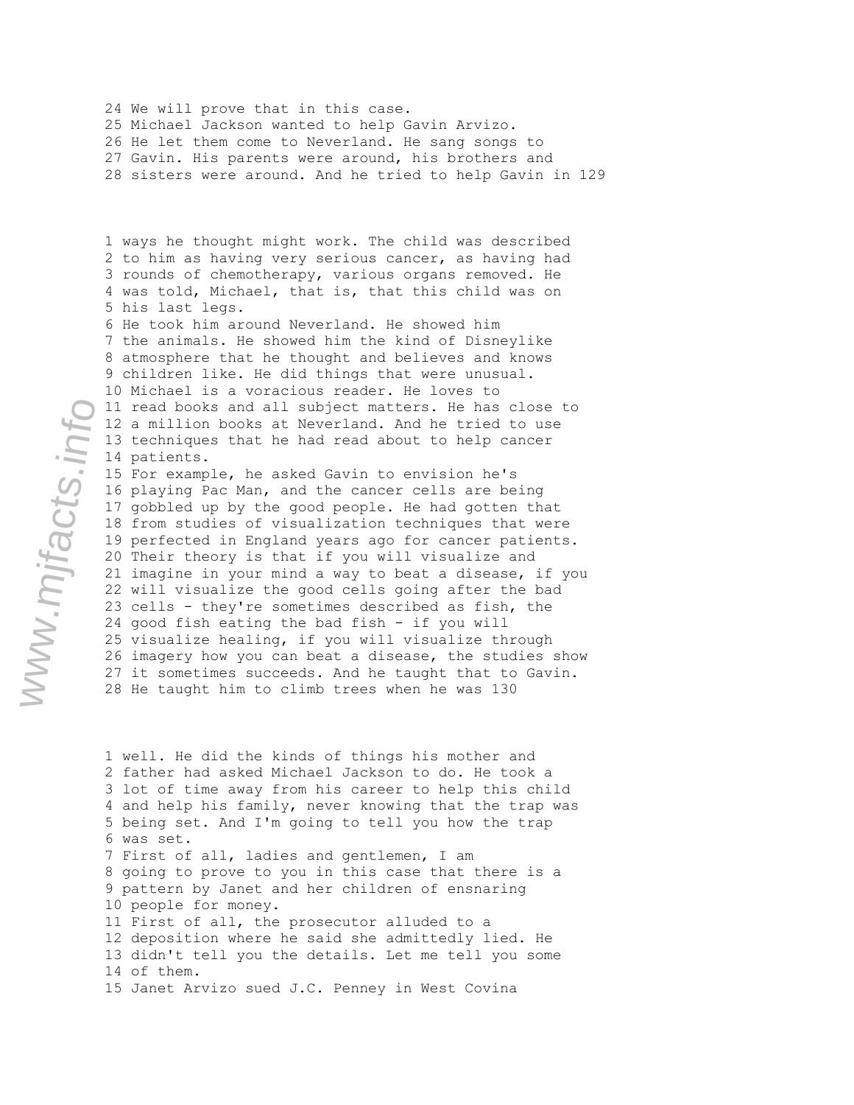24 We will prove that in this case. 25 Michael Jackson wanted to help Gavin Arvizo. 26 He let them come to Neverland. He sang songs to 27 Gavin. His parents were around, his brothers and 28 sisters were around. And he tried to help Gavin in 129

1 ways he thought might work. The child was described 2 to him as having very serious cancer, as having had 3 rounds of chemotherapy, various organs removed. He 4 was told, Michael, that is, that this child was on 5 his last legs. 6 He took him around Neverland. He showed him 7 the animals. He showed him the kind of Disneylike 8 atmosphere that he thought and believes and knows 9 children like. He did things that were unusual. 10 Michael is a voracious reader. He loves to 11 read books and all subject matters. He has close to 12 a million books at Neverland. And he tried to use 13 techniques that he had read about to help cancer 14 patients.

15 For example, he asked Gavin to envision he's 16 playing Pac Man, and the cancer cells are being 17 gobbled up by the good people. He had gotten that 18 from studies of visualization techniques that were 19 perfected in England years ago for cancer patients. 20 Their theory is that if you will visualize and 21 imagine in your mind a way to beat a disease, if you 22 will visualize the good cells going after the bad 23 cells - they're sometimes described as fish, the 24 good fish eating the bad fish - if you will 25 visualize healing, if you will visualize through 26 imagery how you can beat a disease, the studies show 27 it sometimes succeeds. And he taught that to Gavin. 28 He taught him to climb trees when he was 130

1 well. He did the kinds of things his mother and 2 father had asked Michael Jackson to do. He took a 3 lot of time away from his career to help this child 4 and help his family, never knowing that the trap was 5 being set. And I'm going to tell you how the trap 6 was set. 7 First of all, ladies and gentlemen, I am 8 going to prove to you in this case that there is a 9 pattern by Janet and her children of ensnaring 10 people for money. 11 First of all, the prosecutor alluded to a 12 deposition where he said she admittedly lied. He 13 didn't tell you the details. Let me tell you some 14 of them. 15 Janet Arvizo sued J.C. Penney in West Covina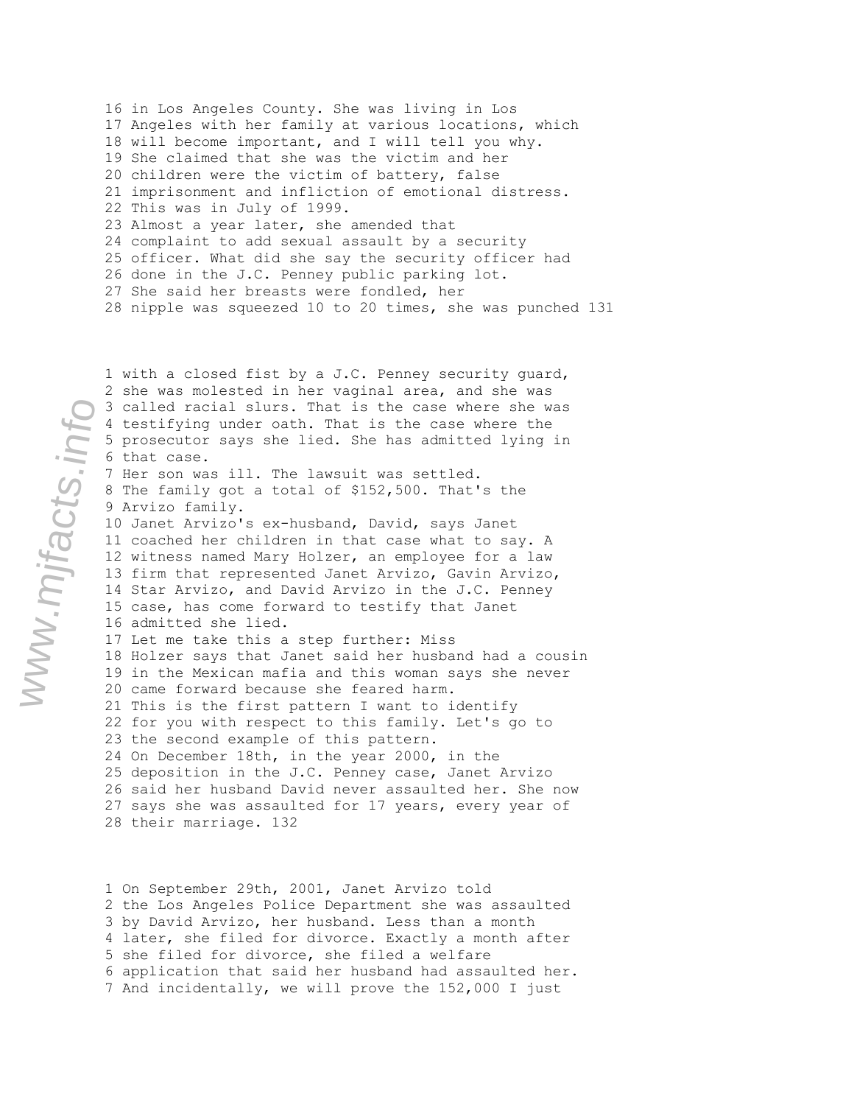16 in Los Angeles County. She was living in Los 17 Angeles with her family at various locations, which 18 will become important, and I will tell you why. 19 She claimed that she was the victim and her 20 children were the victim of battery, false 21 imprisonment and infliction of emotional distress. 22 This was in July of 1999. 23 Almost a year later, she amended that 24 complaint to add sexual assault by a security 25 officer. What did she say the security officer had 26 done in the J.C. Penney public parking lot. 27 She said her breasts were fondled, her 28 nipple was squeezed 10 to 20 times, she was punched 131

1 with a closed fist by a J.C. Penney security guard, 2 she was molested in her vaginal area, and she was 3 called racial slurs. That is the case where she was 4 testifying under oath. That is the case where the 5 prosecutor says she lied. She has admitted lying in 6 that case. 7 Her son was ill. The lawsuit was settled. 8 The family got a total of \$152,500. That's the 9 Arvizo family. 10 Janet Arvizo's ex-husband, David, says Janet 11 coached her children in that case what to say. A 12 witness named Mary Holzer, an employee for a law 13 firm that represented Janet Arvizo, Gavin Arvizo, 14 Star Arvizo, and David Arvizo in the J.C. Penney 15 case, has come forward to testify that Janet 16 admitted she lied. 17 Let me take this a step further: Miss 18 Holzer says that Janet said her husband had a cousin 19 in the Mexican mafia and this woman says she never 20 came forward because she feared harm. 21 This is the first pattern I want to identify 22 for you with respect to this family. Let's go to 23 the second example of this pattern. 24 On December 18th, in the year 2000, in the 25 deposition in the J.C. Penney case, Janet Arvizo 26 said her husband David never assaulted her. She now 27 says she was assaulted for 17 years, every year of 28 their marriage. 132

1 On September 29th, 2001, Janet Arvizo told 2 the Los Angeles Police Department she was assaulted 3 by David Arvizo, her husband. Less than a month 4 later, she filed for divorce. Exactly a month after 5 she filed for divorce, she filed a welfare 6 application that said her husband had assaulted her. 7 And incidentally, we will prove the 152,000 I just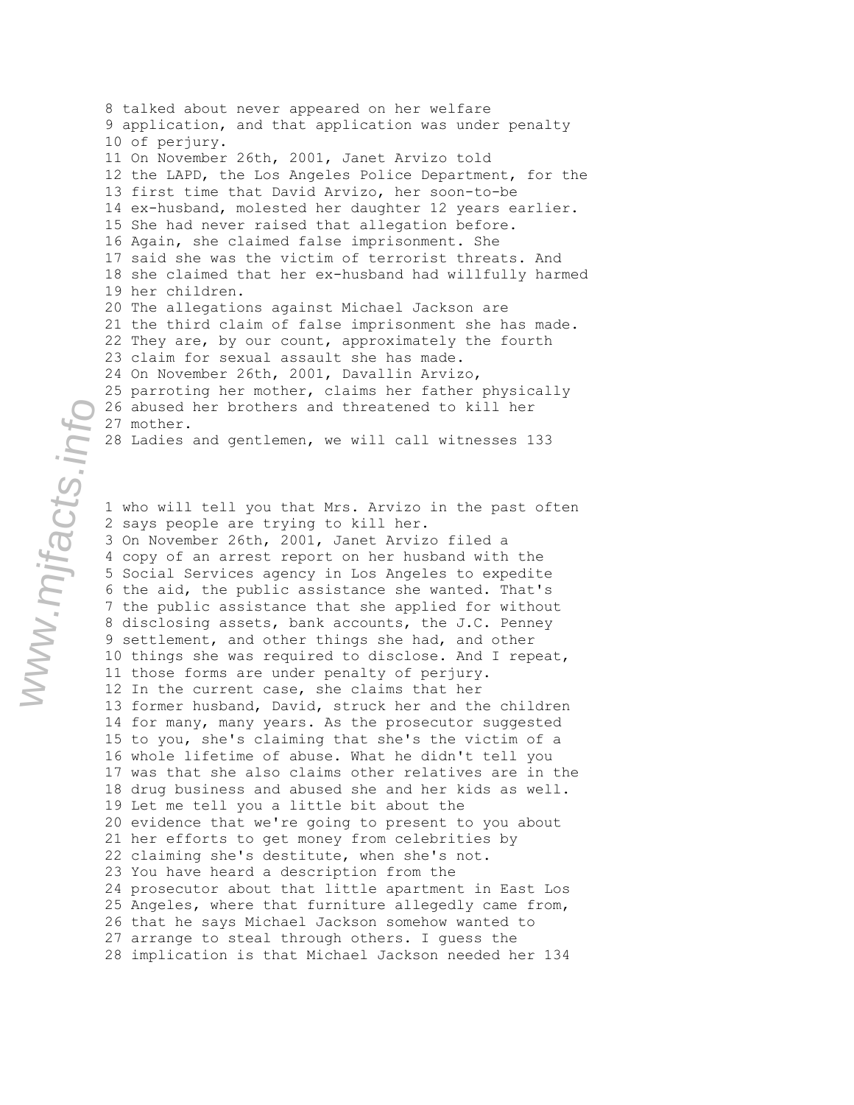8 talked about never appeared on her welfare 9 application, and that application was under penalty 10 of perjury. 11 On November 26th, 2001, Janet Arvizo told 12 the LAPD, the Los Angeles Police Department, for the 13 first time that David Arvizo, her soon-to-be 14 ex-husband, molested her daughter 12 years earlier. 15 She had never raised that allegation before. 16 Again, she claimed false imprisonment. She 17 said she was the victim of terrorist threats. And 18 she claimed that her ex-husband had willfully harmed 19 her children. 20 The allegations against Michael Jackson are 21 the third claim of false imprisonment she has made. 22 They are, by our count, approximately the fourth 23 claim for sexual assault she has made. 24 On November 26th, 2001, Davallin Arvizo, 25 parroting her mother, claims her father physically 26 abused her brothers and threatened to kill her 27 mother. 28 Ladies and gentlemen, we will call witnesses 133

1 who will tell you that Mrs. Arvizo in the past often 2 says people are trying to kill her. 3 On November 26th, 2001, Janet Arvizo filed a 4 copy of an arrest report on her husband with the 5 Social Services agency in Los Angeles to expedite 6 the aid, the public assistance she wanted. That's 7 the public assistance that she applied for without 8 disclosing assets, bank accounts, the J.C. Penney 9 settlement, and other things she had, and other 10 things she was required to disclose. And I repeat, 11 those forms are under penalty of perjury. 12 In the current case, she claims that her 13 former husband, David, struck her and the children 14 for many, many years. As the prosecutor suggested 15 to you, she's claiming that she's the victim of a 16 whole lifetime of abuse. What he didn't tell you 17 was that she also claims other relatives are in the 18 drug business and abused she and her kids as well. 19 Let me tell you a little bit about the 20 evidence that we're going to present to you about 21 her efforts to get money from celebrities by 22 claiming she's destitute, when she's not. 23 You have heard a description from the 24 prosecutor about that little apartment in East Los 25 Angeles, where that furniture allegedly came from, 26 that he says Michael Jackson somehow wanted to 27 arrange to steal through others. I guess the 28 implication is that Michael Jackson needed her 134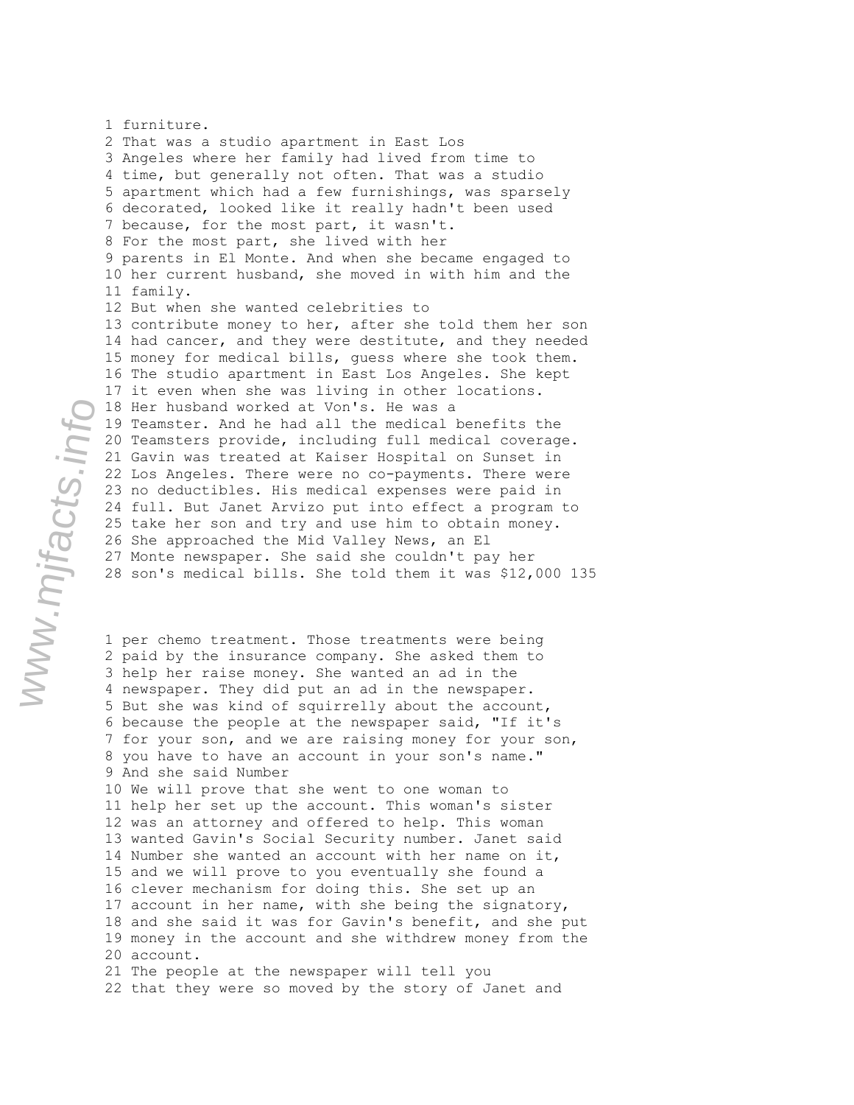1 furniture. 2 That was a studio apartment in East Los 3 Angeles where her family had lived from time to 4 time, but generally not often. That was a studio 5 apartment which had a few furnishings, was sparsely 6 decorated, looked like it really hadn't been used 7 because, for the most part, it wasn't. 8 For the most part, she lived with her 9 parents in El Monte. And when she became engaged to 10 her current husband, she moved in with him and the 11 family. 12 But when she wanted celebrities to 13 contribute money to her, after she told them her son 14 had cancer, and they were destitute, and they needed 15 money for medical bills, guess where she took them. 16 The studio apartment in East Los Angeles. She kept 17 it even when she was living in other locations. 18 Her husband worked at Von's. He was a 19 Teamster. And he had all the medical benefits the 20 Teamsters provide, including full medical coverage. 21 Gavin was treated at Kaiser Hospital on Sunset in 22 Los Angeles. There were no co-payments. There were 23 no deductibles. His medical expenses were paid in 24 full. But Janet Arvizo put into effect a program to 25 take her son and try and use him to obtain money. 26 She approached the Mid Valley News, an El 27 Monte newspaper. She said she couldn't pay her 28 son's medical bills. She told them it was \$12,000 135

1 per chemo treatment. Those treatments were being 2 paid by the insurance company. She asked them to 3 help her raise money. She wanted an ad in the 4 newspaper. They did put an ad in the newspaper. 5 But she was kind of squirrelly about the account, 6 because the people at the newspaper said, "If it's 7 for your son, and we are raising money for your son, 8 you have to have an account in your son's name." 9 And she said Number 10 We will prove that she went to one woman to 11 help her set up the account. This woman's sister 12 was an attorney and offered to help. This woman 13 wanted Gavin's Social Security number. Janet said 14 Number she wanted an account with her name on it, 15 and we will prove to you eventually she found a 16 clever mechanism for doing this. She set up an 17 account in her name, with she being the signatory, 18 and she said it was for Gavin's benefit, and she put 19 money in the account and she withdrew money from the 20 account. 21 The people at the newspaper will tell you 22 that they were so moved by the story of Janet and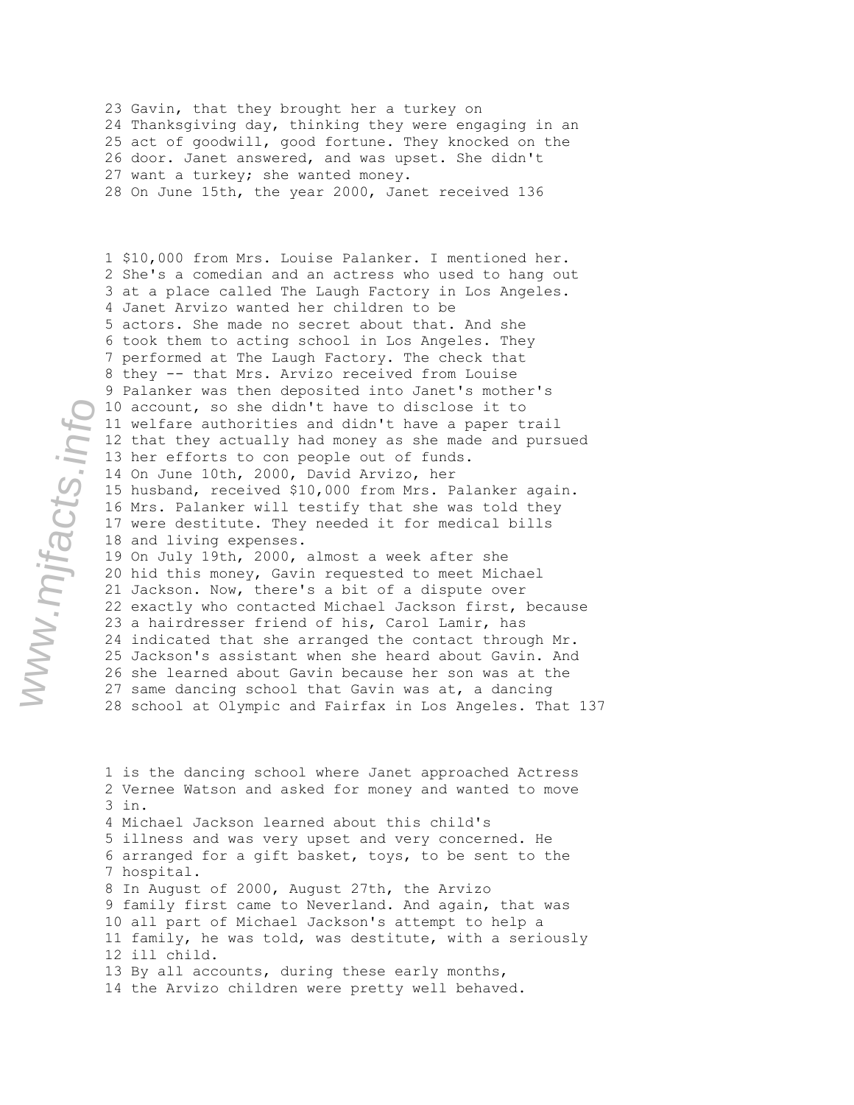23 Gavin, that they brought her a turkey on 24 Thanksgiving day, thinking they were engaging in an 25 act of goodwill, good fortune. They knocked on the 26 door. Janet answered, and was upset. She didn't 27 want a turkey; she wanted money. 28 On June 15th, the year 2000, Janet received 136

1 \$10,000 from Mrs. Louise Palanker. I mentioned her. 2 She's a comedian and an actress who used to hang out 3 at a place called The Laugh Factory in Los Angeles. 4 Janet Arvizo wanted her children to be 5 actors. She made no secret about that. And she 6 took them to acting school in Los Angeles. They 7 performed at The Laugh Factory. The check that 8 they -- that Mrs. Arvizo received from Louise 9 Palanker was then deposited into Janet's mother's 10 account, so she didn't have to disclose it to 11 welfare authorities and didn't have a paper trail 12 that they actually had money as she made and pursued 13 her efforts to con people out of funds. 14 On June 10th, 2000, David Arvizo, her 15 husband, received \$10,000 from Mrs. Palanker again. 16 Mrs. Palanker will testify that she was told they 17 were destitute. They needed it for medical bills 18 and living expenses. 19 On July 19th, 2000, almost a week after she 20 hid this money, Gavin requested to meet Michael 21 Jackson. Now, there's a bit of a dispute over 22 exactly who contacted Michael Jackson first, because 23 a hairdresser friend of his, Carol Lamir, has 24 indicated that she arranged the contact through Mr. 25 Jackson's assistant when she heard about Gavin. And 26 she learned about Gavin because her son was at the 27 same dancing school that Gavin was at, a dancing 28 school at Olympic and Fairfax in Los Angeles. That 137

1 is the dancing school where Janet approached Actress 2 Vernee Watson and asked for money and wanted to move 3 in. 4 Michael Jackson learned about this child's 5 illness and was very upset and very concerned. He 6 arranged for a gift basket, toys, to be sent to the 7 hospital. 8 In August of 2000, August 27th, the Arvizo 9 family first came to Neverland. And again, that was 10 all part of Michael Jackson's attempt to help a 11 family, he was told, was destitute, with a seriously 12 ill child. 13 By all accounts, during these early months, 14 the Arvizo children were pretty well behaved.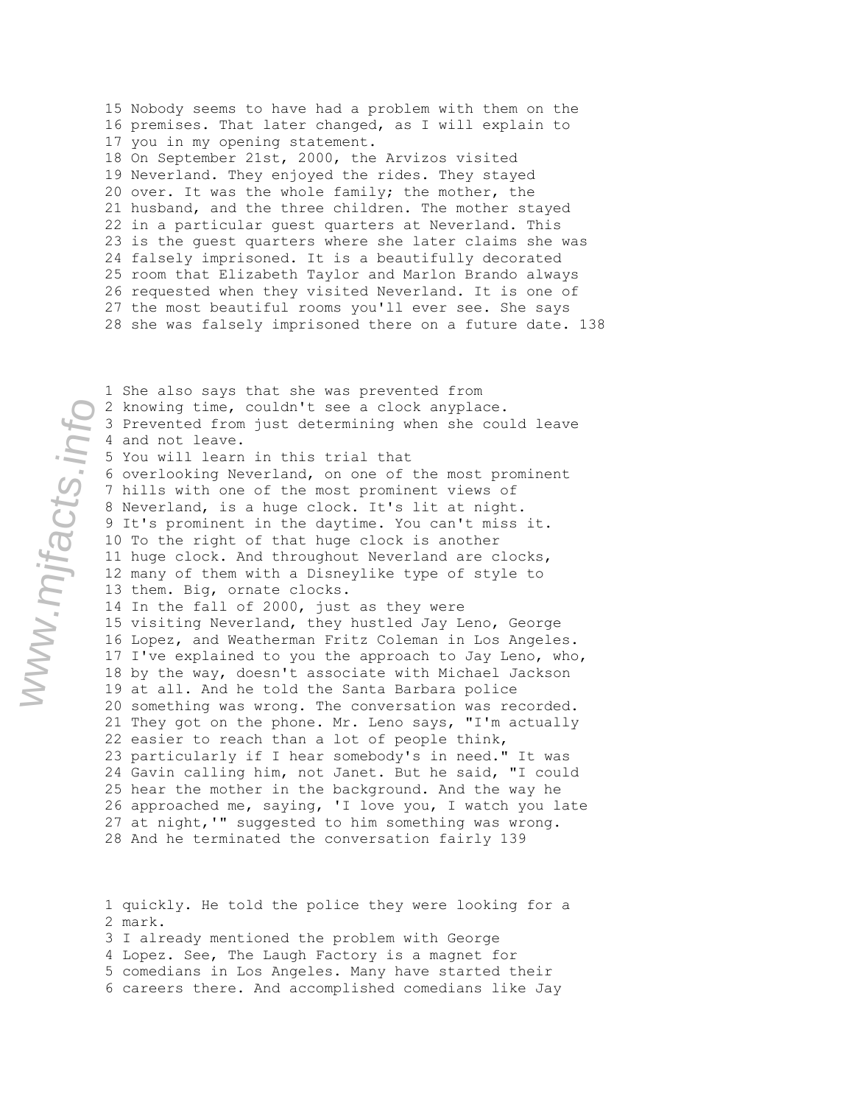15 Nobody seems to have had a problem with them on the 16 premises. That later changed, as I will explain to 17 you in my opening statement. 18 On September 21st, 2000, the Arvizos visited 19 Neverland. They enjoyed the rides. They stayed 20 over. It was the whole family; the mother, the 21 husband, and the three children. The mother stayed 22 in a particular guest quarters at Neverland. This 23 is the guest quarters where she later claims she was 24 falsely imprisoned. It is a beautifully decorated 25 room that Elizabeth Taylor and Marlon Brando always 26 requested when they visited Neverland. It is one of 27 the most beautiful rooms you'll ever see. She says 28 she was falsely imprisoned there on a future date. 138

1 She also says that she was prevented from 2 knowing time, couldn't see a clock anyplace. 3 Prevented from just determining when she could leave 4 and not leave. 5 You will learn in this trial that 6 overlooking Neverland, on one of the most prominent 7 hills with one of the most prominent views of 8 Neverland, is a huge clock. It's lit at night. 9 It's prominent in the daytime. You can't miss it. 10 To the right of that huge clock is another 11 huge clock. And throughout Neverland are clocks, 12 many of them with a Disneylike type of style to 13 them. Big, ornate clocks. 14 In the fall of 2000, just as they were 15 visiting Neverland, they hustled Jay Leno, George 16 Lopez, and Weatherman Fritz Coleman in Los Angeles. 17 I've explained to you the approach to Jay Leno, who, 18 by the way, doesn't associate with Michael Jackson 19 at all. And he told the Santa Barbara police 20 something was wrong. The conversation was recorded. 21 They got on the phone. Mr. Leno says, "I'm actually 22 easier to reach than a lot of people think, 23 particularly if I hear somebody's in need." It was 24 Gavin calling him, not Janet. But he said, "I could 25 hear the mother in the background. And the way he 26 approached me, saying, 'I love you, I watch you late 27 at night,'" suggested to him something was wrong. 28 And he terminated the conversation fairly 139

1 quickly. He told the police they were looking for a 2 mark. 3 I already mentioned the problem with George 4 Lopez. See, The Laugh Factory is a magnet for

5 comedians in Los Angeles. Many have started their

6 careers there. And accomplished comedians like Jay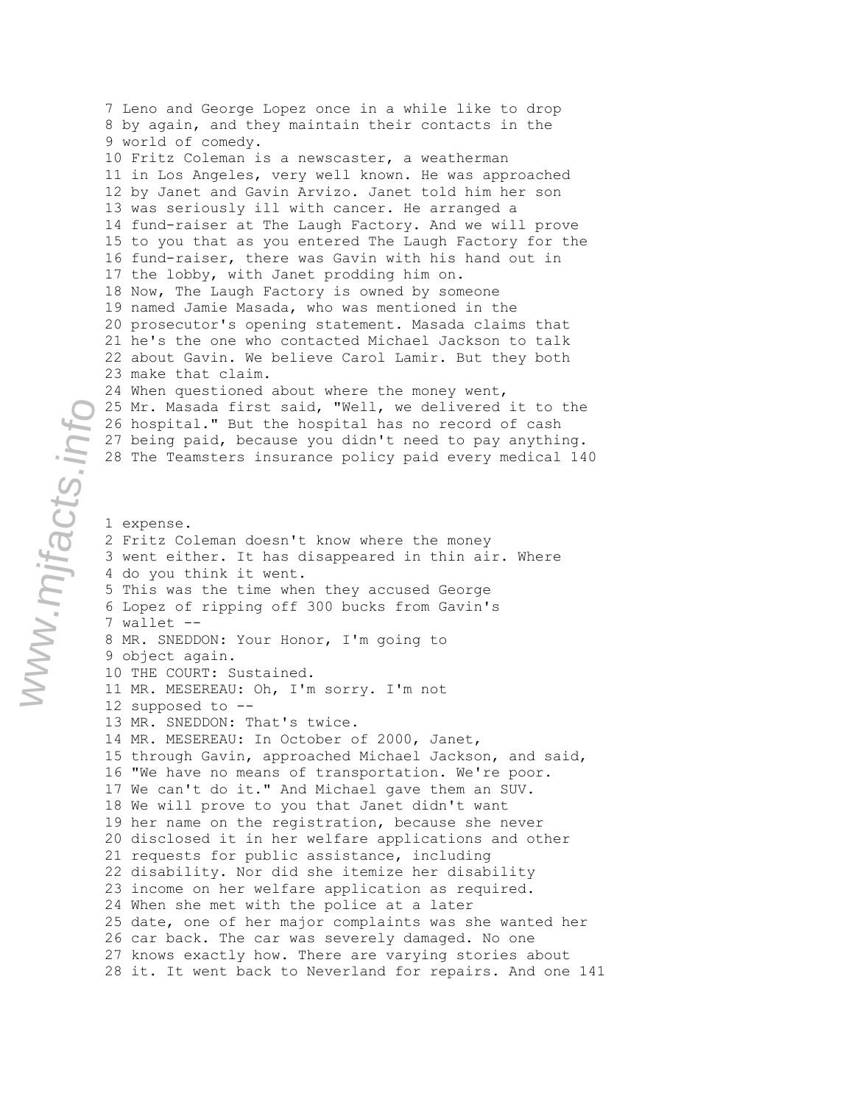7 Leno and George Lopez once in a while like to drop 8 by again, and they maintain their contacts in the 9 world of comedy. 10 Fritz Coleman is a newscaster, a weatherman 11 in Los Angeles, very well known. He was approached 12 by Janet and Gavin Arvizo. Janet told him her son 13 was seriously ill with cancer. He arranged a 14 fund-raiser at The Laugh Factory. And we will prove 15 to you that as you entered The Laugh Factory for the 16 fund-raiser, there was Gavin with his hand out in 17 the lobby, with Janet prodding him on. 18 Now, The Laugh Factory is owned by someone 19 named Jamie Masada, who was mentioned in the 20 prosecutor's opening statement. Masada claims that 21 he's the one who contacted Michael Jackson to talk 22 about Gavin. We believe Carol Lamir. But they both 23 make that claim. 24 When questioned about where the money went, 25 Mr. Masada first said, "Well, we delivered it to the 26 hospital." But the hospital has no record of cash 27 being paid, because you didn't need to pay anything. 28 The Teamsters insurance policy paid every medical 140 1 expense. 2 Fritz Coleman doesn't know where the money 3 went either. It has disappeared in thin air. Where 4 do you think it went. 5 This was the time when they accused George 6 Lopez of ripping off 300 bucks from Gavin's 7 wallet -- 8 MR. SNEDDON: Your Honor, I'm going to 9 object again. 10 THE COURT: Sustained. 11 MR. MESEREAU: Oh, I'm sorry. I'm not 12 supposed to -- 13 MR. SNEDDON: That's twice. 14 MR. MESEREAU: In October of 2000, Janet, 15 through Gavin, approached Michael Jackson, and said, 16 "We have no means of transportation. We're poor. 17 We can't do it." And Michael gave them an SUV. 18 We will prove to you that Janet didn't want 19 her name on the registration, because she never 20 disclosed it in her welfare applications and other 21 requests for public assistance, including 22 disability. Nor did she itemize her disability 23 income on her welfare application as required. 24 When she met with the police at a later 25 date, one of her major complaints was she wanted her 26 car back. The car was severely damaged. No one 27 knows exactly how. There are varying stories about 28 it. It went back to Neverland for repairs. And one 141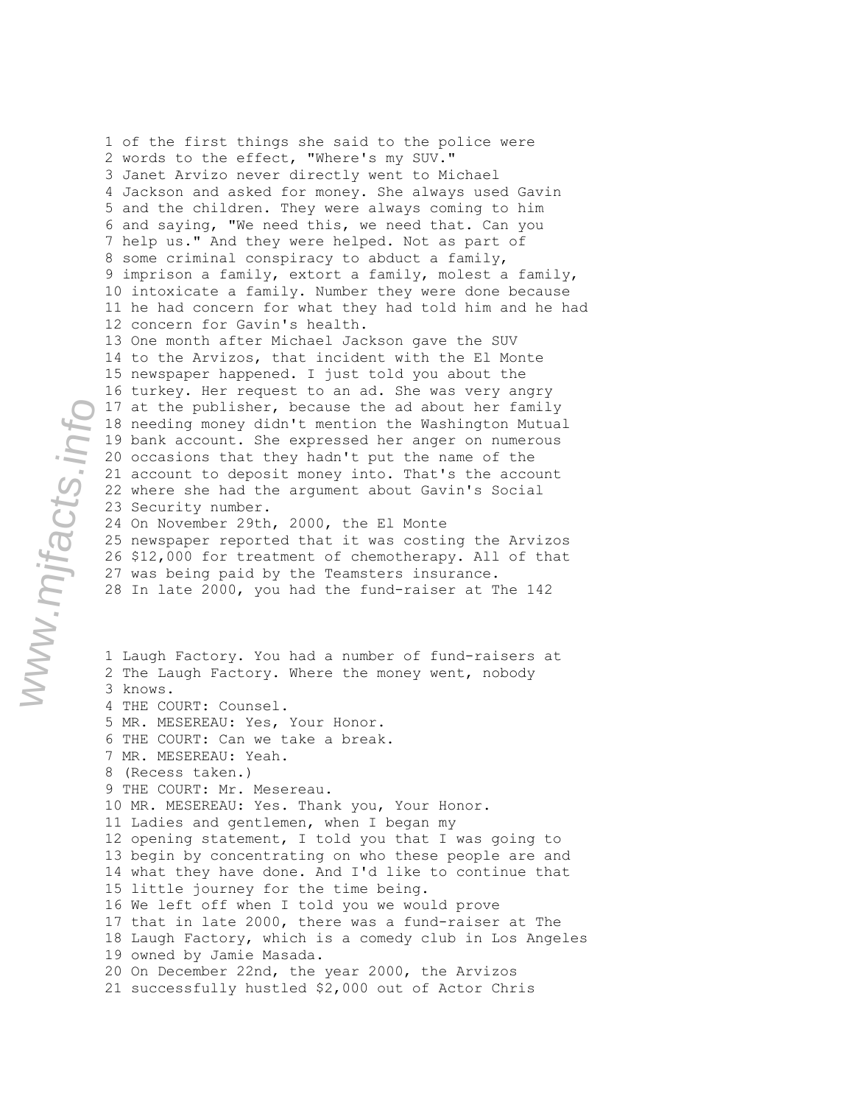1 of the first things she said to the police were 2 words to the effect, "Where's my SUV." 3 Janet Arvizo never directly went to Michael 4 Jackson and asked for money. She always used Gavin 5 and the children. They were always coming to him 6 and saying, "We need this, we need that. Can you 7 help us." And they were helped. Not as part of 8 some criminal conspiracy to abduct a family, 9 imprison a family, extort a family, molest a family, 10 intoxicate a family. Number they were done because 11 he had concern for what they had told him and he had 12 concern for Gavin's health. 13 One month after Michael Jackson gave the SUV 14 to the Arvizos, that incident with the El Monte 15 newspaper happened. I just told you about the 16 turkey. Her request to an ad. She was very angry 17 at the publisher, because the ad about her family 18 needing money didn't mention the Washington Mutual 19 bank account. She expressed her anger on numerous 20 occasions that they hadn't put the name of the 21 account to deposit money into. That's the account 22 where she had the argument about Gavin's Social 23 Security number. 24 On November 29th, 2000, the El Monte 25 newspaper reported that it was costing the Arvizos 26 \$12,000 for treatment of chemotherapy. All of that 27 was being paid by the Teamsters insurance. 28 In late 2000, you had the fund-raiser at The 142 1 Laugh Factory. You had a number of fund-raisers at 2 The Laugh Factory. Where the money went, nobody 3 knows. 4 THE COURT: Counsel. 5 MR. MESEREAU: Yes, Your Honor. 6 THE COURT: Can we take a break. 7 MR. MESEREAU: Yeah. 8 (Recess taken.) 9 THE COURT: Mr. Mesereau. 10 MR. MESEREAU: Yes. Thank you, Your Honor. 11 Ladies and gentlemen, when I began my 12 opening statement, I told you that I was going to 13 begin by concentrating on who these people are and 14 what they have done. And I'd like to continue that 15 little journey for the time being. 16 We left off when I told you we would prove 17 that in late 2000, there was a fund-raiser at The 18 Laugh Factory, which is a comedy club in Los Angeles 19 owned by Jamie Masada. 20 On December 22nd, the year 2000, the Arvizos 21 successfully hustled \$2,000 out of Actor Chris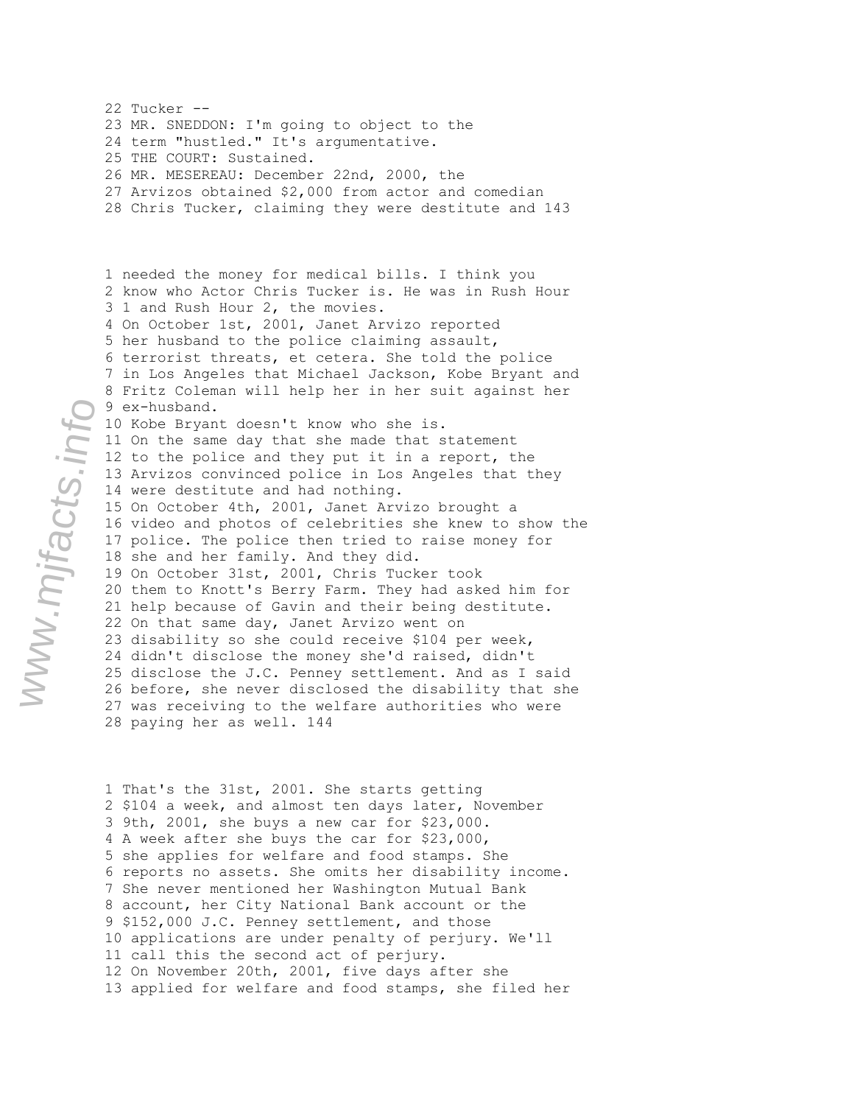22 Tucker -- 23 MR. SNEDDON: I'm going to object to the 24 term "hustled." It's argumentative. 25 THE COURT: Sustained. 26 MR. MESEREAU: December 22nd, 2000, the 27 Arvizos obtained \$2,000 from actor and comedian 28 Chris Tucker, claiming they were destitute and 143 1 needed the money for medical bills. I think you 2 know who Actor Chris Tucker is. He was in Rush Hour 3 1 and Rush Hour 2, the movies. 4 On October 1st, 2001, Janet Arvizo reported 5 her husband to the police claiming assault, 6 terrorist threats, et cetera. She told the police 7 in Los Angeles that Michael Jackson, Kobe Bryant and 8 Fritz Coleman will help her in her suit against her 9 ex-husband. 10 Kobe Bryant doesn't know who she is. 11 On the same day that she made that statement 12 to the police and they put it in a report, the 13 Arvizos convinced police in Los Angeles that they 14 were destitute and had nothing. 15 On October 4th, 2001, Janet Arvizo brought a 16 video and photos of celebrities she knew to show the 17 police. The police then tried to raise money for 18 she and her family. And they did. 19 On October 31st, 2001, Chris Tucker took 20 them to Knott's Berry Farm. They had asked him for 21 help because of Gavin and their being destitute. 22 On that same day, Janet Arvizo went on 23 disability so she could receive \$104 per week, 24 didn't disclose the money she'd raised, didn't 25 disclose the J.C. Penney settlement. And as I said 26 before, she never disclosed the disability that she 27 was receiving to the welfare authorities who were 28 paying her as well. 144

1 That's the 31st, 2001. She starts getting 2 \$104 a week, and almost ten days later, November 3 9th, 2001, she buys a new car for \$23,000. 4 A week after she buys the car for \$23,000, 5 she applies for welfare and food stamps. She 6 reports no assets. She omits her disability income. 7 She never mentioned her Washington Mutual Bank 8 account, her City National Bank account or the 9 \$152,000 J.C. Penney settlement, and those 10 applications are under penalty of perjury. We'll 11 call this the second act of perjury. 12 On November 20th, 2001, five days after she 13 applied for welfare and food stamps, she filed her

www.mjfacts.info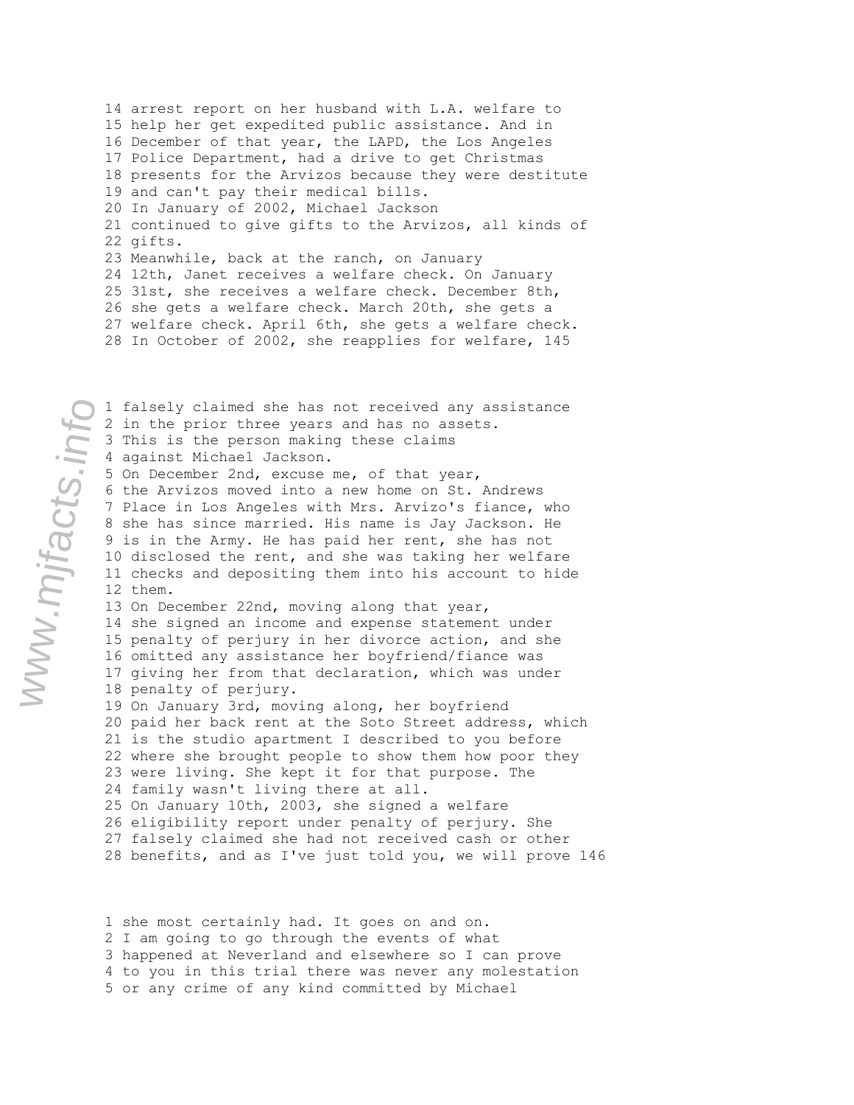14 arrest report on her husband with L.A. welfare to 15 help her get expedited public assistance. And in 16 December of that year, the LAPD, the Los Angeles 17 Police Department, had a drive to get Christmas 18 presents for the Arvizos because they were destitute 19 and can't pay their medical bills. 20 In January of 2002, Michael Jackson 21 continued to give gifts to the Arvizos, all kinds of 22 gifts. 23 Meanwhile, back at the ranch, on January 24 12th, Janet receives a welfare check. On January 25 31st, she receives a welfare check. December 8th, 26 she gets a welfare check. March 20th, she gets a 27 welfare check. April 6th, she gets a welfare check. 28 In October of 2002, she reapplies for welfare, 145

1 falsely claimed she has not received any assistance 2 in the prior three years and has no assets. 3 This is the person making these claims 4 against Michael Jackson. 5 On December 2nd, excuse me, of that year, 6 the Arvizos moved into a new home on St. Andrews 7 Place in Los Angeles with Mrs. Arvizo's fiance, who 8 she has since married. His name is Jay Jackson. He 9 is in the Army. He has paid her rent, she has not 10 disclosed the rent, and she was taking her welfare 11 checks and depositing them into his account to hide 12 them. 13 On December 22nd, moving along that year, 14 she signed an income and expense statement under 15 penalty of perjury in her divorce action, and she 16 omitted any assistance her boyfriend/fiance was 17 giving her from that declaration, which was under 18 penalty of perjury. 19 On January 3rd, moving along, her boyfriend 20 paid her back rent at the Soto Street address, which 21 is the studio apartment I described to you before 22 where she brought people to show them how poor they 23 were living. She kept it for that purpose. The 24 family wasn't living there at all. 25 On January 10th, 2003, she signed a welfare 26 eligibility report under penalty of perjury. She 27 falsely claimed she had not received cash or other 28 benefits, and as I've just told you, we will prove 146

1 she most certainly had. It goes on and on. 2 I am going to go through the events of what 3 happened at Neverland and elsewhere so I can prove 4 to you in this trial there was never any molestation 5 or any crime of any kind committed by Michael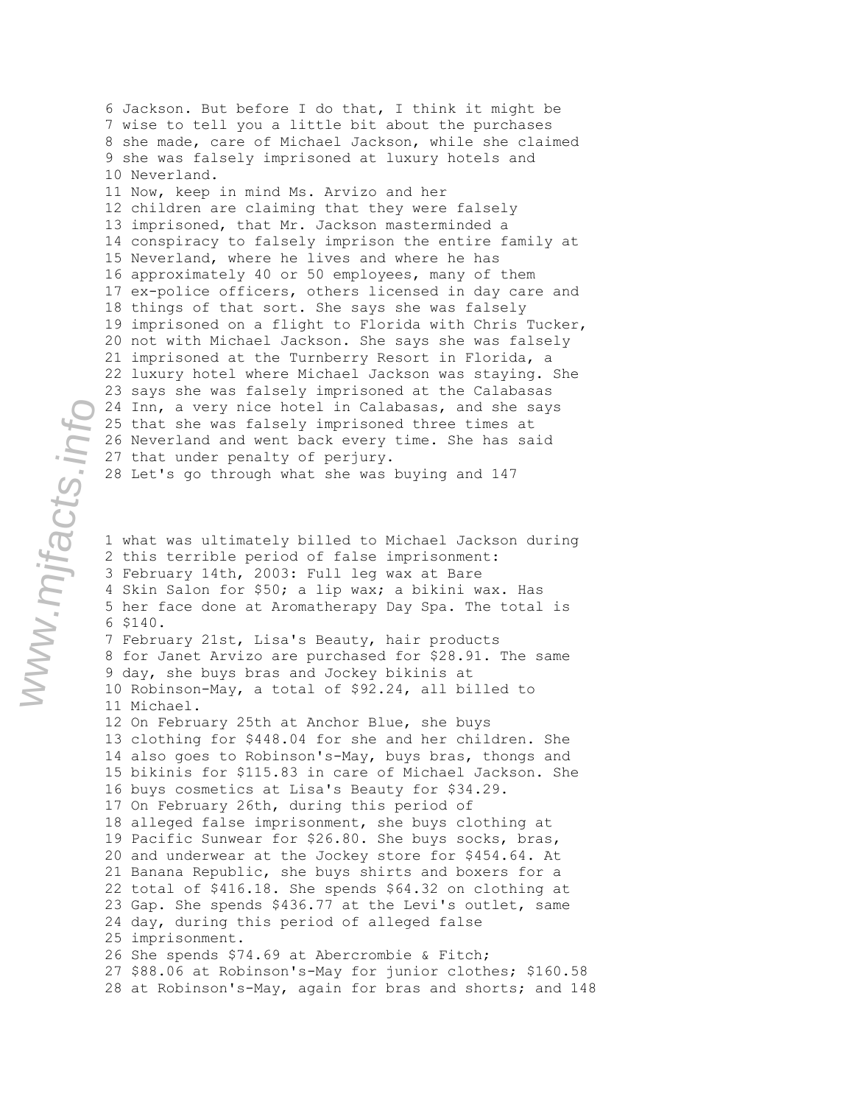6 Jackson. But before I do that, I think it might be 7 wise to tell you a little bit about the purchases 8 she made, care of Michael Jackson, while she claimed 9 she was falsely imprisoned at luxury hotels and 10 Neverland. 11 Now, keep in mind Ms. Arvizo and her 12 children are claiming that they were falsely 13 imprisoned, that Mr. Jackson masterminded a 14 conspiracy to falsely imprison the entire family at 15 Neverland, where he lives and where he has 16 approximately 40 or 50 employees, many of them 17 ex-police officers, others licensed in day care and 18 things of that sort. She says she was falsely 19 imprisoned on a flight to Florida with Chris Tucker, 20 not with Michael Jackson. She says she was falsely 21 imprisoned at the Turnberry Resort in Florida, a 22 luxury hotel where Michael Jackson was staying. She 23 says she was falsely imprisoned at the Calabasas 24 Inn, a very nice hotel in Calabasas, and she says 25 that she was falsely imprisoned three times at 26 Neverland and went back every time. She has said 27 that under penalty of perjury. 28 Let's go through what she was buying and 147

1 what was ultimately billed to Michael Jackson during 2 this terrible period of false imprisonment: 3 February 14th, 2003: Full leg wax at Bare 4 Skin Salon for \$50; a lip wax; a bikini wax. Has 5 her face done at Aromatherapy Day Spa. The total is 6 \$140. 7 February 21st, Lisa's Beauty, hair products 8 for Janet Arvizo are purchased for \$28.91. The same 9 day, she buys bras and Jockey bikinis at 10 Robinson-May, a total of \$92.24, all billed to 11 Michael. 12 On February 25th at Anchor Blue, she buys 13 clothing for \$448.04 for she and her children. She 14 also goes to Robinson's-May, buys bras, thongs and 15 bikinis for \$115.83 in care of Michael Jackson. She 16 buys cosmetics at Lisa's Beauty for \$34.29. 17 On February 26th, during this period of 18 alleged false imprisonment, she buys clothing at 19 Pacific Sunwear for \$26.80. She buys socks, bras, 20 and underwear at the Jockey store for \$454.64. At 21 Banana Republic, she buys shirts and boxers for a 22 total of \$416.18. She spends \$64.32 on clothing at 23 Gap. She spends \$436.77 at the Levi's outlet, same 24 day, during this period of alleged false 25 imprisonment. 26 She spends \$74.69 at Abercrombie & Fitch; 27 \$88.06 at Robinson's-May for junior clothes; \$160.58 28 at Robinson's-May, again for bras and shorts; and 148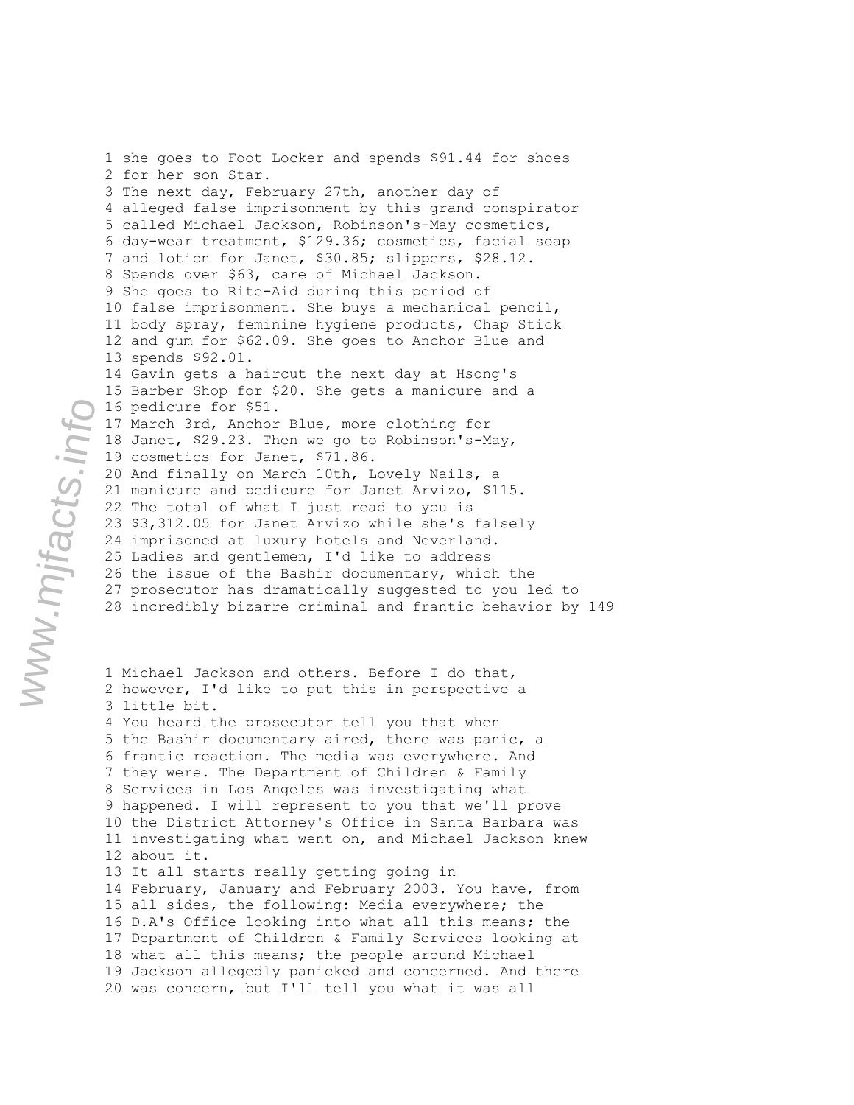1 she goes to Foot Locker and spends \$91.44 for shoes 2 for her son Star. 3 The next day, February 27th, another day of 4 alleged false imprisonment by this grand conspirator 5 called Michael Jackson, Robinson's-May cosmetics, 6 day-wear treatment, \$129.36; cosmetics, facial soap 7 and lotion for Janet, \$30.85; slippers, \$28.12. 8 Spends over \$63, care of Michael Jackson. 9 She goes to Rite-Aid during this period of 10 false imprisonment. She buys a mechanical pencil, 11 body spray, feminine hygiene products, Chap Stick 12 and gum for \$62.09. She goes to Anchor Blue and 13 spends \$92.01. 14 Gavin gets a haircut the next day at Hsong's 15 Barber Shop for \$20. She gets a manicure and a 16 pedicure for \$51. 17 March 3rd, Anchor Blue, more clothing for 18 Janet, \$29.23. Then we go to Robinson's-May, 19 cosmetics for Janet, \$71.86. 20 And finally on March 10th, Lovely Nails, a 21 manicure and pedicure for Janet Arvizo, \$115. 22 The total of what I just read to you is 23 \$3,312.05 for Janet Arvizo while she's falsely 24 imprisoned at luxury hotels and Neverland. 25 Ladies and gentlemen, I'd like to address 26 the issue of the Bashir documentary, which the 27 prosecutor has dramatically suggested to you led to 28 incredibly bizarre criminal and frantic behavior by 149

1 Michael Jackson and others. Before I do that, 2 however, I'd like to put this in perspective a 3 little bit. 4 You heard the prosecutor tell you that when 5 the Bashir documentary aired, there was panic, a 6 frantic reaction. The media was everywhere. And 7 they were. The Department of Children & Family 8 Services in Los Angeles was investigating what 9 happened. I will represent to you that we'll prove 10 the District Attorney's Office in Santa Barbara was 11 investigating what went on, and Michael Jackson knew 12 about it. 13 It all starts really getting going in 14 February, January and February 2003. You have, from 15 all sides, the following: Media everywhere; the 16 D.A's Office looking into what all this means; the 17 Department of Children & Family Services looking at 18 what all this means; the people around Michael 19 Jackson allegedly panicked and concerned. And there 20 was concern, but I'll tell you what it was all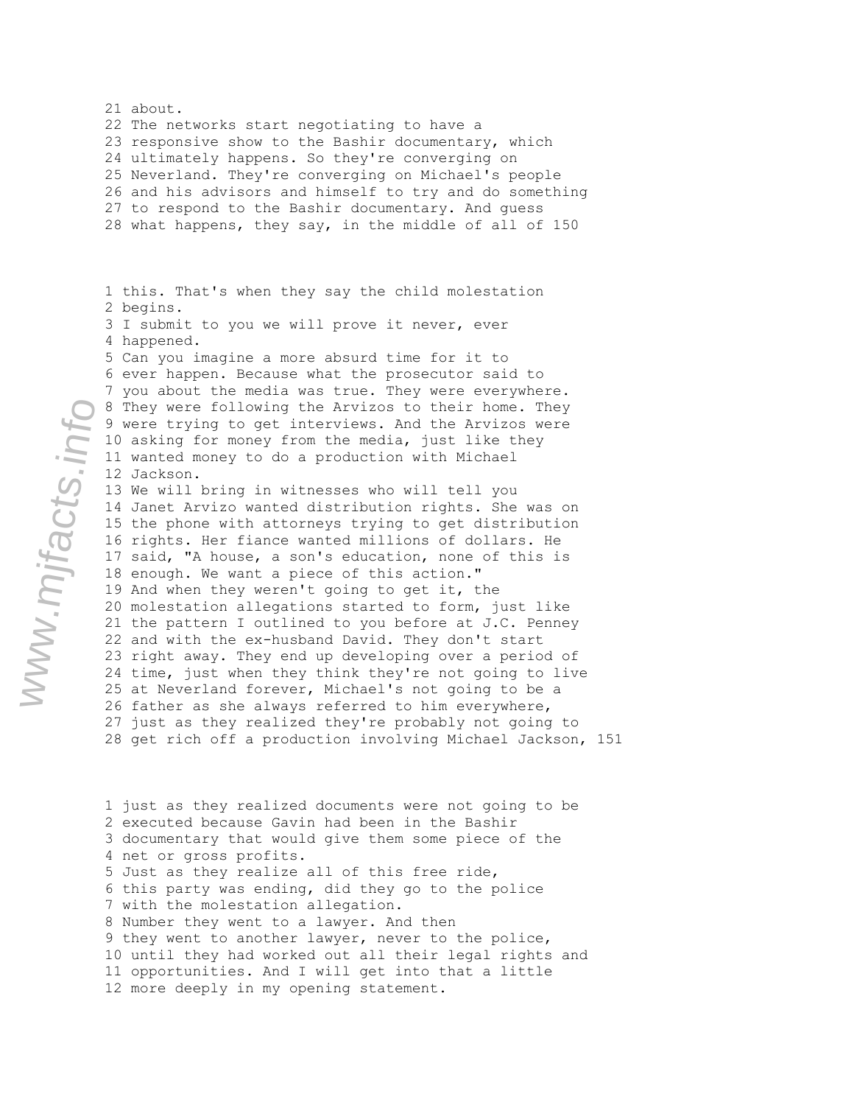21 about. 22 The networks start negotiating to have a 23 responsive show to the Bashir documentary, which 24 ultimately happens. So they're converging on 25 Neverland. They're converging on Michael's people 26 and his advisors and himself to try and do something 27 to respond to the Bashir documentary. And guess 28 what happens, they say, in the middle of all of 150 1 this. That's when they say the child molestation 2 begins. 3 I submit to you we will prove it never, ever 4 happened. 5 Can you imagine a more absurd time for it to 6 ever happen. Because what the prosecutor said to 7 you about the media was true. They were everywhere. 8 They were following the Arvizos to their home. They 9 were trying to get interviews. And the Arvizos were 10 asking for money from the media, just like they 11 wanted money to do a production with Michael 12 Jackson. 13 We will bring in witnesses who will tell you 14 Janet Arvizo wanted distribution rights. She was on 15 the phone with attorneys trying to get distribution 16 rights. Her fiance wanted millions of dollars. He 17 said, "A house, a son's education, none of this is 18 enough. We want a piece of this action." 19 And when they weren't going to get it, the 20 molestation allegations started to form, just like 21 the pattern I outlined to you before at J.C. Penney 22 and with the ex-husband David. They don't start 23 right away. They end up developing over a period of 24 time, just when they think they're not going to live 25 at Neverland forever, Michael's not going to be a 26 father as she always referred to him everywhere, 27 just as they realized they're probably not going to 28 get rich off a production involving Michael Jackson, 151

1 just as they realized documents were not going to be 2 executed because Gavin had been in the Bashir 3 documentary that would give them some piece of the 4 net or gross profits. 5 Just as they realize all of this free ride, 6 this party was ending, did they go to the police 7 with the molestation allegation. 8 Number they went to a lawyer. And then 9 they went to another lawyer, never to the police, 10 until they had worked out all their legal rights and 11 opportunities. And I will get into that a little 12 more deeply in my opening statement.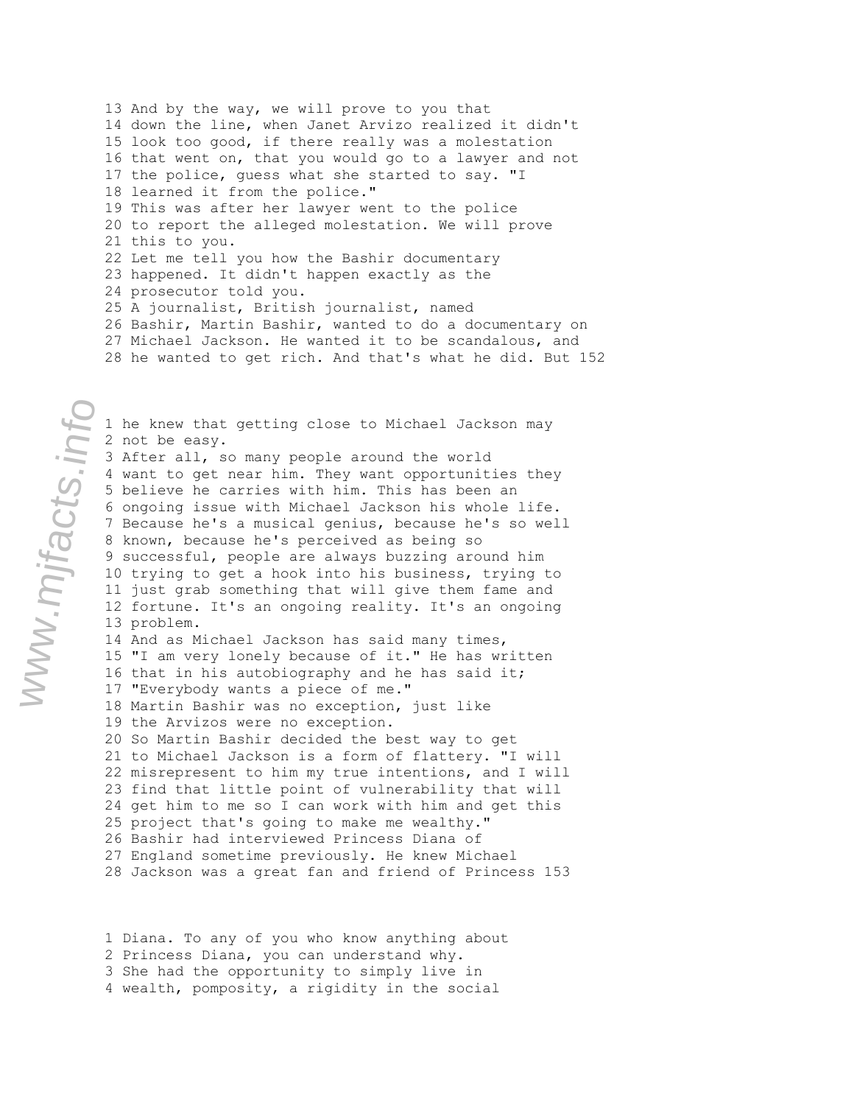13 And by the way, we will prove to you that 14 down the line, when Janet Arvizo realized it didn't 15 look too good, if there really was a molestation 16 that went on, that you would go to a lawyer and not 17 the police, guess what she started to say. "I 18 learned it from the police." 19 This was after her lawyer went to the police 20 to report the alleged molestation. We will prove 21 this to you. 22 Let me tell you how the Bashir documentary 23 happened. It didn't happen exactly as the 24 prosecutor told you. 25 A journalist, British journalist, named 26 Bashir, Martin Bashir, wanted to do a documentary on 27 Michael Jackson. He wanted it to be scandalous, and 28 he wanted to get rich. And that's what he did. But 152

1 he knew that getting close to Michael Jackson may 2 not be easy. 3 After all, so many people around the world 4 want to get near him. They want opportunities they 5 believe he carries with him. This has been an 6 ongoing issue with Michael Jackson his whole life. 7 Because he's a musical genius, because he's so well 8 known, because he's perceived as being so 9 successful, people are always buzzing around him 10 trying to get a hook into his business, trying to 11 just grab something that will give them fame and 12 fortune. It's an ongoing reality. It's an ongoing 13 problem. 14 And as Michael Jackson has said many times, 15 "I am very lonely because of it." He has written 16 that in his autobiography and he has said it; 17 "Everybody wants a piece of me." 18 Martin Bashir was no exception, just like 19 the Arvizos were no exception. 20 So Martin Bashir decided the best way to get 21 to Michael Jackson is a form of flattery. "I will 22 misrepresent to him my true intentions, and I will 23 find that little point of vulnerability that will 24 get him to me so I can work with him and get this 25 project that's going to make me wealthy." 26 Bashir had interviewed Princess Diana of 27 England sometime previously. He knew Michael 28 Jackson was a great fan and friend of Princess 153

1 Diana. To any of you who know anything about 2 Princess Diana, you can understand why. 3 She had the opportunity to simply live in 4 wealth, pomposity, a rigidity in the social

www.mjfacts.info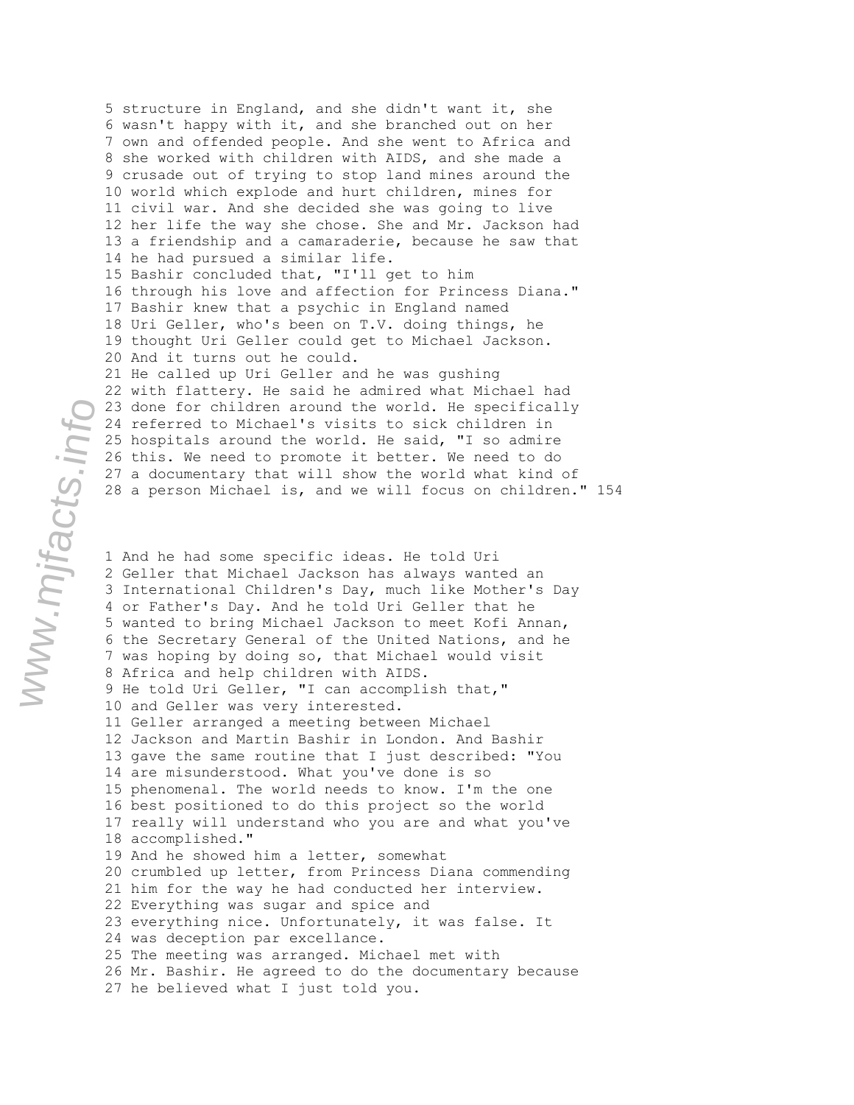5 structure in England, and she didn't want it, she 6 wasn't happy with it, and she branched out on her 7 own and offended people. And she went to Africa and 8 she worked with children with AIDS, and she made a 9 crusade out of trying to stop land mines around the 10 world which explode and hurt children, mines for 11 civil war. And she decided she was going to live 12 her life the way she chose. She and Mr. Jackson had 13 a friendship and a camaraderie, because he saw that 14 he had pursued a similar life. 15 Bashir concluded that, "I'll get to him 16 through his love and affection for Princess Diana." 17 Bashir knew that a psychic in England named 18 Uri Geller, who's been on T.V. doing things, he 19 thought Uri Geller could get to Michael Jackson. 20 And it turns out he could. 21 He called up Uri Geller and he was gushing 22 with flattery. He said he admired what Michael had 23 done for children around the world. He specifically 24 referred to Michael's visits to sick children in 25 hospitals around the world. He said, "I so admire 26 this. We need to promote it better. We need to do 27 a documentary that will show the world what kind of 28 a person Michael is, and we will focus on children." 154

1 And he had some specific ideas. He told Uri 2 Geller that Michael Jackson has always wanted an 3 International Children's Day, much like Mother's Day 4 or Father's Day. And he told Uri Geller that he 5 wanted to bring Michael Jackson to meet Kofi Annan, 6 the Secretary General of the United Nations, and he 7 was hoping by doing so, that Michael would visit 8 Africa and help children with AIDS. 9 He told Uri Geller, "I can accomplish that," 10 and Geller was very interested. 11 Geller arranged a meeting between Michael 12 Jackson and Martin Bashir in London. And Bashir 13 gave the same routine that I just described: "You 14 are misunderstood. What you've done is so 15 phenomenal. The world needs to know. I'm the one 16 best positioned to do this project so the world 17 really will understand who you are and what you've 18 accomplished." 19 And he showed him a letter, somewhat 20 crumbled up letter, from Princess Diana commending 21 him for the way he had conducted her interview. 22 Everything was sugar and spice and 23 everything nice. Unfortunately, it was false. It 24 was deception par excellance. 25 The meeting was arranged. Michael met with 26 Mr. Bashir. He agreed to do the documentary because 27 he believed what I just told you.

www.mjfacts.info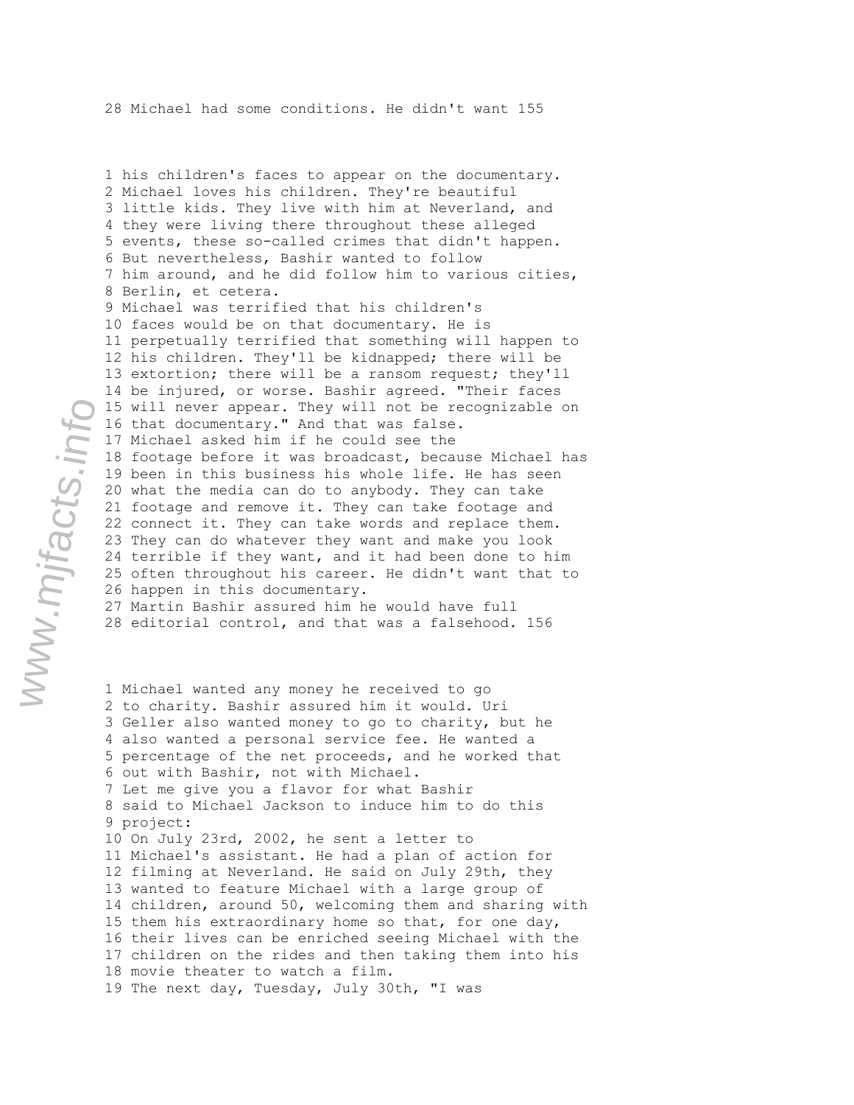1 his children's faces to appear on the documentary. 2 Michael loves his children. They're beautiful 3 little kids. They live with him at Neverland, and 4 they were living there throughout these alleged 5 events, these so-called crimes that didn't happen. 6 But nevertheless, Bashir wanted to follow 7 him around, and he did follow him to various cities, 8 Berlin, et cetera. 9 Michael was terrified that his children's 10 faces would be on that documentary. He is 11 perpetually terrified that something will happen to 12 his children. They'll be kidnapped; there will be 13 extortion; there will be a ransom request; they'll 14 be injured, or worse. Bashir agreed. "Their faces 15 will never appear. They will not be recognizable on 16 that documentary." And that was false. 17 Michael asked him if he could see the 18 footage before it was broadcast, because Michael has 19 been in this business his whole life. He has seen 20 what the media can do to anybody. They can take 21 footage and remove it. They can take footage and 22 connect it. They can take words and replace them. 23 They can do whatever they want and make you look 24 terrible if they want, and it had been done to him 25 often throughout his career. He didn't want that to 26 happen in this documentary. 27 Martin Bashir assured him he would have full 28 editorial control, and that was a falsehood. 156

1 Michael wanted any money he received to go 2 to charity. Bashir assured him it would. Uri 3 Geller also wanted money to go to charity, but he 4 also wanted a personal service fee. He wanted a 5 percentage of the net proceeds, and he worked that 6 out with Bashir, not with Michael. 7 Let me give you a flavor for what Bashir 8 said to Michael Jackson to induce him to do this 9 project: 10 On July 23rd, 2002, he sent a letter to 11 Michael's assistant. He had a plan of action for 12 filming at Neverland. He said on July 29th, they 13 wanted to feature Michael with a large group of 14 children, around 50, welcoming them and sharing with 15 them his extraordinary home so that, for one day, 16 their lives can be enriched seeing Michael with the 17 children on the rides and then taking them into his 18 movie theater to watch a film. 19 The next day, Tuesday, July 30th, "I was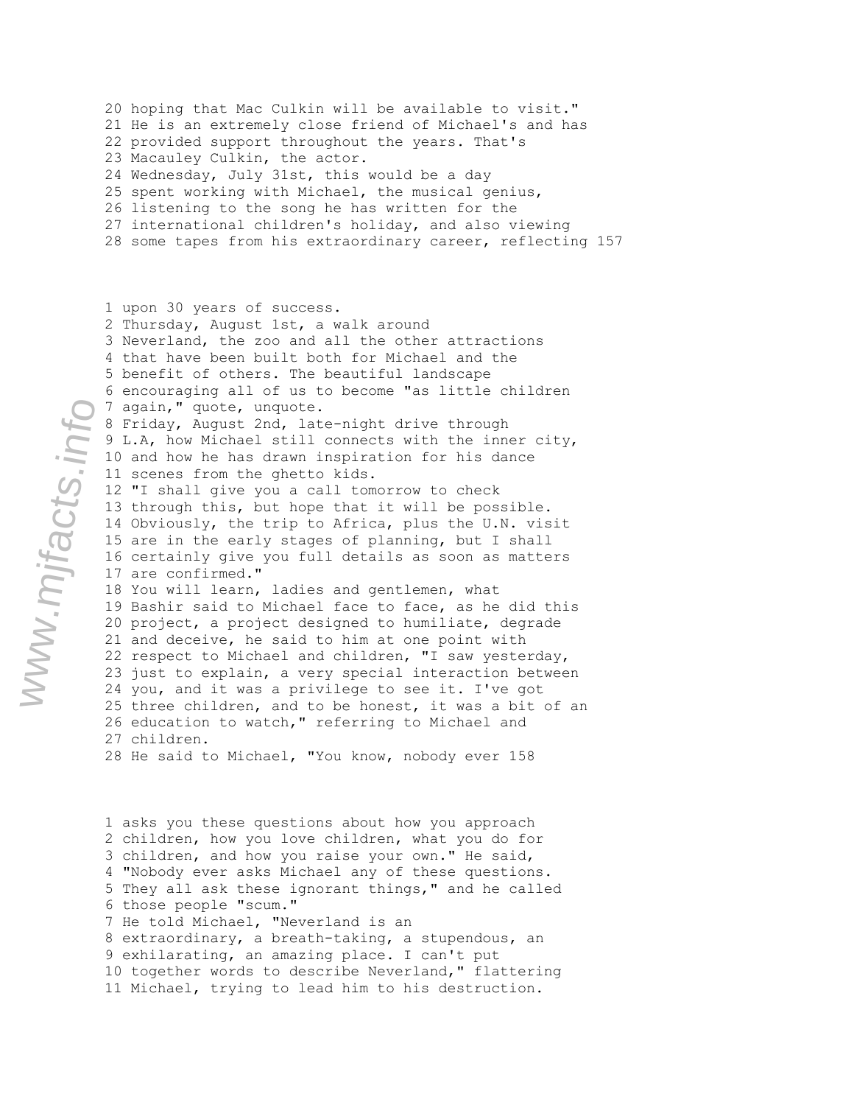20 hoping that Mac Culkin will be available to visit." 21 He is an extremely close friend of Michael's and has 22 provided support throughout the years. That's 23 Macauley Culkin, the actor. 24 Wednesday, July 31st, this would be a day 25 spent working with Michael, the musical genius, 26 listening to the song he has written for the 27 international children's holiday, and also viewing 28 some tapes from his extraordinary career, reflecting 157

1 upon 30 years of success. 2 Thursday, August 1st, a walk around 3 Neverland, the zoo and all the other attractions 4 that have been built both for Michael and the 5 benefit of others. The beautiful landscape 6 encouraging all of us to become "as little children 7 again," quote, unquote. 8 Friday, August 2nd, late-night drive through 9 L.A, how Michael still connects with the inner city, 10 and how he has drawn inspiration for his dance 11 scenes from the ghetto kids. 12 "I shall give you a call tomorrow to check 13 through this, but hope that it will be possible. 14 Obviously, the trip to Africa, plus the U.N. visit 15 are in the early stages of planning, but I shall 16 certainly give you full details as soon as matters 17 are confirmed." 18 You will learn, ladies and gentlemen, what 19 Bashir said to Michael face to face, as he did this 20 project, a project designed to humiliate, degrade 21 and deceive, he said to him at one point with 22 respect to Michael and children, "I saw yesterday, 23 just to explain, a very special interaction between 24 you, and it was a privilege to see it. I've got 25 three children, and to be honest, it was a bit of an 26 education to watch," referring to Michael and 27 children. 28 He said to Michael, "You know, nobody ever 158

1 asks you these questions about how you approach 2 children, how you love children, what you do for 3 children, and how you raise your own." He said, 4 "Nobody ever asks Michael any of these questions. 5 They all ask these ignorant things," and he called 6 those people "scum." 7 He told Michael, "Neverland is an 8 extraordinary, a breath-taking, a stupendous, an 9 exhilarating, an amazing place. I can't put 10 together words to describe Neverland," flattering 11 Michael, trying to lead him to his destruction.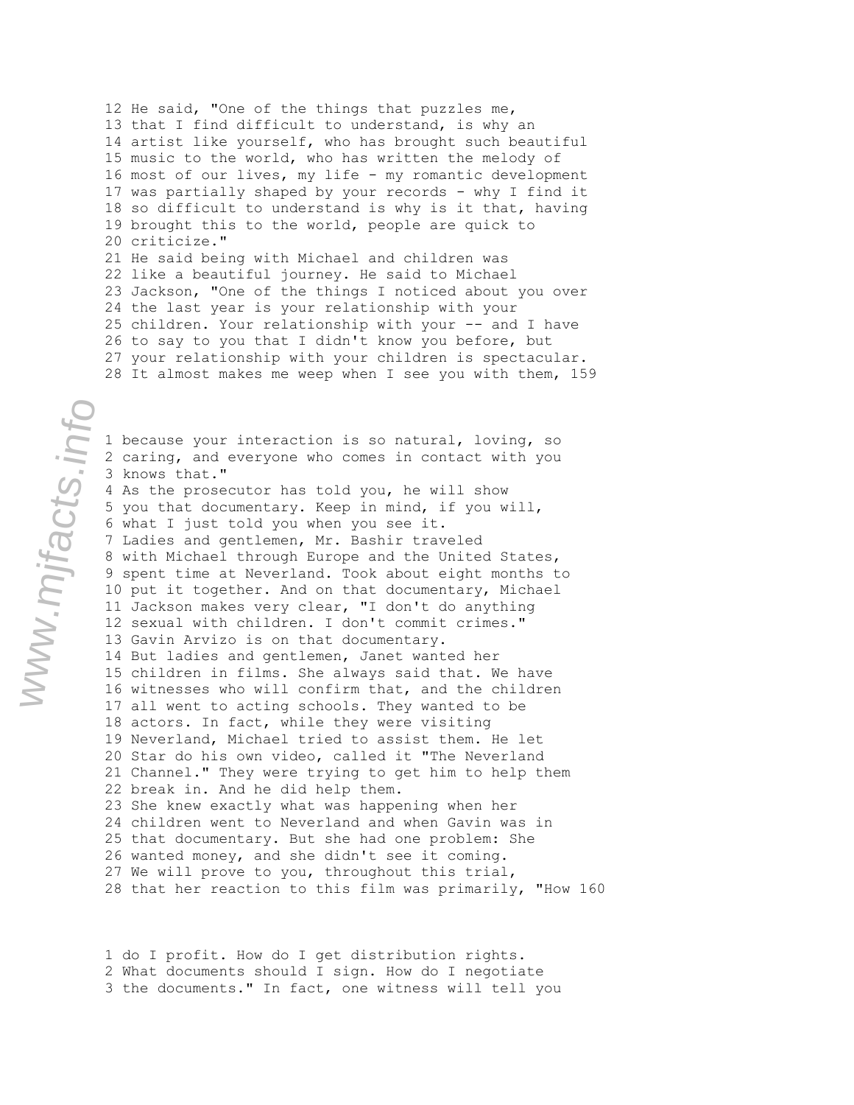12 He said, "One of the things that puzzles me, 13 that I find difficult to understand, is why an 14 artist like yourself, who has brought such beautiful 15 music to the world, who has written the melody of 16 most of our lives, my life - my romantic development 17 was partially shaped by your records - why I find it 18 so difficult to understand is why is it that, having 19 brought this to the world, people are quick to 20 criticize." 21 He said being with Michael and children was 22 like a beautiful journey. He said to Michael 23 Jackson, "One of the things I noticed about you over 24 the last year is your relationship with your 25 children. Your relationship with your -- and I have 26 to say to you that I didn't know you before, but 27 your relationship with your children is spectacular. 28 It almost makes me weep when I see you with them, 159

1 because your interaction is so natural, loving, so 2 caring, and everyone who comes in contact with you 3 knows that." 4 As the prosecutor has told you, he will show 5 you that documentary. Keep in mind, if you will, 6 what I just told you when you see it. 7 Ladies and gentlemen, Mr. Bashir traveled 8 with Michael through Europe and the United States, 9 spent time at Neverland. Took about eight months to 10 put it together. And on that documentary, Michael 11 Jackson makes very clear, "I don't do anything 12 sexual with children. I don't commit crimes." 13 Gavin Arvizo is on that documentary. 14 But ladies and gentlemen, Janet wanted her 15 children in films. She always said that. We have 16 witnesses who will confirm that, and the children 17 all went to acting schools. They wanted to be 18 actors. In fact, while they were visiting 19 Neverland, Michael tried to assist them. He let 20 Star do his own video, called it "The Neverland 21 Channel." They were trying to get him to help them 22 break in. And he did help them. 23 She knew exactly what was happening when her 24 children went to Neverland and when Gavin was in 25 that documentary. But she had one problem: She 26 wanted money, and she didn't see it coming. 27 We will prove to you, throughout this trial, 28 that her reaction to this film was primarily, "How 160

1 do I profit. How do I get distribution rights. 2 What documents should I sign. How do I negotiate 3 the documents." In fact, one witness will tell you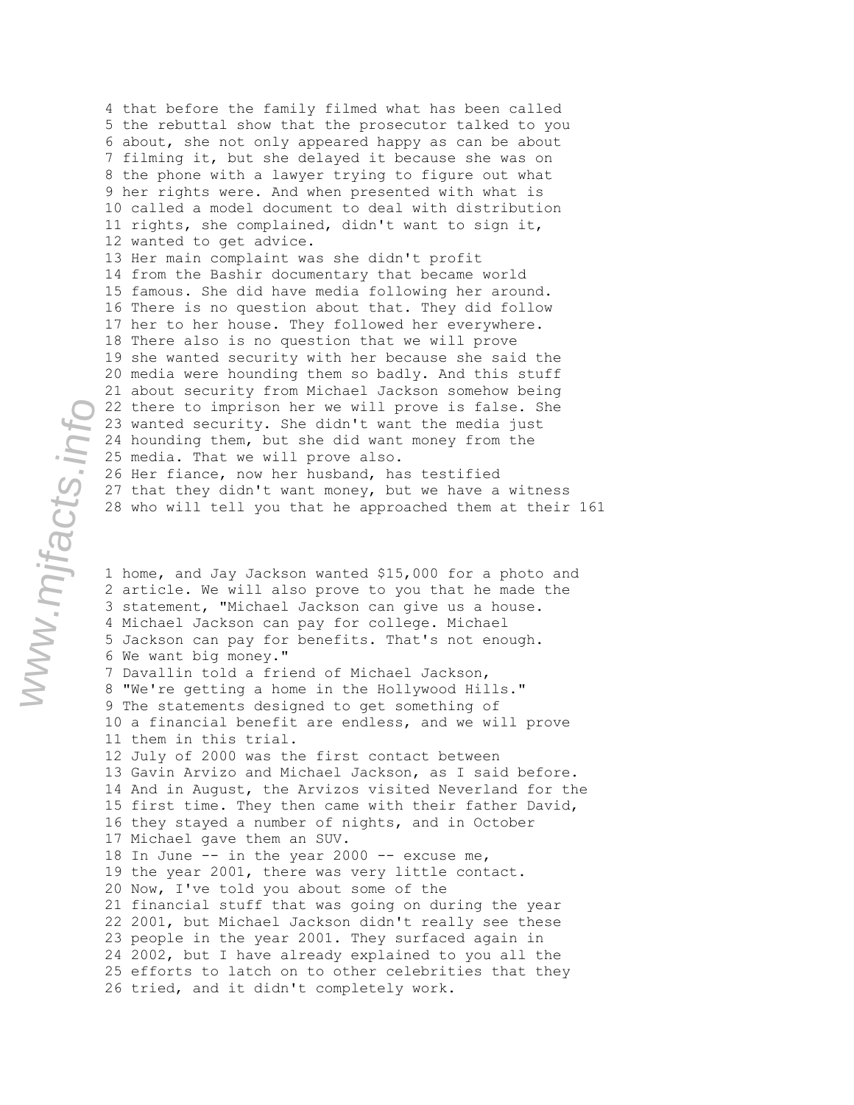4 that before the family filmed what has been called 5 the rebuttal show that the prosecutor talked to you 6 about, she not only appeared happy as can be about 7 filming it, but she delayed it because she was on 8 the phone with a lawyer trying to figure out what 9 her rights were. And when presented with what is 10 called a model document to deal with distribution 11 rights, she complained, didn't want to sign it, 12 wanted to get advice. 13 Her main complaint was she didn't profit 14 from the Bashir documentary that became world 15 famous. She did have media following her around. 16 There is no question about that. They did follow 17 her to her house. They followed her everywhere. 18 There also is no question that we will prove 19 she wanted security with her because she said the 20 media were hounding them so badly. And this stuff 21 about security from Michael Jackson somehow being 22 there to imprison her we will prove is false. She 23 wanted security. She didn't want the media just 24 hounding them, but she did want money from the 25 media. That we will prove also. 26 Her fiance, now her husband, has testified 27 that they didn't want money, but we have a witness 28 who will tell you that he approached them at their 161

1 home, and Jay Jackson wanted \$15,000 for a photo and 2 article. We will also prove to you that he made the 3 statement, "Michael Jackson can give us a house. 4 Michael Jackson can pay for college. Michael 5 Jackson can pay for benefits. That's not enough. 6 We want big money." 7 Davallin told a friend of Michael Jackson, 8 "We're getting a home in the Hollywood Hills." 9 The statements designed to get something of 10 a financial benefit are endless, and we will prove 11 them in this trial. 12 July of 2000 was the first contact between 13 Gavin Arvizo and Michael Jackson, as I said before. 14 And in August, the Arvizos visited Neverland for the 15 first time. They then came with their father David, 16 they stayed a number of nights, and in October 17 Michael gave them an SUV. 18 In June -- in the year 2000 -- excuse me, 19 the year 2001, there was very little contact. 20 Now, I've told you about some of the 21 financial stuff that was going on during the year 22 2001, but Michael Jackson didn't really see these 23 people in the year 2001. They surfaced again in 24 2002, but I have already explained to you all the 25 efforts to latch on to other celebrities that they 26 tried, and it didn't completely work.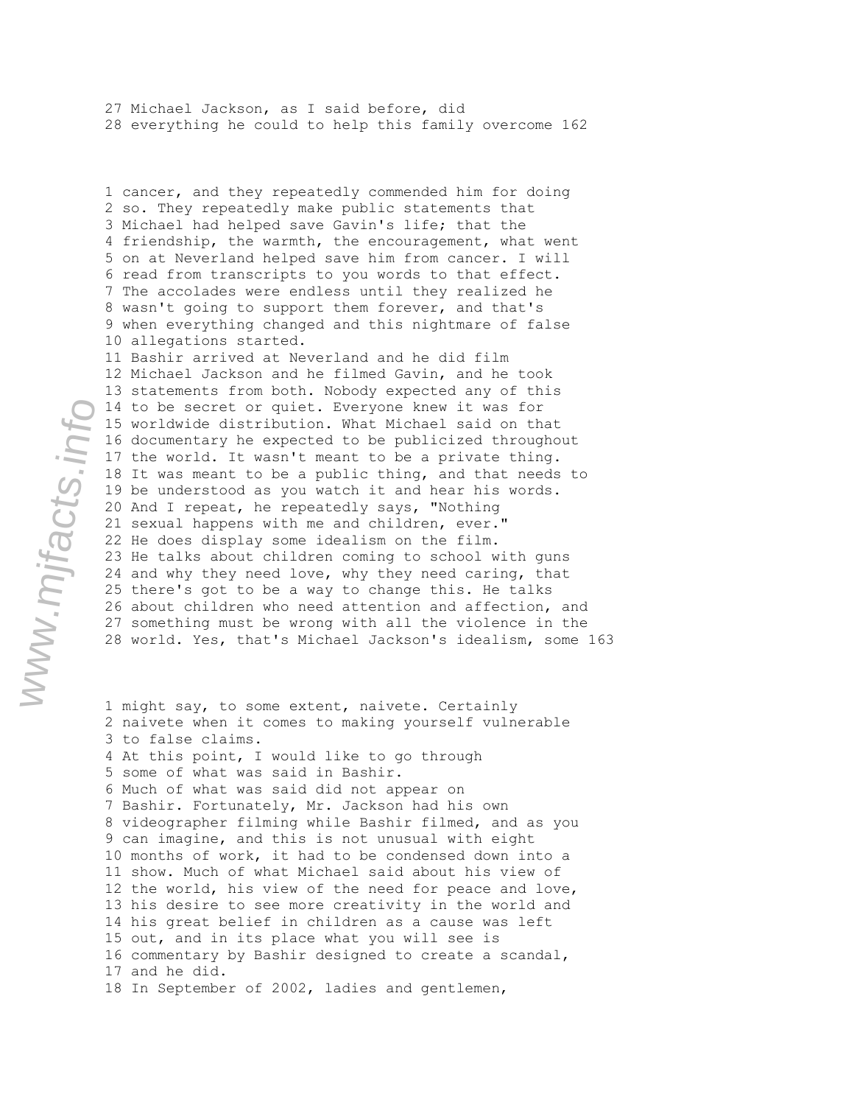27 Michael Jackson, as I said before, did 28 everything he could to help this family overcome 162

1 cancer, and they repeatedly commended him for doing 2 so. They repeatedly make public statements that 3 Michael had helped save Gavin's life; that the 4 friendship, the warmth, the encouragement, what went 5 on at Neverland helped save him from cancer. I will 6 read from transcripts to you words to that effect. 7 The accolades were endless until they realized he 8 wasn't going to support them forever, and that's 9 when everything changed and this nightmare of false 10 allegations started. 11 Bashir arrived at Neverland and he did film 12 Michael Jackson and he filmed Gavin, and he took 13 statements from both. Nobody expected any of this 14 to be secret or quiet. Everyone knew it was for 15 worldwide distribution. What Michael said on that 16 documentary he expected to be publicized throughout 17 the world. It wasn't meant to be a private thing. 18 It was meant to be a public thing, and that needs to 19 be understood as you watch it and hear his words.

20 And I repeat, he repeatedly says, "Nothing 21 sexual happens with me and children, ever." 22 He does display some idealism on the film. 23 He talks about children coming to school with guns 24 and why they need love, why they need caring, that 25 there's got to be a way to change this. He talks 26 about children who need attention and affection, and 27 something must be wrong with all the violence in the 28 world. Yes, that's Michael Jackson's idealism, some 163

1 might say, to some extent, naivete. Certainly 2 naivete when it comes to making yourself vulnerable 3 to false claims. 4 At this point, I would like to go through 5 some of what was said in Bashir. 6 Much of what was said did not appear on 7 Bashir. Fortunately, Mr. Jackson had his own 8 videographer filming while Bashir filmed, and as you 9 can imagine, and this is not unusual with eight 10 months of work, it had to be condensed down into a 11 show. Much of what Michael said about his view of 12 the world, his view of the need for peace and love, 13 his desire to see more creativity in the world and 14 his great belief in children as a cause was left 15 out, and in its place what you will see is 16 commentary by Bashir designed to create a scandal, 17 and he did. 18 In September of 2002, ladies and gentlemen,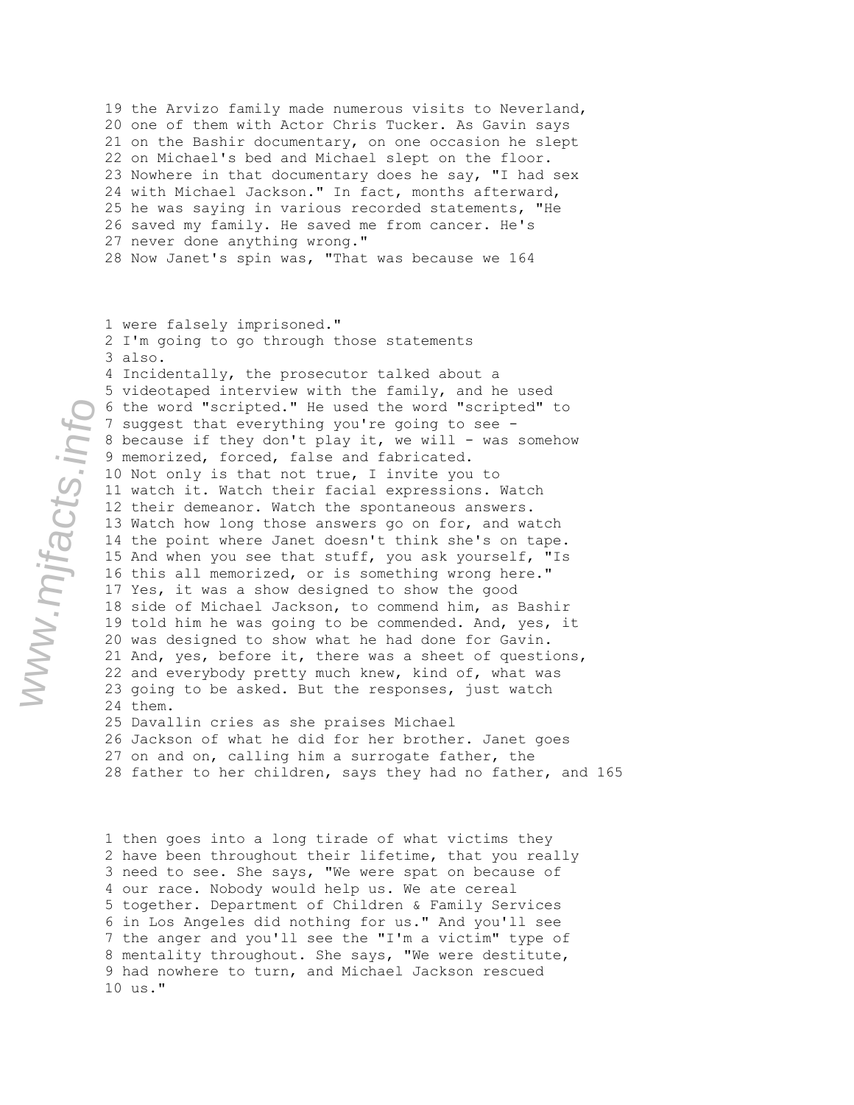19 the Arvizo family made numerous visits to Neverland, 20 one of them with Actor Chris Tucker. As Gavin says 21 on the Bashir documentary, on one occasion he slept 22 on Michael's bed and Michael slept on the floor. 23 Nowhere in that documentary does he say, "I had sex 24 with Michael Jackson." In fact, months afterward, 25 he was saying in various recorded statements, "He 26 saved my family. He saved me from cancer. He's 27 never done anything wrong." 28 Now Janet's spin was, "That was because we 164

1 were falsely imprisoned." 2 I'm going to go through those statements 3 also. 4 Incidentally, the prosecutor talked about a 5 videotaped interview with the family, and he used 6 the word "scripted." He used the word "scripted" to 7 suggest that everything you're going to see - 8 because if they don't play it, we will - was somehow 9 memorized, forced, false and fabricated. 10 Not only is that not true, I invite you to 11 watch it. Watch their facial expressions. Watch 12 their demeanor. Watch the spontaneous answers. 13 Watch how long those answers go on for, and watch 14 the point where Janet doesn't think she's on tape. 15 And when you see that stuff, you ask yourself, "Is 16 this all memorized, or is something wrong here." 17 Yes, it was a show designed to show the good 18 side of Michael Jackson, to commend him, as Bashir 19 told him he was going to be commended. And, yes, it 20 was designed to show what he had done for Gavin. 21 And, yes, before it, there was a sheet of questions, 22 and everybody pretty much knew, kind of, what was 23 going to be asked. But the responses, just watch 24 them. 25 Davallin cries as she praises Michael 26 Jackson of what he did for her brother. Janet goes

27 on and on, calling him a surrogate father, the 28 father to her children, says they had no father, and 165

1 then goes into a long tirade of what victims they 2 have been throughout their lifetime, that you really 3 need to see. She says, "We were spat on because of 4 our race. Nobody would help us. We ate cereal 5 together. Department of Children & Family Services 6 in Los Angeles did nothing for us." And you'll see 7 the anger and you'll see the "I'm a victim" type of 8 mentality throughout. She says, "We were destitute, 9 had nowhere to turn, and Michael Jackson rescued 10 us."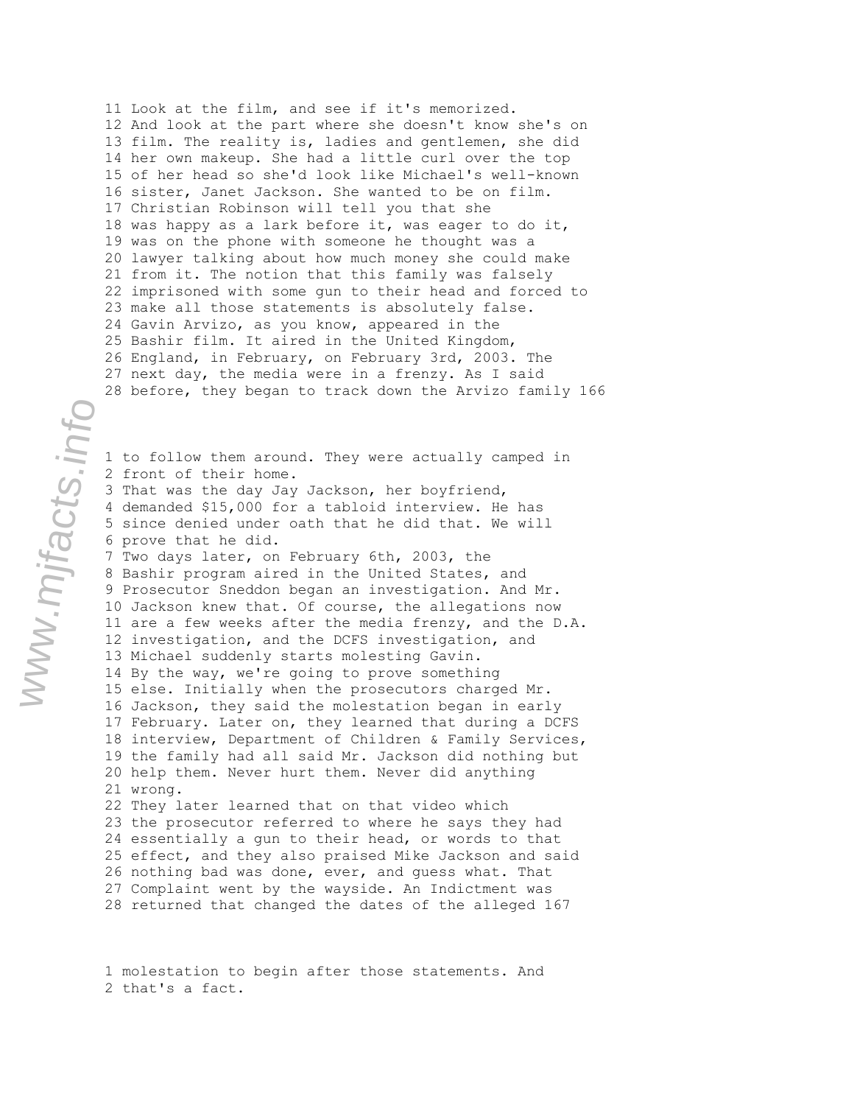11 Look at the film, and see if it's memorized. 12 And look at the part where she doesn't know she's on 13 film. The reality is, ladies and gentlemen, she did 14 her own makeup. She had a little curl over the top 15 of her head so she'd look like Michael's well-known 16 sister, Janet Jackson. She wanted to be on film. 17 Christian Robinson will tell you that she 18 was happy as a lark before it, was eager to do it, 19 was on the phone with someone he thought was a 20 lawyer talking about how much money she could make 21 from it. The notion that this family was falsely 22 imprisoned with some gun to their head and forced to 23 make all those statements is absolutely false. 24 Gavin Arvizo, as you know, appeared in the 25 Bashir film. It aired in the United Kingdom, 26 England, in February, on February 3rd, 2003. The 27 next day, the media were in a frenzy. As I said 28 before, they began to track down the Arvizo family 166

1 to follow them around. They were actually camped in 2 front of their home. 3 That was the day Jay Jackson, her boyfriend, 4 demanded \$15,000 for a tabloid interview. He has 5 since denied under oath that he did that. We will 6 prove that he did. 7 Two days later, on February 6th, 2003, the 8 Bashir program aired in the United States, and 9 Prosecutor Sneddon began an investigation. And Mr. 10 Jackson knew that. Of course, the allegations now 11 are a few weeks after the media frenzy, and the D.A. 12 investigation, and the DCFS investigation, and 13 Michael suddenly starts molesting Gavin. 14 By the way, we're going to prove something 15 else. Initially when the prosecutors charged Mr. 16 Jackson, they said the molestation began in early 17 February. Later on, they learned that during a DCFS 18 interview, Department of Children & Family Services, 19 the family had all said Mr. Jackson did nothing but 20 help them. Never hurt them. Never did anything 21 wrong. 22 They later learned that on that video which 23 the prosecutor referred to where he says they had 24 essentially a gun to their head, or words to that 25 effect, and they also praised Mike Jackson and said 26 nothing bad was done, ever, and guess what. That 27 Complaint went by the wayside. An Indictment was

28 returned that changed the dates of the alleged 167

1 molestation to begin after those statements. And 2 that's a fact.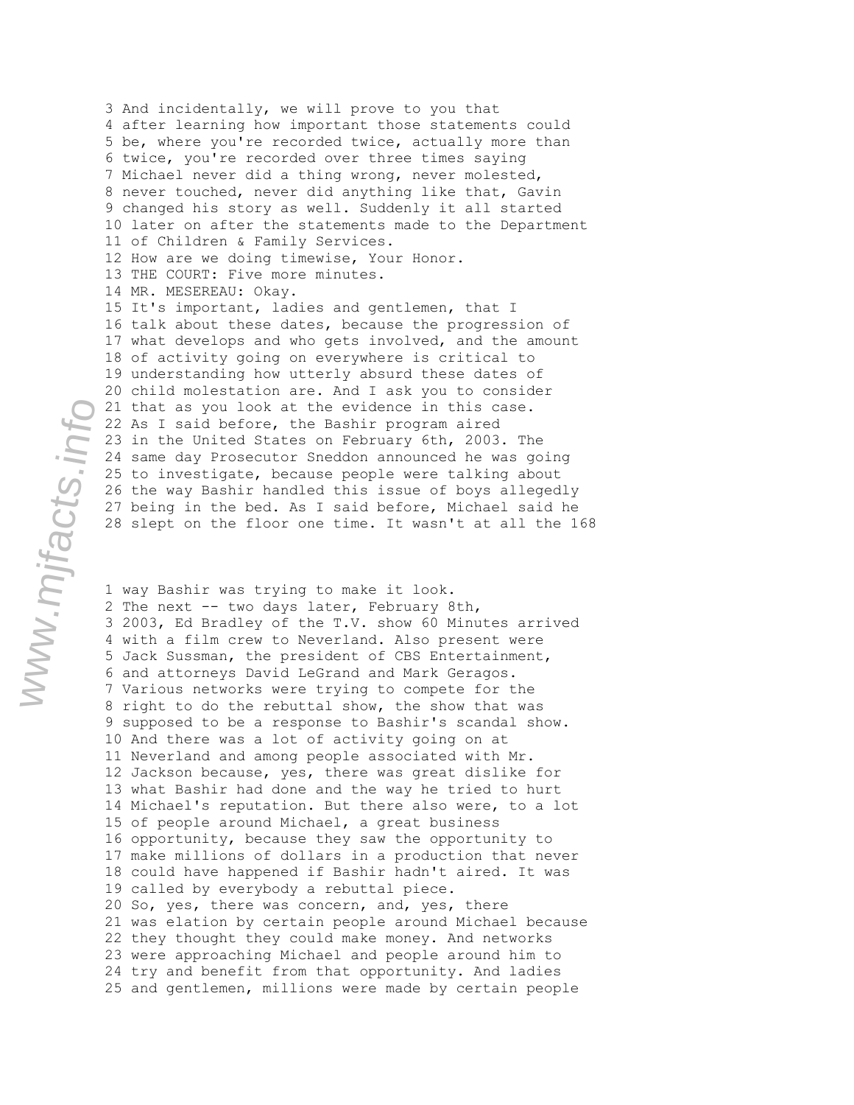3 And incidentally, we will prove to you that 4 after learning how important those statements could 5 be, where you're recorded twice, actually more than 6 twice, you're recorded over three times saying 7 Michael never did a thing wrong, never molested, 8 never touched, never did anything like that, Gavin 9 changed his story as well. Suddenly it all started 10 later on after the statements made to the Department 11 of Children & Family Services. 12 How are we doing timewise, Your Honor. 13 THE COURT: Five more minutes. 14 MR. MESEREAU: Okay. 15 It's important, ladies and gentlemen, that I 16 talk about these dates, because the progression of 17 what develops and who gets involved, and the amount 18 of activity going on everywhere is critical to 19 understanding how utterly absurd these dates of 20 child molestation are. And I ask you to consider 21 that as you look at the evidence in this case. 22 As I said before, the Bashir program aired 23 in the United States on February 6th, 2003. The 24 same day Prosecutor Sneddon announced he was going 25 to investigate, because people were talking about 26 the way Bashir handled this issue of boys allegedly 27 being in the bed. As I said before, Michael said he 28 slept on the floor one time. It wasn't at all the 168

1 way Bashir was trying to make it look. 2 The next -- two days later, February 8th, 3 2003, Ed Bradley of the T.V. show 60 Minutes arrived 4 with a film crew to Neverland. Also present were 5 Jack Sussman, the president of CBS Entertainment, 6 and attorneys David LeGrand and Mark Geragos. 7 Various networks were trying to compete for the 8 right to do the rebuttal show, the show that was 9 supposed to be a response to Bashir's scandal show. 10 And there was a lot of activity going on at 11 Neverland and among people associated with Mr. 12 Jackson because, yes, there was great dislike for 13 what Bashir had done and the way he tried to hurt 14 Michael's reputation. But there also were, to a lot 15 of people around Michael, a great business 16 opportunity, because they saw the opportunity to 17 make millions of dollars in a production that never 18 could have happened if Bashir hadn't aired. It was 19 called by everybody a rebuttal piece. 20 So, yes, there was concern, and, yes, there 21 was elation by certain people around Michael because 22 they thought they could make money. And networks 23 were approaching Michael and people around him to 24 try and benefit from that opportunity. And ladies 25 and gentlemen, millions were made by certain people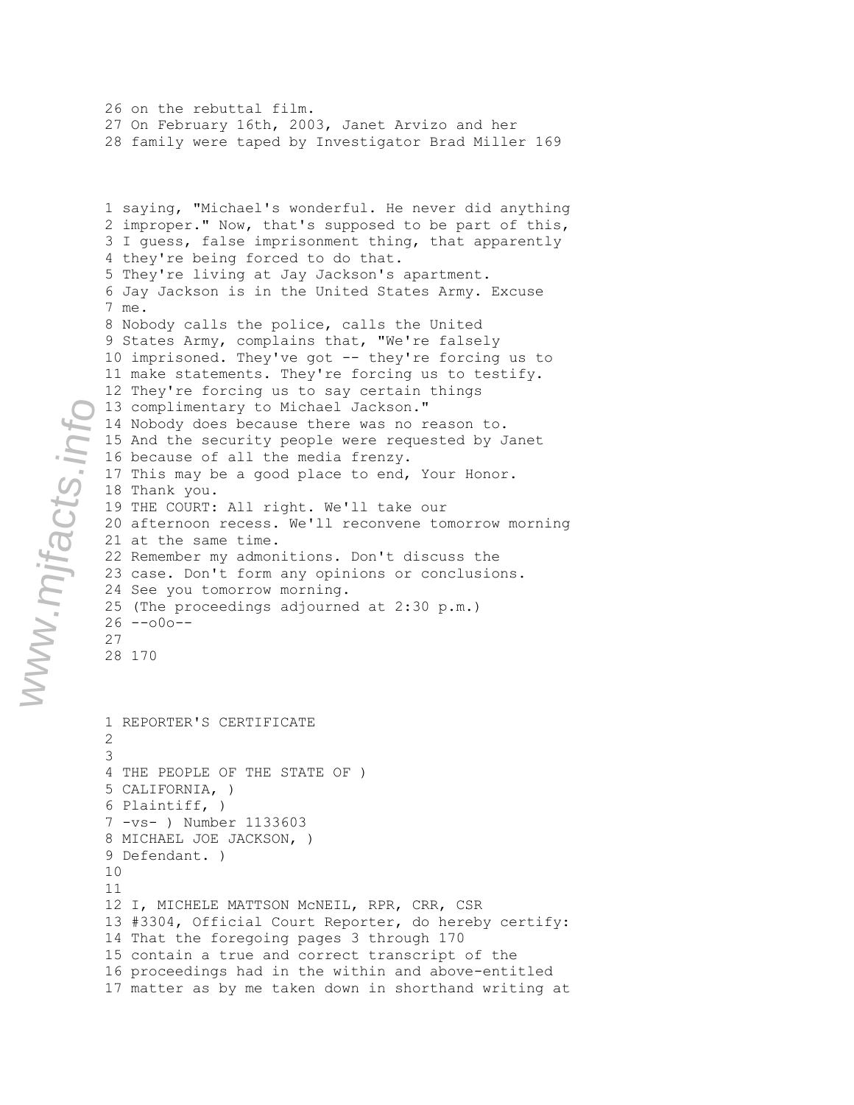1 saying, "Michael's wonderful. He never did anything 2 improper." Now, that's supposed to be part of this, 3 I guess, false imprisonment thing, that apparently 4 they're being forced to do that. 5 They're living at Jay Jackson's apartment. 6 Jay Jackson is in the United States Army. Excuse 7 me. 8 Nobody calls the police, calls the United 9 States Army, complains that, "We're falsely 10 imprisoned. They've got -- they're forcing us to 11 make statements. They're forcing us to testify. 12 They're forcing us to say certain things 13 complimentary to Michael Jackson." 14 Nobody does because there was no reason to. 15 And the security people were requested by Janet 16 because of all the media frenzy. 17 This may be a good place to end, Your Honor. 18 Thank you. 19 THE COURT: All right. We'll take our 20 afternoon recess. We'll reconvene tomorrow morning 21 at the same time. 22 Remember my admonitions. Don't discuss the 23 case. Don't form any opinions or conclusions. 24 See you tomorrow morning. 25 (The proceedings adjourned at 2:30 p.m.)  $26 - -000 - -$ 27 28 170 1 REPORTER'S CERTIFICATE 2 3 4 THE PEOPLE OF THE STATE OF ) 5 CALIFORNIA, ) 6 Plaintiff, ) 7 -vs- ) Number 1133603 8 MICHAEL JOE JACKSON, ) 9 Defendant. ) 10 11 12 I, MICHELE MATTSON McNEIL, RPR, CRR, CSR 13 #3304, Official Court Reporter, do hereby certify: 14 That the foregoing pages 3 through 170 15 contain a true and correct transcript of the 16 proceedings had in the within and above-entitled 17 matter as by me taken down in shorthand writing at

26 on the rebuttal film.

27 On February 16th, 2003, Janet Arvizo and her 28 family were taped by Investigator Brad Miller 169